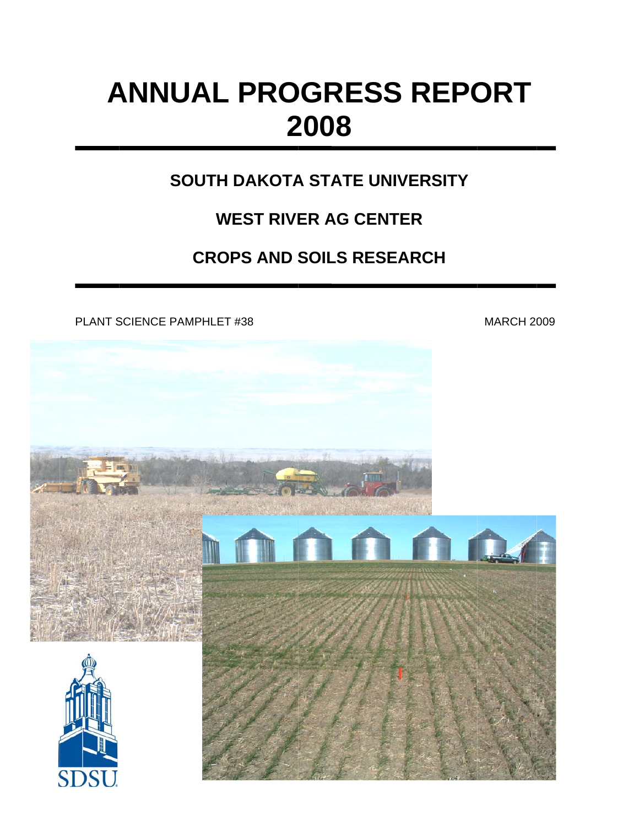## **ANNUAL PROGRESS REPORT 2 2008**

## **SOUTH DAKOTA STATE UNIVERSITY**

## WEST RIVER AG CENTER

# WEST RIVER AG CENTER<br>CROPS AND SOILS RESEARCH

PLANT SCIENCE PAMPHLET #38

MARCH 2009

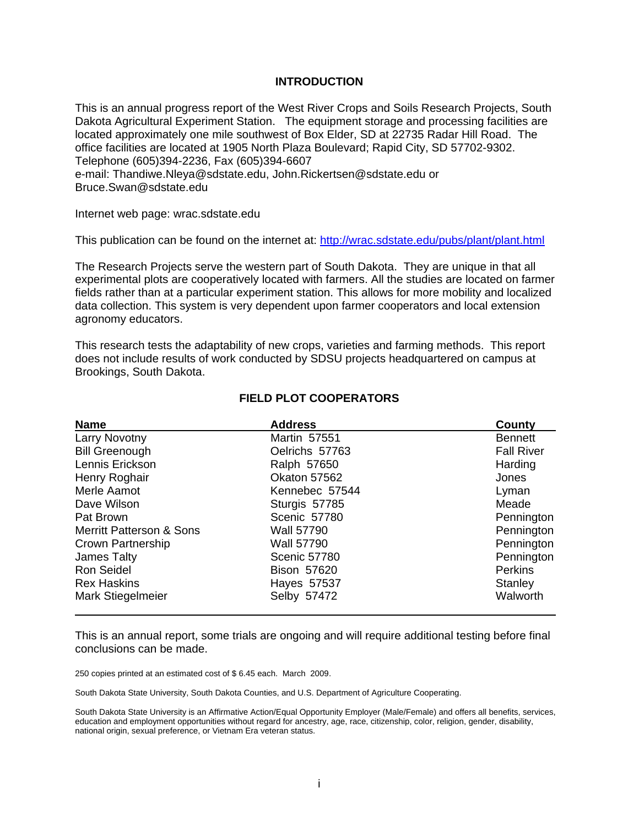#### **INTRODUCTION**

This is an annual progress report of the West River Crops and Soils Research Projects, South Dakota Agricultural Experiment Station. The equipment storage and processing facilities are located approximately one mile southwest of Box Elder, SD at 22735 Radar Hill Road. The office facilities are located at 1905 North Plaza Boulevard; Rapid City, SD 57702-9302. Telephone (605)394-2236, Fax (605)394-6607 e-mail: Thandiwe.Nleya@sdstate.edu, John.Rickertsen@sdstate.edu or Bruce.Swan@sdstate.edu

Internet web page: wrac.sdstate.edu

This publication can be found on the internet at: http://wrac.sdstate.edu/pubs/plant/plant.html

The Research Projects serve the western part of South Dakota. They are unique in that all experimental plots are cooperatively located with farmers. All the studies are located on farmer fields rather than at a particular experiment station. This allows for more mobility and localized data collection. This system is very dependent upon farmer cooperators and local extension agronomy educators.

This research tests the adaptability of new crops, varieties and farming methods. This report does not include results of work conducted by SDSU projects headquartered on campus at Brookings, South Dakota.

| <b>Name</b>                         | <b>Address</b>      | County            |
|-------------------------------------|---------------------|-------------------|
| Larry Novotny                       | Martin 57551        | <b>Bennett</b>    |
| <b>Bill Greenough</b>               | Oelrichs 57763      | <b>Fall River</b> |
| Lennis Erickson                     | Ralph 57650         | Harding           |
| Henry Roghair                       | Okaton 57562        | Jones             |
| Merle Aamot                         | Kennebec 57544      | Lyman             |
| Dave Wilson                         | Sturgis 57785       | Meade             |
| Pat Brown                           | Scenic 57780        | Pennington        |
| <b>Merritt Patterson &amp; Sons</b> | <b>Wall 57790</b>   | Pennington        |
| Crown Partnership                   | <b>Wall 57790</b>   | Pennington        |
| James Talty                         | <b>Scenic 57780</b> | Pennington        |
| <b>Ron Seidel</b>                   | <b>Bison 57620</b>  | <b>Perkins</b>    |
| <b>Rex Haskins</b>                  | Hayes 57537         | Stanley           |
| Mark Stiegelmeier                   | Selby 57472         | Walworth          |

#### **FIELD PLOT COOPERATORS**

This is an annual report, some trials are ongoing and will require additional testing before final conclusions can be made.

250 copies printed at an estimated cost of \$ 6.45 each. March 2009.

South Dakota State University, South Dakota Counties, and U.S. Department of Agriculture Cooperating.

South Dakota State University is an Affirmative Action/Equal Opportunity Employer (Male/Female) and offers all benefits, services, education and employment opportunities without regard for ancestry, age, race, citizenship, color, religion, gender, disability, national origin, sexual preference, or Vietnam Era veteran status.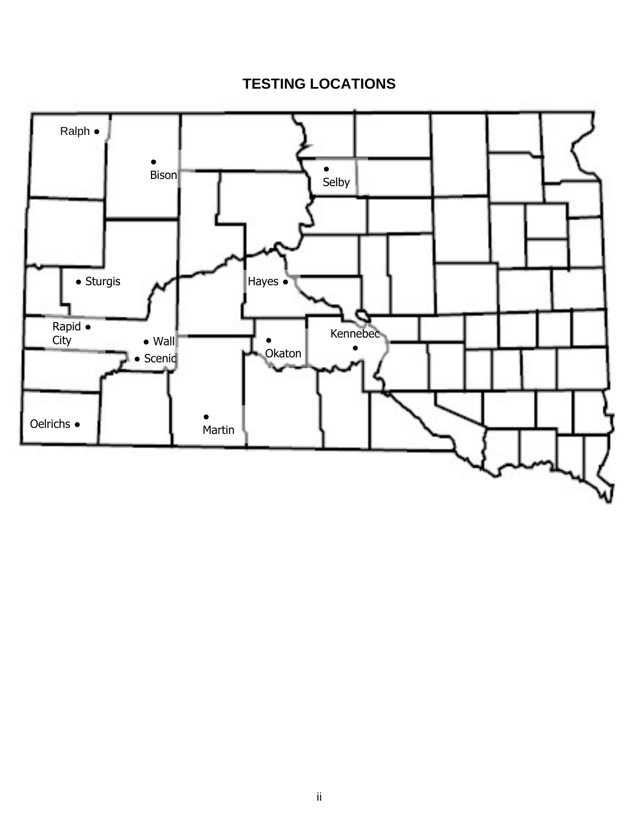## **TESTING LOCATIONS**

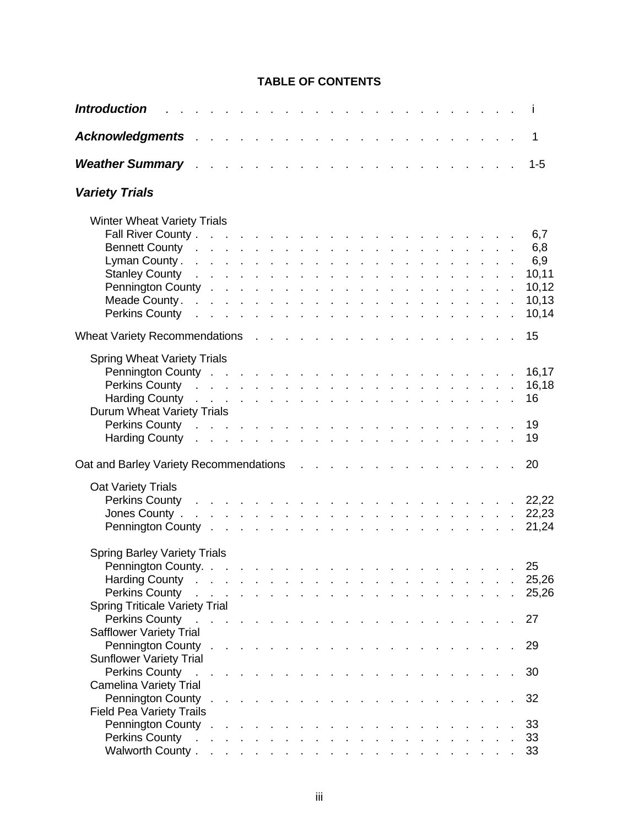#### **TABLE OF CONTENTS**

| <b>Introduction</b><br>a construction of the construction of the construction of the construction of the construction of the construction of the construction of the construction of the construction of the construction of the construction of the                                                                                                                                                                                                                                                                                                                                                                                                                                                                                                                                                                                                                                     |                                                                                     |  |  |  |  |  |                                     |  |  |  |  | $\mathbf{I}$                                          |
|------------------------------------------------------------------------------------------------------------------------------------------------------------------------------------------------------------------------------------------------------------------------------------------------------------------------------------------------------------------------------------------------------------------------------------------------------------------------------------------------------------------------------------------------------------------------------------------------------------------------------------------------------------------------------------------------------------------------------------------------------------------------------------------------------------------------------------------------------------------------------------------|-------------------------------------------------------------------------------------|--|--|--|--|--|-------------------------------------|--|--|--|--|-------------------------------------------------------|
|                                                                                                                                                                                                                                                                                                                                                                                                                                                                                                                                                                                                                                                                                                                                                                                                                                                                                          |                                                                                     |  |  |  |  |  |                                     |  |  |  |  | 1                                                     |
| <b>Weather Summary</b> Allen Allen and Allen and Allen and Allen and Allen and Allen and Allen and Allen and Allen and A                                                                                                                                                                                                                                                                                                                                                                                                                                                                                                                                                                                                                                                                                                                                                                 |                                                                                     |  |  |  |  |  |                                     |  |  |  |  | $1 - 5$                                               |
| <b>Variety Trials</b>                                                                                                                                                                                                                                                                                                                                                                                                                                                                                                                                                                                                                                                                                                                                                                                                                                                                    |                                                                                     |  |  |  |  |  |                                     |  |  |  |  |                                                       |
| <b>Winter Wheat Variety Trials</b><br>Bennett County research and a series and a series and a series and a series of the series of the series of the<br>Stanley County research and a series and a series and a series and a series and a series of the series of the<br>Perkins County research and a series and a series and a series and a series and a series of the series of the                                                                                                                                                                                                                                                                                                                                                                                                                                                                                                   |                                                                                     |  |  |  |  |  |                                     |  |  |  |  | 6,7<br>6,8<br>6,9<br>10,11<br>10,12<br>10,13<br>10,14 |
|                                                                                                                                                                                                                                                                                                                                                                                                                                                                                                                                                                                                                                                                                                                                                                                                                                                                                          |                                                                                     |  |  |  |  |  |                                     |  |  |  |  | 15                                                    |
| <b>Spring Wheat Variety Trials</b><br>Perkins County research and the contract of the contract of the contract of the contract of the contract of the contract of the contract of the contract of the contract of the contract of the contract of the contract of th<br>Harding County research and a series and a series and a series and a series of the series of the series of the<br>Durum Wheat Variety Trials<br>Perkins County research and the state of the state of the state of the state of the state of the state of the state of the state of the state of the state of the state of the state of the state of the state of the state of<br>Harding County research resources in the set of the set of the set of the set of the set of the set of the set of the set of the set of the set of the set of the set of the set of the set of the set of the set of the set o |                                                                                     |  |  |  |  |  |                                     |  |  |  |  | 16,17<br>16,18<br>16<br>19<br>19                      |
| Oat and Barley Variety Recommendations results and and Barley Variety Recommendations results and results are not                                                                                                                                                                                                                                                                                                                                                                                                                                                                                                                                                                                                                                                                                                                                                                        |                                                                                     |  |  |  |  |  |                                     |  |  |  |  | 20                                                    |
| <b>Oat Variety Trials</b><br>Perkins County research and research and research and research and research and research and research and research and research and research and research and research and research and research and research and research and                                                                                                                                                                                                                                                                                                                                                                                                                                                                                                                                                                                                                              |                                                                                     |  |  |  |  |  |                                     |  |  |  |  | 22,22<br>22,23<br>21,24                               |
| <b>Spring Barley Variety Trials</b><br>Harding County research research resources in the set of the set of the set of the set of the set of the set of the set of the set of the set of the set of the set of the set of the set of the set of the set of the set of<br>Perkins County research and the state of the state of the state of the state of the state of the state of the state of the state of the state of the state of the state of the state of the state of the state of the state of                                                                                                                                                                                                                                                                                                                                                                                   |                                                                                     |  |  |  |  |  |                                     |  |  |  |  | 25<br>25,26<br>25,26                                  |
| <b>Spring Triticale Variety Trial</b><br>Perkins County<br><b>Safflower Variety Trial</b>                                                                                                                                                                                                                                                                                                                                                                                                                                                                                                                                                                                                                                                                                                                                                                                                |                                                                                     |  |  |  |  |  | and the contract of the contract of |  |  |  |  | 27                                                    |
| <b>Sunflower Variety Trial</b><br>Perkins County                                                                                                                                                                                                                                                                                                                                                                                                                                                                                                                                                                                                                                                                                                                                                                                                                                         | and the contract of the contract of the contract of the contract of the contract of |  |  |  |  |  |                                     |  |  |  |  | 29<br>30                                              |
| <b>Camelina Variety Trial</b>                                                                                                                                                                                                                                                                                                                                                                                                                                                                                                                                                                                                                                                                                                                                                                                                                                                            |                                                                                     |  |  |  |  |  |                                     |  |  |  |  | 32                                                    |
| <b>Field Pea Variety Trails</b><br>Perkins County research and the contract of the contract of the contract of the contract of the contract of the contract of the contract of the contract of the contract of the contract of the contract of the contract of th                                                                                                                                                                                                                                                                                                                                                                                                                                                                                                                                                                                                                        |                                                                                     |  |  |  |  |  |                                     |  |  |  |  | 33<br>33<br>33                                        |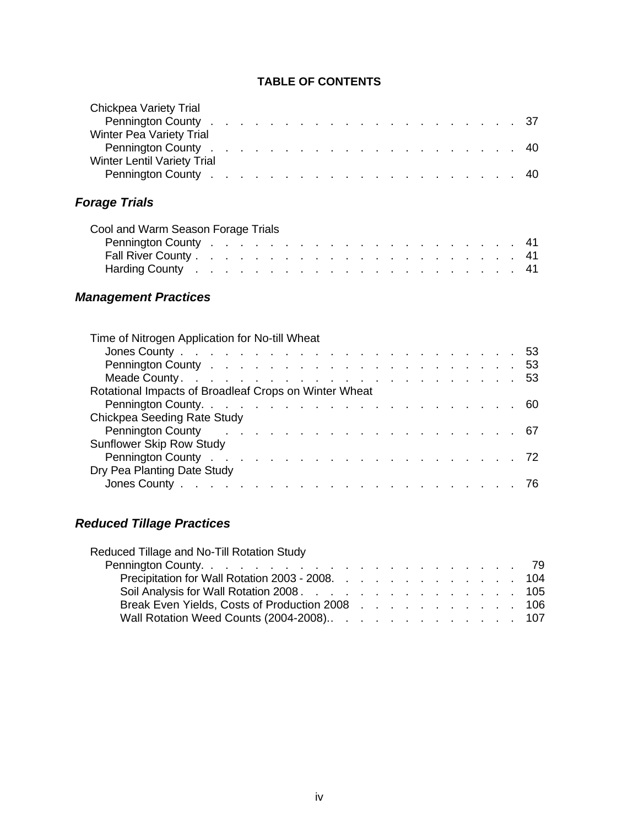#### **TABLE OF CONTENTS**

| <b>Chickpea Variety Trial</b><br><b>Winter Pea Variety Trial</b><br><b>Winter Lentil Variety Trial</b>                                                                              |  |  |  |  |  |  |  |  |  | 37<br>40<br>40 |
|-------------------------------------------------------------------------------------------------------------------------------------------------------------------------------------|--|--|--|--|--|--|--|--|--|----------------|
| <b>Forage Trials</b>                                                                                                                                                                |  |  |  |  |  |  |  |  |  |                |
| Cool and Warm Season Forage Trials<br>Harding County research resources and resources and resources and resources and resources and resources and re<br><b>Management Practices</b> |  |  |  |  |  |  |  |  |  |                |
| Time of Nitrogen Application for No-till Wheat                                                                                                                                      |  |  |  |  |  |  |  |  |  |                |
| Rotational Impacts of Broadleaf Crops on Winter Wheat                                                                                                                               |  |  |  |  |  |  |  |  |  |                |
| Chickpea Seeding Rate Study<br><b>Sunflower Skip Row Study</b>                                                                                                                      |  |  |  |  |  |  |  |  |  |                |
| Dry Pea Planting Date Study                                                                                                                                                         |  |  |  |  |  |  |  |  |  | 72             |

### *Reduced Tillage Practices*

Reduced Tillage and No-Till Rotation Study

| Precipitation for Wall Rotation 2003 - 2008. 104 |  |  |  |  |  |  |  |
|--------------------------------------------------|--|--|--|--|--|--|--|
| Soil Analysis for Wall Rotation 2008. 105        |  |  |  |  |  |  |  |
| Break Even Yields, Costs of Production 2008 106  |  |  |  |  |  |  |  |
| Wall Rotation Weed Counts (2004-2008). 107       |  |  |  |  |  |  |  |

Jones County . . . . . . . . . . . . . . . . . . . . . . . 76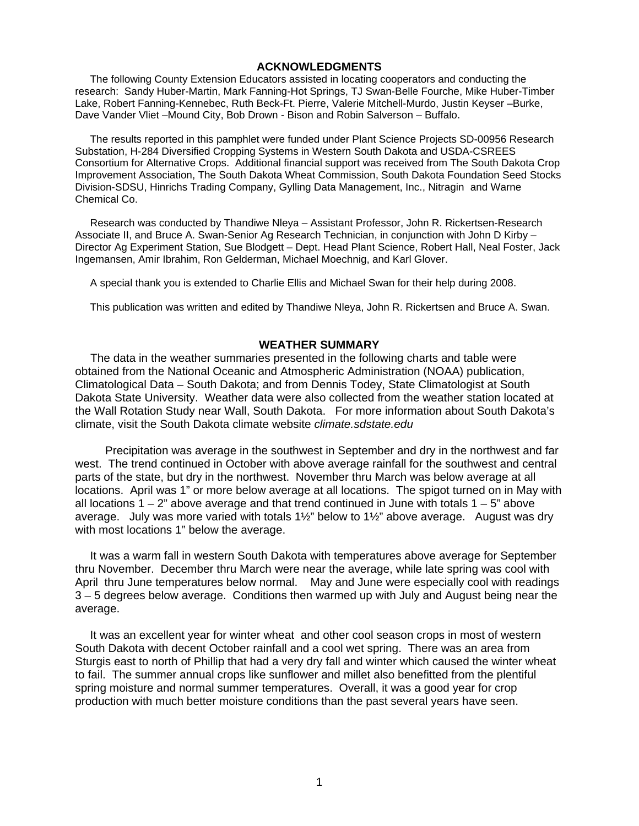#### **ACKNOWLEDGMENTS**

The following County Extension Educators assisted in locating cooperators and conducting the research: Sandy Huber-Martin, Mark Fanning-Hot Springs, TJ Swan-Belle Fourche, Mike Huber-Timber Lake, Robert Fanning-Kennebec, Ruth Beck-Ft. Pierre, Valerie Mitchell-Murdo, Justin Keyser –Burke, Dave Vander Vliet –Mound City, Bob Drown - Bison and Robin Salverson – Buffalo.

The results reported in this pamphlet were funded under Plant Science Projects SD-00956 Research Substation, H-284 Diversified Cropping Systems in Western South Dakota and USDA-CSREES Consortium for Alternative Crops. Additional financial support was received from The South Dakota Crop Improvement Association, The South Dakota Wheat Commission, South Dakota Foundation Seed Stocks Division-SDSU, Hinrichs Trading Company, Gylling Data Management, Inc., Nitragin and Warne Chemical Co.

Research was conducted by Thandiwe Nleya – Assistant Professor, John R. Rickertsen-Research Associate II, and Bruce A. Swan-Senior Ag Research Technician, in conjunction with John D Kirby – Director Ag Experiment Station, Sue Blodgett – Dept. Head Plant Science, Robert Hall, Neal Foster, Jack Ingemansen, Amir Ibrahim, Ron Gelderman, Michael Moechnig, and Karl Glover.

A special thank you is extended to Charlie Ellis and Michael Swan for their help during 2008.

This publication was written and edited by Thandiwe Nleya, John R. Rickertsen and Bruce A. Swan.

#### **WEATHER SUMMARY**

 The data in the weather summaries presented in the following charts and table were obtained from the National Oceanic and Atmospheric Administration (NOAA) publication, Climatological Data – South Dakota; and from Dennis Todey, State Climatologist at South Dakota State University. Weather data were also collected from the weather station located at the Wall Rotation Study near Wall, South Dakota. For more information about South Dakota's climate, visit the South Dakota climate website *climate.sdstate.edu*

 Precipitation was average in the southwest in September and dry in the northwest and far west. The trend continued in October with above average rainfall for the southwest and central parts of the state, but dry in the northwest. November thru March was below average at all locations. April was 1" or more below average at all locations. The spigot turned on in May with all locations  $1 - 2$ " above average and that trend continued in June with totals  $1 - 5$ " above average. July was more varied with totals 1½" below to 1½" above average. August was dry with most locations 1" below the average.

 It was a warm fall in western South Dakota with temperatures above average for September thru November. December thru March were near the average, while late spring was cool with April thru June temperatures below normal. May and June were especially cool with readings 3 – 5 degrees below average. Conditions then warmed up with July and August being near the average.

 It was an excellent year for winter wheat and other cool season crops in most of western South Dakota with decent October rainfall and a cool wet spring. There was an area from Sturgis east to north of Phillip that had a very dry fall and winter which caused the winter wheat to fail. The summer annual crops like sunflower and millet also benefitted from the plentiful spring moisture and normal summer temperatures. Overall, it was a good year for crop production with much better moisture conditions than the past several years have seen.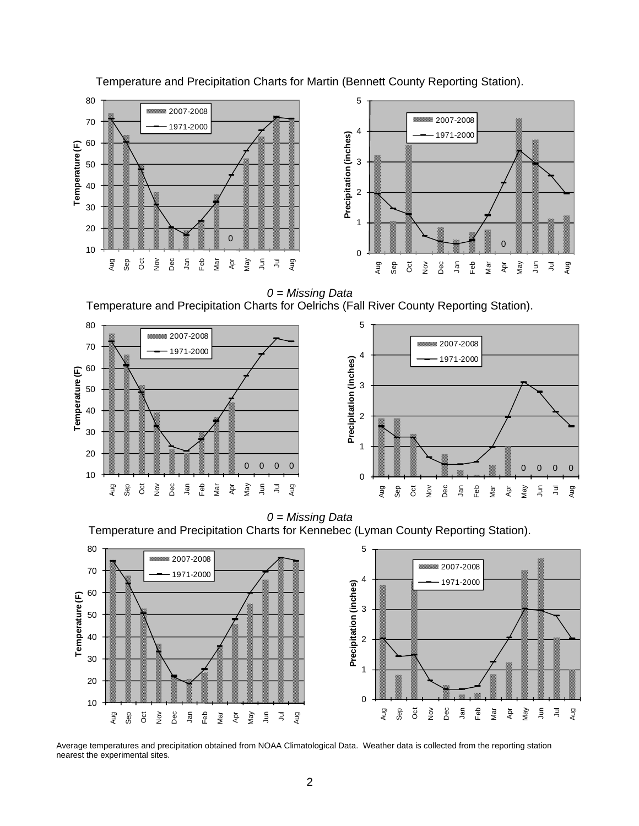

Temperature and Precipitation Charts for Martin (Bennett County Reporting Station).

*0 = Missing Data*  Temperature and Precipitation Charts for Oelrichs (Fall River County Reporting Station).



*0 = Missing Data*  Temperature and Precipitation Charts for Kennebec (Lyman County Reporting Station).



Average temperatures and precipitation obtained from NOAA Climatological Data. Weather data is collected from the reporting station nearest the experimental sites.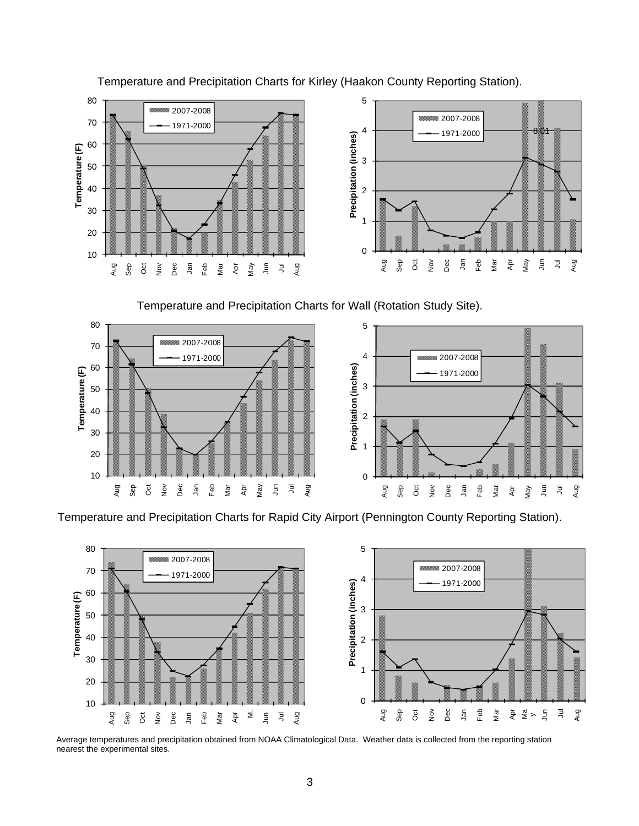

Temperature and Precipitation Charts for Kirley (Haakon County Reporting Station).

Temperature and Precipitation Charts for Wall (Rotation Study Site).



Temperature and Precipitation Charts for Rapid City Airport (Pennington County Reporting Station).



Average temperatures and precipitation obtained from NOAA Climatological Data. Weather data is collected from the reporting station nearest the experimental sites.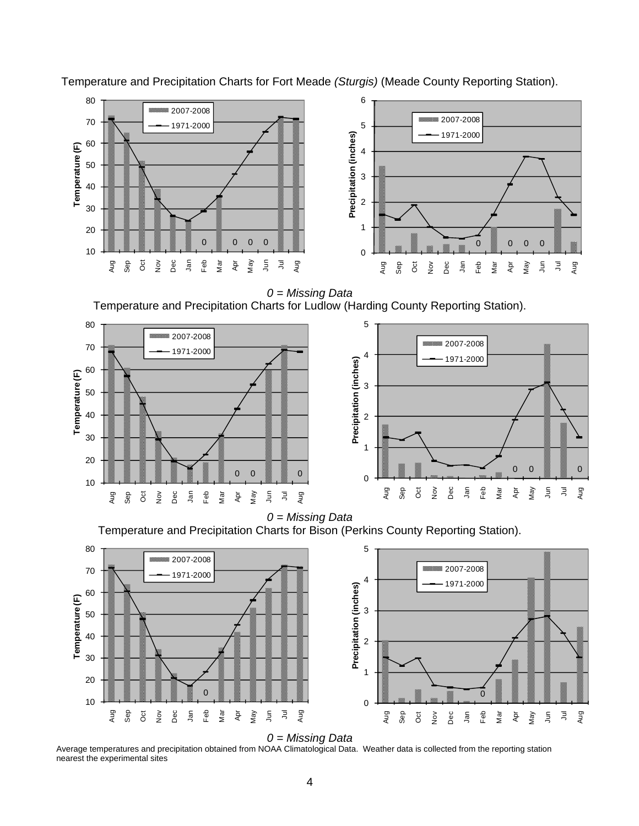

Temperature and Precipitation Charts for Fort Meade *(Sturgis)* (Meade County Reporting Station).

*0 = Missing Data*  Temperature and Precipitation Charts for Ludlow (Harding County Reporting Station).



*0 = Missing Data*  Temperature and Precipitation Charts for Bison (Perkins County Reporting Station).





Average temperatures and precipitation obtained from NOAA Climatological Data. Weather data is collected from the reporting station nearest the experimental sites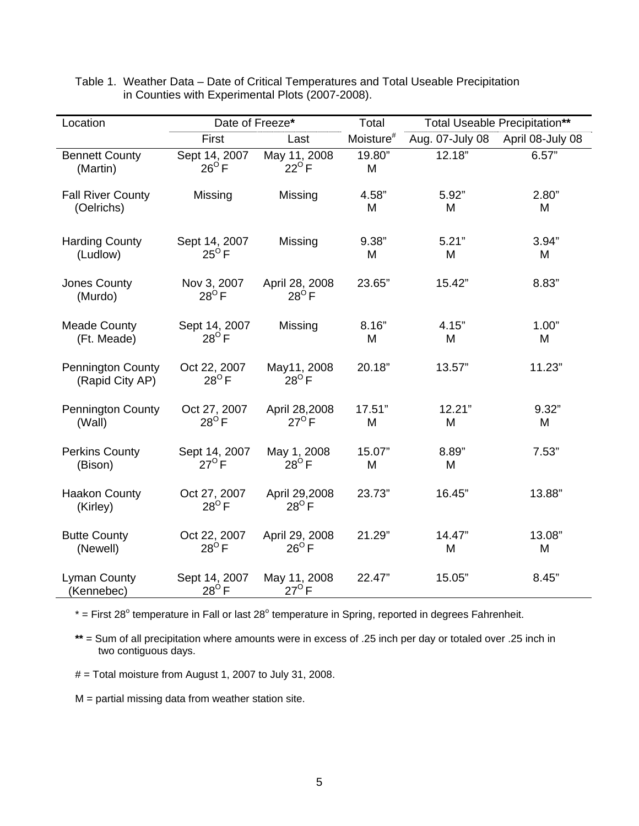| Location                                    | Date of Freeze*                 |                                  | Total                 |                 | Total Useable Precipitation** |
|---------------------------------------------|---------------------------------|----------------------------------|-----------------------|-----------------|-------------------------------|
|                                             | First                           | Last                             | Moisture <sup>#</sup> | Aug. 07-July 08 | April 08-July 08              |
| <b>Bennett County</b><br>(Martin)           | Sept 14, 2007<br>$26^{\circ}$ F | May 11, 2008<br>$22^{\circ}$ F   | 19.80"<br>M           | 12.18"          | 6.57"                         |
| <b>Fall River County</b><br>(Oelrichs)      | Missing                         | Missing                          | 4.58"<br>M            | 5.92"<br>M      | 2.80"<br>M                    |
| <b>Harding County</b><br>(Ludlow)           | Sept 14, 2007<br>$25^{\circ}$ F | Missing                          | 9.38"<br>M            | 5.21"<br>M      | 3.94"<br>M                    |
| Jones County<br>(Murdo)                     | Nov 3, 2007<br>$28^{\circ}$ F   | April 28, 2008<br>$28^{\circ}$ F | 23.65"                | 15.42"          | 8.83"                         |
| <b>Meade County</b><br>(Ft. Meade)          | Sept 14, 2007<br>$28^{\circ}$ F | Missing                          | 8.16"<br>M            | 4.15"<br>M      | 1.00"<br>M                    |
| <b>Pennington County</b><br>(Rapid City AP) | Oct 22, 2007<br>$28^{\circ}$ F  | May11, 2008<br>$28^{\circ}$ F    | 20.18"                | 13.57"          | 11.23"                        |
| <b>Pennington County</b><br>(Wall)          | Oct 27, 2007<br>$28^{\circ}$ F  | April 28,2008<br>$27^{\circ}$ F  | 17.51"<br>M           | 12.21"<br>M     | 9.32"<br>M                    |
| <b>Perkins County</b><br>(Bison)            | Sept 14, 2007<br>$27^{\circ}$ F | May 1, 2008<br>$28^{\circ}$ F    | 15.07"<br>M           | 8.89"<br>M      | 7.53"                         |
| <b>Haakon County</b><br>(Kirley)            | Oct 27, 2007<br>$28^{\circ}$ F  | April 29,2008<br>$28^{\circ}$ F  | 23.73"                | 16.45"          | 13.88"                        |
| <b>Butte County</b><br>(Newell)             | Oct 22, 2007<br>$28^{\circ}$ F  | April 29, 2008<br>$26^{\circ}$ F | 21.29"                | 14.47"<br>M     | 13.08"<br>M                   |
| <b>Lyman County</b><br>(Kennebec)           | Sept 14, 2007<br>$28^{\circ}$ F | May 11, 2008<br>$27^\circ$ F     | 22.47"                | 15.05"          | 8.45"                         |

Table 1. Weather Data – Date of Critical Temperatures and Total Useable Precipitation in Counties with Experimental Plots (2007-2008).

 $*$  = First 28<sup>°</sup> temperature in Fall or last 28<sup>°</sup> temperature in Spring, reported in degrees Fahrenheit.

**\*\*** = Sum of all precipitation where amounts were in excess of .25 inch per day or totaled over .25 inch in two contiguous days.

 $#$  = Total moisture from August 1, 2007 to July 31, 2008.

 $M =$  partial missing data from weather station site.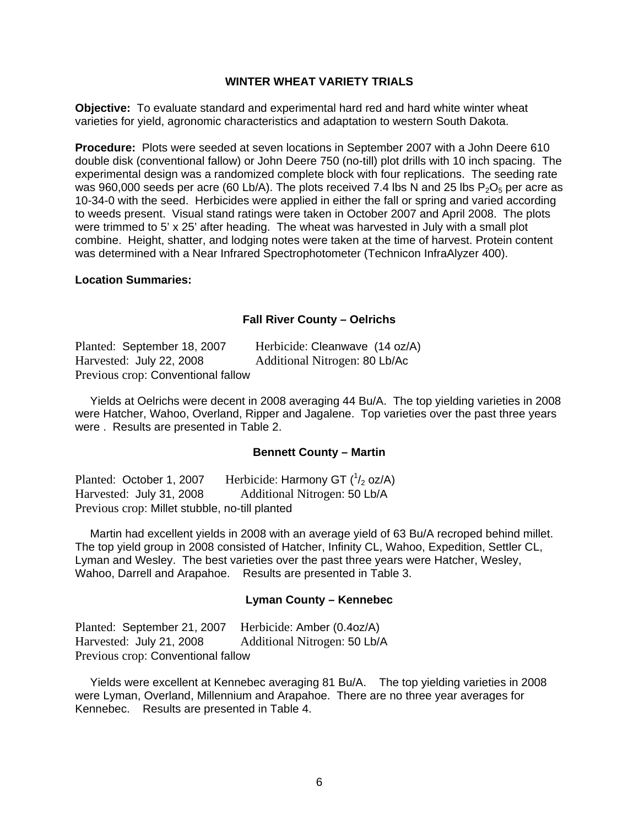#### **WINTER WHEAT VARIETY TRIALS**

**Objective:** To evaluate standard and experimental hard red and hard white winter wheat varieties for yield, agronomic characteristics and adaptation to western South Dakota.

**Procedure:** Plots were seeded at seven locations in September 2007 with a John Deere 610 double disk (conventional fallow) or John Deere 750 (no-till) plot drills with 10 inch spacing. The experimental design was a randomized complete block with four replications. The seeding rate was 960,000 seeds per acre (60 Lb/A). The plots received 7.4 lbs N and 25 lbs  $P_2O_5$  per acre as 10-34-0 with the seed. Herbicides were applied in either the fall or spring and varied according to weeds present. Visual stand ratings were taken in October 2007 and April 2008. The plots were trimmed to 5' x 25' after heading. The wheat was harvested in July with a small plot combine. Height, shatter, and lodging notes were taken at the time of harvest. Protein content was determined with a Near Infrared Spectrophotometer (Technicon InfraAlyzer 400).

#### **Location Summaries:**

#### **Fall River County – Oelrichs**

| Planted: September 18, 2007        | Herbicide: Cleanwave (14 oz/A) |
|------------------------------------|--------------------------------|
| Harvested: July 22, 2008           | Additional Nitrogen: 80 Lb/Ac  |
| Previous crop: Conventional fallow |                                |

 Yields at Oelrichs were decent in 2008 averaging 44 Bu/A. The top yielding varieties in 2008 were Hatcher, Wahoo, Overland, Ripper and Jagalene. Top varieties over the past three years were . Results are presented in Table 2.

#### **Bennett County – Martin**

Planted: October 1, 2007 Herbicide: Harmony GT  $(^{1}/_{2}$  oz/A) Harvested: July 31, 2008 Additional Nitrogen: 50 Lb/A Previous crop: Millet stubble, no-till planted

 Martin had excellent yields in 2008 with an average yield of 63 Bu/A recroped behind millet. The top yield group in 2008 consisted of Hatcher, Infinity CL, Wahoo, Expedition, Settler CL, Lyman and Wesley. The best varieties over the past three years were Hatcher, Wesley, Wahoo, Darrell and Arapahoe. Results are presented in Table 3.

#### **Lyman County – Kennebec**

Planted: September 21, 2007 Herbicide: Amber (0.4oz/A) Harvested: July 21, 2008 Additional Nitrogen: 50 Lb/A Previous crop: Conventional fallow

 Yields were excellent at Kennebec averaging 81 Bu/A. The top yielding varieties in 2008 were Lyman, Overland, Millennium and Arapahoe. There are no three year averages for Kennebec. Results are presented in Table 4.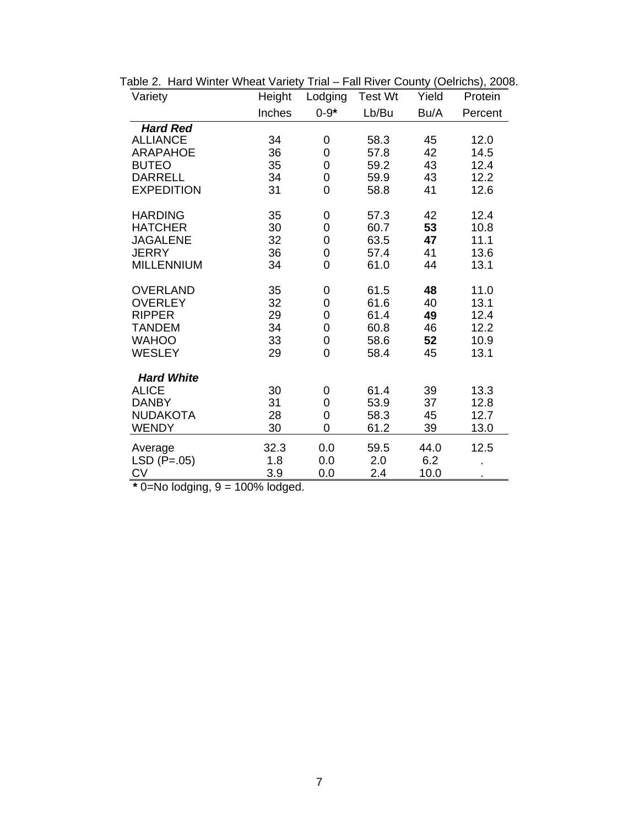| Variety           | Height | Lodging        | <b>Test Wt</b> | Yield | Protein |
|-------------------|--------|----------------|----------------|-------|---------|
|                   | Inches | $0 - 9*$       | Lb/Bu          | Bu/A  | Percent |
| <b>Hard Red</b>   |        |                |                |       |         |
| <b>ALLIANCE</b>   | 34     | 0              | 58.3           | 45    | 12.0    |
| <b>ARAPAHOE</b>   | 36     | 0              | 57.8           | 42    | 14.5    |
| <b>BUTEO</b>      | 35     | 0              | 59.2           | 43    | 12.4    |
| <b>DARRELL</b>    | 34     | 0              | 59.9           | 43    | 12.2    |
| <b>EXPEDITION</b> | 31     | 0              | 58.8           | 41    | 12.6    |
| <b>HARDING</b>    | 35     | 0              | 57.3           | 42    | 12.4    |
| <b>HATCHER</b>    | 30     | 0              | 60.7           | 53    | 10.8    |
| <b>JAGALENE</b>   | 32     | 0              | 63.5           | 47    | 11.1    |
| <b>JERRY</b>      | 36     | 0              | 57.4           | 41    | 13.6    |
| <b>MILLENNIUM</b> | 34     | $\overline{0}$ | 61.0           | 44    | 13.1    |
| <b>OVERLAND</b>   | 35     | 0              | 61.5           | 48    | 11.0    |
| <b>OVERLEY</b>    | 32     | 0              | 61.6           | 40    | 13.1    |
| <b>RIPPER</b>     | 29     | 0              | 61.4           | 49    | 12.4    |
| <b>TANDEM</b>     | 34     | 0              | 60.8           | 46    | 12.2    |
| <b>WAHOO</b>      | 33     | 0              | 58.6           | 52    | 10.9    |
| <b>WESLEY</b>     | 29     | 0              | 58.4           | 45    | 13.1    |
| <b>Hard White</b> |        |                |                |       |         |
| <b>ALICE</b>      | 30     | 0              | 61.4           | 39    | 13.3    |
| <b>DANBY</b>      | 31     | 0              | 53.9           | 37    | 12.8    |
| <b>NUDAKOTA</b>   | 28     | $\mathbf 0$    | 58.3           | 45    | 12.7    |
| <b>WENDY</b>      | 30     | 0              | 61.2           | 39    | 13.0    |
| Average           | 32.3   | 0.0            | 59.5           | 44.0  | 12.5    |
| $LSD (P=.05)$     | 1.8    | 0.0            | 2.0            | 6.2   |         |
| <b>CV</b>         | 3.9    | 0.0            | 2.4            | 10.0  |         |

| Table 2. Hard Winter Wheat Variety Trial – Fall River County (Oelrichs), 2008. |  |  |  |
|--------------------------------------------------------------------------------|--|--|--|
|--------------------------------------------------------------------------------|--|--|--|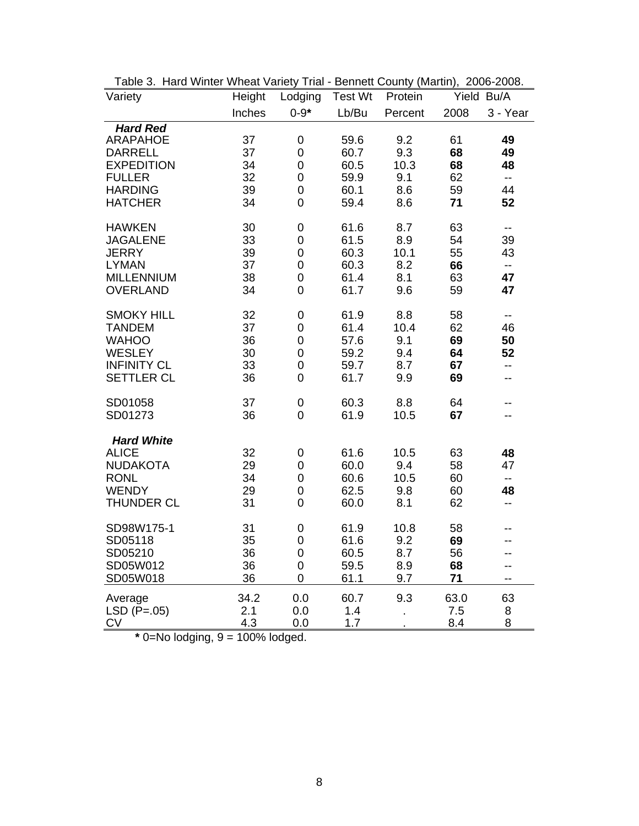| Variety            | Height | Lodging             | <b>Test Wt</b> | Protein        |      | Yield Bu/A               |
|--------------------|--------|---------------------|----------------|----------------|------|--------------------------|
|                    | Inches | $0 - 9*$            | Lb/Bu          | Percent        | 2008 | 3 - Year                 |
| <b>Hard Red</b>    |        |                     |                |                |      |                          |
| <b>ARAPAHOE</b>    | 37     | 0                   | 59.6           | 9.2            | 61   | 49                       |
| <b>DARRELL</b>     | 37     | $\mathbf 0$         | 60.7           | 9.3            | 68   | 49                       |
| <b>EXPEDITION</b>  | 34     | $\boldsymbol{0}$    | 60.5           | 10.3           | 68   | 48                       |
| <b>FULLER</b>      | 32     | 0                   | 59.9           | 9.1            | 62   | $\overline{\phantom{a}}$ |
| <b>HARDING</b>     | 39     | 0                   | 60.1           | 8.6            | 59   | 44                       |
| <b>HATCHER</b>     | 34     | 0                   | 59.4           | 8.6            | 71   | 52                       |
| <b>HAWKEN</b>      | 30     | 0                   | 61.6           | 8.7            | 63   | $\overline{\phantom{a}}$ |
| <b>JAGALENE</b>    | 33     | $\mathbf 0$         | 61.5           | 8.9            | 54   | 39                       |
| <b>JERRY</b>       | 39     | $\mathbf 0$         | 60.3           | 10.1           | 55   | 43                       |
| <b>LYMAN</b>       | 37     | $\mathbf 0$         | 60.3           | 8.2            | 66   | $\overline{\phantom{a}}$ |
| <b>MILLENNIUM</b>  | 38     | $\boldsymbol{0}$    | 61.4           | 8.1            | 63   | 47                       |
| <b>OVERLAND</b>    | 34     | 0                   | 61.7           | 9.6            | 59   | 47                       |
| <b>SMOKY HILL</b>  | 32     | $\mathsf{O}\xspace$ | 61.9           | 8.8            | 58   | $\overline{\phantom{a}}$ |
| <b>TANDEM</b>      | 37     | $\mathbf 0$         | 61.4           | 10.4           | 62   | 46                       |
| <b>WAHOO</b>       | 36     | 0                   | 57.6           | 9.1            | 69   | 50                       |
| <b>WESLEY</b>      | 30     | 0                   | 59.2           | 9.4            | 64   | 52                       |
| <b>INFINITY CL</b> | 33     | 0                   | 59.7           | 8.7            | 67   | $\overline{a}$           |
| <b>SETTLER CL</b>  | 36     | $\mathbf 0$         | 61.7           | 9.9            | 69   | --                       |
| SD01058            | 37     | 0                   | 60.3           | 8.8            | 64   | --                       |
| SD01273            | 36     | 0                   | 61.9           | 10.5           | 67   | --                       |
| <b>Hard White</b>  |        |                     |                |                |      |                          |
| <b>ALICE</b>       | 32     | 0                   | 61.6           | 10.5           | 63   | 48                       |
| <b>NUDAKOTA</b>    | 29     | $\mathbf 0$         | 60.0           | 9.4            | 58   | 47                       |
| <b>RONL</b>        | 34     | 0                   | 60.6           | 10.5           | 60   | $-$                      |
| <b>WENDY</b>       | 29     | 0                   | 62.5           | 9.8            | 60   | 48                       |
| <b>THUNDER CL</b>  | 31     | $\mathbf 0$         | 60.0           | 8.1            | 62   | $-$                      |
| SD98W175-1         | 31     | $\mathbf 0$         | 61.9           | 10.8           | 58   |                          |
| SD05118            | 35     | 0                   | 61.6           | 9.2            | 69   |                          |
| SD05210            | 36     | $\mathbf 0$         | 60.5           | 8.7            | 56   |                          |
| SD05W012           | 36     | 0                   | 59.5           | 8.9            | 68   |                          |
| SD05W018           | 36     | $\mathbf 0$         | 61.1           | 9.7            | 71   | --                       |
| Average            | 34.2   | 0.0                 | 60.7           | 9.3            | 63.0 | 63                       |
| $LSD (P=.05)$      | 2.1    | 0.0                 | 1.4            | $\blacksquare$ | 7.5  | 8                        |
| <b>CV</b>          | 4.3    | 0.0                 | 1.7            |                | 8.4  | 8                        |

Table 3. Hard Winter Wheat Variety Trial - Bennett County (Martin), 2006-2008.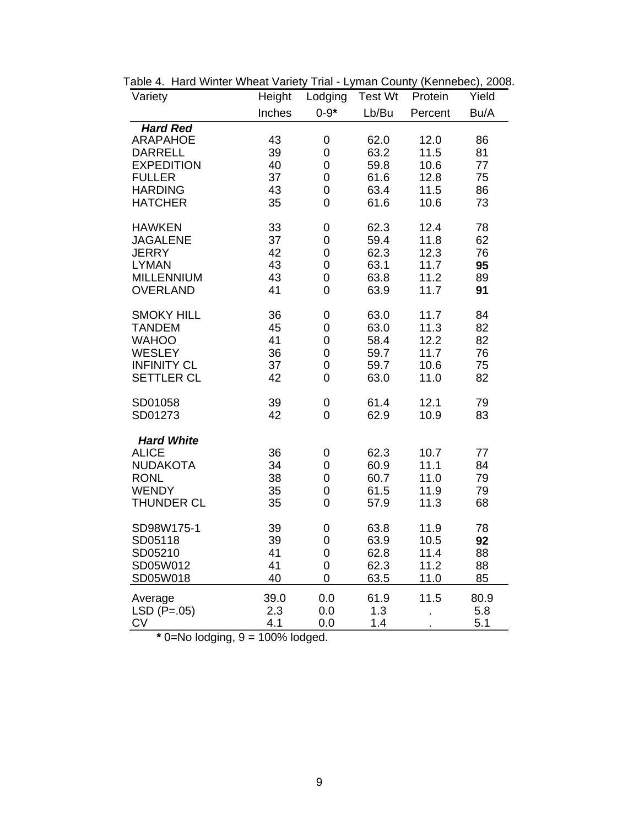| Variety                                 | Height   | Lodging                    | <b>Test Wt</b> | Protein      | Yield    |
|-----------------------------------------|----------|----------------------------|----------------|--------------|----------|
|                                         | Inches   | $0 - 9*$                   | Lb/Bu          | Percent      | Bu/A     |
| <b>Hard Red</b>                         |          |                            |                |              |          |
| <b>ARAPAHOE</b>                         | 43       | 0                          | 62.0           | 12.0         | 86       |
| <b>DARRELL</b>                          | 39       | 0                          | 63.2           | 11.5         | 81       |
| <b>EXPEDITION</b><br><b>FULLER</b>      | 40<br>37 | $\mathbf 0$<br>$\mathbf 0$ | 59.8<br>61.6   | 10.6<br>12.8 | 77<br>75 |
| <b>HARDING</b>                          | 43       | 0                          | 63.4           | 11.5         | 86       |
| <b>HATCHER</b>                          | 35       | 0                          | 61.6           | 10.6         | 73       |
| <b>HAWKEN</b>                           | 33       | $\boldsymbol{0}$           | 62.3           | 12.4         | 78       |
| <b>JAGALENE</b>                         | 37       | 0                          | 59.4           | 11.8         | 62       |
| <b>JERRY</b>                            | 42       | $\overline{0}$             | 62.3           | 12.3         | 76       |
| <b>LYMAN</b><br><b>MILLENNIUM</b>       | 43<br>43 | $\mathbf 0$<br>0           | 63.1<br>63.8   | 11.7<br>11.2 | 95<br>89 |
| <b>OVERLAND</b>                         | 41       | 0                          | 63.9           | 11.7         | 91       |
| <b>SMOKY HILL</b>                       | 36       | 0                          | 63.0           | 11.7         | 84       |
| <b>TANDEM</b>                           | 45       | 0                          | 63.0           | 11.3         | 82       |
| <b>WAHOO</b>                            | 41       | 0                          | 58.4           | 12.2         | 82       |
| <b>WESLEY</b>                           | 36       | 0                          | 59.7           | 11.7         | 76       |
| <b>INFINITY CL</b><br><b>SETTLER CL</b> | 37<br>42 | $\overline{0}$<br>0        | 59.7<br>63.0   | 10.6<br>11.0 | 75<br>82 |
|                                         |          |                            |                |              |          |
| SD01058                                 | 39       | $\boldsymbol{0}$           | 61.4           | 12.1         | 79       |
| SD01273                                 | 42       | $\overline{0}$             | 62.9           | 10.9         | 83       |
| <b>Hard White</b>                       |          |                            |                |              |          |
| <b>ALICE</b>                            | 36       | $\boldsymbol{0}$           | 62.3           | 10.7         | 77       |
| <b>NUDAKOTA</b><br><b>RONL</b>          | 34<br>38 | 0<br>0                     | 60.9<br>60.7   | 11.1<br>11.0 | 84<br>79 |
| <b>WENDY</b>                            | 35       | 0                          | 61.5           | 11.9         | 79       |
| <b>THUNDER CL</b>                       | 35       | 0                          | 57.9           | 11.3         | 68       |
|                                         |          |                            |                |              |          |
| SD98W175-1<br>SD05118                   | 39<br>39 | 0                          | 63.8<br>63.9   | 11.9         | 78<br>92 |
| SD05210                                 | 41       | 0<br>$\mathbf 0$           | 62.8           | 10.5<br>11.4 | 88       |
| SD05W012                                | 41       | 0                          | 62.3           | 11.2         | 88       |
| SD05W018                                | 40       | 0                          | 63.5           | 11.0         | 85       |
| Average                                 | 39.0     | 0.0                        | 61.9           | 11.5         | 80.9     |
| $LSD (P=.05)$                           | 2.3      | 0.0                        | 1.3            |              | 5.8      |
| <b>CV</b>                               | 4.1      | 0.0                        | 1.4            |              | 5.1      |

Table 4. Hard Winter Wheat Variety Trial - Lyman County (Kennebec), 2008.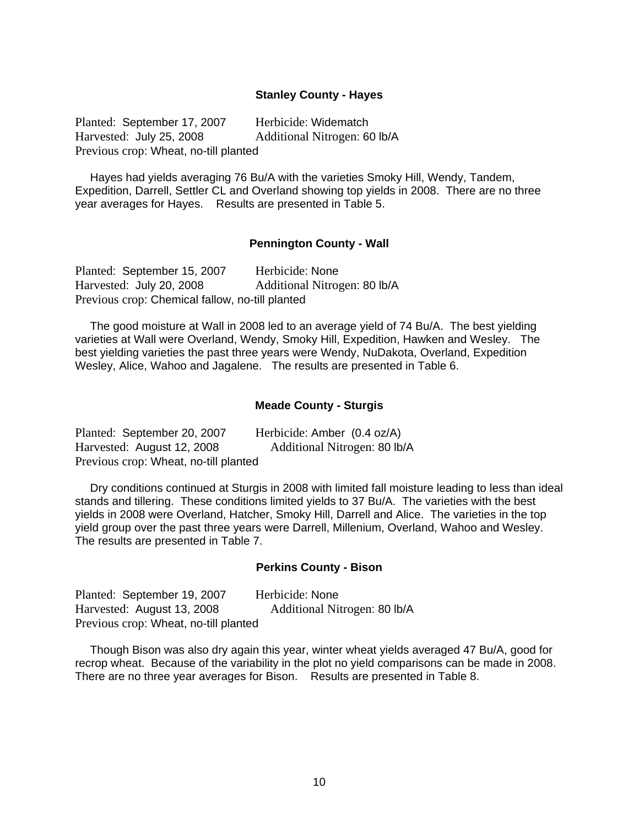#### **Stanley County - Hayes**

Planted: September 17, 2007 Herbicide: Widematch Harvested: July 25, 2008 Additional Nitrogen: 60 lb/A Previous crop: Wheat, no-till planted

 Hayes had yields averaging 76 Bu/A with the varieties Smoky Hill, Wendy, Tandem, Expedition, Darrell, Settler CL and Overland showing top yields in 2008. There are no three year averages for Hayes. Results are presented in Table 5.

#### **Pennington County - Wall**

Planted: September 15, 2007 Herbicide: None Harvested: July 20, 2008 Additional Nitrogen: 80 lb/A Previous crop: Chemical fallow, no-till planted

 The good moisture at Wall in 2008 led to an average yield of 74 Bu/A. The best yielding varieties at Wall were Overland, Wendy, Smoky Hill, Expedition, Hawken and Wesley. The best yielding varieties the past three years were Wendy, NuDakota, Overland, Expedition Wesley, Alice, Wahoo and Jagalene. The results are presented in Table 6.

#### **Meade County - Sturgis**

| Planted: September 20, 2007           | Herbicide: Amber (0.4 oz/A)  |
|---------------------------------------|------------------------------|
| Harvested: August 12, 2008            | Additional Nitrogen: 80 lb/A |
| Previous crop: Wheat, no-till planted |                              |

 Dry conditions continued at Sturgis in 2008 with limited fall moisture leading to less than ideal stands and tillering. These conditions limited yields to 37 Bu/A. The varieties with the best yields in 2008 were Overland, Hatcher, Smoky Hill, Darrell and Alice. The varieties in the top yield group over the past three years were Darrell, Millenium, Overland, Wahoo and Wesley. The results are presented in Table 7.

#### **Perkins County - Bison**

Planted: September 19, 2007 Herbicide: None Harvested: August 13, 2008 Additional Nitrogen: 80 lb/A Previous crop: Wheat, no-till planted

 Though Bison was also dry again this year, winter wheat yields averaged 47 Bu/A, good for recrop wheat. Because of the variability in the plot no yield comparisons can be made in 2008. There are no three year averages for Bison. Results are presented in Table 8.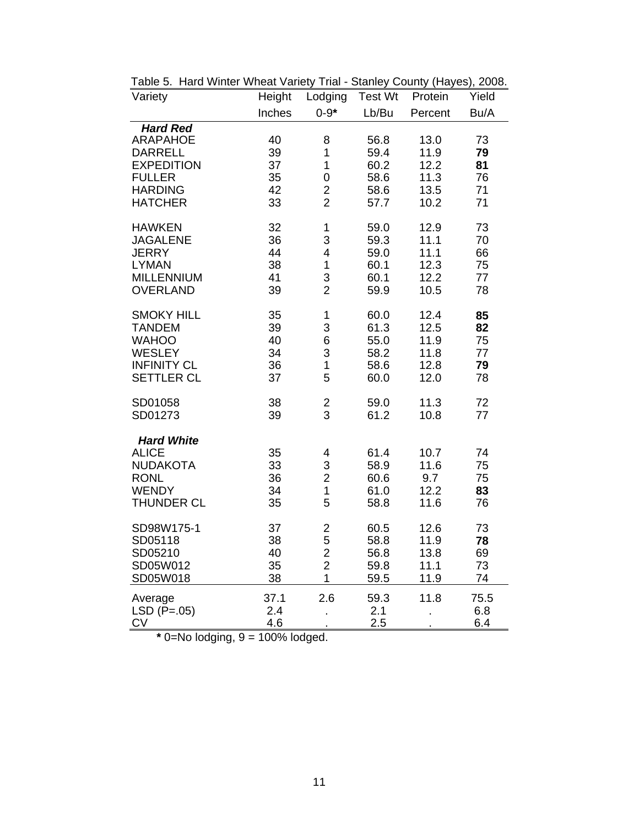| Variety            | Height | Lodging                 | <b>Test Wt</b> | Protein | Yield |
|--------------------|--------|-------------------------|----------------|---------|-------|
|                    | Inches | $0 - 9*$                | Lb/Bu          | Percent | Bu/A  |
| <b>Hard Red</b>    |        |                         |                |         |       |
| <b>ARAPAHOE</b>    | 40     | 8                       | 56.8           | 13.0    | 73    |
| <b>DARRELL</b>     | 39     | 1                       | 59.4           | 11.9    | 79    |
| <b>EXPEDITION</b>  | 37     | $\mathbf 1$             | 60.2           | 12.2    | 81    |
| <b>FULLER</b>      | 35     | 0                       | 58.6           | 11.3    | 76    |
| <b>HARDING</b>     | 42     | $\overline{c}$          | 58.6           | 13.5    | 71    |
| <b>HATCHER</b>     | 33     | $\overline{2}$          | 57.7           | 10.2    | 71    |
| <b>HAWKEN</b>      | 32     | 1                       | 59.0           | 12.9    | 73    |
| <b>JAGALENE</b>    | 36     | 3                       | 59.3           | 11.1    | 70    |
| <b>JERRY</b>       | 44     | 4                       | 59.0           | 11.1    | 66    |
| <b>LYMAN</b>       | 38     | $\mathbf 1$             | 60.1           | 12.3    | 75    |
| <b>MILLENNIUM</b>  | 41     | 3                       | 60.1           | 12.2    | 77    |
| <b>OVERLAND</b>    | 39     | $\overline{2}$          | 59.9           | 10.5    | 78    |
| <b>SMOKY HILL</b>  | 35     | 1                       | 60.0           | 12.4    | 85    |
| <b>TANDEM</b>      | 39     | 3                       | 61.3           | 12.5    | 82    |
| <b>WAHOO</b>       | 40     | 6                       | 55.0           | 11.9    | 75    |
| <b>WESLEY</b>      | 34     | 3                       | 58.2           | 11.8    | 77    |
| <b>INFINITY CL</b> | 36     | $\mathbf{1}$            | 58.6           | 12.8    | 79    |
| <b>SETTLER CL</b>  | 37     | 5                       | 60.0           | 12.0    | 78    |
| SD01058            | 38     | $\overline{\mathbf{c}}$ | 59.0           | 11.3    | 72    |
| SD01273            | 39     | 3                       | 61.2           | 10.8    | 77    |
| <b>Hard White</b>  |        |                         |                |         |       |
| <b>ALICE</b>       | 35     | 4                       | 61.4           | 10.7    | 74    |
| <b>NUDAKOTA</b>    | 33     | 3                       | 58.9           | 11.6    | 75    |
| <b>RONL</b>        | 36     | $\overline{2}$          | 60.6           | 9.7     | 75    |
| <b>WENDY</b>       | 34     | 1                       | 61.0           | 12.2    | 83    |
| <b>THUNDER CL</b>  | 35     | 5                       | 58.8           | 11.6    | 76    |
| SD98W175-1         | 37     | $\overline{c}$          | 60.5           | 12.6    | 73    |
| SD05118            | 38     | 5                       | 58.8           | 11.9    | 78    |
| SD05210            | 40     | $\overline{c}$          | 56.8           | 13.8    | 69    |
| SD05W012           | 35     | $\overline{2}$          | 59.8           | 11.1    | 73    |
| SD05W018           | 38     | 1                       | 59.5           | 11.9    | 74    |
| Average            | 37.1   | 2.6                     | 59.3           | 11.8    | 75.5  |
| $LSD (P=.05)$      | 2.4    | $\cdot$                 | 2.1            |         | 6.8   |
| <b>CV</b>          | 4.6    |                         | 2.5            |         | 6.4   |

Table 5. Hard Winter Wheat Variety Trial - Stanley County (Hayes), 2008.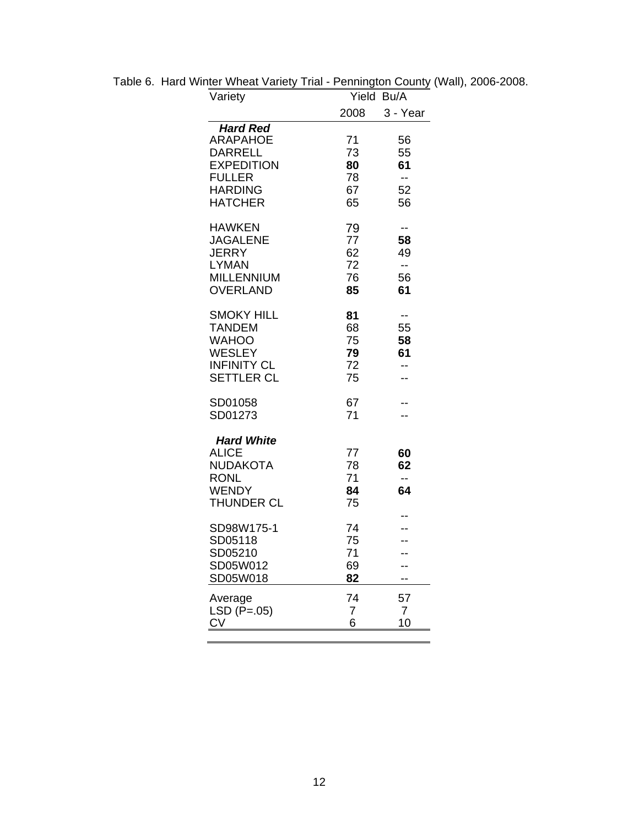| Variety                                                                                                                        | Yield                            | Bu/A                              |
|--------------------------------------------------------------------------------------------------------------------------------|----------------------------------|-----------------------------------|
|                                                                                                                                | 2008                             | 3 - Year                          |
| <b>Hard Red</b><br><b>ARAPAHOE</b><br><b>DARRELL</b><br><b>EXPEDITION</b><br><b>FULLER</b><br><b>HARDING</b><br><b>HATCHER</b> | 71<br>73<br>80<br>78<br>67<br>65 | 56<br>55<br>61<br>--<br>52<br>56  |
| <b>HAWKEN</b><br><b>JAGALENE</b><br>JERRY<br><b>LYMAN</b><br>MILLENNIUM<br><b>OVERLAND</b>                                     | 79<br>77<br>62<br>72<br>76<br>85 | --<br>58<br>49<br>$-$<br>56<br>61 |
| <b>SMOKY HILL</b><br><b>TANDEM</b><br><b>WAHOO</b><br><b>WESLEY</b><br><b>INFINITY CL</b><br><b>SETTLER CL</b>                 | 81<br>68<br>75<br>79<br>72<br>75 | --<br>55<br>58<br>61<br>--        |
| SD01058<br>SD01273                                                                                                             | 67<br>71                         |                                   |
| <b>Hard White</b><br>ALICE<br>NUDAKOTA<br><b>RONL</b><br><b>WENDY</b><br><b>THUNDER CL</b>                                     | 77<br>78<br>71<br>84<br>75       | 60<br>62<br>--<br>64              |
| SD98W175-1<br>SD05118<br>SD05210<br>SD05W012<br>SD05W018                                                                       | 74<br>75<br>71<br>69<br>82       | -−                                |
| Average<br>LSD $(P=.05)$<br>$\underline{\text{CV}}$                                                                            | 74<br>7<br>6                     | 57<br>$\overline{7}$<br>10        |

Table 6. Hard Winter Wheat Variety Trial - Pennington County (Wall), 2006-2008.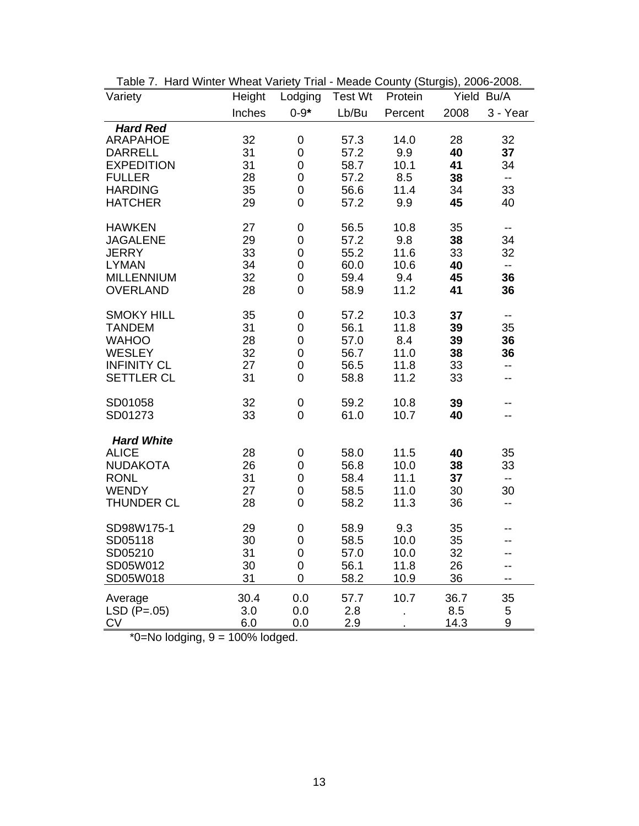| Variety            | Height | Lodging             | <b>Test Wt</b> | Protein |      | Yield Bu/A               |
|--------------------|--------|---------------------|----------------|---------|------|--------------------------|
|                    | Inches | $0 - 9*$            | Lb/Bu          | Percent | 2008 | 3 - Year                 |
| <b>Hard Red</b>    |        |                     |                |         |      |                          |
| <b>ARAPAHOE</b>    | 32     | 0                   | 57.3           | 14.0    | 28   | 32                       |
| <b>DARRELL</b>     | 31     | $\mathbf 0$         | 57.2           | 9.9     | 40   | 37                       |
| <b>EXPEDITION</b>  | 31     | $\boldsymbol{0}$    | 58.7           | 10.1    | 41   | 34                       |
| <b>FULLER</b>      | 28     | $\mathsf{O}\xspace$ | 57.2           | 8.5     | 38   | $\overline{\phantom{a}}$ |
| <b>HARDING</b>     | 35     | $\mathbf 0$         | 56.6           | 11.4    | 34   | 33                       |
| <b>HATCHER</b>     | 29     | 0                   | 57.2           | 9.9     | 45   | 40                       |
| <b>HAWKEN</b>      | 27     | 0                   | 56.5           | 10.8    | 35   | $\overline{\phantom{a}}$ |
| <b>JAGALENE</b>    | 29     | 0                   | 57.2           | 9.8     | 38   | 34                       |
| <b>JERRY</b>       | 33     | 0                   | 55.2           | 11.6    | 33   | 32                       |
| <b>LYMAN</b>       | 34     | $\mathbf 0$         | 60.0           | 10.6    | 40   | $\overline{\phantom{a}}$ |
| <b>MILLENNIUM</b>  | 32     | $\mathbf 0$         | 59.4           | 9.4     | 45   | 36                       |
| <b>OVERLAND</b>    | 28     | 0                   | 58.9           | 11.2    | 41   | 36                       |
| <b>SMOKY HILL</b>  | 35     | 0                   | 57.2           | 10.3    | 37   | $\overline{\phantom{m}}$ |
| <b>TANDEM</b>      | 31     | 0                   | 56.1           | 11.8    | 39   | 35                       |
| <b>WAHOO</b>       | 28     | 0                   | 57.0           | 8.4     | 39   | 36                       |
| <b>WESLEY</b>      | 32     | $\mathbf 0$         | 56.7           | 11.0    | 38   | 36                       |
| <b>INFINITY CL</b> | 27     | $\boldsymbol{0}$    | 56.5           | 11.8    | 33   | $\overline{\phantom{a}}$ |
| <b>SETTLER CL</b>  | 31     | 0                   | 58.8           | 11.2    | 33   | --                       |
| SD01058            | 32     | 0                   | 59.2           | 10.8    | 39   |                          |
| SD01273            | 33     | $\mathbf 0$         | 61.0           | 10.7    | 40   | --                       |
| <b>Hard White</b>  |        |                     |                |         |      |                          |
| <b>ALICE</b>       | 28     | 0                   | 58.0           | 11.5    | 40   | 35                       |
| <b>NUDAKOTA</b>    | 26     | $\mathbf 0$         | 56.8           | 10.0    | 38   | 33                       |
| <b>RONL</b>        | 31     | $\mathsf 0$         | 58.4           | 11.1    | 37   | $-$                      |
| <b>WENDY</b>       | 27     | 0                   | 58.5           | 11.0    | 30   | 30                       |
| <b>THUNDER CL</b>  | 28     | $\mathbf 0$         | 58.2           | 11.3    | 36   | $- -$                    |
| SD98W175-1         | 29     | 0                   | 58.9           | 9.3     | 35   |                          |
| SD05118            | 30     | $\boldsymbol{0}$    | 58.5           | 10.0    | 35   |                          |
| SD05210            | 31     | 0                   | 57.0           | 10.0    | 32   | --                       |
| SD05W012           | 30     | 0                   | 56.1           | 11.8    | 26   | $-$                      |
| SD05W018           | 31     | $\mathbf 0$         | 58.2           | 10.9    | 36   | $-$                      |
| Average            | 30.4   | 0.0                 | 57.7           | 10.7    | 36.7 | 35                       |
| $LSD (P=.05)$      | 3.0    | 0.0                 | 2.8            |         | 8.5  | 5                        |
| <b>CV</b>          | 6.0    | 0.0                 | 2.9            |         | 14.3 | 9                        |

Table 7. Hard Winter Wheat Variety Trial - Meade County (Sturgis), 2006-2008.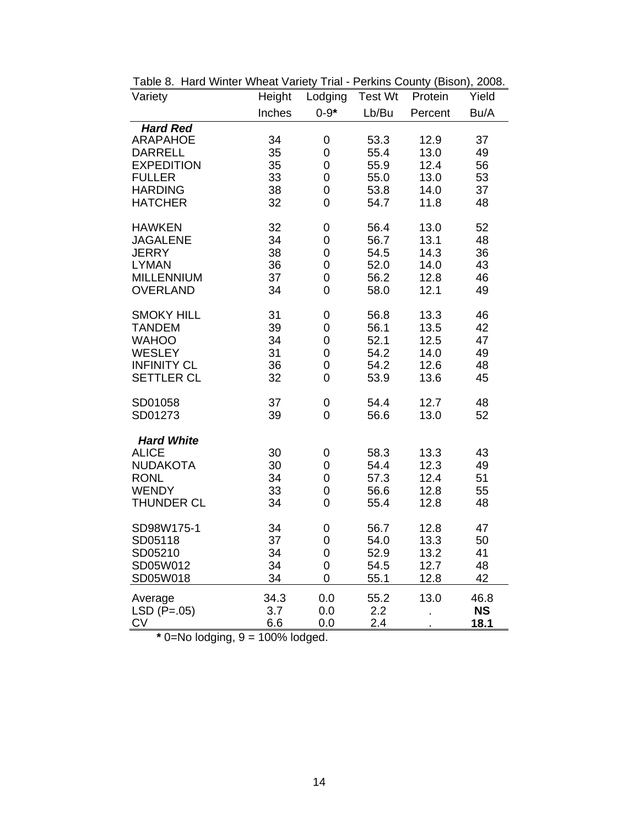| Variety                            | Height   | Lodging          | <b>Test Wt</b> | Protein      | Yield     |
|------------------------------------|----------|------------------|----------------|--------------|-----------|
|                                    | Inches   | $0 - 9*$         | Lb/Bu          | Percent      | Bu/A      |
| <b>Hard Red</b>                    |          |                  |                |              |           |
| <b>ARAPAHOE</b>                    | 34       | 0                | 53.3           | 12.9         | 37        |
| <b>DARRELL</b>                     | 35       | 0                | 55.4           | 13.0         | 49        |
| <b>EXPEDITION</b>                  | 35       | $\mathbf 0$      | 55.9           | 12.4         | 56        |
| <b>FULLER</b>                      | 33       | $\mathbf 0$      | 55.0           | 13.0         | 53        |
| <b>HARDING</b>                     | 38       | $\overline{0}$   | 53.8           | 14.0         | 37        |
| <b>HATCHER</b>                     | 32       | $\mathbf 0$      | 54.7           | 11.8         | 48        |
| <b>HAWKEN</b>                      | 32       | 0                | 56.4           | 13.0         | 52        |
| <b>JAGALENE</b>                    | 34       | 0                | 56.7           | 13.1         | 48        |
| <b>JERRY</b>                       | 38       | 0                | 54.5           | 14.3         | 36        |
| <b>LYMAN</b>                       | 36       | 0                | 52.0           | 14.0         | 43        |
| <b>MILLENNIUM</b>                  | 37       | $\mathbf 0$      | 56.2           | 12.8         | 46        |
| <b>OVERLAND</b>                    | 34       | 0                | 58.0           | 12.1         | 49        |
|                                    |          |                  |                |              |           |
| <b>SMOKY HILL</b><br><b>TANDEM</b> | 31       | 0                | 56.8           | 13.3         | 46        |
| <b>WAHOO</b>                       | 39<br>34 | 0<br>$\mathbf 0$ | 56.1<br>52.1   | 13.5<br>12.5 | 42<br>47  |
| <b>WESLEY</b>                      | 31       | $\overline{0}$   | 54.2           | 14.0         | 49        |
| <b>INFINITY CL</b>                 | 36       | $\mathbf 0$      | 54.2           | 12.6         | 48        |
| <b>SETTLER CL</b>                  | 32       | $\overline{0}$   | 53.9           | 13.6         | 45        |
|                                    |          |                  |                |              |           |
| SD01058                            | 37       | 0                | 54.4           | 12.7         | 48        |
| SD01273                            | 39       | 0                | 56.6           | 13.0         | 52        |
| <b>Hard White</b>                  |          |                  |                |              |           |
| <b>ALICE</b>                       | 30       | 0                | 58.3           | 13.3         | 43        |
| <b>NUDAKOTA</b>                    | 30       | $\overline{0}$   | 54.4           | 12.3         | 49        |
| <b>RONL</b>                        | 34       | $\boldsymbol{0}$ | 57.3           | 12.4         | 51        |
| <b>WENDY</b>                       | 33       | 0                | 56.6           | 12.8         | 55        |
| THUNDER CL                         | 34       | $\overline{0}$   | 55.4           | 12.8         | 48        |
|                                    |          |                  |                |              |           |
| SD98W175-1                         | 34       | 0                | 56.7           | 12.8         | 47        |
| SD05118                            | 37       | 0                | 54.0           | 13.3         | 50        |
| SD05210                            | 34       | $\overline{0}$   | 52.9           | 13.2         | 41        |
| SD05W012                           | 34       | 0                | 54.5           | 12.7         | 48        |
| SD05W018                           | 34       | 0                | 55.1           | 12.8         | 42        |
| Average                            | 34.3     | 0.0              | 55.2           | 13.0         | 46.8      |
| $LSD (P=.05)$                      | 3.7      | 0.0              | 2.2            |              | <b>NS</b> |
| CV                                 | 6.6      | 0.0              | 2.4            |              | 18.1      |

Table 8. Hard Winter Wheat Variety Trial - Perkins County (Bison), 2008.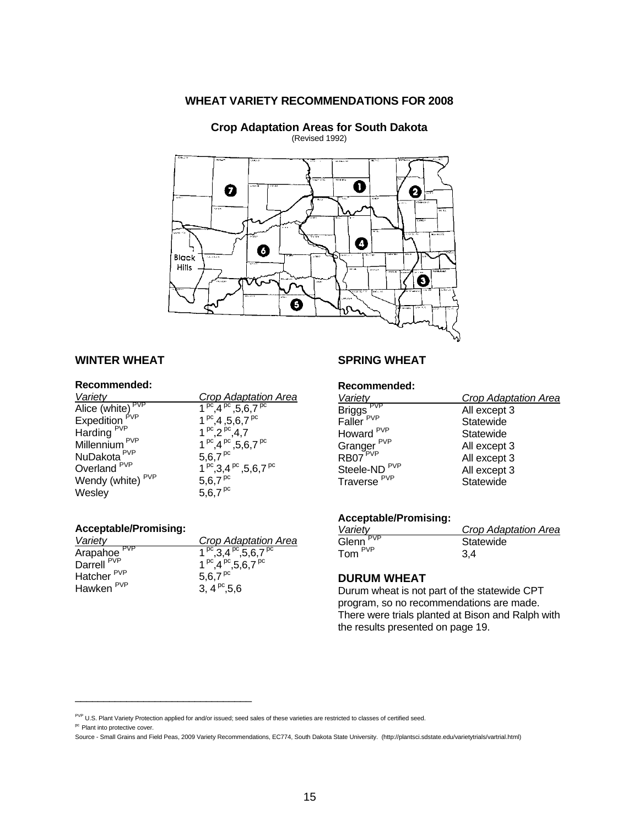**WHEAT VARIETY RECOMMENDATIONS FOR 2008**



#### **WINTER WHEAT**

#### **Recommended:**

| <b>Crop Adaptation Area</b>               |
|-------------------------------------------|
| 1 pc $(4^{pc}, 5, 6, 7^{pc})$             |
| $1^{pc}$ , 4, 5, 6, 7 $^{pc}$             |
| $1^{pc}$ , $2^{pc}$ , 4, 7                |
| 1 $^{pc}$ , 4 $^{pc}$ , 5, 6, 7 $^{pc}$   |
| $5,6,7^{pc}$                              |
| $1^{pc}$ , 3, 4 $^{pc}$ , 5, 6, 7 $^{pc}$ |
| $5,6,7$ <sup>pc</sup>                     |
| $5,6.7$ <sup>pc</sup>                     |
|                                           |

#### **Acceptable/Promising:**

| Crop Adaptation Area                     |
|------------------------------------------|
| $1^{pc}$ , 3,4 $^{pc}$ , 5, 6, 7 $^{pc}$ |
| $1^{pc}$ .4 $^{pc}$ .5.6.7 $^{pc}$       |
| 5.6.7 $^{pc}$                            |
| 3, $4^{pc}$ , 5, 6                       |
|                                          |

\_\_\_\_\_\_\_\_\_\_\_\_\_\_\_\_\_\_\_\_\_\_\_\_\_\_\_\_\_\_\_

#### **SPRING WHEAT**

#### **Recommended:**

| Variety                                        | <b>Crop Adaptation Area</b> |
|------------------------------------------------|-----------------------------|
| Briggs <sup>PVP</sup><br>Faller <sup>PVP</sup> | All except 3                |
|                                                | Statewide                   |
| Howard <sup>PVP</sup>                          | Statewide                   |
| Granger <sup>PVP</sup><br>RB07 <sup>PVP</sup>  | All except 3                |
|                                                | All except 3                |
| Steele-ND <sup>PVP</sup>                       | All except 3                |
|                                                | Statewide                   |
| Traverse <sup>PVP</sup>                        |                             |

## **Acceptable/Promising:**

| Variety             | Crop Adaptation Area |
|---------------------|----------------------|
| <b>PVP</b><br>Glenn | Statewide            |
| Tom <sup>PVP</sup>  | 3.4                  |

#### **DURUM WHEAT**

Durum wheat is not part of the statewide CPT program, so no recommendations are made. There were trials planted at Bison and Ralph with the results presented on page 19.

pc Plant into protective cover.

PVP U.S. Plant Variety Protection applied for and/or issued; seed sales of these varieties are restricted to classes of certified seed.

Source - Small Grains and Field Peas, 2009 Variety Recommendations, EC774, South Dakota State University. (http://plantsci.sdstate.edu/varietytrials/vartrial.html)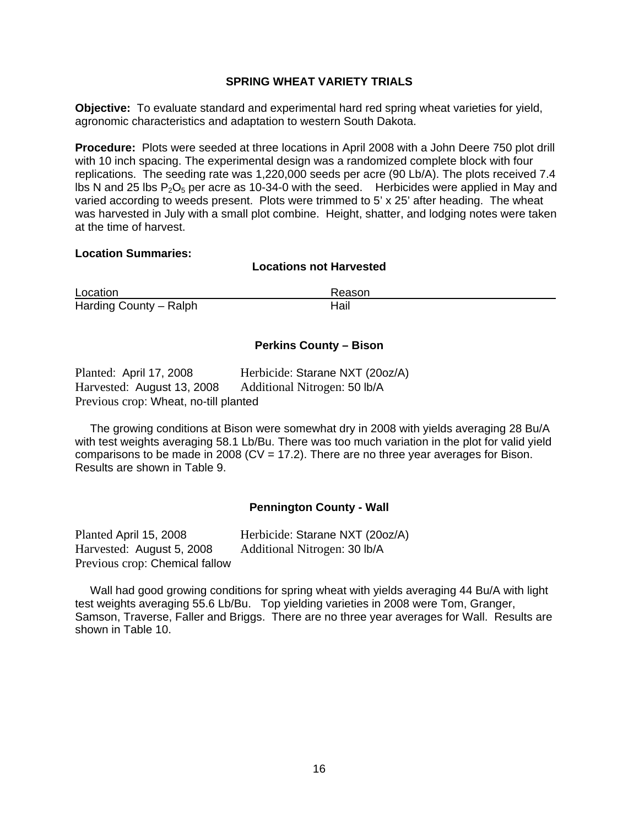#### **SPRING WHEAT VARIETY TRIALS**

**Objective:** To evaluate standard and experimental hard red spring wheat varieties for yield, agronomic characteristics and adaptation to western South Dakota.

**Procedure:** Plots were seeded at three locations in April 2008 with a John Deere 750 plot drill with 10 inch spacing. The experimental design was a randomized complete block with four replications. The seeding rate was 1,220,000 seeds per acre (90 Lb/A). The plots received 7.4 lbs N and 25 lbs  $P_2O_5$  per acre as 10-34-0 with the seed. Herbicides were applied in May and varied according to weeds present. Plots were trimmed to 5' x 25' after heading. The wheat was harvested in July with a small plot combine. Height, shatter, and lodging notes were taken at the time of harvest.

#### **Location Summaries:**

#### **Locations not Harvested**

Location Reason Harding County – Ralph

#### **Perkins County – Bison**

| Planted: April 17, 2008               | Herbicide: Starane NXT (20oz/A) |
|---------------------------------------|---------------------------------|
| Harvested: August 13, 2008            | Additional Nitrogen: 50 lb/A    |
| Previous crop: Wheat, no-till planted |                                 |

 The growing conditions at Bison were somewhat dry in 2008 with yields averaging 28 Bu/A with test weights averaging 58.1 Lb/Bu. There was too much variation in the plot for valid yield comparisons to be made in 2008 ( $CV = 17.2$ ). There are no three year averages for Bison. Results are shown in Table 9.

#### **Pennington County - Wall**

Planted April 15, 2008 Herbicide: Starane NXT (20oz/A) Harvested: August 5, 2008 Additional Nitrogen: 30 lb/A Previous crop: Chemical fallow

 Wall had good growing conditions for spring wheat with yields averaging 44 Bu/A with light test weights averaging 55.6 Lb/Bu. Top yielding varieties in 2008 were Tom, Granger, Samson, Traverse, Faller and Briggs. There are no three year averages for Wall. Results are shown in Table 10.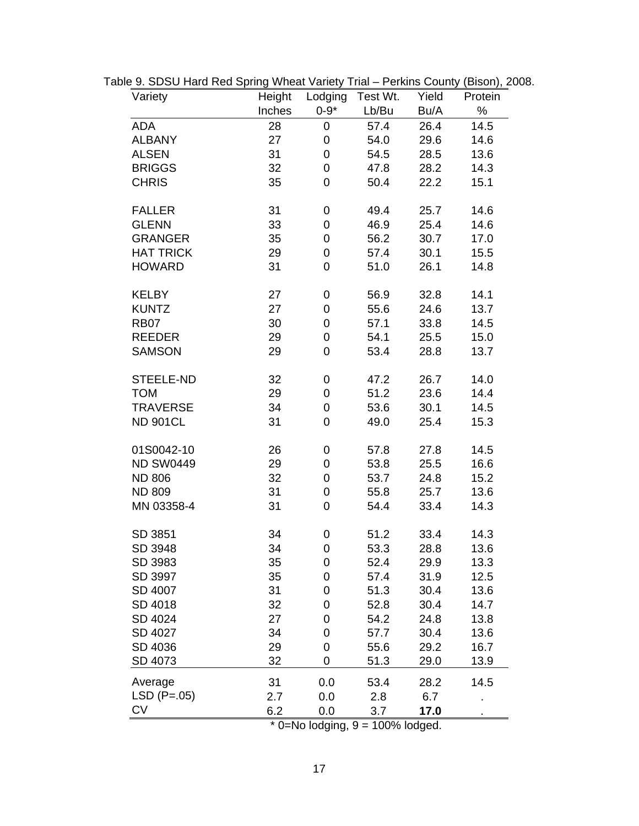| Variety          | Height | Lodging     | Test Wt. | Yield | Protein |
|------------------|--------|-------------|----------|-------|---------|
|                  | Inches | $0 - 9*$    | Lb/Bu    | Bu/A  | $\%$    |
| ADA              | 28     | 0           | 57.4     | 26.4  | 14.5    |
| <b>ALBANY</b>    | 27     | $\mathbf 0$ | 54.0     | 29.6  | 14.6    |
| <b>ALSEN</b>     | 31     | $\mathbf 0$ | 54.5     | 28.5  | 13.6    |
| <b>BRIGGS</b>    | 32     | 0           | 47.8     | 28.2  | 14.3    |
| <b>CHRIS</b>     | 35     | 0           | 50.4     | 22.2  | 15.1    |
| <b>FALLER</b>    | 31     | 0           | 49.4     | 25.7  | 14.6    |
| <b>GLENN</b>     | 33     | 0           | 46.9     | 25.4  | 14.6    |
| <b>GRANGER</b>   | 35     | 0           | 56.2     | 30.7  | 17.0    |
| <b>HAT TRICK</b> | 29     | 0           | 57.4     | 30.1  | 15.5    |
| <b>HOWARD</b>    | 31     | 0           | 51.0     | 26.1  | 14.8    |
| <b>KELBY</b>     | 27     | 0           | 56.9     | 32.8  | 14.1    |
| <b>KUNTZ</b>     | 27     | 0           | 55.6     | 24.6  | 13.7    |
| <b>RB07</b>      | 30     | 0           | 57.1     | 33.8  | 14.5    |
| <b>REEDER</b>    | 29     | 0           | 54.1     | 25.5  | 15.0    |
| <b>SAMSON</b>    | 29     | 0           | 53.4     | 28.8  | 13.7    |
| STEELE-ND        | 32     | 0           | 47.2     | 26.7  | 14.0    |
| <b>TOM</b>       | 29     | 0           | 51.2     | 23.6  | 14.4    |
| <b>TRAVERSE</b>  | 34     | 0           | 53.6     | 30.1  | 14.5    |
| <b>ND 901CL</b>  | 31     | $\mathbf 0$ | 49.0     | 25.4  | 15.3    |
| 01S0042-10       | 26     | 0           | 57.8     | 27.8  | 14.5    |
| <b>ND SW0449</b> | 29     | 0           | 53.8     | 25.5  | 16.6    |
| <b>ND 806</b>    | 32     | 0           | 53.7     | 24.8  | 15.2    |
| <b>ND 809</b>    | 31     | 0           | 55.8     | 25.7  | 13.6    |
| MN 03358-4       | 31     | 0           | 54.4     | 33.4  | 14.3    |
| SD 3851          | 34     | 0           | 51.2     | 33.4  | 14.3    |
| SD 3948          | 34     | $\mathbf 0$ | 53.3     | 28.8  | 13.6    |
| SD 3983          | 35     | 0           | 52.4     | 29.9  | 13.3    |
| SD 3997          | 35     | 0           | 57.4     | 31.9  | 12.5    |
| SD 4007          | 31     | 0           | 51.3     | 30.4  | 13.6    |
| SD 4018          | 32     | 0           | 52.8     | 30.4  | 14.7    |
| SD 4024          | 27     | 0           | 54.2     | 24.8  | 13.8    |
| SD 4027          | 34     | 0           | 57.7     | 30.4  | 13.6    |
| SD 4036          | 29     | 0           | 55.6     | 29.2  | 16.7    |
| SD 4073          | 32     | 0           | 51.3     | 29.0  | 13.9    |
| Average          | 31     | 0.0         | 53.4     | 28.2  | 14.5    |
| $LSD (P=.05)$    | 2.7    | 0.0         | 2.8      | 6.7   |         |
| <b>CV</b>        | 6.2    | 0.0         | 3.7      | 17.0  |         |

Table 9. SDSU Hard Red Spring Wheat Variety Trial – Perkins County (Bison), 2008.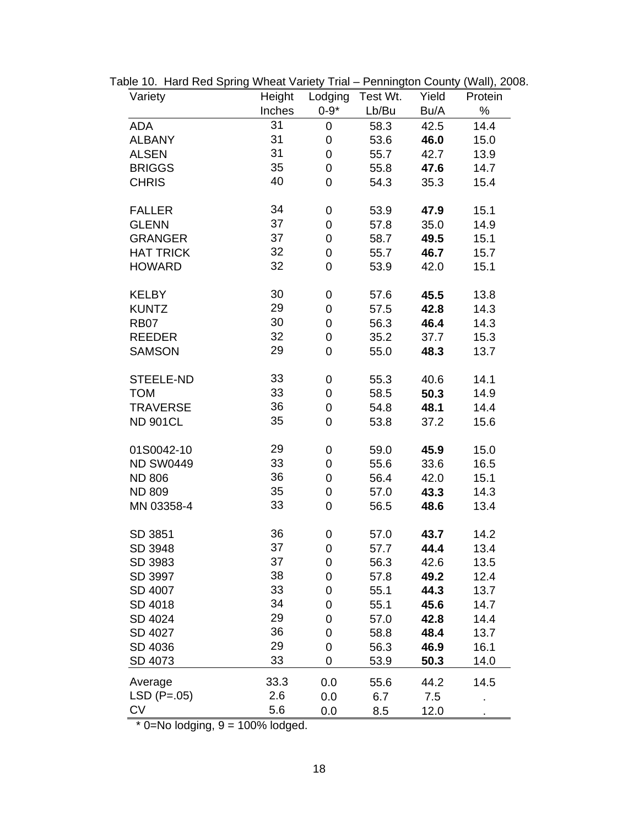| Variety          | Height | Lodging        | Test Wt. | Yield | Protein |
|------------------|--------|----------------|----------|-------|---------|
|                  | Inches | $0 - 9*$       | Lb/Bu    | Bu/A  | $\%$    |
| ADA              | 31     | 0              | 58.3     | 42.5  | 14.4    |
| <b>ALBANY</b>    | 31     | $\mathbf 0$    | 53.6     | 46.0  | 15.0    |
| <b>ALSEN</b>     | 31     | $\mathbf 0$    | 55.7     | 42.7  | 13.9    |
| <b>BRIGGS</b>    | 35     | $\mathbf 0$    | 55.8     | 47.6  | 14.7    |
| <b>CHRIS</b>     | 40     | $\overline{0}$ | 54.3     | 35.3  | 15.4    |
| <b>FALLER</b>    | 34     | 0              | 53.9     | 47.9  | 15.1    |
| <b>GLENN</b>     | 37     | $\mathbf 0$    | 57.8     | 35.0  | 14.9    |
| <b>GRANGER</b>   | 37     | $\mathbf 0$    | 58.7     | 49.5  | 15.1    |
| <b>HAT TRICK</b> | 32     | $\mathbf 0$    | 55.7     | 46.7  | 15.7    |
| <b>HOWARD</b>    | 32     | $\overline{0}$ | 53.9     | 42.0  | 15.1    |
| <b>KELBY</b>     | 30     | 0              | 57.6     | 45.5  | 13.8    |
| <b>KUNTZ</b>     | 29     | $\mathbf 0$    | 57.5     | 42.8  | 14.3    |
| <b>RB07</b>      | 30     | $\mathbf 0$    | 56.3     | 46.4  | 14.3    |
| <b>REEDER</b>    | 32     | $\mathbf 0$    | 35.2     | 37.7  | 15.3    |
| <b>SAMSON</b>    | 29     | $\overline{0}$ | 55.0     | 48.3  | 13.7    |
| STEELE-ND        | 33     | 0              | 55.3     | 40.6  | 14.1    |
| <b>TOM</b>       | 33     | $\mathbf 0$    | 58.5     | 50.3  | 14.9    |
| <b>TRAVERSE</b>  | 36     | $\mathbf 0$    | 54.8     | 48.1  | 14.4    |
| <b>ND 901CL</b>  | 35     | $\overline{0}$ | 53.8     | 37.2  | 15.6    |
| 01S0042-10       | 29     | $\mathbf 0$    | 59.0     | 45.9  | 15.0    |
| <b>ND SW0449</b> | 33     | $\mathbf 0$    | 55.6     | 33.6  | 16.5    |
| <b>ND 806</b>    | 36     | $\mathbf 0$    | 56.4     | 42.0  | 15.1    |
| <b>ND 809</b>    | 35     | $\mathbf 0$    | 57.0     | 43.3  | 14.3    |
| MN 03358-4       | 33     | $\overline{0}$ | 56.5     | 48.6  | 13.4    |
| SD 3851          | 36     | 0              | 57.0     | 43.7  | 14.2    |
| SD 3948          | 37     | $\overline{0}$ | 57.7     | 44.4  | 13.4    |
| SD 3983          | 37     | 0              | 56.3     | 42.6  | 13.5    |
| SD 3997          | 38     | 0              | 57.8     | 49.2  | 12.4    |
| SD 4007          | 33     | 0              | 55.1     | 44.3  | 13.7    |
| SD 4018          | 34     | 0              | 55.1     | 45.6  | 14.7    |
| SD 4024          | 29     | 0              | 57.0     | 42.8  | 14.4    |
| SD 4027          | 36     | 0              | 58.8     | 48.4  | 13.7    |
| SD 4036          | 29     | 0              | 56.3     | 46.9  | 16.1    |
| SD 4073          | 33     | 0              | 53.9     | 50.3  | 14.0    |
| Average          | 33.3   | 0.0            | 55.6     | 44.2  | 14.5    |
| $LSD (P=.05)$    | 2.6    | 0.0            | 6.7      | 7.5   |         |
| <b>CV</b>        | 5.6    | 0.0            | 8.5      | 12.0  |         |

Table 10. Hard Red Spring Wheat Variety Trial – Pennington County (Wall), 2008.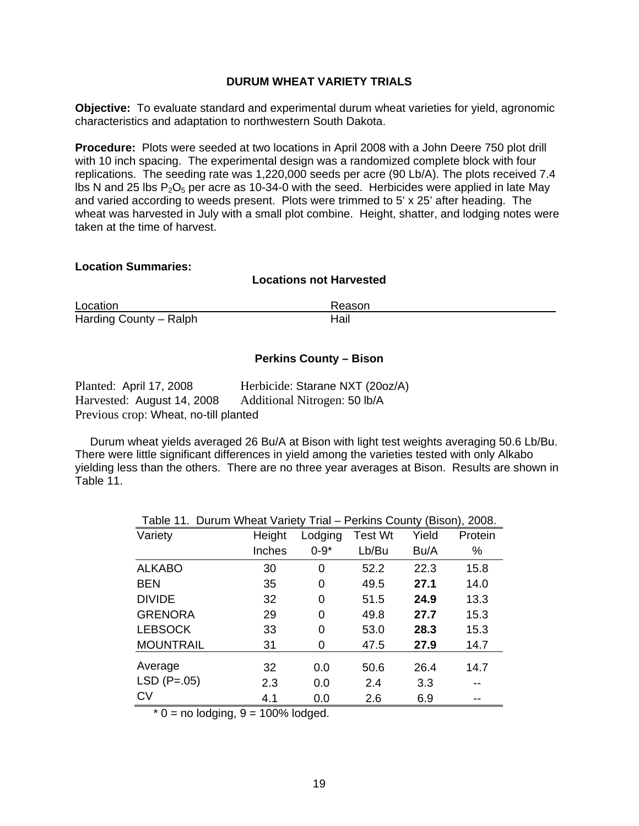#### **DURUM WHEAT VARIETY TRIALS**

**Objective:** To evaluate standard and experimental durum wheat varieties for yield, agronomic characteristics and adaptation to northwestern South Dakota.

**Procedure:** Plots were seeded at two locations in April 2008 with a John Deere 750 plot drill with 10 inch spacing. The experimental design was a randomized complete block with four replications. The seeding rate was 1,220,000 seeds per acre (90 Lb/A). The plots received 7.4 lbs N and 25 lbs  $P_2O_5$  per acre as 10-34-0 with the seed. Herbicides were applied in late May and varied according to weeds present. Plots were trimmed to 5' x 25' after heading. The wheat was harvested in July with a small plot combine. Height, shatter, and lodging notes were taken at the time of harvest.

#### **Location Summaries:**

#### **Locations not Harvested**

| Location               | Reason |
|------------------------|--------|
| Harding County - Ralph | Hail   |

#### **Perkins County – Bison**

| Planted: April 17, 2008               | Herbicide: Starane NXT (20oz/A) |
|---------------------------------------|---------------------------------|
| Harvested: August 14, 2008            | Additional Nitrogen: 50 lb/A    |
| Previous crop: Wheat, no-till planted |                                 |

 Durum wheat yields averaged 26 Bu/A at Bison with light test weights averaging 50.6 Lb/Bu. There were little significant differences in yield among the varieties tested with only Alkabo yielding less than the others. There are no three year averages at Bison. Results are shown in Table 11.

|                  |        | Table 11. Durum Wheat Variety Trial - Perkins County (Bison), 2008. |                |       |         |  |  |  |
|------------------|--------|---------------------------------------------------------------------|----------------|-------|---------|--|--|--|
| Variety          | Height | Lodging                                                             | <b>Test Wt</b> | Yield | Protein |  |  |  |
|                  | Inches | $0 - 9*$                                                            | Lb/Bu          | Bu/A  | %       |  |  |  |
| <b>ALKABO</b>    | 30     | 0                                                                   | 52.2           | 22.3  | 15.8    |  |  |  |
| <b>BEN</b>       | 35     | 0                                                                   | 49.5           | 27.1  | 14.0    |  |  |  |
| <b>DIVIDE</b>    | 32     | 0                                                                   | 51.5           | 24.9  | 13.3    |  |  |  |
| <b>GRENORA</b>   | 29     | 0                                                                   | 49.8           | 27.7  | 15.3    |  |  |  |
| <b>LEBSOCK</b>   | 33     | 0                                                                   | 53.0           | 28.3  | 15.3    |  |  |  |
| <b>MOUNTRAIL</b> | 31     | 0                                                                   | 47.5           | 27.9  | 14.7    |  |  |  |
| Average          | 32     | 0.0                                                                 | 50.6           | 26.4  | 14.7    |  |  |  |
| $LSD (P=.05)$    | 2.3    | 0.0                                                                 | 2.4            | 3.3   |         |  |  |  |
| CV               | 4.1    | 0.0                                                                 | 2.6            | 6.9   | --      |  |  |  |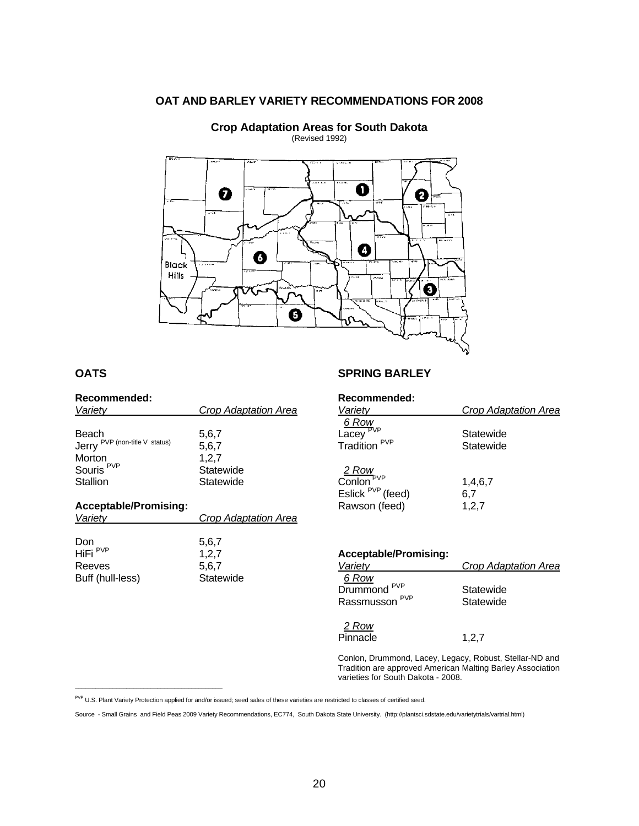#### **OAT AND BARLEY VARIETY RECOMMENDATIONS FOR 2008**



 **Crop Adaptation Areas for South Dakota** (Revised 1992)

#### **OATS**

| Recommended:                                                                           |                                                   |
|----------------------------------------------------------------------------------------|---------------------------------------------------|
| Variety                                                                                | Crop Adaptation Area                              |
| Beach<br>Jerry PVP (non-title V status)<br>Morton<br>Souris <sup>PVP</sup><br>Stallion | 5,6,7<br>5,6,7<br>1,2,7<br>Statewide<br>Statewide |
| <b>Acceptable/Promising:</b><br>Variety                                                | Crop Adaptation Area                              |
|                                                                                        |                                                   |

| Don                 | 5,6,7     |
|---------------------|-----------|
| HiFi <sup>PVP</sup> | 1.2.7     |
| Reeves              | 5.6.7     |
| Buff (hull-less)    | Statewide |

**\_\_\_\_\_\_\_\_\_\_\_\_\_\_\_\_\_\_\_\_\_\_\_\_\_\_\_\_\_\_\_\_\_\_\_\_\_\_\_\_\_\_\_** 

#### **SPRING BARLEY**

|  |  |  | Recommended: |  |
|--|--|--|--------------|--|
|  |  |  |              |  |

| Variety                                                                                      | Crop Adaptation Area    |
|----------------------------------------------------------------------------------------------|-------------------------|
| $\frac{6 \text{ Row}}{\text{Lacey}^{\text{PVP}}}$<br>Tradition PVP                           | Statewide<br>Statewide  |
| $\frac{2 \text{ Row}}{\text{Coulon}}$ <sup>PVP</sup><br>Eslick $PVP$ (feed)<br>Rawson (feed) | 1,4,6,7<br>6,7<br>1,2,7 |

| <b>Acceptable/Promising:</b> |                      |
|------------------------------|----------------------|
| Variety                      | Crop Adaptation Area |
| 6 Row                        |                      |
| Drummond <sup>PVP</sup>      | Statewide            |
| Rassmusson <sup>PVP</sup>    | Statewide            |
| 2 Row                        |                      |

Pinnacle 1,2,7

Conlon, Drummond, Lacey, Legacy, Robust, Stellar-ND and Tradition are approved American Malting Barley Association varieties for South Dakota - 2008.

PVP U.S. Plant Variety Protection applied for and/or issued; seed sales of these varieties are restricted to classes of certified seed.

Source - Small Grains and Field Peas 2009 Variety Recommendations, EC774, South Dakota State University. (http://plantsci.sdstate.edu/varietytrials/vartrial.html)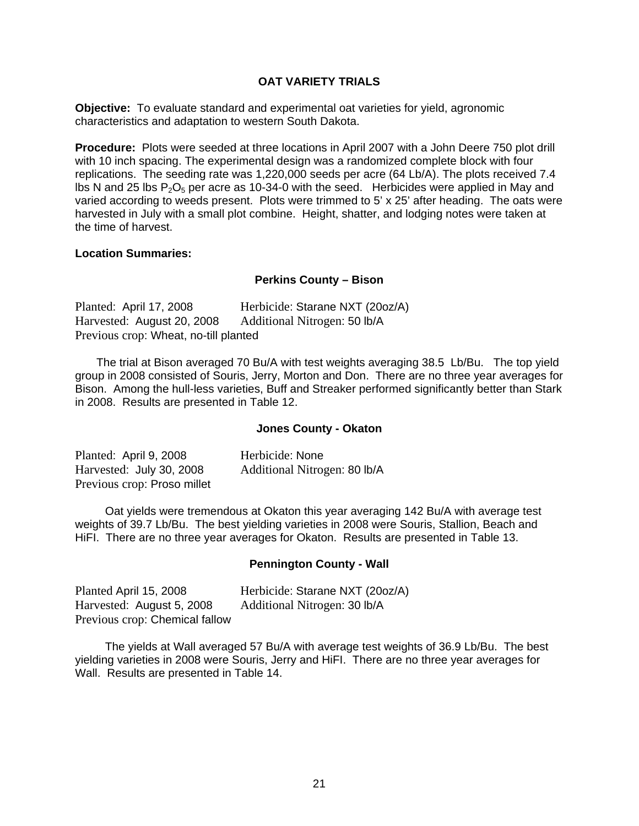#### **OAT VARIETY TRIALS**

**Objective:** To evaluate standard and experimental oat varieties for yield, agronomic characteristics and adaptation to western South Dakota.

**Procedure:** Plots were seeded at three locations in April 2007 with a John Deere 750 plot drill with 10 inch spacing. The experimental design was a randomized complete block with four replications. The seeding rate was 1,220,000 seeds per acre (64 Lb/A). The plots received 7.4 lbs N and 25 lbs  $P_2O_5$  per acre as 10-34-0 with the seed. Herbicides were applied in May and varied according to weeds present. Plots were trimmed to 5' x 25' after heading. The oats were harvested in July with a small plot combine. Height, shatter, and lodging notes were taken at the time of harvest.

#### **Location Summaries:**

#### **Perkins County – Bison**

| Planted: April 17, 2008               | Herbicide: Starane NXT (20oz/A) |
|---------------------------------------|---------------------------------|
| Harvested: August 20, 2008            | Additional Nitrogen: 50 lb/A    |
| Previous crop: Wheat, no-till planted |                                 |

 The trial at Bison averaged 70 Bu/A with test weights averaging 38.5 Lb/Bu. The top yield group in 2008 consisted of Souris, Jerry, Morton and Don. There are no three year averages for Bison. Among the hull-less varieties, Buff and Streaker performed significantly better than Stark in 2008. Results are presented in Table 12.

#### **Jones County - Okaton**

| Planted: April 9, 2008      | Herbicide: None              |
|-----------------------------|------------------------------|
| Harvested: July 30, 2008    | Additional Nitrogen: 80 lb/A |
| Previous crop: Proso millet |                              |

 Oat yields were tremendous at Okaton this year averaging 142 Bu/A with average test weights of 39.7 Lb/Bu. The best yielding varieties in 2008 were Souris, Stallion, Beach and HiFI. There are no three year averages for Okaton. Results are presented in Table 13.

#### **Pennington County - Wall**

| Planted April 15, 2008         | Herbicide: Starane NXT (20oz/A) |
|--------------------------------|---------------------------------|
| Harvested: August 5, 2008      | Additional Nitrogen: 30 lb/A    |
| Previous crop: Chemical fallow |                                 |

 The yields at Wall averaged 57 Bu/A with average test weights of 36.9 Lb/Bu. The best yielding varieties in 2008 were Souris, Jerry and HiFI. There are no three year averages for Wall. Results are presented in Table 14.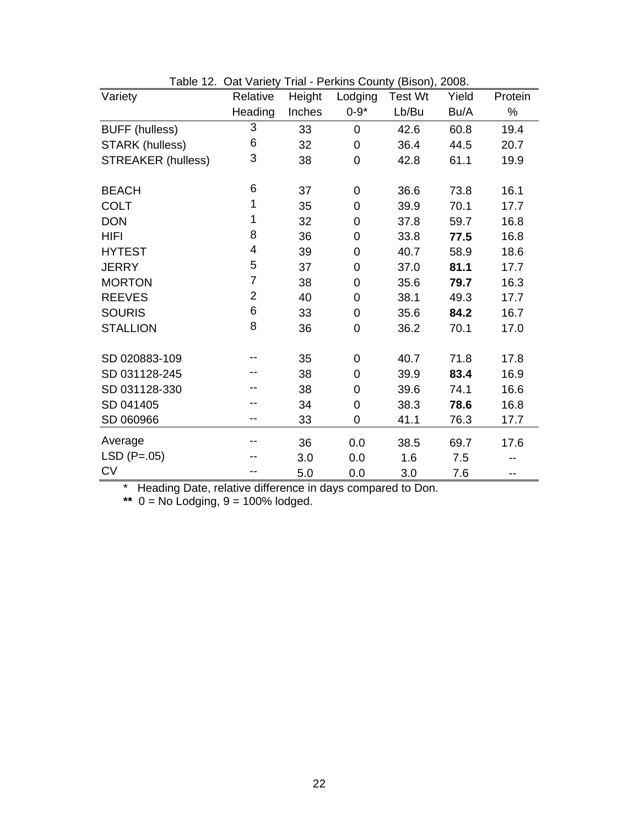| Variety                   | Relative                | Height | Lodging        | <b>Test Wt</b> | Yield | Protein |
|---------------------------|-------------------------|--------|----------------|----------------|-------|---------|
|                           |                         |        |                |                |       |         |
|                           | Heading                 | Inches | $0 - 9*$       | Lb/Bu          | Bu/A  | %       |
| <b>BUFF</b> (hulless)     | 3                       | 33     | 0              | 42.6           | 60.8  | 19.4    |
| STARK (hulless)           | 6                       | 32     | 0              | 36.4           | 44.5  | 20.7    |
| <b>STREAKER (hulless)</b> | 3                       | 38     | $\mathbf 0$    | 42.8           | 61.1  | 19.9    |
| <b>BEACH</b>              | 6                       | 37     | $\overline{0}$ | 36.6           | 73.8  | 16.1    |
| <b>COLT</b>               | 1                       | 35     | $\mathbf 0$    | 39.9           | 70.1  | 17.7    |
| <b>DON</b>                | 1                       | 32     | 0              | 37.8           | 59.7  | 16.8    |
| <b>HIFI</b>               | 8                       | 36     | $\overline{0}$ | 33.8           | 77.5  | 16.8    |
| <b>HYTEST</b>             | $\overline{\mathbf{4}}$ | 39     | 0              | 40.7           | 58.9  | 18.6    |
| <b>JERRY</b>              | 5                       | 37     | 0              | 37.0           | 81.1  | 17.7    |
| <b>MORTON</b>             | $\overline{7}$          | 38     | 0              | 35.6           | 79.7  | 16.3    |
| <b>REEVES</b>             | $\overline{2}$          | 40     | 0              | 38.1           | 49.3  | 17.7    |
| <b>SOURIS</b>             | 6                       | 33     | 0              | 35.6           | 84.2  | 16.7    |
| <b>STALLION</b>           | 8                       | 36     | 0              | 36.2           | 70.1  | 17.0    |
| SD 020883-109             |                         | 35     | 0              | 40.7           | 71.8  | 17.8    |
| SD 031128-245             |                         | 38     | 0              | 39.9           | 83.4  | 16.9    |
| SD 031128-330             |                         | 38     | 0              | 39.6           | 74.1  | 16.6    |
| SD 041405                 |                         | 34     | $\mathbf 0$    | 38.3           | 78.6  | 16.8    |
| SD 060966                 | --                      | 33     | 0              | 41.1           | 76.3  | 17.7    |
| Average                   |                         | 36     | 0.0            | 38.5           | 69.7  | 17.6    |
| $LSD (P=.05)$             |                         | 3.0    | 0.0            | 1.6            | 7.5   |         |
| <b>CV</b>                 |                         | 5.0    | 0.0            | 3.0            | 7.6   | $-$     |

Table 12. Oat Variety Trial - Perkins County (Bison), 2008.

\* Heading Date, relative difference in days compared to Don.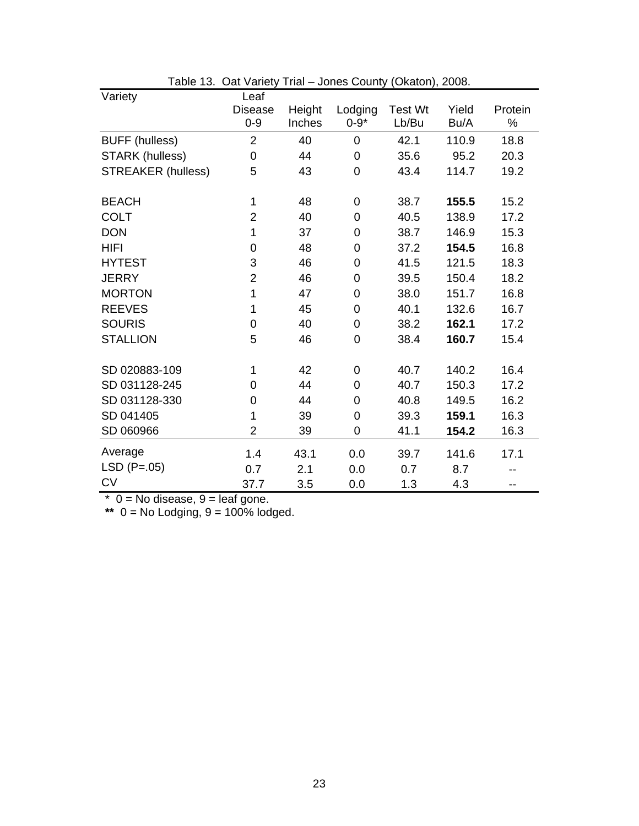| Variety                   | Leaf             |        |                |                |       |         |
|---------------------------|------------------|--------|----------------|----------------|-------|---------|
|                           | <b>Disease</b>   | Height | Lodging        | <b>Test Wt</b> | Yield | Protein |
|                           | $0 - 9$          | Inches | $0 - 9*$       | Lb/Bu          | Bu/A  | ℅       |
| <b>BUFF</b> (hulless)     | $\overline{2}$   | 40     | 0              | 42.1           | 110.9 | 18.8    |
| <b>STARK (hulless)</b>    | $\mathbf 0$      | 44     | $\mathbf 0$    | 35.6           | 95.2  | 20.3    |
| <b>STREAKER (hulless)</b> | 5                | 43     | 0              | 43.4           | 114.7 | 19.2    |
|                           |                  |        |                |                |       |         |
| <b>BEACH</b>              | 1                | 48     | 0              | 38.7           | 155.5 | 15.2    |
| <b>COLT</b>               | $\overline{2}$   | 40     | $\mathbf 0$    | 40.5           | 138.9 | 17.2    |
| <b>DON</b>                | 1                | 37     | $\mathbf 0$    | 38.7           | 146.9 | 15.3    |
| <b>HIFI</b>               | $\boldsymbol{0}$ | 48     | $\mathbf 0$    | 37.2           | 154.5 | 16.8    |
| <b>HYTEST</b>             | 3                | 46     | $\overline{0}$ | 41.5           | 121.5 | 18.3    |
| <b>JERRY</b>              | $\overline{2}$   | 46     | $\overline{0}$ | 39.5           | 150.4 | 18.2    |
| <b>MORTON</b>             | 1                | 47     | $\overline{0}$ | 38.0           | 151.7 | 16.8    |
| <b>REEVES</b>             | 1                | 45     | $\overline{0}$ | 40.1           | 132.6 | 16.7    |
| <b>SOURIS</b>             | $\mathbf 0$      | 40     | 0              | 38.2           | 162.1 | 17.2    |
| <b>STALLION</b>           | 5                | 46     | $\mathbf 0$    | 38.4           | 160.7 | 15.4    |
|                           |                  |        |                |                |       |         |
| SD 020883-109             | 1                | 42     | 0              | 40.7           | 140.2 | 16.4    |
| SD 031128-245             | 0                | 44     | $\overline{0}$ | 40.7           | 150.3 | 17.2    |
| SD 031128-330             | 0                | 44     | $\overline{0}$ | 40.8           | 149.5 | 16.2    |
| SD 041405                 | 1                | 39     | $\overline{0}$ | 39.3           | 159.1 | 16.3    |
| SD 060966                 | $\overline{2}$   | 39     | $\overline{0}$ | 41.1           | 154.2 | 16.3    |
| Average                   | 1.4              | 43.1   | 0.0            | 39.7           | 141.6 | 17.1    |
| $LSD (P=.05)$             | 0.7              | 2.1    | 0.0            | 0.7            | 8.7   |         |
| <b>CV</b>                 | 37.7             | 3.5    | 0.0            | 1.3            | 4.3   | --      |

| Table 13. Oat Variety Trial - Jones County (Okaton), 2008. |  |  |
|------------------------------------------------------------|--|--|
|                                                            |  |  |

 $*$  0 = No disease, 9 = leaf gone.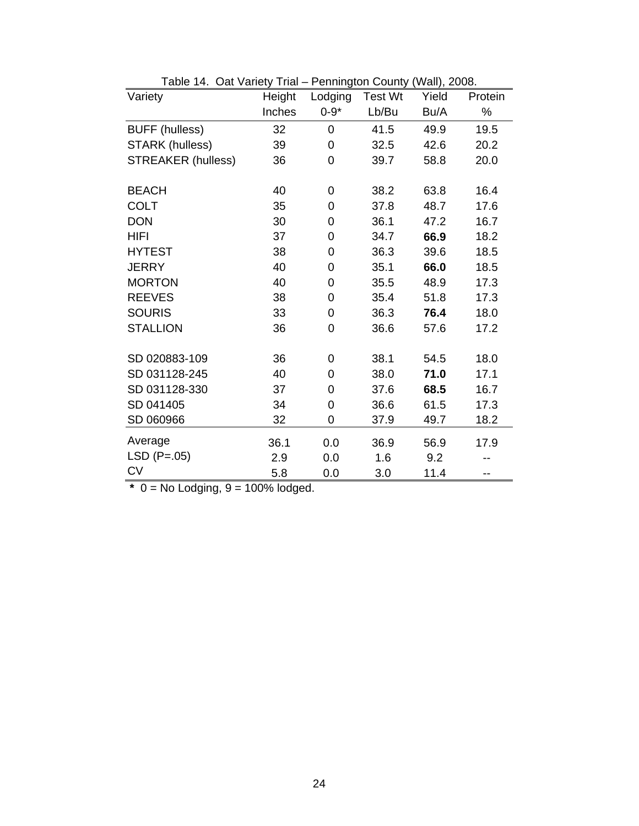| Variety                   | Height | Lodging        | <b>Test Wt</b> | Yield | Protein |  |
|---------------------------|--------|----------------|----------------|-------|---------|--|
|                           | Inches | $0 - 9*$       | Lb/Bu<br>Bu/A  |       | $\%$    |  |
| <b>BUFF (hulless)</b>     | 32     | $\overline{0}$ | 41.5           | 49.9  | 19.5    |  |
| <b>STARK (hulless)</b>    | 39     | 0              | 32.5           | 42.6  | 20.2    |  |
| <b>STREAKER (hulless)</b> | 36     | 0              | 39.7           | 58.8  | 20.0    |  |
| <b>BEACH</b>              | 40     | 0              | 38.2           | 63.8  | 16.4    |  |
| <b>COLT</b>               | 35     | 0              | 37.8           | 48.7  | 17.6    |  |
| <b>DON</b>                | 30     | 0              | 36.1           | 47.2  | 16.7    |  |
| <b>HIFI</b>               | 37     | 0              | 34.7           | 66.9  | 18.2    |  |
| <b>HYTEST</b>             | 38     | 0              | 36.3           | 39.6  | 18.5    |  |
| <b>JERRY</b>              | 40     | $\overline{0}$ | 35.1           | 66.0  | 18.5    |  |
| <b>MORTON</b>             | 40     | 0              | 35.5           | 48.9  | 17.3    |  |
| <b>REEVES</b>             | 38     | 0              | 35.4           | 51.8  | 17.3    |  |
| <b>SOURIS</b>             | 33     | 0              | 36.3           | 76.4  | 18.0    |  |
| <b>STALLION</b>           | 36     | 0              | 36.6           | 57.6  | 17.2    |  |
| SD 020883-109             | 36     | 0              | 38.1           | 54.5  | 18.0    |  |
| SD 031128-245             | 40     | 0              | 38.0           | 71.0  | 17.1    |  |
| SD 031128-330             | 37     | 0              | 37.6           | 68.5  | 16.7    |  |
| SD 041405                 | 34     | 0              | 36.6           | 61.5  | 17.3    |  |
| SD 060966                 | 32     | 0              | 37.9           | 49.7  | 18.2    |  |
| Average                   | 36.1   | 0.0            | 36.9           | 56.9  | 17.9    |  |
| $LSD (P=.05)$             | 2.9    | 0.0            | 1.6            | 9.2   |         |  |
| <b>CV</b>                 | 5.8    | 0.0            | 3.0            | 11.4  | --      |  |

Table 14. Oat Variety Trial – Pennington County (Wall), 2008.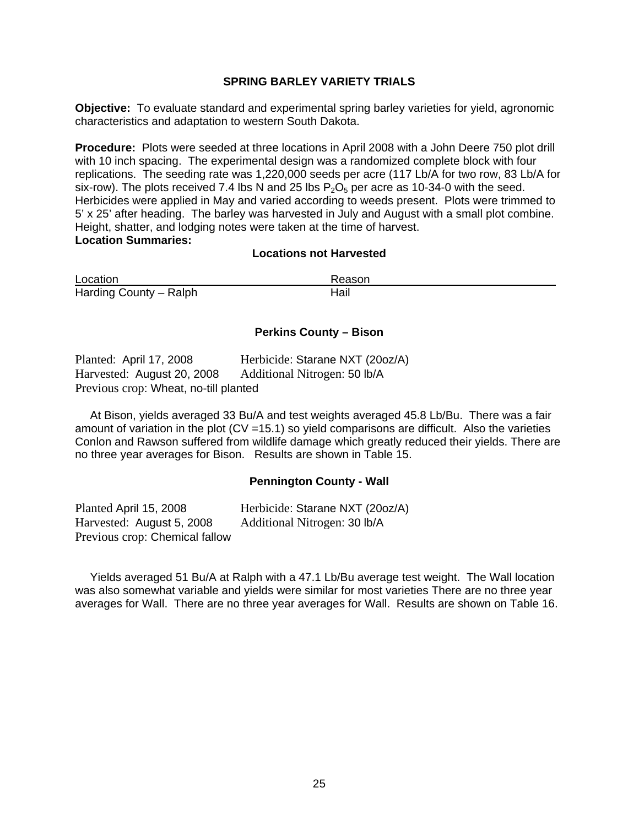#### **SPRING BARLEY VARIETY TRIALS**

**Objective:** To evaluate standard and experimental spring barley varieties for yield, agronomic characteristics and adaptation to western South Dakota.

**Procedure:** Plots were seeded at three locations in April 2008 with a John Deere 750 plot drill with 10 inch spacing. The experimental design was a randomized complete block with four replications. The seeding rate was 1,220,000 seeds per acre (117 Lb/A for two row, 83 Lb/A for six-row). The plots received 7.4 lbs N and 25 lbs  $P_2O_5$  per acre as 10-34-0 with the seed. Herbicides were applied in May and varied according to weeds present. Plots were trimmed to 5' x 25' after heading. The barley was harvested in July and August with a small plot combine. Height, shatter, and lodging notes were taken at the time of harvest. **Location Summaries:** 

#### **Locations not Harvested**

Location **Reason** Harding County – Ralph Hail

#### **Perkins County – Bison**

| Planted: April 17, 2008               | Herbicide: Starane NXT (20oz/A) |
|---------------------------------------|---------------------------------|
| Harvested: August 20, 2008            | Additional Nitrogen: 50 lb/A    |
| Previous crop: Wheat, no-till planted |                                 |

At Bison, yields averaged 33 Bu/A and test weights averaged 45.8 Lb/Bu. There was a fair amount of variation in the plot  $(CV = 15.1)$  so yield comparisons are difficult. Also the varieties Conlon and Rawson suffered from wildlife damage which greatly reduced their yields. There are no three year averages for Bison. Results are shown in Table 15.

#### **Pennington County - Wall**

Planted April 15, 2008 Herbicide: Starane NXT (20oz/A) Harvested: August 5, 2008 Additional Nitrogen: 30 lb/A Previous crop: Chemical fallow

 Yields averaged 51 Bu/A at Ralph with a 47.1 Lb/Bu average test weight. The Wall location was also somewhat variable and yields were similar for most varieties There are no three year averages for Wall. There are no three year averages for Wall. Results are shown on Table 16.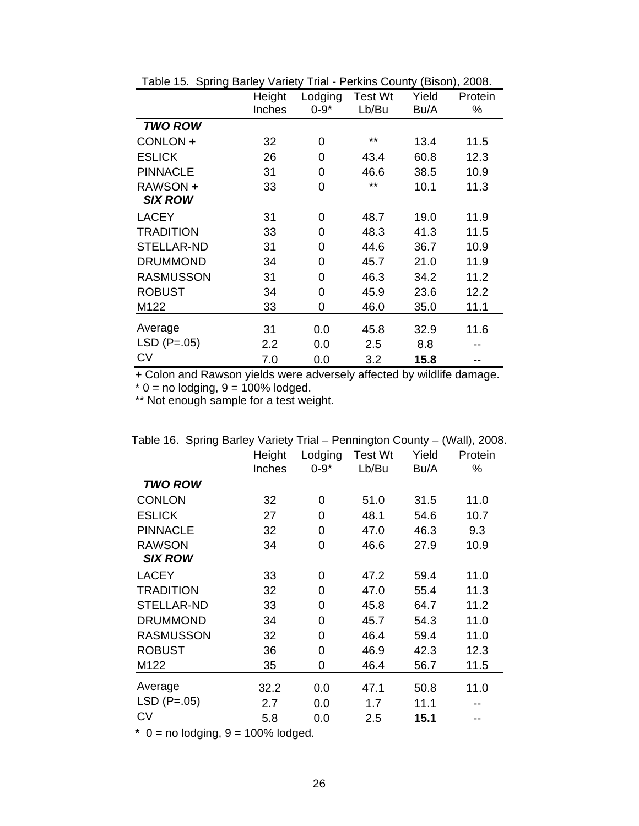|                   | Height | Lodging  | <b>Test Wt</b> | Yield | Protein |
|-------------------|--------|----------|----------------|-------|---------|
|                   | Inches | $0 - 9*$ | Lb/Bu          | Bu/A  | %       |
| <b>TWO ROW</b>    |        |          |                |       |         |
| CONLON +          | 32     | 0        | $***$          | 13.4  | 11.5    |
| <b>ESLICK</b>     | 26     | 0        | 43.4           | 60.8  | 12.3    |
| <b>PINNACLE</b>   | 31     | 0        | 46.6           | 38.5  | 10.9    |
| RAWSON +          | 33     | 0        | $***$          | 10.1  | 11.3    |
| <b>SIX ROW</b>    |        |          |                |       |         |
| <b>LACEY</b>      | 31     | 0        | 48.7           | 19.0  | 11.9    |
| <b>TRADITION</b>  | 33     | $\Omega$ | 48.3           | 41.3  | 11.5    |
| <b>STELLAR-ND</b> | 31     | 0        | 44.6           | 36.7  | 10.9    |
| <b>DRUMMOND</b>   | 34     | $\Omega$ | 45.7           | 21.0  | 11.9    |
| <b>RASMUSSON</b>  | 31     | 0        | 46.3           | 34.2  | 11.2    |
| <b>ROBUST</b>     | 34     | 0        | 45.9           | 23.6  | 12.2    |
| M122              | 33     | 0        | 46.0           | 35.0  | 11.1    |
| Average           | 31     | 0.0      | 45.8           | 32.9  | 11.6    |
| $LSD (P=.05)$     | 2.2    | 0.0      | 2.5            | 8.8   |         |
| <b>CV</b>         | 7.0    | 0.0      | 3.2            | 15.8  |         |

Table 15. Spring Barley Variety Trial - Perkins County (Bison), 2008.

**+** Colon and Rawson yields were adversely affected by wildlife damage.

\* 0 = no lodging, 9 = 100% lodged.

\*\* Not enough sample for a test weight.

| adio 10. Opiniy Danoj | $"$ u $"$ | .        | , ommigion ovemy |       |         |
|-----------------------|-----------|----------|------------------|-------|---------|
|                       | Height    | Lodging  | Test Wt          | Yield | Protein |
|                       | Inches    | $0 - 9*$ | Lb/Bu            | Bu/A  | ℅       |
| <b>TWO ROW</b>        |           |          |                  |       |         |
| <b>CONLON</b>         | 32        | 0        | 51.0             | 31.5  | 11.0    |
| <b>ESLICK</b>         | 27        | 0        | 48.1             | 54.6  | 10.7    |
| <b>PINNACLE</b>       | 32        | 0        | 47.0             | 46.3  | 9.3     |
| <b>RAWSON</b>         | 34        | 0        | 46.6             | 27.9  | 10.9    |
| <b>SIX ROW</b>        |           |          |                  |       |         |
| <b>LACEY</b>          | 33        | 0        | 47.2             | 59.4  | 11.0    |
| <b>TRADITION</b>      | 32        | 0        | 47.0             | 55.4  | 11.3    |
| <b>STELLAR-ND</b>     | 33        | 0        | 45.8             | 64.7  | 11.2    |
| <b>DRUMMOND</b>       | 34        | 0        | 45.7             | 54.3  | 11.0    |
| <b>RASMUSSON</b>      | 32        | 0        | 46.4             | 59.4  | 11.0    |
| <b>ROBUST</b>         | 36        | 0        | 46.9             | 42.3  | 12.3    |
| M122                  | 35        | 0        | 46.4             | 56.7  | 11.5    |
| Average               | 32.2      | 0.0      | 47.1             | 50.8  | 11.0    |
| $LSD (P=.05)$         | 2.7       | 0.0      | 1.7              | 11.1  |         |
| CV                    | 5.8       | 0.0      | 2.5              | 15.1  |         |

Table 16. Spring Barley Variety Trial – Pennington County – (Wall), 2008.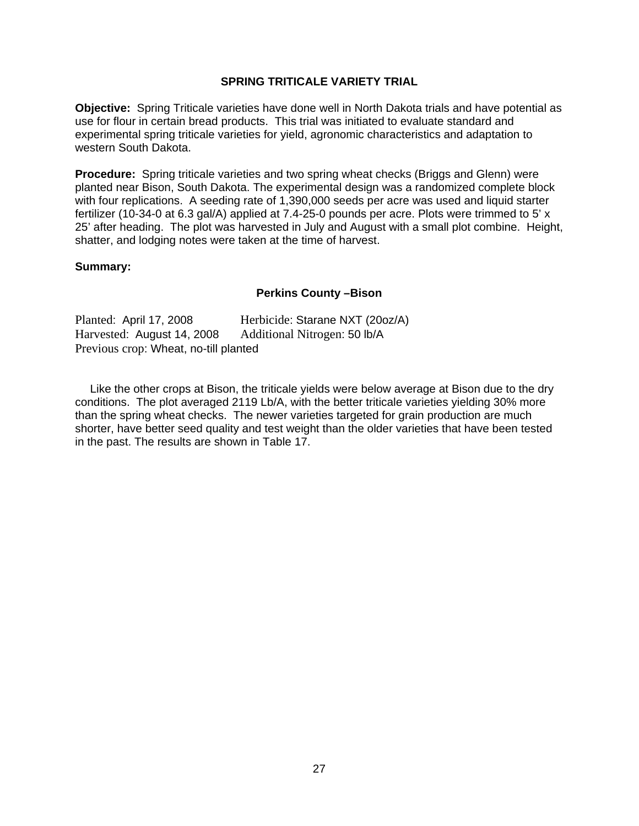#### **SPRING TRITICALE VARIETY TRIAL**

**Objective:** Spring Triticale varieties have done well in North Dakota trials and have potential as use for flour in certain bread products. This trial was initiated to evaluate standard and experimental spring triticale varieties for yield, agronomic characteristics and adaptation to western South Dakota.

**Procedure:** Spring triticale varieties and two spring wheat checks (Briggs and Glenn) were planted near Bison, South Dakota. The experimental design was a randomized complete block with four replications. A seeding rate of 1,390,000 seeds per acre was used and liquid starter fertilizer (10-34-0 at 6.3 gal/A) applied at 7.4-25-0 pounds per acre. Plots were trimmed to 5' x 25' after heading. The plot was harvested in July and August with a small plot combine. Height, shatter, and lodging notes were taken at the time of harvest.

#### **Summary:**

#### **Perkins County –Bison**

| Planted: April 17, 2008               | Herbicide: Starane NXT (20oz/A) |
|---------------------------------------|---------------------------------|
| Harvested: August 14, 2008            | Additional Nitrogen: 50 lb/A    |
| Previous crop: Wheat, no-till planted |                                 |

 Like the other crops at Bison, the triticale yields were below average at Bison due to the dry conditions. The plot averaged 2119 Lb/A, with the better triticale varieties yielding 30% more than the spring wheat checks. The newer varieties targeted for grain production are much shorter, have better seed quality and test weight than the older varieties that have been tested in the past. The results are shown in Table 17.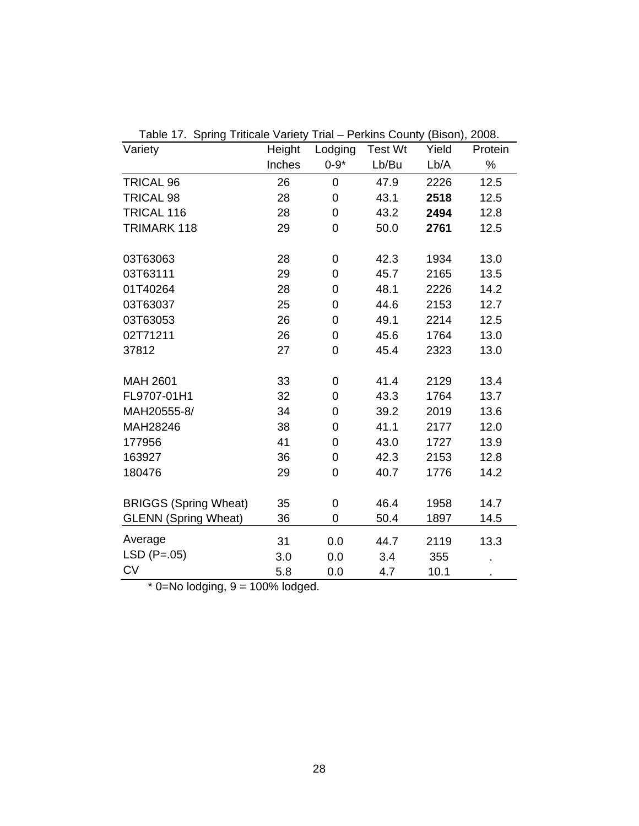| Table 17. Spring Triticale Variety Trial – Perkins County (Bison),<br>2008. |        |                |         |       |         |  |
|-----------------------------------------------------------------------------|--------|----------------|---------|-------|---------|--|
| Variety                                                                     | Height | Lodging        | Test Wt | Yield | Protein |  |
|                                                                             | Inches | $0 - 9*$       | Lb/Bu   | Lb/A  | $\%$    |  |
| <b>TRICAL 96</b>                                                            | 26     | 0              | 47.9    | 2226  | 12.5    |  |
| <b>TRICAL 98</b>                                                            | 28     | 0              | 43.1    | 2518  | 12.5    |  |
| TRICAL 116                                                                  | 28     | 0              | 43.2    | 2494  | 12.8    |  |
| TRIMARK 118                                                                 | 29     | 0              | 50.0    | 2761  | 12.5    |  |
|                                                                             |        |                |         |       |         |  |
| 03T63063                                                                    | 28     | 0              | 42.3    | 1934  | 13.0    |  |
| 03T63111                                                                    | 29     | 0              | 45.7    | 2165  | 13.5    |  |
| 01T40264                                                                    | 28     | $\overline{0}$ | 48.1    | 2226  | 14.2    |  |
| 03T63037                                                                    | 25     | $\overline{0}$ | 44.6    | 2153  | 12.7    |  |
| 03T63053                                                                    | 26     | 0              | 49.1    | 2214  | 12.5    |  |
| 02T71211                                                                    | 26     | 0              | 45.6    | 1764  | 13.0    |  |
| 37812                                                                       | 27     | 0              | 45.4    | 2323  | 13.0    |  |
| <b>MAH 2601</b>                                                             | 33     | 0              | 41.4    | 2129  | 13.4    |  |
| FL9707-01H1                                                                 | 32     | 0              | 43.3    | 1764  | 13.7    |  |
| MAH20555-8/                                                                 | 34     | 0              | 39.2    | 2019  | 13.6    |  |
| MAH28246                                                                    | 38     | 0              | 41.1    | 2177  | 12.0    |  |
| 177956                                                                      | 41     | 0              | 43.0    | 1727  | 13.9    |  |
| 163927                                                                      | 36     | 0              | 42.3    | 2153  | 12.8    |  |
| 180476                                                                      | 29     | $\overline{0}$ | 40.7    | 1776  | 14.2    |  |
|                                                                             | 35     |                | 46.4    | 1958  | 14.7    |  |
| <b>BRIGGS (Spring Wheat)</b>                                                |        | 0              |         |       |         |  |
| <b>GLENN (Spring Wheat)</b>                                                 | 36     | 0              | 50.4    | 1897  | 14.5    |  |
| Average                                                                     | 31     | 0.0            | 44.7    | 2119  | 13.3    |  |
| $LSD (P=.05)$                                                               | 3.0    | 0.0            | 3.4     | 355   |         |  |
| <b>CV</b>                                                                   | 5.8    | 0.0            | 4.7     | 10.1  |         |  |

Table 17. Spring Triticale Variety Trial – Perkins County (Bison), 2008.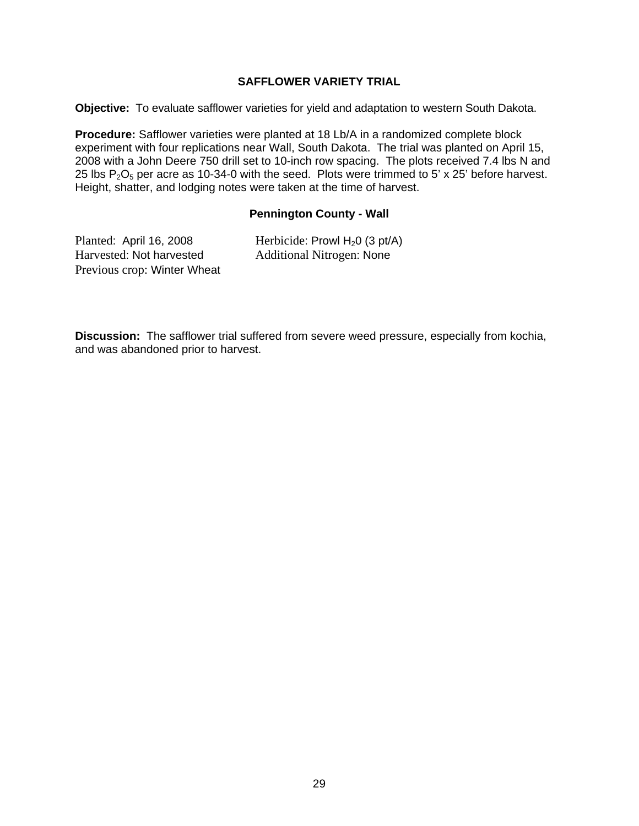#### **SAFFLOWER VARIETY TRIAL**

**Objective:** To evaluate safflower varieties for yield and adaptation to western South Dakota.

**Procedure:** Safflower varieties were planted at 18 Lb/A in a randomized complete block experiment with four replications near Wall, South Dakota. The trial was planted on April 15, 2008 with a John Deere 750 drill set to 10-inch row spacing. The plots received 7.4 lbs N and 25 lbs  $P_2O_5$  per acre as 10-34-0 with the seed. Plots were trimmed to 5' x 25' before harvest. Height, shatter, and lodging notes were taken at the time of harvest.

#### **Pennington County - Wall**

| Planted: April 16, 2008     | Herbicide: Prowl $H_2$ 0 (3 pt/A) |
|-----------------------------|-----------------------------------|
| Harvested: Not harvested    | <b>Additional Nitrogen: None</b>  |
| Previous crop: Winter Wheat |                                   |

**Discussion:** The safflower trial suffered from severe weed pressure, especially from kochia, and was abandoned prior to harvest.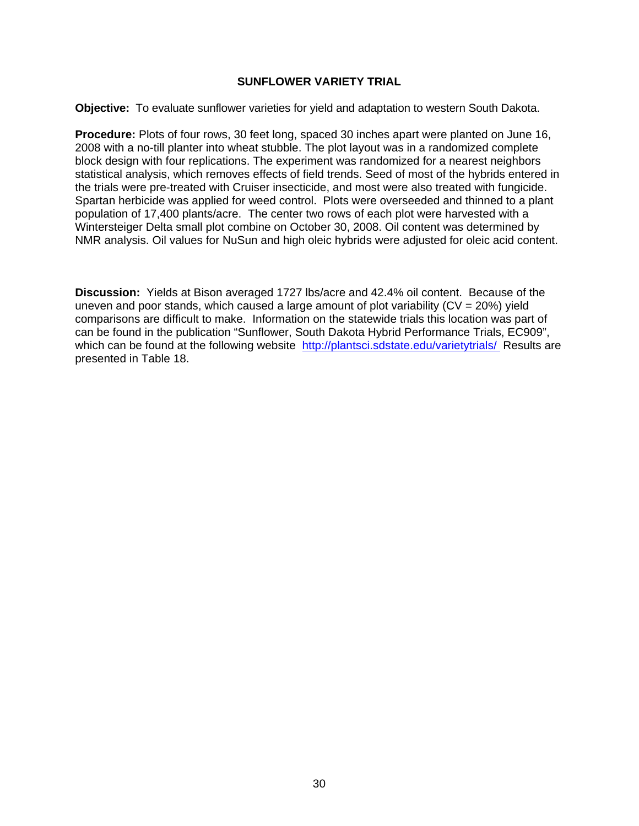#### **SUNFLOWER VARIETY TRIAL**

**Objective:** To evaluate sunflower varieties for yield and adaptation to western South Dakota.

**Procedure:** Plots of four rows, 30 feet long, spaced 30 inches apart were planted on June 16, 2008 with a no-till planter into wheat stubble. The plot layout was in a randomized complete block design with four replications. The experiment was randomized for a nearest neighbors statistical analysis, which removes effects of field trends. Seed of most of the hybrids entered in the trials were pre-treated with Cruiser insecticide, and most were also treated with fungicide. Spartan herbicide was applied for weed control. Plots were overseeded and thinned to a plant population of 17,400 plants/acre. The center two rows of each plot were harvested with a Wintersteiger Delta small plot combine on October 30, 2008. Oil content was determined by NMR analysis. Oil values for NuSun and high oleic hybrids were adjusted for oleic acid content.

**Discussion:** Yields at Bison averaged 1727 lbs/acre and 42.4% oil content. Because of the uneven and poor stands, which caused a large amount of plot variability  $(CV = 20\%)$  yield comparisons are difficult to make. Information on the statewide trials this location was part of can be found in the publication "Sunflower, South Dakota Hybrid Performance Trials, EC909", which can be found at the following website http://plantsci.sdstate.edu/varietytrials/ Results are presented in Table 18.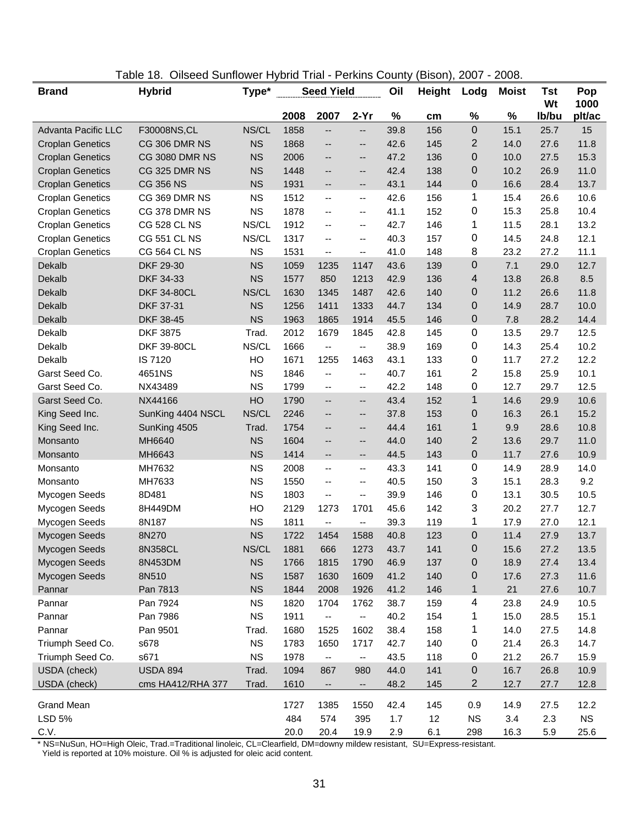| $2-Yr$<br>2008<br>2007<br>%<br>%<br>%<br>Ib/bu<br>plt/ac<br>cm<br>$\boldsymbol{0}$<br>NS/CL<br>1858<br>39.8<br>156<br>25.7<br>Advanta Pacific LLC<br>F30008NS, CL<br>15.1<br>15<br>--<br>--<br>2<br>1868<br>11.8<br>CG 306 DMR NS<br><b>NS</b><br>42.6<br>145<br>14.0<br>27.6<br><b>Croplan Genetics</b><br>--<br>--<br>$\boldsymbol{0}$<br><b>NS</b><br>15.3<br><b>Croplan Genetics</b><br><b>CG 3080 DMR NS</b><br>47.2<br>136<br>10.0<br>27.5<br>2006<br>--<br>--<br><b>NS</b><br>42.4<br>138<br>0<br>26.9<br>11.0<br><b>Croplan Genetics</b><br>CG 325 DMR NS<br>1448<br>10.2<br>--<br>--<br>0<br><b>CG 356 NS</b><br><b>NS</b><br>43.1<br>144<br>28.4<br>13.7<br><b>Croplan Genetics</b><br>1931<br>16.6<br>--<br>--<br>1<br>CG 369 DMR NS<br>10.6<br><b>Croplan Genetics</b><br><b>NS</b><br>1512<br>42.6<br>156<br>15.4<br>26.6<br>$\overline{\phantom{m}}$<br>--<br>0<br><b>NS</b><br>1878<br>41.1<br>152<br>25.8<br>10.4<br><b>Croplan Genetics</b><br>CG 378 DMR NS<br>15.3<br>$-$<br>$\overline{\phantom{a}}$<br>1<br><b>CG 528 CL NS</b><br>NS/CL<br>28.1<br>13.2<br><b>Croplan Genetics</b><br>1912<br>42.7<br>146<br>11.5<br>--<br>--<br>0<br><b>CG 551 CL NS</b><br>NS/CL<br>12.1<br><b>Croplan Genetics</b><br>1317<br>40.3<br>157<br>14.5<br>24.8<br>--<br>$-$<br>8<br><b>CG 564 CL NS</b><br><b>NS</b><br>41.0<br>11.1<br><b>Croplan Genetics</b><br>1531<br>148<br>23.2<br>27.2<br>--<br>--<br>$\mathbf 0$<br>DKF 29-30<br><b>NS</b><br>139<br>7.1<br>12.7<br>Dekalb<br>1059<br>1147<br>43.6<br>29.0<br>1235<br>Dekalb<br><b>NS</b><br>4<br>DKF 34-33<br>1577<br>850<br>1213<br>42.9<br>136<br>13.8<br>26.8<br>8.5<br>NS/CL<br>0<br>11.8<br>Dekalb<br><b>DKF 34-80CL</b><br>1630<br>1345<br>1487<br>42.6<br>140<br>11.2<br>26.6<br>0<br><b>NS</b><br>44.7<br>28.7<br>Dekalb<br>DKF 37-31<br>1256<br>1411<br>1333<br>134<br>14.9<br>10.0<br><b>NS</b><br>1963<br>45.5<br>0<br>7.8<br>28.2<br>Dekalb<br>DKF 38-45<br>1865<br>1914<br>146<br>14.4<br>0<br><b>DKF 3875</b><br>Dekalb<br>Trad.<br>2012<br>1679<br>1845<br>42.8<br>145<br>13.5<br>29.7<br>12.5<br><b>DKF 39-80CL</b><br>NS/CL<br>1666<br>169<br>0<br>25.4<br>10.2<br>Dekalb<br>38.9<br>14.3<br>-−<br>--<br>0<br>12.2<br>Dekalb<br>IS 7120<br>HO<br>1671<br>1255<br>1463<br>43.1<br>133<br>11.7<br>27.2<br>$\overline{2}$<br><b>NS</b><br>161<br>25.9<br>10.1<br>Garst Seed Co.<br>4651NS<br>1846<br>40.7<br>15.8<br>--<br>--<br>0<br>Garst Seed Co.<br><b>NS</b><br>42.2<br>12.7<br>29.7<br>12.5<br>NX43489<br>1799<br>148<br>$\overline{\phantom{a}}$<br>$\mathbf{u}$<br>$\mathbf{1}$<br>Garst Seed Co.<br>HO<br>43.4<br>29.9<br>10.6<br>NX44166<br>1790<br>152<br>14.6<br>$-$<br>--<br>$\mathbf 0$<br>King Seed Inc.<br>NS/CL<br>26.1<br>15.2<br>SunKing 4404 NSCL<br>2246<br>37.8<br>153<br>16.3<br>--<br>--<br>$\mathbf 1$<br>1754<br>44.4<br>161<br>9.9<br>28.6<br>10.8<br>King Seed Inc.<br>SunKing 4505<br>Trad.<br>--<br>--<br>$\overline{2}$<br>1604<br>11.0<br>Monsanto<br>MH6640<br><b>NS</b><br>44.0<br>140<br>13.6<br>29.7<br>--<br>--<br>$\boldsymbol{0}$<br><b>NS</b><br>1414<br>MH6643<br>44.5<br>143<br>11.7<br>27.6<br>10.9<br>Monsanto<br>--<br>--<br>0<br><b>NS</b><br>MH7632<br>2008<br>43.3<br>141<br>14.9<br>28.9<br>14.0<br>Monsanto<br>$\overline{\phantom{a}}$<br>--<br>3<br>9.2<br>MH7633<br><b>NS</b><br>1550<br>40.5<br>150<br>15.1<br>28.3<br>Monsanto<br>--<br>--<br>0<br><b>NS</b><br>39.9<br>10.5<br>8D481<br>1803<br>146<br>13.1<br>30.5<br>Mycogen Seeds<br>--<br>--<br>3<br>142<br>12.7<br>Mycogen Seeds<br>8H449DM<br>HO<br>2129<br>1273<br>1701<br>45.6<br>20.2<br>27.7<br><b>NS</b><br>1<br>12.1<br>8N187<br>1811<br>39.3<br>119<br>17.9<br>27.0<br>Mycogen Seeds<br>$\overline{\phantom{a}}$<br>--<br>$\mathbf 0$<br>8N270<br><b>NS</b><br>1722<br>1588<br>40.8<br>123<br>11.4<br>27.9<br>13.7<br>Mycogen Seeds<br>1454<br>NS/CL<br>1881<br>0<br>Mycogen Seeds<br>8N358CL<br>666<br>1273<br>43.7<br>141<br>15.6<br>27.2<br>13.5<br>$\mathbf 0$<br><b>NS</b><br>13.4<br>Mycogen Seeds<br>8N453DM<br>1766<br>1815<br>1790<br>46.9<br>137<br>18.9<br>27.4<br><b>NS</b><br>Mycogen Seeds<br>8N510<br>1587<br>1609<br>41.2<br>140<br>$\mathbf 0$<br>17.6<br>11.6<br>1630<br>27.3<br>Pannar<br>Pan 7813<br><b>NS</b><br>1844<br>2008<br>1926<br>41.2<br>146<br>1<br>21<br>27.6<br>10.7<br>4<br>Pannar<br>Pan 7924<br><b>NS</b><br>1820<br>1704<br>1762<br>38.7<br>159<br>24.9<br>10.5<br>23.8<br>Pan 7986<br><b>NS</b><br>1911<br>40.2<br>154<br>1<br>15.0<br>28.5<br>15.1<br>Pannar<br>۰.<br>-−<br>Pannar<br>Pan 9501<br>1680<br>1602<br>38.4<br>158<br>1<br>14.0<br>27.5<br>14.8<br>Trad.<br>1525<br><b>NS</b><br>0<br>Triumph Seed Co.<br>s678<br>1783<br>1717<br>42.7<br>140<br>21.4<br>26.3<br>14.7<br>1650<br><b>NS</b><br>0<br>21.2<br>26.7<br>Triumph Seed Co.<br>s671<br>1978<br>43.5<br>118<br>15.9<br>$\overline{\phantom{a}}$<br>--<br>$\boldsymbol{0}$<br>USDA (check)<br><b>USDA 894</b><br>Trad.<br>1094<br>44.0<br>141<br>16.7<br>26.8<br>10.9<br>867<br>980<br>2<br>USDA (check)<br>1610<br>48.2<br>145<br>12.7<br>12.8<br>cms HA412/RHA 377<br>Trad.<br>27.7<br>--<br>н.<br><b>Grand Mean</b><br>1727<br>42.4<br>145<br>0.9<br>14.9<br>27.5<br>12.2<br>1385<br>1550<br><b>LSD 5%</b><br>484<br>12<br><b>NS</b><br><b>NS</b><br>574<br>395<br>1.7<br>3.4<br>2.3 | <b>Brand</b> | <b>Hybrid</b> | Type* | <b>Seed Yield</b> |      | Oil  | <b>Height</b> | Lodg | <b>Moist</b> | Tst<br>Wt | Pop<br>1000 |      |
|-------------------------------------------------------------------------------------------------------------------------------------------------------------------------------------------------------------------------------------------------------------------------------------------------------------------------------------------------------------------------------------------------------------------------------------------------------------------------------------------------------------------------------------------------------------------------------------------------------------------------------------------------------------------------------------------------------------------------------------------------------------------------------------------------------------------------------------------------------------------------------------------------------------------------------------------------------------------------------------------------------------------------------------------------------------------------------------------------------------------------------------------------------------------------------------------------------------------------------------------------------------------------------------------------------------------------------------------------------------------------------------------------------------------------------------------------------------------------------------------------------------------------------------------------------------------------------------------------------------------------------------------------------------------------------------------------------------------------------------------------------------------------------------------------------------------------------------------------------------------------------------------------------------------------------------------------------------------------------------------------------------------------------------------------------------------------------------------------------------------------------------------------------------------------------------------------------------------------------------------------------------------------------------------------------------------------------------------------------------------------------------------------------------------------------------------------------------------------------------------------------------------------------------------------------------------------------------------------------------------------------------------------------------------------------------------------------------------------------------------------------------------------------------------------------------------------------------------------------------------------------------------------------------------------------------------------------------------------------------------------------------------------------------------------------------------------------------------------------------------------------------------------------------------------------------------------------------------------------------------------------------------------------------------------------------------------------------------------------------------------------------------------------------------------------------------------------------------------------------------------------------------------------------------------------------------------------------------------------------------------------------------------------------------------------------------------------------------------------------------------------------------------------------------------------------------------------------------------------------------------------------------------------------------------------------------------------------------------------------------------------------------------------------------------------------------------------------------------------------------------------------------------------------------------------------------------------------------------------------------------------------------------------------------------------------------------------------------------------------------------------------------------------------------------------------------------------------------------------------------------------------------------------------------------------------------------------------------------------------------------------------------------------------------------------------------------------------------------------------------------------------------------------------------------------------------------------------------------------------------------------------------------------------------------------------------------------------------------------------------------------------------------------------------------------------------------------------------------------------------------------------------------------------------------------------------------------------------------------------------------------------------------------------------------|--------------|---------------|-------|-------------------|------|------|---------------|------|--------------|-----------|-------------|------|
|                                                                                                                                                                                                                                                                                                                                                                                                                                                                                                                                                                                                                                                                                                                                                                                                                                                                                                                                                                                                                                                                                                                                                                                                                                                                                                                                                                                                                                                                                                                                                                                                                                                                                                                                                                                                                                                                                                                                                                                                                                                                                                                                                                                                                                                                                                                                                                                                                                                                                                                                                                                                                                                                                                                                                                                                                                                                                                                                                                                                                                                                                                                                                                                                                                                                                                                                                                                                                                                                                                                                                                                                                                                                                                                                                                                                                                                                                                                                                                                                                                                                                                                                                                                                                                                                                                                                                                                                                                                                                                                                                                                                                                                                                                                                                                                                                                                                                                                                                                                                                                                                                                                                                                                                                                                                                                 |              |               |       |                   |      |      |               |      |              |           |             |      |
|                                                                                                                                                                                                                                                                                                                                                                                                                                                                                                                                                                                                                                                                                                                                                                                                                                                                                                                                                                                                                                                                                                                                                                                                                                                                                                                                                                                                                                                                                                                                                                                                                                                                                                                                                                                                                                                                                                                                                                                                                                                                                                                                                                                                                                                                                                                                                                                                                                                                                                                                                                                                                                                                                                                                                                                                                                                                                                                                                                                                                                                                                                                                                                                                                                                                                                                                                                                                                                                                                                                                                                                                                                                                                                                                                                                                                                                                                                                                                                                                                                                                                                                                                                                                                                                                                                                                                                                                                                                                                                                                                                                                                                                                                                                                                                                                                                                                                                                                                                                                                                                                                                                                                                                                                                                                                                 |              |               |       |                   |      |      |               |      |              |           |             |      |
|                                                                                                                                                                                                                                                                                                                                                                                                                                                                                                                                                                                                                                                                                                                                                                                                                                                                                                                                                                                                                                                                                                                                                                                                                                                                                                                                                                                                                                                                                                                                                                                                                                                                                                                                                                                                                                                                                                                                                                                                                                                                                                                                                                                                                                                                                                                                                                                                                                                                                                                                                                                                                                                                                                                                                                                                                                                                                                                                                                                                                                                                                                                                                                                                                                                                                                                                                                                                                                                                                                                                                                                                                                                                                                                                                                                                                                                                                                                                                                                                                                                                                                                                                                                                                                                                                                                                                                                                                                                                                                                                                                                                                                                                                                                                                                                                                                                                                                                                                                                                                                                                                                                                                                                                                                                                                                 |              |               |       |                   |      |      |               |      |              |           |             |      |
|                                                                                                                                                                                                                                                                                                                                                                                                                                                                                                                                                                                                                                                                                                                                                                                                                                                                                                                                                                                                                                                                                                                                                                                                                                                                                                                                                                                                                                                                                                                                                                                                                                                                                                                                                                                                                                                                                                                                                                                                                                                                                                                                                                                                                                                                                                                                                                                                                                                                                                                                                                                                                                                                                                                                                                                                                                                                                                                                                                                                                                                                                                                                                                                                                                                                                                                                                                                                                                                                                                                                                                                                                                                                                                                                                                                                                                                                                                                                                                                                                                                                                                                                                                                                                                                                                                                                                                                                                                                                                                                                                                                                                                                                                                                                                                                                                                                                                                                                                                                                                                                                                                                                                                                                                                                                                                 |              |               |       |                   |      |      |               |      |              |           |             |      |
|                                                                                                                                                                                                                                                                                                                                                                                                                                                                                                                                                                                                                                                                                                                                                                                                                                                                                                                                                                                                                                                                                                                                                                                                                                                                                                                                                                                                                                                                                                                                                                                                                                                                                                                                                                                                                                                                                                                                                                                                                                                                                                                                                                                                                                                                                                                                                                                                                                                                                                                                                                                                                                                                                                                                                                                                                                                                                                                                                                                                                                                                                                                                                                                                                                                                                                                                                                                                                                                                                                                                                                                                                                                                                                                                                                                                                                                                                                                                                                                                                                                                                                                                                                                                                                                                                                                                                                                                                                                                                                                                                                                                                                                                                                                                                                                                                                                                                                                                                                                                                                                                                                                                                                                                                                                                                                 |              |               |       |                   |      |      |               |      |              |           |             |      |
|                                                                                                                                                                                                                                                                                                                                                                                                                                                                                                                                                                                                                                                                                                                                                                                                                                                                                                                                                                                                                                                                                                                                                                                                                                                                                                                                                                                                                                                                                                                                                                                                                                                                                                                                                                                                                                                                                                                                                                                                                                                                                                                                                                                                                                                                                                                                                                                                                                                                                                                                                                                                                                                                                                                                                                                                                                                                                                                                                                                                                                                                                                                                                                                                                                                                                                                                                                                                                                                                                                                                                                                                                                                                                                                                                                                                                                                                                                                                                                                                                                                                                                                                                                                                                                                                                                                                                                                                                                                                                                                                                                                                                                                                                                                                                                                                                                                                                                                                                                                                                                                                                                                                                                                                                                                                                                 |              |               |       |                   |      |      |               |      |              |           |             |      |
|                                                                                                                                                                                                                                                                                                                                                                                                                                                                                                                                                                                                                                                                                                                                                                                                                                                                                                                                                                                                                                                                                                                                                                                                                                                                                                                                                                                                                                                                                                                                                                                                                                                                                                                                                                                                                                                                                                                                                                                                                                                                                                                                                                                                                                                                                                                                                                                                                                                                                                                                                                                                                                                                                                                                                                                                                                                                                                                                                                                                                                                                                                                                                                                                                                                                                                                                                                                                                                                                                                                                                                                                                                                                                                                                                                                                                                                                                                                                                                                                                                                                                                                                                                                                                                                                                                                                                                                                                                                                                                                                                                                                                                                                                                                                                                                                                                                                                                                                                                                                                                                                                                                                                                                                                                                                                                 |              |               |       |                   |      |      |               |      |              |           |             |      |
|                                                                                                                                                                                                                                                                                                                                                                                                                                                                                                                                                                                                                                                                                                                                                                                                                                                                                                                                                                                                                                                                                                                                                                                                                                                                                                                                                                                                                                                                                                                                                                                                                                                                                                                                                                                                                                                                                                                                                                                                                                                                                                                                                                                                                                                                                                                                                                                                                                                                                                                                                                                                                                                                                                                                                                                                                                                                                                                                                                                                                                                                                                                                                                                                                                                                                                                                                                                                                                                                                                                                                                                                                                                                                                                                                                                                                                                                                                                                                                                                                                                                                                                                                                                                                                                                                                                                                                                                                                                                                                                                                                                                                                                                                                                                                                                                                                                                                                                                                                                                                                                                                                                                                                                                                                                                                                 |              |               |       |                   |      |      |               |      |              |           |             |      |
|                                                                                                                                                                                                                                                                                                                                                                                                                                                                                                                                                                                                                                                                                                                                                                                                                                                                                                                                                                                                                                                                                                                                                                                                                                                                                                                                                                                                                                                                                                                                                                                                                                                                                                                                                                                                                                                                                                                                                                                                                                                                                                                                                                                                                                                                                                                                                                                                                                                                                                                                                                                                                                                                                                                                                                                                                                                                                                                                                                                                                                                                                                                                                                                                                                                                                                                                                                                                                                                                                                                                                                                                                                                                                                                                                                                                                                                                                                                                                                                                                                                                                                                                                                                                                                                                                                                                                                                                                                                                                                                                                                                                                                                                                                                                                                                                                                                                                                                                                                                                                                                                                                                                                                                                                                                                                                 |              |               |       |                   |      |      |               |      |              |           |             |      |
|                                                                                                                                                                                                                                                                                                                                                                                                                                                                                                                                                                                                                                                                                                                                                                                                                                                                                                                                                                                                                                                                                                                                                                                                                                                                                                                                                                                                                                                                                                                                                                                                                                                                                                                                                                                                                                                                                                                                                                                                                                                                                                                                                                                                                                                                                                                                                                                                                                                                                                                                                                                                                                                                                                                                                                                                                                                                                                                                                                                                                                                                                                                                                                                                                                                                                                                                                                                                                                                                                                                                                                                                                                                                                                                                                                                                                                                                                                                                                                                                                                                                                                                                                                                                                                                                                                                                                                                                                                                                                                                                                                                                                                                                                                                                                                                                                                                                                                                                                                                                                                                                                                                                                                                                                                                                                                 |              |               |       |                   |      |      |               |      |              |           |             |      |
|                                                                                                                                                                                                                                                                                                                                                                                                                                                                                                                                                                                                                                                                                                                                                                                                                                                                                                                                                                                                                                                                                                                                                                                                                                                                                                                                                                                                                                                                                                                                                                                                                                                                                                                                                                                                                                                                                                                                                                                                                                                                                                                                                                                                                                                                                                                                                                                                                                                                                                                                                                                                                                                                                                                                                                                                                                                                                                                                                                                                                                                                                                                                                                                                                                                                                                                                                                                                                                                                                                                                                                                                                                                                                                                                                                                                                                                                                                                                                                                                                                                                                                                                                                                                                                                                                                                                                                                                                                                                                                                                                                                                                                                                                                                                                                                                                                                                                                                                                                                                                                                                                                                                                                                                                                                                                                 |              |               |       |                   |      |      |               |      |              |           |             |      |
|                                                                                                                                                                                                                                                                                                                                                                                                                                                                                                                                                                                                                                                                                                                                                                                                                                                                                                                                                                                                                                                                                                                                                                                                                                                                                                                                                                                                                                                                                                                                                                                                                                                                                                                                                                                                                                                                                                                                                                                                                                                                                                                                                                                                                                                                                                                                                                                                                                                                                                                                                                                                                                                                                                                                                                                                                                                                                                                                                                                                                                                                                                                                                                                                                                                                                                                                                                                                                                                                                                                                                                                                                                                                                                                                                                                                                                                                                                                                                                                                                                                                                                                                                                                                                                                                                                                                                                                                                                                                                                                                                                                                                                                                                                                                                                                                                                                                                                                                                                                                                                                                                                                                                                                                                                                                                                 |              |               |       |                   |      |      |               |      |              |           |             |      |
|                                                                                                                                                                                                                                                                                                                                                                                                                                                                                                                                                                                                                                                                                                                                                                                                                                                                                                                                                                                                                                                                                                                                                                                                                                                                                                                                                                                                                                                                                                                                                                                                                                                                                                                                                                                                                                                                                                                                                                                                                                                                                                                                                                                                                                                                                                                                                                                                                                                                                                                                                                                                                                                                                                                                                                                                                                                                                                                                                                                                                                                                                                                                                                                                                                                                                                                                                                                                                                                                                                                                                                                                                                                                                                                                                                                                                                                                                                                                                                                                                                                                                                                                                                                                                                                                                                                                                                                                                                                                                                                                                                                                                                                                                                                                                                                                                                                                                                                                                                                                                                                                                                                                                                                                                                                                                                 |              |               |       |                   |      |      |               |      |              |           |             |      |
|                                                                                                                                                                                                                                                                                                                                                                                                                                                                                                                                                                                                                                                                                                                                                                                                                                                                                                                                                                                                                                                                                                                                                                                                                                                                                                                                                                                                                                                                                                                                                                                                                                                                                                                                                                                                                                                                                                                                                                                                                                                                                                                                                                                                                                                                                                                                                                                                                                                                                                                                                                                                                                                                                                                                                                                                                                                                                                                                                                                                                                                                                                                                                                                                                                                                                                                                                                                                                                                                                                                                                                                                                                                                                                                                                                                                                                                                                                                                                                                                                                                                                                                                                                                                                                                                                                                                                                                                                                                                                                                                                                                                                                                                                                                                                                                                                                                                                                                                                                                                                                                                                                                                                                                                                                                                                                 |              |               |       |                   |      |      |               |      |              |           |             |      |
|                                                                                                                                                                                                                                                                                                                                                                                                                                                                                                                                                                                                                                                                                                                                                                                                                                                                                                                                                                                                                                                                                                                                                                                                                                                                                                                                                                                                                                                                                                                                                                                                                                                                                                                                                                                                                                                                                                                                                                                                                                                                                                                                                                                                                                                                                                                                                                                                                                                                                                                                                                                                                                                                                                                                                                                                                                                                                                                                                                                                                                                                                                                                                                                                                                                                                                                                                                                                                                                                                                                                                                                                                                                                                                                                                                                                                                                                                                                                                                                                                                                                                                                                                                                                                                                                                                                                                                                                                                                                                                                                                                                                                                                                                                                                                                                                                                                                                                                                                                                                                                                                                                                                                                                                                                                                                                 |              |               |       |                   |      |      |               |      |              |           |             |      |
|                                                                                                                                                                                                                                                                                                                                                                                                                                                                                                                                                                                                                                                                                                                                                                                                                                                                                                                                                                                                                                                                                                                                                                                                                                                                                                                                                                                                                                                                                                                                                                                                                                                                                                                                                                                                                                                                                                                                                                                                                                                                                                                                                                                                                                                                                                                                                                                                                                                                                                                                                                                                                                                                                                                                                                                                                                                                                                                                                                                                                                                                                                                                                                                                                                                                                                                                                                                                                                                                                                                                                                                                                                                                                                                                                                                                                                                                                                                                                                                                                                                                                                                                                                                                                                                                                                                                                                                                                                                                                                                                                                                                                                                                                                                                                                                                                                                                                                                                                                                                                                                                                                                                                                                                                                                                                                 |              |               |       |                   |      |      |               |      |              |           |             |      |
|                                                                                                                                                                                                                                                                                                                                                                                                                                                                                                                                                                                                                                                                                                                                                                                                                                                                                                                                                                                                                                                                                                                                                                                                                                                                                                                                                                                                                                                                                                                                                                                                                                                                                                                                                                                                                                                                                                                                                                                                                                                                                                                                                                                                                                                                                                                                                                                                                                                                                                                                                                                                                                                                                                                                                                                                                                                                                                                                                                                                                                                                                                                                                                                                                                                                                                                                                                                                                                                                                                                                                                                                                                                                                                                                                                                                                                                                                                                                                                                                                                                                                                                                                                                                                                                                                                                                                                                                                                                                                                                                                                                                                                                                                                                                                                                                                                                                                                                                                                                                                                                                                                                                                                                                                                                                                                 |              |               |       |                   |      |      |               |      |              |           |             |      |
|                                                                                                                                                                                                                                                                                                                                                                                                                                                                                                                                                                                                                                                                                                                                                                                                                                                                                                                                                                                                                                                                                                                                                                                                                                                                                                                                                                                                                                                                                                                                                                                                                                                                                                                                                                                                                                                                                                                                                                                                                                                                                                                                                                                                                                                                                                                                                                                                                                                                                                                                                                                                                                                                                                                                                                                                                                                                                                                                                                                                                                                                                                                                                                                                                                                                                                                                                                                                                                                                                                                                                                                                                                                                                                                                                                                                                                                                                                                                                                                                                                                                                                                                                                                                                                                                                                                                                                                                                                                                                                                                                                                                                                                                                                                                                                                                                                                                                                                                                                                                                                                                                                                                                                                                                                                                                                 |              |               |       |                   |      |      |               |      |              |           |             |      |
|                                                                                                                                                                                                                                                                                                                                                                                                                                                                                                                                                                                                                                                                                                                                                                                                                                                                                                                                                                                                                                                                                                                                                                                                                                                                                                                                                                                                                                                                                                                                                                                                                                                                                                                                                                                                                                                                                                                                                                                                                                                                                                                                                                                                                                                                                                                                                                                                                                                                                                                                                                                                                                                                                                                                                                                                                                                                                                                                                                                                                                                                                                                                                                                                                                                                                                                                                                                                                                                                                                                                                                                                                                                                                                                                                                                                                                                                                                                                                                                                                                                                                                                                                                                                                                                                                                                                                                                                                                                                                                                                                                                                                                                                                                                                                                                                                                                                                                                                                                                                                                                                                                                                                                                                                                                                                                 |              |               |       |                   |      |      |               |      |              |           |             |      |
|                                                                                                                                                                                                                                                                                                                                                                                                                                                                                                                                                                                                                                                                                                                                                                                                                                                                                                                                                                                                                                                                                                                                                                                                                                                                                                                                                                                                                                                                                                                                                                                                                                                                                                                                                                                                                                                                                                                                                                                                                                                                                                                                                                                                                                                                                                                                                                                                                                                                                                                                                                                                                                                                                                                                                                                                                                                                                                                                                                                                                                                                                                                                                                                                                                                                                                                                                                                                                                                                                                                                                                                                                                                                                                                                                                                                                                                                                                                                                                                                                                                                                                                                                                                                                                                                                                                                                                                                                                                                                                                                                                                                                                                                                                                                                                                                                                                                                                                                                                                                                                                                                                                                                                                                                                                                                                 |              |               |       |                   |      |      |               |      |              |           |             |      |
|                                                                                                                                                                                                                                                                                                                                                                                                                                                                                                                                                                                                                                                                                                                                                                                                                                                                                                                                                                                                                                                                                                                                                                                                                                                                                                                                                                                                                                                                                                                                                                                                                                                                                                                                                                                                                                                                                                                                                                                                                                                                                                                                                                                                                                                                                                                                                                                                                                                                                                                                                                                                                                                                                                                                                                                                                                                                                                                                                                                                                                                                                                                                                                                                                                                                                                                                                                                                                                                                                                                                                                                                                                                                                                                                                                                                                                                                                                                                                                                                                                                                                                                                                                                                                                                                                                                                                                                                                                                                                                                                                                                                                                                                                                                                                                                                                                                                                                                                                                                                                                                                                                                                                                                                                                                                                                 |              |               |       |                   |      |      |               |      |              |           |             |      |
|                                                                                                                                                                                                                                                                                                                                                                                                                                                                                                                                                                                                                                                                                                                                                                                                                                                                                                                                                                                                                                                                                                                                                                                                                                                                                                                                                                                                                                                                                                                                                                                                                                                                                                                                                                                                                                                                                                                                                                                                                                                                                                                                                                                                                                                                                                                                                                                                                                                                                                                                                                                                                                                                                                                                                                                                                                                                                                                                                                                                                                                                                                                                                                                                                                                                                                                                                                                                                                                                                                                                                                                                                                                                                                                                                                                                                                                                                                                                                                                                                                                                                                                                                                                                                                                                                                                                                                                                                                                                                                                                                                                                                                                                                                                                                                                                                                                                                                                                                                                                                                                                                                                                                                                                                                                                                                 |              |               |       |                   |      |      |               |      |              |           |             |      |
|                                                                                                                                                                                                                                                                                                                                                                                                                                                                                                                                                                                                                                                                                                                                                                                                                                                                                                                                                                                                                                                                                                                                                                                                                                                                                                                                                                                                                                                                                                                                                                                                                                                                                                                                                                                                                                                                                                                                                                                                                                                                                                                                                                                                                                                                                                                                                                                                                                                                                                                                                                                                                                                                                                                                                                                                                                                                                                                                                                                                                                                                                                                                                                                                                                                                                                                                                                                                                                                                                                                                                                                                                                                                                                                                                                                                                                                                                                                                                                                                                                                                                                                                                                                                                                                                                                                                                                                                                                                                                                                                                                                                                                                                                                                                                                                                                                                                                                                                                                                                                                                                                                                                                                                                                                                                                                 |              |               |       |                   |      |      |               |      |              |           |             |      |
|                                                                                                                                                                                                                                                                                                                                                                                                                                                                                                                                                                                                                                                                                                                                                                                                                                                                                                                                                                                                                                                                                                                                                                                                                                                                                                                                                                                                                                                                                                                                                                                                                                                                                                                                                                                                                                                                                                                                                                                                                                                                                                                                                                                                                                                                                                                                                                                                                                                                                                                                                                                                                                                                                                                                                                                                                                                                                                                                                                                                                                                                                                                                                                                                                                                                                                                                                                                                                                                                                                                                                                                                                                                                                                                                                                                                                                                                                                                                                                                                                                                                                                                                                                                                                                                                                                                                                                                                                                                                                                                                                                                                                                                                                                                                                                                                                                                                                                                                                                                                                                                                                                                                                                                                                                                                                                 |              |               |       |                   |      |      |               |      |              |           |             |      |
|                                                                                                                                                                                                                                                                                                                                                                                                                                                                                                                                                                                                                                                                                                                                                                                                                                                                                                                                                                                                                                                                                                                                                                                                                                                                                                                                                                                                                                                                                                                                                                                                                                                                                                                                                                                                                                                                                                                                                                                                                                                                                                                                                                                                                                                                                                                                                                                                                                                                                                                                                                                                                                                                                                                                                                                                                                                                                                                                                                                                                                                                                                                                                                                                                                                                                                                                                                                                                                                                                                                                                                                                                                                                                                                                                                                                                                                                                                                                                                                                                                                                                                                                                                                                                                                                                                                                                                                                                                                                                                                                                                                                                                                                                                                                                                                                                                                                                                                                                                                                                                                                                                                                                                                                                                                                                                 |              |               |       |                   |      |      |               |      |              |           |             |      |
|                                                                                                                                                                                                                                                                                                                                                                                                                                                                                                                                                                                                                                                                                                                                                                                                                                                                                                                                                                                                                                                                                                                                                                                                                                                                                                                                                                                                                                                                                                                                                                                                                                                                                                                                                                                                                                                                                                                                                                                                                                                                                                                                                                                                                                                                                                                                                                                                                                                                                                                                                                                                                                                                                                                                                                                                                                                                                                                                                                                                                                                                                                                                                                                                                                                                                                                                                                                                                                                                                                                                                                                                                                                                                                                                                                                                                                                                                                                                                                                                                                                                                                                                                                                                                                                                                                                                                                                                                                                                                                                                                                                                                                                                                                                                                                                                                                                                                                                                                                                                                                                                                                                                                                                                                                                                                                 |              |               |       |                   |      |      |               |      |              |           |             |      |
|                                                                                                                                                                                                                                                                                                                                                                                                                                                                                                                                                                                                                                                                                                                                                                                                                                                                                                                                                                                                                                                                                                                                                                                                                                                                                                                                                                                                                                                                                                                                                                                                                                                                                                                                                                                                                                                                                                                                                                                                                                                                                                                                                                                                                                                                                                                                                                                                                                                                                                                                                                                                                                                                                                                                                                                                                                                                                                                                                                                                                                                                                                                                                                                                                                                                                                                                                                                                                                                                                                                                                                                                                                                                                                                                                                                                                                                                                                                                                                                                                                                                                                                                                                                                                                                                                                                                                                                                                                                                                                                                                                                                                                                                                                                                                                                                                                                                                                                                                                                                                                                                                                                                                                                                                                                                                                 |              |               |       |                   |      |      |               |      |              |           |             |      |
|                                                                                                                                                                                                                                                                                                                                                                                                                                                                                                                                                                                                                                                                                                                                                                                                                                                                                                                                                                                                                                                                                                                                                                                                                                                                                                                                                                                                                                                                                                                                                                                                                                                                                                                                                                                                                                                                                                                                                                                                                                                                                                                                                                                                                                                                                                                                                                                                                                                                                                                                                                                                                                                                                                                                                                                                                                                                                                                                                                                                                                                                                                                                                                                                                                                                                                                                                                                                                                                                                                                                                                                                                                                                                                                                                                                                                                                                                                                                                                                                                                                                                                                                                                                                                                                                                                                                                                                                                                                                                                                                                                                                                                                                                                                                                                                                                                                                                                                                                                                                                                                                                                                                                                                                                                                                                                 |              |               |       |                   |      |      |               |      |              |           |             |      |
|                                                                                                                                                                                                                                                                                                                                                                                                                                                                                                                                                                                                                                                                                                                                                                                                                                                                                                                                                                                                                                                                                                                                                                                                                                                                                                                                                                                                                                                                                                                                                                                                                                                                                                                                                                                                                                                                                                                                                                                                                                                                                                                                                                                                                                                                                                                                                                                                                                                                                                                                                                                                                                                                                                                                                                                                                                                                                                                                                                                                                                                                                                                                                                                                                                                                                                                                                                                                                                                                                                                                                                                                                                                                                                                                                                                                                                                                                                                                                                                                                                                                                                                                                                                                                                                                                                                                                                                                                                                                                                                                                                                                                                                                                                                                                                                                                                                                                                                                                                                                                                                                                                                                                                                                                                                                                                 |              |               |       |                   |      |      |               |      |              |           |             |      |
|                                                                                                                                                                                                                                                                                                                                                                                                                                                                                                                                                                                                                                                                                                                                                                                                                                                                                                                                                                                                                                                                                                                                                                                                                                                                                                                                                                                                                                                                                                                                                                                                                                                                                                                                                                                                                                                                                                                                                                                                                                                                                                                                                                                                                                                                                                                                                                                                                                                                                                                                                                                                                                                                                                                                                                                                                                                                                                                                                                                                                                                                                                                                                                                                                                                                                                                                                                                                                                                                                                                                                                                                                                                                                                                                                                                                                                                                                                                                                                                                                                                                                                                                                                                                                                                                                                                                                                                                                                                                                                                                                                                                                                                                                                                                                                                                                                                                                                                                                                                                                                                                                                                                                                                                                                                                                                 |              |               |       |                   |      |      |               |      |              |           |             |      |
|                                                                                                                                                                                                                                                                                                                                                                                                                                                                                                                                                                                                                                                                                                                                                                                                                                                                                                                                                                                                                                                                                                                                                                                                                                                                                                                                                                                                                                                                                                                                                                                                                                                                                                                                                                                                                                                                                                                                                                                                                                                                                                                                                                                                                                                                                                                                                                                                                                                                                                                                                                                                                                                                                                                                                                                                                                                                                                                                                                                                                                                                                                                                                                                                                                                                                                                                                                                                                                                                                                                                                                                                                                                                                                                                                                                                                                                                                                                                                                                                                                                                                                                                                                                                                                                                                                                                                                                                                                                                                                                                                                                                                                                                                                                                                                                                                                                                                                                                                                                                                                                                                                                                                                                                                                                                                                 |              |               |       |                   |      |      |               |      |              |           |             |      |
|                                                                                                                                                                                                                                                                                                                                                                                                                                                                                                                                                                                                                                                                                                                                                                                                                                                                                                                                                                                                                                                                                                                                                                                                                                                                                                                                                                                                                                                                                                                                                                                                                                                                                                                                                                                                                                                                                                                                                                                                                                                                                                                                                                                                                                                                                                                                                                                                                                                                                                                                                                                                                                                                                                                                                                                                                                                                                                                                                                                                                                                                                                                                                                                                                                                                                                                                                                                                                                                                                                                                                                                                                                                                                                                                                                                                                                                                                                                                                                                                                                                                                                                                                                                                                                                                                                                                                                                                                                                                                                                                                                                                                                                                                                                                                                                                                                                                                                                                                                                                                                                                                                                                                                                                                                                                                                 |              |               |       |                   |      |      |               |      |              |           |             |      |
|                                                                                                                                                                                                                                                                                                                                                                                                                                                                                                                                                                                                                                                                                                                                                                                                                                                                                                                                                                                                                                                                                                                                                                                                                                                                                                                                                                                                                                                                                                                                                                                                                                                                                                                                                                                                                                                                                                                                                                                                                                                                                                                                                                                                                                                                                                                                                                                                                                                                                                                                                                                                                                                                                                                                                                                                                                                                                                                                                                                                                                                                                                                                                                                                                                                                                                                                                                                                                                                                                                                                                                                                                                                                                                                                                                                                                                                                                                                                                                                                                                                                                                                                                                                                                                                                                                                                                                                                                                                                                                                                                                                                                                                                                                                                                                                                                                                                                                                                                                                                                                                                                                                                                                                                                                                                                                 |              |               |       |                   |      |      |               |      |              |           |             |      |
|                                                                                                                                                                                                                                                                                                                                                                                                                                                                                                                                                                                                                                                                                                                                                                                                                                                                                                                                                                                                                                                                                                                                                                                                                                                                                                                                                                                                                                                                                                                                                                                                                                                                                                                                                                                                                                                                                                                                                                                                                                                                                                                                                                                                                                                                                                                                                                                                                                                                                                                                                                                                                                                                                                                                                                                                                                                                                                                                                                                                                                                                                                                                                                                                                                                                                                                                                                                                                                                                                                                                                                                                                                                                                                                                                                                                                                                                                                                                                                                                                                                                                                                                                                                                                                                                                                                                                                                                                                                                                                                                                                                                                                                                                                                                                                                                                                                                                                                                                                                                                                                                                                                                                                                                                                                                                                 |              |               |       |                   |      |      |               |      |              |           |             |      |
|                                                                                                                                                                                                                                                                                                                                                                                                                                                                                                                                                                                                                                                                                                                                                                                                                                                                                                                                                                                                                                                                                                                                                                                                                                                                                                                                                                                                                                                                                                                                                                                                                                                                                                                                                                                                                                                                                                                                                                                                                                                                                                                                                                                                                                                                                                                                                                                                                                                                                                                                                                                                                                                                                                                                                                                                                                                                                                                                                                                                                                                                                                                                                                                                                                                                                                                                                                                                                                                                                                                                                                                                                                                                                                                                                                                                                                                                                                                                                                                                                                                                                                                                                                                                                                                                                                                                                                                                                                                                                                                                                                                                                                                                                                                                                                                                                                                                                                                                                                                                                                                                                                                                                                                                                                                                                                 |              |               |       |                   |      |      |               |      |              |           |             |      |
|                                                                                                                                                                                                                                                                                                                                                                                                                                                                                                                                                                                                                                                                                                                                                                                                                                                                                                                                                                                                                                                                                                                                                                                                                                                                                                                                                                                                                                                                                                                                                                                                                                                                                                                                                                                                                                                                                                                                                                                                                                                                                                                                                                                                                                                                                                                                                                                                                                                                                                                                                                                                                                                                                                                                                                                                                                                                                                                                                                                                                                                                                                                                                                                                                                                                                                                                                                                                                                                                                                                                                                                                                                                                                                                                                                                                                                                                                                                                                                                                                                                                                                                                                                                                                                                                                                                                                                                                                                                                                                                                                                                                                                                                                                                                                                                                                                                                                                                                                                                                                                                                                                                                                                                                                                                                                                 |              |               |       |                   |      |      |               |      |              |           |             |      |
|                                                                                                                                                                                                                                                                                                                                                                                                                                                                                                                                                                                                                                                                                                                                                                                                                                                                                                                                                                                                                                                                                                                                                                                                                                                                                                                                                                                                                                                                                                                                                                                                                                                                                                                                                                                                                                                                                                                                                                                                                                                                                                                                                                                                                                                                                                                                                                                                                                                                                                                                                                                                                                                                                                                                                                                                                                                                                                                                                                                                                                                                                                                                                                                                                                                                                                                                                                                                                                                                                                                                                                                                                                                                                                                                                                                                                                                                                                                                                                                                                                                                                                                                                                                                                                                                                                                                                                                                                                                                                                                                                                                                                                                                                                                                                                                                                                                                                                                                                                                                                                                                                                                                                                                                                                                                                                 |              |               |       |                   |      |      |               |      |              |           |             |      |
|                                                                                                                                                                                                                                                                                                                                                                                                                                                                                                                                                                                                                                                                                                                                                                                                                                                                                                                                                                                                                                                                                                                                                                                                                                                                                                                                                                                                                                                                                                                                                                                                                                                                                                                                                                                                                                                                                                                                                                                                                                                                                                                                                                                                                                                                                                                                                                                                                                                                                                                                                                                                                                                                                                                                                                                                                                                                                                                                                                                                                                                                                                                                                                                                                                                                                                                                                                                                                                                                                                                                                                                                                                                                                                                                                                                                                                                                                                                                                                                                                                                                                                                                                                                                                                                                                                                                                                                                                                                                                                                                                                                                                                                                                                                                                                                                                                                                                                                                                                                                                                                                                                                                                                                                                                                                                                 |              |               |       |                   |      |      |               |      |              |           |             |      |
|                                                                                                                                                                                                                                                                                                                                                                                                                                                                                                                                                                                                                                                                                                                                                                                                                                                                                                                                                                                                                                                                                                                                                                                                                                                                                                                                                                                                                                                                                                                                                                                                                                                                                                                                                                                                                                                                                                                                                                                                                                                                                                                                                                                                                                                                                                                                                                                                                                                                                                                                                                                                                                                                                                                                                                                                                                                                                                                                                                                                                                                                                                                                                                                                                                                                                                                                                                                                                                                                                                                                                                                                                                                                                                                                                                                                                                                                                                                                                                                                                                                                                                                                                                                                                                                                                                                                                                                                                                                                                                                                                                                                                                                                                                                                                                                                                                                                                                                                                                                                                                                                                                                                                                                                                                                                                                 |              |               |       |                   |      |      |               |      |              |           |             |      |
|                                                                                                                                                                                                                                                                                                                                                                                                                                                                                                                                                                                                                                                                                                                                                                                                                                                                                                                                                                                                                                                                                                                                                                                                                                                                                                                                                                                                                                                                                                                                                                                                                                                                                                                                                                                                                                                                                                                                                                                                                                                                                                                                                                                                                                                                                                                                                                                                                                                                                                                                                                                                                                                                                                                                                                                                                                                                                                                                                                                                                                                                                                                                                                                                                                                                                                                                                                                                                                                                                                                                                                                                                                                                                                                                                                                                                                                                                                                                                                                                                                                                                                                                                                                                                                                                                                                                                                                                                                                                                                                                                                                                                                                                                                                                                                                                                                                                                                                                                                                                                                                                                                                                                                                                                                                                                                 |              |               |       |                   |      |      |               |      |              |           |             |      |
|                                                                                                                                                                                                                                                                                                                                                                                                                                                                                                                                                                                                                                                                                                                                                                                                                                                                                                                                                                                                                                                                                                                                                                                                                                                                                                                                                                                                                                                                                                                                                                                                                                                                                                                                                                                                                                                                                                                                                                                                                                                                                                                                                                                                                                                                                                                                                                                                                                                                                                                                                                                                                                                                                                                                                                                                                                                                                                                                                                                                                                                                                                                                                                                                                                                                                                                                                                                                                                                                                                                                                                                                                                                                                                                                                                                                                                                                                                                                                                                                                                                                                                                                                                                                                                                                                                                                                                                                                                                                                                                                                                                                                                                                                                                                                                                                                                                                                                                                                                                                                                                                                                                                                                                                                                                                                                 |              |               |       |                   |      |      |               |      |              |           |             |      |
|                                                                                                                                                                                                                                                                                                                                                                                                                                                                                                                                                                                                                                                                                                                                                                                                                                                                                                                                                                                                                                                                                                                                                                                                                                                                                                                                                                                                                                                                                                                                                                                                                                                                                                                                                                                                                                                                                                                                                                                                                                                                                                                                                                                                                                                                                                                                                                                                                                                                                                                                                                                                                                                                                                                                                                                                                                                                                                                                                                                                                                                                                                                                                                                                                                                                                                                                                                                                                                                                                                                                                                                                                                                                                                                                                                                                                                                                                                                                                                                                                                                                                                                                                                                                                                                                                                                                                                                                                                                                                                                                                                                                                                                                                                                                                                                                                                                                                                                                                                                                                                                                                                                                                                                                                                                                                                 |              |               |       |                   |      |      |               |      |              |           |             |      |
|                                                                                                                                                                                                                                                                                                                                                                                                                                                                                                                                                                                                                                                                                                                                                                                                                                                                                                                                                                                                                                                                                                                                                                                                                                                                                                                                                                                                                                                                                                                                                                                                                                                                                                                                                                                                                                                                                                                                                                                                                                                                                                                                                                                                                                                                                                                                                                                                                                                                                                                                                                                                                                                                                                                                                                                                                                                                                                                                                                                                                                                                                                                                                                                                                                                                                                                                                                                                                                                                                                                                                                                                                                                                                                                                                                                                                                                                                                                                                                                                                                                                                                                                                                                                                                                                                                                                                                                                                                                                                                                                                                                                                                                                                                                                                                                                                                                                                                                                                                                                                                                                                                                                                                                                                                                                                                 |              |               |       |                   |      |      |               |      |              |           |             |      |
|                                                                                                                                                                                                                                                                                                                                                                                                                                                                                                                                                                                                                                                                                                                                                                                                                                                                                                                                                                                                                                                                                                                                                                                                                                                                                                                                                                                                                                                                                                                                                                                                                                                                                                                                                                                                                                                                                                                                                                                                                                                                                                                                                                                                                                                                                                                                                                                                                                                                                                                                                                                                                                                                                                                                                                                                                                                                                                                                                                                                                                                                                                                                                                                                                                                                                                                                                                                                                                                                                                                                                                                                                                                                                                                                                                                                                                                                                                                                                                                                                                                                                                                                                                                                                                                                                                                                                                                                                                                                                                                                                                                                                                                                                                                                                                                                                                                                                                                                                                                                                                                                                                                                                                                                                                                                                                 |              |               |       |                   |      |      |               |      |              |           |             |      |
|                                                                                                                                                                                                                                                                                                                                                                                                                                                                                                                                                                                                                                                                                                                                                                                                                                                                                                                                                                                                                                                                                                                                                                                                                                                                                                                                                                                                                                                                                                                                                                                                                                                                                                                                                                                                                                                                                                                                                                                                                                                                                                                                                                                                                                                                                                                                                                                                                                                                                                                                                                                                                                                                                                                                                                                                                                                                                                                                                                                                                                                                                                                                                                                                                                                                                                                                                                                                                                                                                                                                                                                                                                                                                                                                                                                                                                                                                                                                                                                                                                                                                                                                                                                                                                                                                                                                                                                                                                                                                                                                                                                                                                                                                                                                                                                                                                                                                                                                                                                                                                                                                                                                                                                                                                                                                                 |              |               |       |                   |      |      |               |      |              |           |             |      |
|                                                                                                                                                                                                                                                                                                                                                                                                                                                                                                                                                                                                                                                                                                                                                                                                                                                                                                                                                                                                                                                                                                                                                                                                                                                                                                                                                                                                                                                                                                                                                                                                                                                                                                                                                                                                                                                                                                                                                                                                                                                                                                                                                                                                                                                                                                                                                                                                                                                                                                                                                                                                                                                                                                                                                                                                                                                                                                                                                                                                                                                                                                                                                                                                                                                                                                                                                                                                                                                                                                                                                                                                                                                                                                                                                                                                                                                                                                                                                                                                                                                                                                                                                                                                                                                                                                                                                                                                                                                                                                                                                                                                                                                                                                                                                                                                                                                                                                                                                                                                                                                                                                                                                                                                                                                                                                 | C.V.         |               |       | 20.0              | 20.4 | 19.9 | 2.9           | 6.1  | 298          | 16.3      | 5.9         | 25.6 |

\* NS=NuSun, HO=High Oleic, Trad.=Traditional linoleic, CL=Clearfield, DM=downy mildew resistant, SU=Express-resistant. Yield is reported at 10% moisture. Oil % is adjusted for oleic acid content.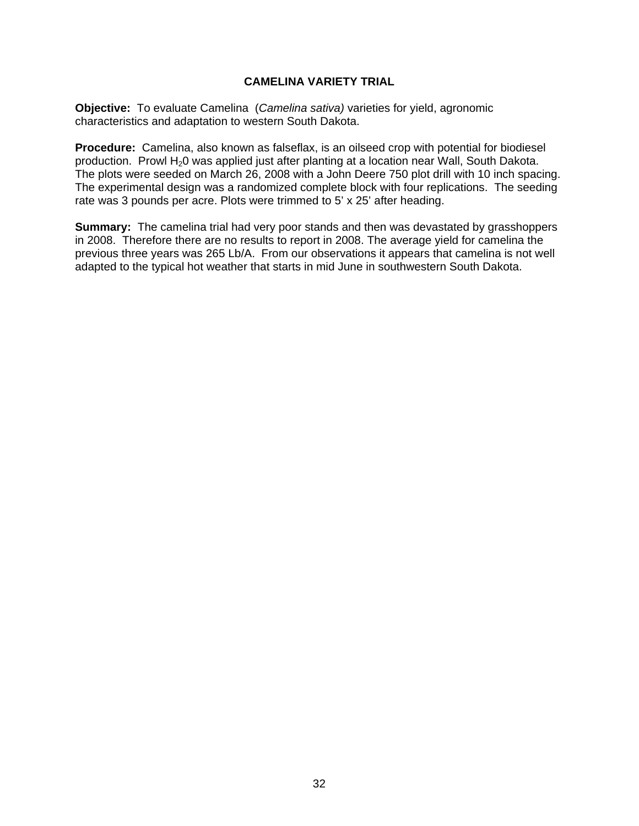# **CAMELINA VARIETY TRIAL**

**Objective:** To evaluate Camelina (*Camelina sativa)* varieties for yield, agronomic characteristics and adaptation to western South Dakota.

**Procedure:** Camelina, also known as falseflax, is an oilseed crop with potential for biodiesel production. Prowl H<sub>2</sub>0 was applied just after planting at a location near Wall, South Dakota. The plots were seeded on March 26, 2008 with a John Deere 750 plot drill with 10 inch spacing. The experimental design was a randomized complete block with four replications. The seeding rate was 3 pounds per acre. Plots were trimmed to 5' x 25' after heading.

**Summary:** The camelina trial had very poor stands and then was devastated by grasshoppers in 2008. Therefore there are no results to report in 2008. The average yield for camelina the previous three years was 265 Lb/A. From our observations it appears that camelina is not well adapted to the typical hot weather that starts in mid June in southwestern South Dakota.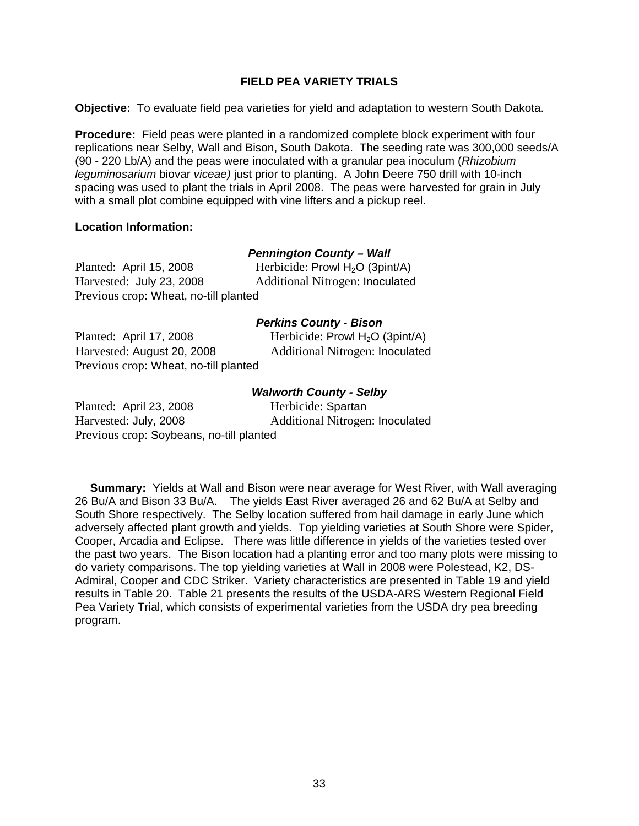### **FIELD PEA VARIETY TRIALS**

**Objective:** To evaluate field pea varieties for yield and adaptation to western South Dakota.

**Procedure:** Field peas were planted in a randomized complete block experiment with four replications near Selby, Wall and Bison, South Dakota. The seeding rate was 300,000 seeds/A (90 - 220 Lb/A) and the peas were inoculated with a granular pea inoculum (*Rhizobium leguminosarium* biovar *viceae)* just prior to planting. A John Deere 750 drill with 10-inch spacing was used to plant the trials in April 2008. The peas were harvested for grain in July with a small plot combine equipped with vine lifters and a pickup reel.

### **Location Information:**

# *Pennington County – Wall*

Planted: April 15, 2008 Herbicide: Prowl H<sub>2</sub>O (3pint/A) Harvested: July 23, 2008 Additional Nitrogen: Inoculated Previous crop: Wheat, no-till planted

### *Perkins County - Bison*

Planted: April 17, 2008 Herbicide: Prowl H<sub>2</sub>O (3pint/A) Harvested: August 20, 2008 Additional Nitrogen: Inoculated Previous crop: Wheat, no-till planted

# *Walworth County - Selby*

Planted: April 23, 2008 Herbicide: Spartan Harvested: July, 2008 Additional Nitrogen: Inoculated Previous crop: Soybeans, no-till planted

**Summary:** Yields at Wall and Bison were near average for West River, with Wall averaging 26 Bu/A and Bison 33 Bu/A. The yields East River averaged 26 and 62 Bu/A at Selby and South Shore respectively. The Selby location suffered from hail damage in early June which adversely affected plant growth and yields. Top yielding varieties at South Shore were Spider, Cooper, Arcadia and Eclipse. There was little difference in yields of the varieties tested over the past two years. The Bison location had a planting error and too many plots were missing to do variety comparisons. The top yielding varieties at Wall in 2008 were Polestead, K2, DS-Admiral, Cooper and CDC Striker. Variety characteristics are presented in Table 19 and yield results in Table 20. Table 21 presents the results of the USDA-ARS Western Regional Field Pea Variety Trial, which consists of experimental varieties from the USDA dry pea breeding program.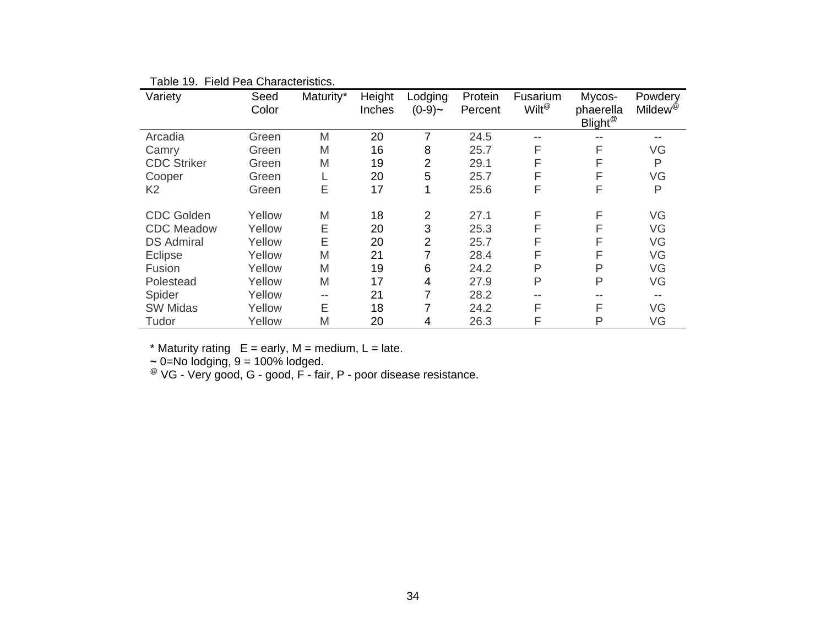| Variety            | Seed<br>Color | Maturity* | Height<br>Inches | Lodging<br>$(0-9)-$ | Protein<br>Percent | Fusarium<br>Wilt <sup>@</sup> | Mycos-<br>phaerella<br>Blight <sup>@</sup> | Powdery<br>Mildew <sup>@</sup> |
|--------------------|---------------|-----------|------------------|---------------------|--------------------|-------------------------------|--------------------------------------------|--------------------------------|
| Arcadia            | Green         | M         | 20               | 7                   | 24.5               | --                            |                                            |                                |
| Camry              | Green         | M         | 16               | 8                   | 25.7               | F                             | F                                          | VG                             |
| <b>CDC Striker</b> | Green         | M         | 19               | 2                   | 29.1               | F                             | F                                          | P                              |
| Cooper             | Green         |           | 20               | 5                   | 25.7               | F                             | F                                          | VG                             |
| K <sub>2</sub>     | Green         | E         | 17               | 1                   | 25.6               | F                             | F                                          | P                              |
| <b>CDC Golden</b>  | Yellow        | M         | 18               | $\overline{2}$      | 27.1               | F                             | F                                          | VG                             |
| <b>CDC</b> Meadow  | Yellow        | Ε         | 20               | 3                   | 25.3               | F                             | F                                          | VG                             |
| <b>DS Admiral</b>  | Yellow        | E         | 20               | 2                   | 25.7               | F                             | F                                          | VG                             |
| Eclipse            | Yellow        | M         | 21               | 7                   | 28.4               | F                             | F                                          | VG                             |
| Fusion             | Yellow        | M         | 19               | 6                   | 24.2               | Ρ                             | P                                          | VG                             |
| Polestead          | Yellow        | M         | 17               | 4                   | 27.9               | P                             | P                                          | VG                             |
| Spider             | Yellow        | --        | 21               | 7                   | 28.2               | --                            |                                            |                                |
| <b>SW Midas</b>    | Yellow        | E         | 18               | 7                   | 24.2               | F                             | F                                          | VG                             |
| Tudor              | Yellow        | M         | 20               | 4                   | 26.3               | F                             | P                                          | VG                             |

Table 19. Field Pea Characteristics.

 $*$  Maturity rating  $E =$  early, M = medium, L = late.

 **<sup>~</sup>** 0=No lodging, 9 = 100% lodged.

 $^{\circledR}$  VG - Very good, G - good, F - fair, P - poor disease resistance.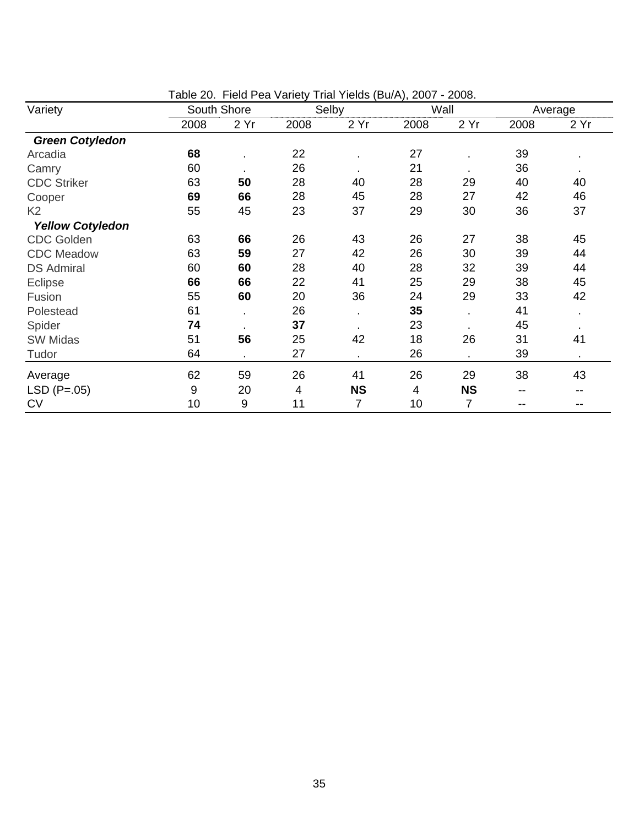|                         |      |             | Table 20. Field Fea Vallety That Tielus (Du/A), 2007 - 2006. |                |      |           |      |         |
|-------------------------|------|-------------|--------------------------------------------------------------|----------------|------|-----------|------|---------|
| Variety                 |      | South Shore |                                                              | Selby          |      | Wall      |      | Average |
|                         | 2008 | 2 Yr        | 2008                                                         | 2 Yr           | 2008 | 2 Yr      | 2008 | 2 Yr    |
| <b>Green Cotyledon</b>  |      |             |                                                              |                |      |           |      |         |
| Arcadia                 | 68   |             | 22                                                           |                | 27   |           | 39   |         |
| Camry                   | 60   |             | 26                                                           |                | 21   |           | 36   |         |
| <b>CDC Striker</b>      | 63   | 50          | 28                                                           | 40             | 28   | 29        | 40   | 40      |
| Cooper                  | 69   | 66          | 28                                                           | 45             | 28   | 27        | 42   | 46      |
| K <sub>2</sub>          | 55   | 45          | 23                                                           | 37             | 29   | 30        | 36   | 37      |
| <b>Yellow Cotyledon</b> |      |             |                                                              |                |      |           |      |         |
| <b>CDC Golden</b>       | 63   | 66          | 26                                                           | 43             | 26   | 27        | 38   | 45      |
| <b>CDC</b> Meadow       | 63   | 59          | 27                                                           | 42             | 26   | 30        | 39   | 44      |
| <b>DS Admiral</b>       | 60   | 60          | 28                                                           | 40             | 28   | 32        | 39   | 44      |
| Eclipse                 | 66   | 66          | 22                                                           | 41             | 25   | 29        | 38   | 45      |
| Fusion                  | 55   | 60          | 20                                                           | 36             | 24   | 29        | 33   | 42      |
| Polestead               | 61   |             | 26                                                           | ä,             | 35   | ä.        | 41   |         |
| Spider                  | 74   |             | 37                                                           | $\bullet$      | 23   |           | 45   |         |
| SW Midas                | 51   | 56          | 25                                                           | 42             | 18   | 26        | 31   | 41      |
| Tudor                   | 64   |             | 27                                                           | $\blacksquare$ | 26   |           | 39   |         |
| Average                 | 62   | 59          | 26                                                           | 41             | 26   | 29        | 38   | 43      |
| $LSD (P=.05)$           | 9    | 20          | 4                                                            | <b>NS</b>      | 4    | <b>NS</b> | --   |         |
| <b>CV</b>               | 10   | 9           | 11                                                           | 7              | 10   | 7         | --   | --      |

Table 20. Field Pea Variety Trial Yields (Bu/A), 2007 - 2008.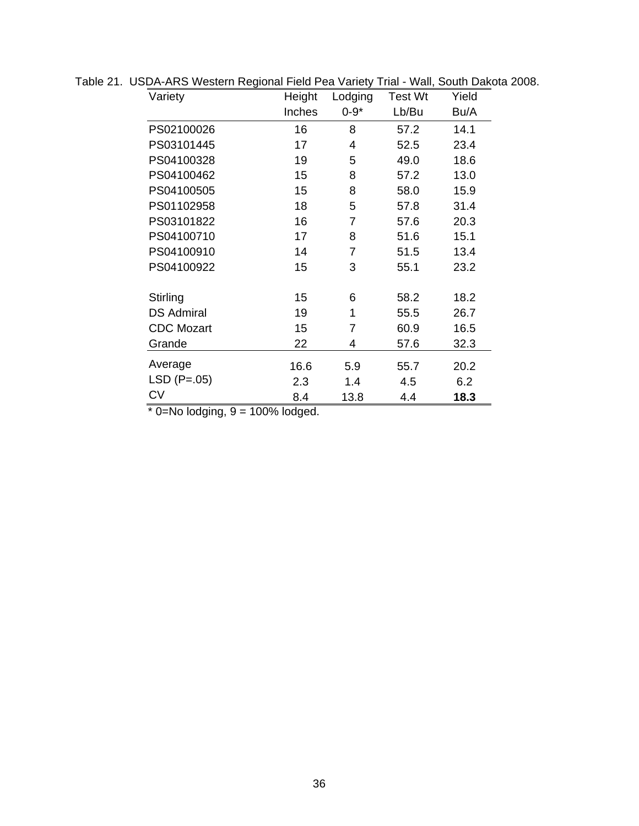| Variety           | Height | Lodging        | Test Wt | Yield |
|-------------------|--------|----------------|---------|-------|
|                   | Inches | $0 - 9*$       | Lb/Bu   | Bu/A  |
| PS02100026        | 16     | 8              | 57.2    | 14.1  |
| PS03101445        | 17     | 4              | 52.5    | 23.4  |
| PS04100328        | 19     | 5              | 49.0    | 18.6  |
| PS04100462        | 15     | 8              | 57.2    | 13.0  |
| PS04100505        | 15     | 8              | 58.0    | 15.9  |
| PS01102958        | 18     | 5              | 57.8    | 31.4  |
| PS03101822        | 16     | $\overline{7}$ | 57.6    | 20.3  |
| PS04100710        | 17     | 8              | 51.6    | 15.1  |
| PS04100910        | 14     | $\overline{7}$ | 51.5    | 13.4  |
| PS04100922        | 15     | 3              | 55.1    | 23.2  |
| Stirling          | 15     | 6              | 58.2    | 18.2  |
| <b>DS Admiral</b> | 19     | 1              | 55.5    | 26.7  |
| <b>CDC Mozart</b> | 15     | 7              | 60.9    | 16.5  |
| Grande            | 22     | 4              | 57.6    | 32.3  |
| Average           | 16.6   | 5.9            | 55.7    | 20.2  |
| $LSD (P=.05)$     | 2.3    | 1.4            | 4.5     | 6.2   |
| СV                | 8.4    | 13.8           | 4.4     | 18.3  |

Table 21. USDA-ARS Western Regional Field Pea Variety Trial - Wall, South Dakota 2008.

 $*$  0=No lodging, 9 = 100% lodged.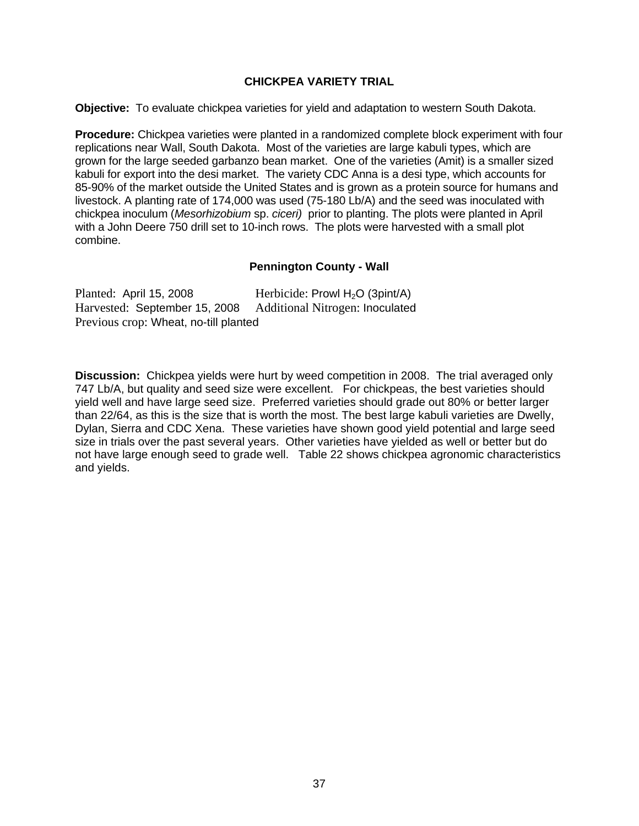# **CHICKPEA VARIETY TRIAL**

**Objective:** To evaluate chickpea varieties for yield and adaptation to western South Dakota.

**Procedure:** Chickpea varieties were planted in a randomized complete block experiment with four replications near Wall, South Dakota. Most of the varieties are large kabuli types, which are grown for the large seeded garbanzo bean market. One of the varieties (Amit) is a smaller sized kabuli for export into the desi market. The variety CDC Anna is a desi type, which accounts for 85-90% of the market outside the United States and is grown as a protein source for humans and livestock. A planting rate of 174,000 was used (75-180 Lb/A) and the seed was inoculated with chickpea inoculum (*Mesorhizobium* sp. *ciceri)* prior to planting. The plots were planted in April with a John Deere 750 drill set to 10-inch rows. The plots were harvested with a small plot combine.

# **Pennington County - Wall**

| Planted: April 15, 2008               | Herbicide: Prowl $H_2O$ (3pint/A) |
|---------------------------------------|-----------------------------------|
| Harvested: September 15, 2008         | Additional Nitrogen: Inoculated   |
| Previous crop: Wheat, no-till planted |                                   |

**Discussion:** Chickpea yields were hurt by weed competition in 2008. The trial averaged only 747 Lb/A, but quality and seed size were excellent. For chickpeas, the best varieties should yield well and have large seed size. Preferred varieties should grade out 80% or better larger than 22/64, as this is the size that is worth the most. The best large kabuli varieties are Dwelly, Dylan, Sierra and CDC Xena. These varieties have shown good yield potential and large seed size in trials over the past several years. Other varieties have yielded as well or better but do not have large enough seed to grade well. Table 22 shows chickpea agronomic characteristics and yields.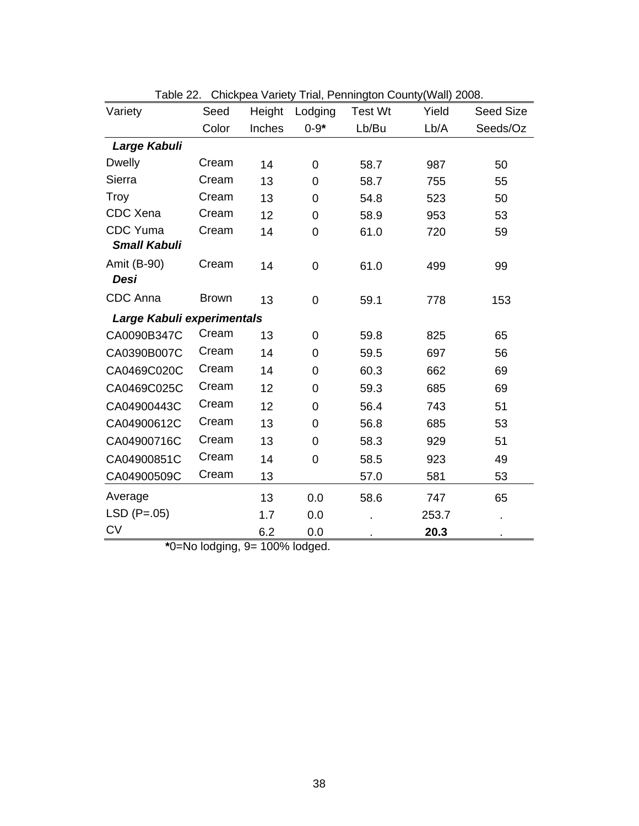| Variety                    | Seed         | Height | Lodging        | rabic zz. Onickpca variety riiai, i chiniigton Obanty(vvali) zood.<br>Test Wt | Yield | <b>Seed Size</b> |
|----------------------------|--------------|--------|----------------|-------------------------------------------------------------------------------|-------|------------------|
|                            | Color        | Inches | $0 - 9*$       | Lb/Bu                                                                         | Lb/A  | Seeds/Oz         |
| Large Kabuli               |              |        |                |                                                                               |       |                  |
| <b>Dwelly</b>              | Cream        | 14     | $\mathbf 0$    | 58.7                                                                          | 987   | 50               |
| Sierra                     | Cream        | 13     | 0              | 58.7                                                                          | 755   | 55               |
| <b>Troy</b>                | Cream        | 13     | 0              | 54.8                                                                          | 523   | 50               |
| CDC Xena                   | Cream        | 12     | 0              | 58.9                                                                          | 953   | 53               |
| <b>CDC</b> Yuma            | Cream        | 14     | 0              | 61.0                                                                          | 720   | 59               |
| <b>Small Kabuli</b>        |              |        |                |                                                                               |       |                  |
| Amit (B-90)                | Cream        | 14     | $\mathbf 0$    | 61.0                                                                          | 499   | 99               |
| Desi                       |              |        |                |                                                                               |       |                  |
| <b>CDC</b> Anna            | <b>Brown</b> | 13     | $\overline{0}$ | 59.1                                                                          | 778   | 153              |
| Large Kabuli experimentals |              |        |                |                                                                               |       |                  |
| CA0090B347C                | Cream        | 13     | $\mathbf 0$    | 59.8                                                                          | 825   | 65               |
| CA0390B007C                | Cream        | 14     | $\overline{0}$ | 59.5                                                                          | 697   | 56               |
| CA0469C020C                | Cream        | 14     | 0              | 60.3                                                                          | 662   | 69               |
| CA0469C025C                | Cream        | 12     | 0              | 59.3                                                                          | 685   | 69               |
| CA04900443C                | Cream        | 12     | 0              | 56.4                                                                          | 743   | 51               |
| CA04900612C                | Cream        | 13     | 0              | 56.8                                                                          | 685   | 53               |
| CA04900716C                | Cream        | 13     | $\overline{0}$ | 58.3                                                                          | 929   | 51               |
| CA04900851C                | Cream        | 14     | 0              | 58.5                                                                          | 923   | 49               |
| CA04900509C                | Cream        | 13     |                | 57.0                                                                          | 581   | 53               |
| Average                    |              | 13     | 0.0            | 58.6                                                                          | 747   | 65               |
| $LSD (P=.05)$              |              | 1.7    | 0.0            |                                                                               | 253.7 |                  |
| <b>CV</b>                  |              | 6.2    | 0.0            |                                                                               | 20.3  |                  |

Table 22. Chickpea Variety Trial, Pennington County(Wall) 2008.

**\***0=No lodging, 9= 100% lodged.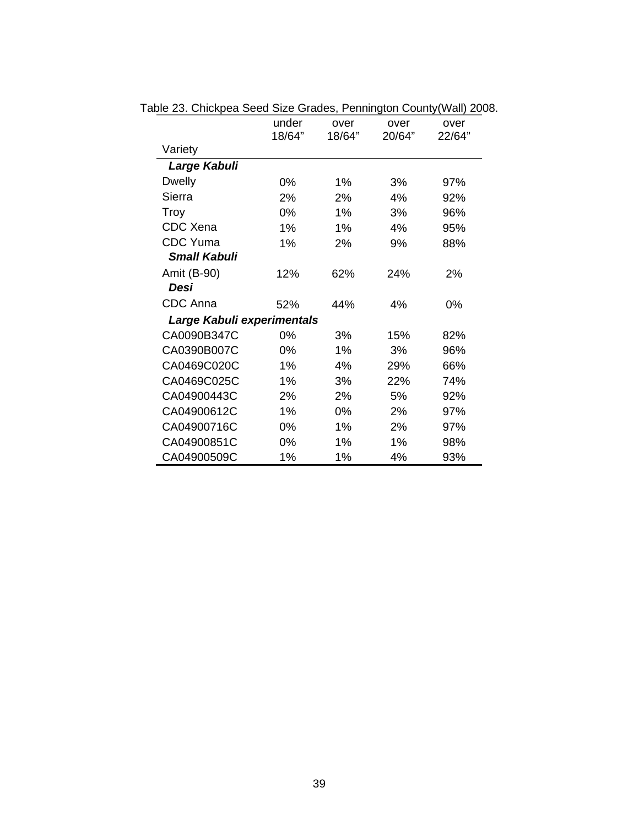|                            | under  | over   | over   | over   |
|----------------------------|--------|--------|--------|--------|
|                            | 18/64" | 18/64" | 20/64" | 22/64" |
| Variety                    |        |        |        |        |
| Large Kabuli               |        |        |        |        |
| <b>Dwelly</b>              | 0%     | 1%     | 3%     | 97%    |
| Sierra                     | 2%     | 2%     | 4%     | 92%    |
| Troy                       | 0%     | 1%     | 3%     | 96%    |
| CDC Xena                   | 1%     | 1%     | 4%     | 95%    |
| <b>CDC</b> Yuma            | 1%     | 2%     | 9%     | 88%    |
| <b>Small Kabuli</b>        |        |        |        |        |
| Amit (B-90)                | 12%    | 62%    | 24%    | 2%     |
| Desi                       |        |        |        |        |
| CDC Anna                   | 52%    | 44%    | 4%     | 0%     |
| Large Kabuli experimentals |        |        |        |        |
| CA0090B347C                | 0%     | 3%     | 15%    | 82%    |
| CA0390B007C                | 0%     | 1%     | 3%     | 96%    |
| CA0469C020C                | 1%     | 4%     | 29%    | 66%    |
| CA0469C025C                | 1%     | 3%     | 22%    | 74%    |
| CA04900443C                | 2%     | 2%     | 5%     | 92%    |
| CA04900612C                | 1%     | 0%     | 2%     | 97%    |
| CA04900716C                | 0%     | 1%     | 2%     | 97%    |
| CA04900851C                | 0%     | 1%     | 1%     | 98%    |
| CA04900509C                | 1%     | 1%     | 4%     | 93%    |

Table 23. Chickpea Seed Size Grades, Pennington County(Wall) 2008.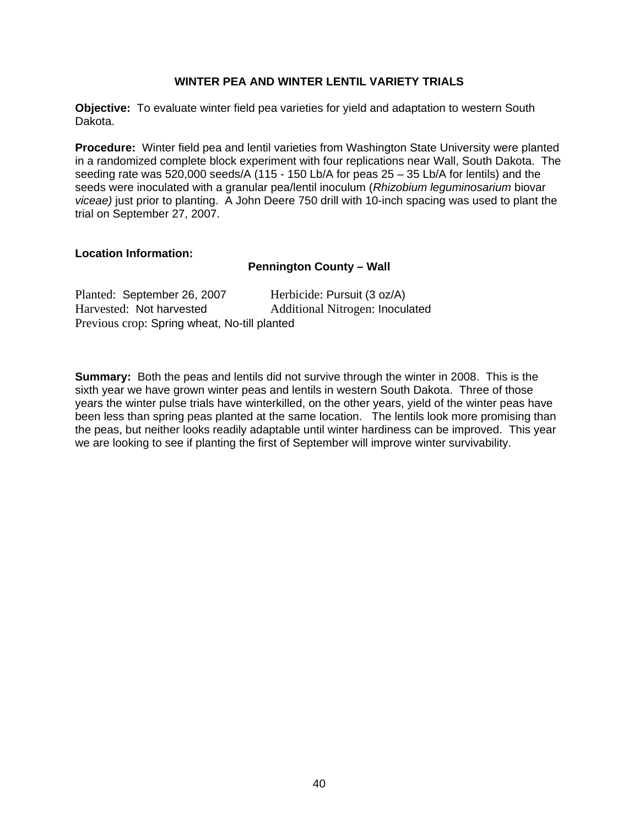### **WINTER PEA AND WINTER LENTIL VARIETY TRIALS**

**Objective:** To evaluate winter field pea varieties for yield and adaptation to western South Dakota.

**Procedure:** Winter field pea and lentil varieties from Washington State University were planted in a randomized complete block experiment with four replications near Wall, South Dakota. The seeding rate was 520,000 seeds/A (115 - 150 Lb/A for peas 25 – 35 Lb/A for lentils) and the seeds were inoculated with a granular pea/lentil inoculum (*Rhizobium leguminosarium* biovar *viceae)* just prior to planting. A John Deere 750 drill with 10-inch spacing was used to plant the trial on September 27, 2007.

### **Location Information:**

### **Pennington County – Wall**

| Planted: September 26, 2007                  | Herbicide: Pursuit (3 oz/A)     |
|----------------------------------------------|---------------------------------|
| Harvested: Not harvested                     | Additional Nitrogen: Inoculated |
| Previous crop: Spring wheat, No-till planted |                                 |

**Summary:** Both the peas and lentils did not survive through the winter in 2008. This is the sixth year we have grown winter peas and lentils in western South Dakota. Three of those years the winter pulse trials have winterkilled, on the other years, yield of the winter peas have been less than spring peas planted at the same location. The lentils look more promising than the peas, but neither looks readily adaptable until winter hardiness can be improved. This year we are looking to see if planting the first of September will improve winter survivability.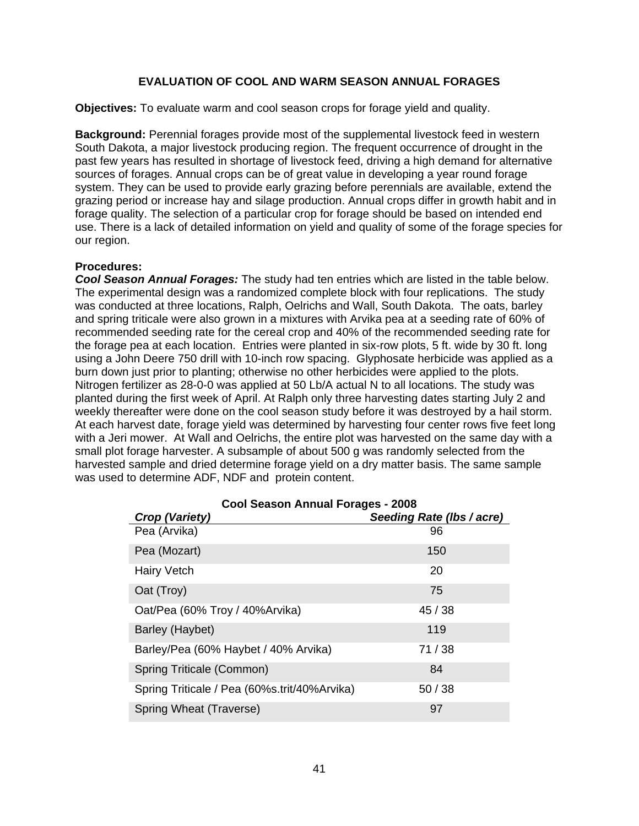# **EVALUATION OF COOL AND WARM SEASON ANNUAL FORAGES**

**Objectives:** To evaluate warm and cool season crops for forage yield and quality.

**Background:** Perennial forages provide most of the supplemental livestock feed in western South Dakota, a major livestock producing region. The frequent occurrence of drought in the past few years has resulted in shortage of livestock feed, driving a high demand for alternative sources of forages. Annual crops can be of great value in developing a year round forage system. They can be used to provide early grazing before perennials are available, extend the grazing period or increase hay and silage production. Annual crops differ in growth habit and in forage quality. The selection of a particular crop for forage should be based on intended end use. There is a lack of detailed information on yield and quality of some of the forage species for our region.

### **Procedures:**

*Cool Season Annual Forages:* The study had ten entries which are listed in the table below. The experimental design was a randomized complete block with four replications. The study was conducted at three locations, Ralph, Oelrichs and Wall, South Dakota. The oats, barley and spring triticale were also grown in a mixtures with Arvika pea at a seeding rate of 60% of recommended seeding rate for the cereal crop and 40% of the recommended seeding rate for the forage pea at each location. Entries were planted in six-row plots, 5 ft. wide by 30 ft. long using a John Deere 750 drill with 10-inch row spacing. Glyphosate herbicide was applied as a burn down just prior to planting; otherwise no other herbicides were applied to the plots. Nitrogen fertilizer as 28-0-0 was applied at 50 Lb/A actual N to all locations. The study was planted during the first week of April. At Ralph only three harvesting dates starting July 2 and weekly thereafter were done on the cool season study before it was destroyed by a hail storm. At each harvest date, forage yield was determined by harvesting four center rows five feet long with a Jeri mower. At Wall and Oelrichs, the entire plot was harvested on the same day with a small plot forage harvester. A subsample of about 500 g was randomly selected from the harvested sample and dried determine forage yield on a dry matter basis. The same sample was used to determine ADF, NDF and protein content.

| Cool Season Annual Forages - 2008            |                           |  |  |  |  |  |  |
|----------------------------------------------|---------------------------|--|--|--|--|--|--|
| <b>Crop (Variety)</b>                        | Seeding Rate (Ibs / acre) |  |  |  |  |  |  |
| Pea (Arvika)                                 | 96                        |  |  |  |  |  |  |
| Pea (Mozart)                                 | 150                       |  |  |  |  |  |  |
| <b>Hairy Vetch</b>                           | 20                        |  |  |  |  |  |  |
| Oat (Troy)                                   | 75                        |  |  |  |  |  |  |
| Oat/Pea (60% Troy / 40% Arvika)              | 45/38                     |  |  |  |  |  |  |
| Barley (Haybet)                              | 119                       |  |  |  |  |  |  |
| Barley/Pea (60% Haybet / 40% Arvika)         | 71/38                     |  |  |  |  |  |  |
| Spring Triticale (Common)                    | 84                        |  |  |  |  |  |  |
| Spring Triticale / Pea (60%s.trit/40%Arvika) | 50/38                     |  |  |  |  |  |  |
| Spring Wheat (Traverse)                      | 97                        |  |  |  |  |  |  |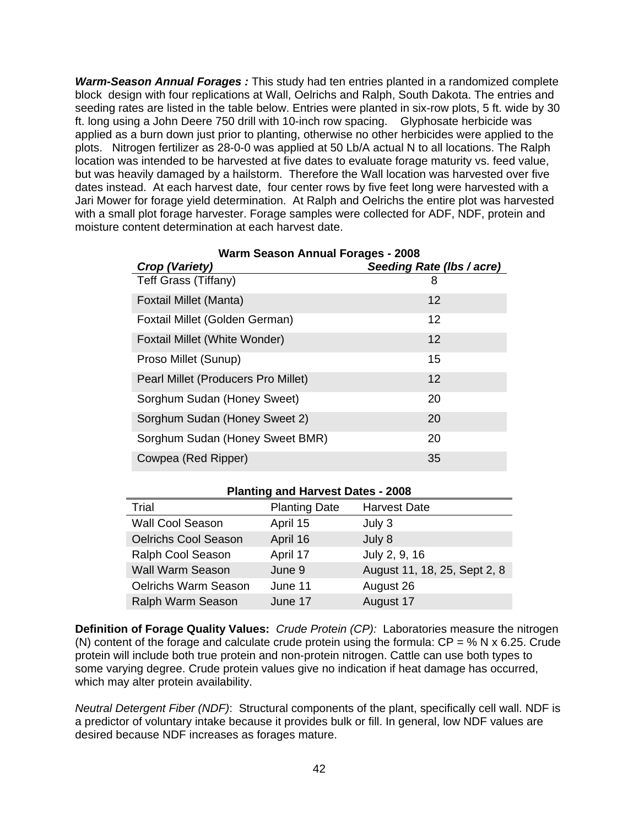*Warm-Season Annual Forages :* This study had ten entries planted in a randomized complete block design with four replications at Wall, Oelrichs and Ralph, South Dakota. The entries and seeding rates are listed in the table below. Entries were planted in six-row plots, 5 ft. wide by 30 ft. long using a John Deere 750 drill with 10-inch row spacing. Glyphosate herbicide was applied as a burn down just prior to planting, otherwise no other herbicides were applied to the plots. Nitrogen fertilizer as 28-0-0 was applied at 50 Lb/A actual N to all locations. The Ralph location was intended to be harvested at five dates to evaluate forage maturity vs. feed value, but was heavily damaged by a hailstorm. Therefore the Wall location was harvested over five dates instead. At each harvest date, four center rows by five feet long were harvested with a Jari Mower for forage yield determination. At Ralph and Oelrichs the entire plot was harvested with a small plot forage harvester. Forage samples were collected for ADF, NDF, protein and moisture content determination at each harvest date.

| Crop (Variety)                      | Seeding Rate (Ibs / acre) |
|-------------------------------------|---------------------------|
| Teff Grass (Tiffany)                | 8                         |
| Foxtail Millet (Manta)              | 12                        |
| Foxtail Millet (Golden German)      | 12                        |
| Foxtail Millet (White Wonder)       | 12                        |
| Proso Millet (Sunup)                | 15                        |
| Pearl Millet (Producers Pro Millet) | 12                        |
| Sorghum Sudan (Honey Sweet)         | 20                        |
| Sorghum Sudan (Honey Sweet 2)       | 20                        |
| Sorghum Sudan (Honey Sweet BMR)     | 20                        |
| Cowpea (Red Ripper)                 | 35                        |

# **Warm Season Annual Forages - 2008**

#### **Planting and Harvest Dates - 2008**

| Trial                       | <b>Planting Date</b> | <b>Harvest Date</b>          |
|-----------------------------|----------------------|------------------------------|
| Wall Cool Season            | April 15             | July 3                       |
| <b>Oelrichs Cool Season</b> | April 16             | July 8                       |
| Ralph Cool Season           | April 17             | July 2, 9, 16                |
| <b>Wall Warm Season</b>     | June 9               | August 11, 18, 25, Sept 2, 8 |
| <b>Oelrichs Warm Season</b> | June 11              | August 26                    |
| Ralph Warm Season           | June 17              | August 17                    |

**Definition of Forage Quality Values:** *Crude Protein (CP):* Laboratories measure the nitrogen (N) content of the forage and calculate crude protein using the formula:  $CP = \% N \times 6.25$ . Crude protein will include both true protein and non-protein nitrogen. Cattle can use both types to some varying degree. Crude protein values give no indication if heat damage has occurred, which may alter protein availability.

*Neutral Detergent Fiber (NDF)*: Structural components of the plant, specifically cell wall. NDF is a predictor of voluntary intake because it provides bulk or fill. In general, low NDF values are desired because NDF increases as forages mature.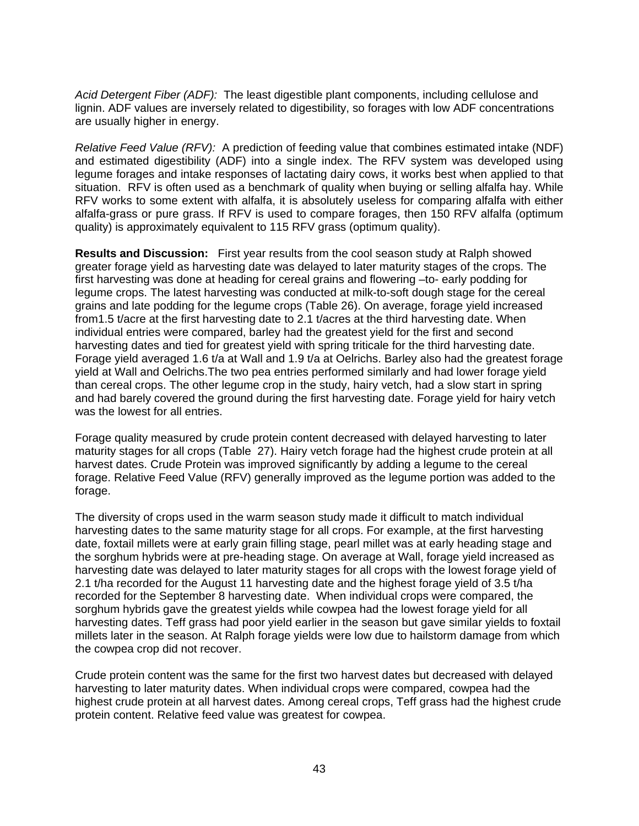*Acid Detergent Fiber (ADF):* The least digestible plant components, including cellulose and lignin. ADF values are inversely related to digestibility, so forages with low ADF concentrations are usually higher in energy.

*Relative Feed Value (RFV):* A prediction of feeding value that combines estimated intake (NDF) and estimated digestibility (ADF) into a single index. The RFV system was developed using legume forages and intake responses of lactating dairy cows, it works best when applied to that situation. RFV is often used as a benchmark of quality when buying or selling alfalfa hay. While RFV works to some extent with alfalfa, it is absolutely useless for comparing alfalfa with either alfalfa-grass or pure grass. If RFV is used to compare forages, then 150 RFV alfalfa (optimum quality) is approximately equivalent to 115 RFV grass (optimum quality).

**Results and Discussion:** First year results from the cool season study at Ralph showed greater forage yield as harvesting date was delayed to later maturity stages of the crops. The first harvesting was done at heading for cereal grains and flowering –to- early podding for legume crops. The latest harvesting was conducted at milk-to-soft dough stage for the cereal grains and late podding for the legume crops (Table 26). On average, forage yield increased from1.5 t/acre at the first harvesting date to 2.1 t/acres at the third harvesting date. When individual entries were compared, barley had the greatest yield for the first and second harvesting dates and tied for greatest yield with spring triticale for the third harvesting date. Forage yield averaged 1.6 t/a at Wall and 1.9 t/a at Oelrichs. Barley also had the greatest forage yield at Wall and Oelrichs.The two pea entries performed similarly and had lower forage yield than cereal crops. The other legume crop in the study, hairy vetch, had a slow start in spring and had barely covered the ground during the first harvesting date. Forage yield for hairy vetch was the lowest for all entries.

Forage quality measured by crude protein content decreased with delayed harvesting to later maturity stages for all crops (Table 27). Hairy vetch forage had the highest crude protein at all harvest dates. Crude Protein was improved significantly by adding a legume to the cereal forage. Relative Feed Value (RFV) generally improved as the legume portion was added to the forage.

The diversity of crops used in the warm season study made it difficult to match individual harvesting dates to the same maturity stage for all crops. For example, at the first harvesting date, foxtail millets were at early grain filling stage, pearl millet was at early heading stage and the sorghum hybrids were at pre-heading stage. On average at Wall, forage yield increased as harvesting date was delayed to later maturity stages for all crops with the lowest forage yield of 2.1 t/ha recorded for the August 11 harvesting date and the highest forage yield of 3.5 t/ha recorded for the September 8 harvesting date. When individual crops were compared, the sorghum hybrids gave the greatest yields while cowpea had the lowest forage yield for all harvesting dates. Teff grass had poor yield earlier in the season but gave similar yields to foxtail millets later in the season. At Ralph forage yields were low due to hailstorm damage from which the cowpea crop did not recover.

Crude protein content was the same for the first two harvest dates but decreased with delayed harvesting to later maturity dates. When individual crops were compared, cowpea had the highest crude protein at all harvest dates. Among cereal crops, Teff grass had the highest crude protein content. Relative feed value was greatest for cowpea.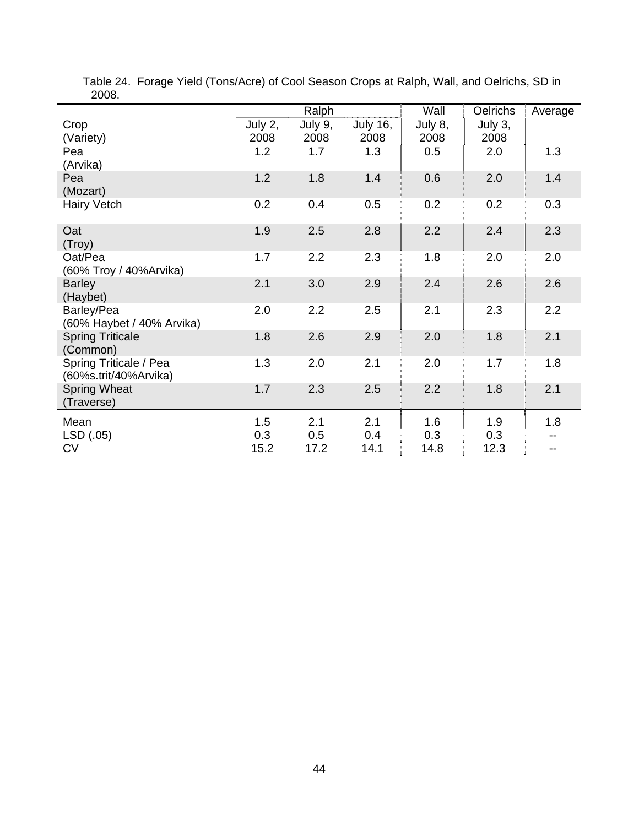|                                                 | Ralph   |         |                 | Wall    | <b>Oelrichs</b> | Average |
|-------------------------------------------------|---------|---------|-----------------|---------|-----------------|---------|
| Crop                                            | July 2, | July 9, | <b>July 16,</b> | July 8, | July 3,         |         |
| (Variety)                                       | 2008    | 2008    | 2008            | 2008    | 2008            |         |
| Pea                                             | 1.2     | 1.7     | 1.3             | 0.5     | 2.0             | 1.3     |
| (Arvika)                                        |         |         |                 |         |                 |         |
| Pea<br>(Mozart)                                 | 1.2     | 1.8     | 1.4             | 0.6     | 2.0             | 1.4     |
| <b>Hairy Vetch</b>                              | 0.2     | 0.4     | 0.5             | 0.2     | 0.2             | 0.3     |
| Oat<br>(Troy)                                   | 1.9     | 2.5     | 2.8             | 2.2     | 2.4             | 2.3     |
| Oat/Pea<br>(60% Troy / 40% Arvika)              | 1.7     | 2.2     | 2.3             | 1.8     | 2.0             | 2.0     |
| <b>Barley</b><br>(Haybet)                       | 2.1     | 3.0     | 2.9             | 2.4     | 2.6             | 2.6     |
| Barley/Pea<br>(60% Haybet / 40% Arvika)         | 2.0     | 2.2     | 2.5             | 2.1     | 2.3             | 2.2     |
| <b>Spring Triticale</b><br>(Common)             | 1.8     | 2.6     | 2.9             | 2.0     | 1.8             | 2.1     |
| Spring Triticale / Pea<br>(60%s.trit/40%Arvika) | 1.3     | 2.0     | 2.1             | 2.0     | 1.7             | 1.8     |
| <b>Spring Wheat</b><br>(Traverse)               | 1.7     | 2.3     | 2.5             | 2.2     | 1.8             | 2.1     |
| Mean                                            | 1.5     | 2.1     | 2.1             | 1.6     | 1.9             | 1.8     |
| LSD (.05)                                       | 0.3     | 0.5     | 0.4             | 0.3     | 0.3             |         |
| <b>CV</b>                                       | 15.2    | 17.2    | 14.1            | 14.8    | 12.3            | $-$     |

 Table 24. Forage Yield (Tons/Acre) of Cool Season Crops at Ralph, Wall, and Oelrichs, SD in 2008.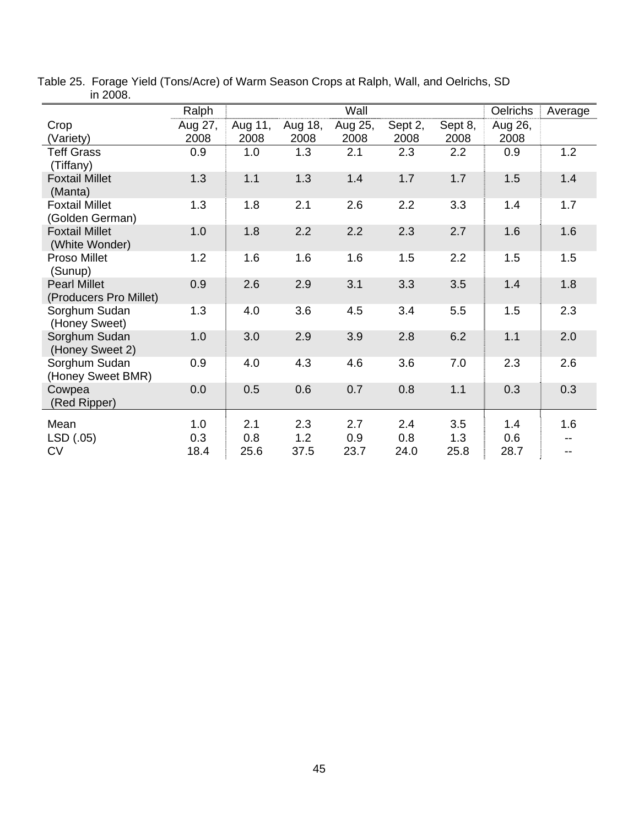|                                               | Ralph   |         |         | Wall    |         |         | <b>Oelrichs</b> | Average |
|-----------------------------------------------|---------|---------|---------|---------|---------|---------|-----------------|---------|
| Crop                                          | Aug 27, | Aug 11, | Aug 18, | Aug 25, | Sept 2, | Sept 8, | Aug 26,         |         |
| (Variety)                                     | 2008    | 2008    | 2008    | 2008    | 2008    | 2008    | 2008            |         |
| <b>Teff Grass</b><br>(Tiffany)                | 0.9     | 1.0     | 1.3     | 2.1     | 2.3     | 2.2     | 0.9             | 1.2     |
| <b>Foxtail Millet</b><br>(Manta)              | 1.3     | 1.1     | 1.3     | 1.4     | 1.7     | 1.7     | 1.5             | 1.4     |
| <b>Foxtail Millet</b><br>(Golden German)      | 1.3     | 1.8     | 2.1     | 2.6     | 2.2     | 3.3     | 1.4             | 1.7     |
| <b>Foxtail Millet</b><br>(White Wonder)       | 1.0     | 1.8     | 2.2     | 2.2     | 2.3     | 2.7     | 1.6             | 1.6     |
| Proso Millet<br>(Sunup)                       | 1.2     | 1.6     | 1.6     | 1.6     | 1.5     | 2.2     | 1.5             | 1.5     |
| <b>Pearl Millet</b><br>(Producers Pro Millet) | 0.9     | 2.6     | 2.9     | 3.1     | 3.3     | 3.5     | 1.4             | 1.8     |
| Sorghum Sudan<br>(Honey Sweet)                | 1.3     | 4.0     | 3.6     | 4.5     | 3.4     | 5.5     | 1.5             | 2.3     |
| Sorghum Sudan<br>(Honey Sweet 2)              | 1.0     | 3.0     | 2.9     | 3.9     | 2.8     | 6.2     | 1.1             | 2.0     |
| Sorghum Sudan<br>(Honey Sweet BMR)            | 0.9     | 4.0     | 4.3     | 4.6     | 3.6     | 7.0     | 2.3             | 2.6     |
| Cowpea<br>(Red Ripper)                        | 0.0     | 0.5     | 0.6     | 0.7     | 0.8     | 1.1     | 0.3             | 0.3     |
| Mean                                          | 1.0     | 2.1     | 2.3     | 2.7     | 2.4     | 3.5     | 1.4             | 1.6     |
| LSD (.05)                                     | 0.3     | 0.8     | 1.2     | 0.9     | 0.8     | 1.3     | 0.6             |         |
| <b>CV</b>                                     | 18.4    | 25.6    | 37.5    | 23.7    | 24.0    | 25.8    | 28.7            |         |

Table 25. Forage Yield (Tons/Acre) of Warm Season Crops at Ralph, Wall, and Oelrichs, SD in 2008.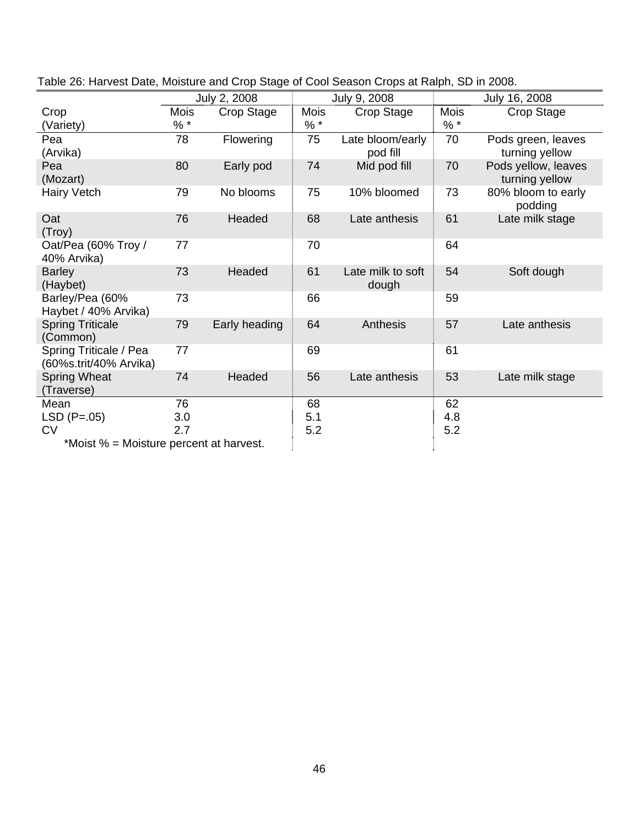|                                                  |       | July 2, 2008  |             | July 9, 2008                 |       | July 16, 2008                         |
|--------------------------------------------------|-------|---------------|-------------|------------------------------|-------|---------------------------------------|
| Crop                                             | Mois  | Crop Stage    | <b>Mois</b> | Crop Stage                   | Mois  | Crop Stage                            |
| (Variety)                                        | $% *$ |               | $%$ *       |                              | $%$ * |                                       |
| Pea<br>(Arvika)                                  | 78    | Flowering     | 75          | Late bloom/early<br>pod fill | 70    | Pods green, leaves<br>turning yellow  |
| Pea<br>(Mozart)                                  | 80    | Early pod     | 74          | Mid pod fill                 | 70    | Pods yellow, leaves<br>turning yellow |
| Hairy Vetch                                      | 79    | No blooms     | 75          | 10% bloomed                  | 73    | 80% bloom to early<br>podding         |
| Oat<br>(Troy)                                    | 76    | Headed        | 68          | Late anthesis                | 61    | Late milk stage                       |
| Oat/Pea (60% Troy /<br>40% Arvika)               | 77    |               | 70          |                              | 64    |                                       |
| <b>Barley</b><br>(Haybet)                        | 73    | Headed        | 61          | Late milk to soft<br>dough   | 54    | Soft dough                            |
| Barley/Pea (60%<br>Haybet / 40% Arvika)          | 73    |               | 66          |                              | 59    |                                       |
| <b>Spring Triticale</b><br>(Common)              | 79    | Early heading | 64          | Anthesis                     | 57    | Late anthesis                         |
| Spring Triticale / Pea<br>(60%s.trit/40% Arvika) | 77    |               | 69          |                              | 61    |                                       |
| <b>Spring Wheat</b><br>(Traverse)                | 74    | Headed        | 56          | Late anthesis                | 53    | Late milk stage                       |
| Mean                                             | 76    |               | 68          |                              | 62    |                                       |
| $LSD (P=.05)$                                    | 3.0   |               | 5.1         |                              | 4.8   |                                       |
| <b>CV</b>                                        | 2.7   |               | 5.2         |                              | 5.2   |                                       |
| *Moist % = Moisture percent at harvest.          |       |               |             |                              |       |                                       |

| Table 26: Harvest Date, Moisture and Crop Stage of Cool Season Crops at Ralph, SD in 2008. |
|--------------------------------------------------------------------------------------------|
|--------------------------------------------------------------------------------------------|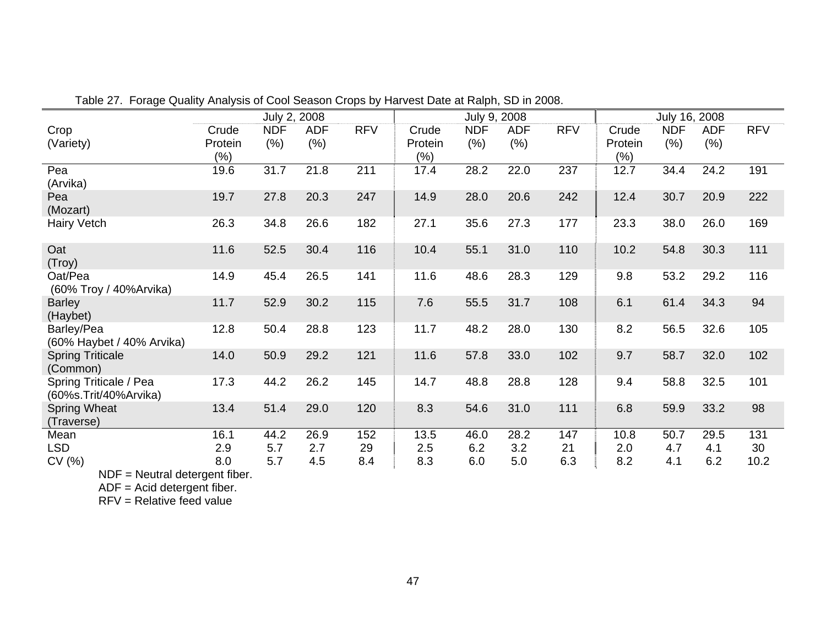|                                                 |                             | July 2, 2008       |                    |            |                         | July 9, 2008       |                   |            |                         | July 16, 2008      |                    |            |
|-------------------------------------------------|-----------------------------|--------------------|--------------------|------------|-------------------------|--------------------|-------------------|------------|-------------------------|--------------------|--------------------|------------|
| Crop<br>(Variety)                               | Crude<br>Protein<br>$(\% )$ | <b>NDF</b><br>(% ) | <b>ADF</b><br>(% ) | <b>RFV</b> | Crude<br>Protein<br>(%) | <b>NDF</b><br>(% ) | <b>ADF</b><br>(%) | <b>RFV</b> | Crude<br>Protein<br>(%) | <b>NDF</b><br>(% ) | <b>ADF</b><br>(% ) | <b>RFV</b> |
| Pea<br>(Arvika)                                 | 19.6                        | 31.7               | 21.8               | 211        | 17.4                    | 28.2               | 22.0              | 237        | 12.7                    | 34.4               | 24.2               | 191        |
| Pea<br>(Mozart)                                 | 19.7                        | 27.8               | 20.3               | 247        | 14.9                    | 28.0               | 20.6              | 242        | 12.4                    | 30.7               | 20.9               | 222        |
| Hairy Vetch                                     | 26.3                        | 34.8               | 26.6               | 182        | 27.1                    | 35.6               | 27.3              | 177        | 23.3                    | 38.0               | 26.0               | 169        |
| Oat<br>(Troy)                                   | 11.6                        | 52.5               | 30.4               | 116        | 10.4                    | 55.1               | 31.0              | 110        | 10.2                    | 54.8               | 30.3               | 111        |
| Oat/Pea<br>(60% Troy / 40% Arvika)              | 14.9                        | 45.4               | 26.5               | 141        | 11.6                    | 48.6               | 28.3              | 129        | 9.8                     | 53.2               | 29.2               | 116        |
| <b>Barley</b><br>(Haybet)                       | 11.7                        | 52.9               | 30.2               | 115        | 7.6                     | 55.5               | 31.7              | 108        | 6.1                     | 61.4               | 34.3               | 94         |
| Barley/Pea<br>(60% Haybet / 40% Arvika)         | 12.8                        | 50.4               | 28.8               | 123        | 11.7                    | 48.2               | 28.0              | 130        | 8.2                     | 56.5               | 32.6               | 105        |
| <b>Spring Triticale</b><br>(Common)             | 14.0                        | 50.9               | 29.2               | 121        | 11.6                    | 57.8               | 33.0              | 102        | 9.7                     | 58.7               | 32.0               | 102        |
| Spring Triticale / Pea<br>(60%s.Trit/40%Arvika) | 17.3                        | 44.2               | 26.2               | 145        | 14.7                    | 48.8               | 28.8              | 128        | 9.4                     | 58.8               | 32.5               | 101        |
| <b>Spring Wheat</b><br>(Traverse)               | 13.4                        | 51.4               | 29.0               | 120        | 8.3                     | 54.6               | 31.0              | 111        | 6.8                     | 59.9               | 33.2               | 98         |
| Mean                                            | 16.1                        | 44.2               | 26.9               | 152        | 13.5                    | 46.0               | 28.2              | 147        | 10.8                    | 50.7               | 29.5               | 131        |
| <b>LSD</b>                                      | 2.9                         | 5.7                | 2.7                | 29         | 2.5                     | 6.2                | 3.2               | 21         | 2.0                     | 4.7                | 4.1                | 30         |
| CV (%)                                          | 8.0                         | 5.7                | 4.5                | 8.4        | 8.3                     | 6.0                | 5.0               | 6.3        | 8.2                     | 4.1                | 6.2                | 10.2       |

Table 27. Forage Quality Analysis of Cool Season Crops by Harvest Date at Ralph, SD in 2008.

NDF = Neutral detergent fiber.

ADF = Acid detergent fiber.

RFV = Relative feed value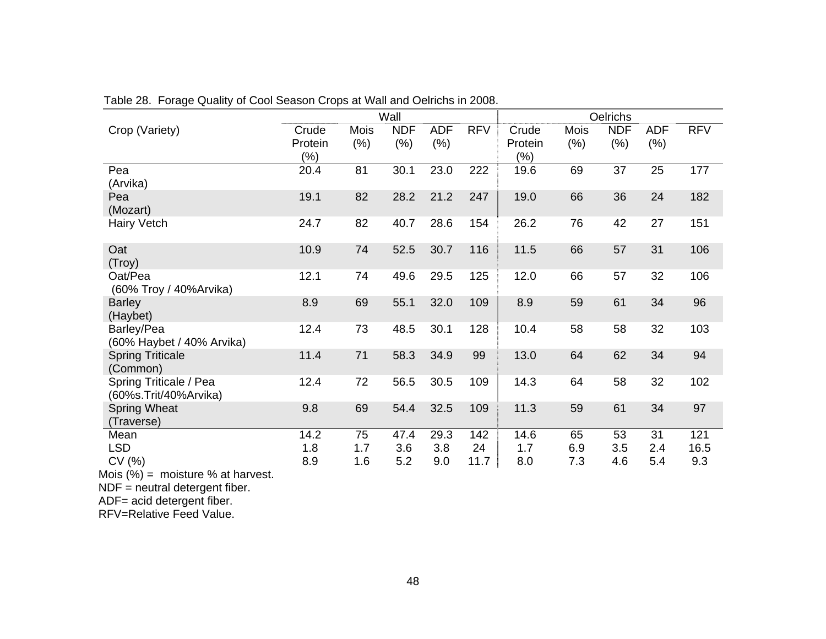|                                                   |                             |                     | Wall               |                    |            |                         |                 | Oelrichs          |                    |            |
|---------------------------------------------------|-----------------------------|---------------------|--------------------|--------------------|------------|-------------------------|-----------------|-------------------|--------------------|------------|
| Crop (Variety)                                    | Crude<br>Protein<br>$(\% )$ | <b>Mois</b><br>(% ) | <b>NDF</b><br>(% ) | <b>ADF</b><br>(% ) | <b>RFV</b> | Crude<br>Protein<br>(%) | Mois<br>$(\% )$ | <b>NDF</b><br>(%) | <b>ADF</b><br>(% ) | <b>RFV</b> |
| Pea<br>(Arvika)                                   | 20.4                        | 81                  | 30.1               | 23.0               | 222        | 19.6                    | 69              | 37                | 25                 | 177        |
| Pea<br>(Mozart)                                   | 19.1                        | 82                  | 28.2               | 21.2               | 247        | 19.0                    | 66              | 36                | 24                 | 182        |
| <b>Hairy Vetch</b>                                | 24.7                        | 82                  | 40.7               | 28.6               | 154        | 26.2                    | 76              | 42                | 27                 | 151        |
| Oat<br>(Troy)                                     | 10.9                        | 74                  | 52.5               | 30.7               | 116        | 11.5                    | 66              | 57                | 31                 | 106        |
| Oat/Pea<br>(60% Troy / 40% Arvika)                | 12.1                        | 74                  | 49.6               | 29.5               | 125        | 12.0                    | 66              | 57                | 32                 | 106        |
| <b>Barley</b><br>(Haybet)                         | 8.9                         | 69                  | 55.1               | 32.0               | 109        | 8.9                     | 59              | 61                | 34                 | 96         |
| Barley/Pea<br>(60% Haybet / 40% Arvika)           | 12.4                        | 73                  | 48.5               | 30.1               | 128        | 10.4                    | 58              | 58                | 32                 | 103        |
| <b>Spring Triticale</b><br>(Common)               | 11.4                        | 71                  | 58.3               | 34.9               | 99         | 13.0                    | 64              | 62                | 34                 | 94         |
| Spring Triticale / Pea<br>(60%s.Trit/40%Arvika)   | 12.4                        | 72                  | 56.5               | 30.5               | 109        | 14.3                    | 64              | 58                | 32                 | 102        |
| <b>Spring Wheat</b><br>(Traverse)                 | 9.8                         | 69                  | 54.4               | 32.5               | 109        | 11.3                    | 59              | 61                | 34                 | 97         |
| Mean                                              | 14.2                        | 75                  | 47.4               | 29.3               | 142        | 14.6                    | 65              | 53                | 31                 | 121        |
| <b>LSD</b>                                        | 1.8                         | 1.7                 | 3.6                | 3.8                | 24         | 1.7                     | 6.9             | 3.5               | 2.4                | 16.5       |
| CV (%)<br>$A \sim 10/1$<br>mointure 0/ at hominat | 8.9                         | 1.6                 | 5.2                | 9.0                | 11.7       | 8.0                     | 7.3             | 4.6               | 5.4                | 9.3        |

Table 28. Forage Quality of Cool Season Crops at Wall and Oelrichs in 2008.

Mois (%) = moisture % at harvest.

NDF = neutral detergent fiber. ADF= acid detergent fiber.

RFV=Relative Feed Value.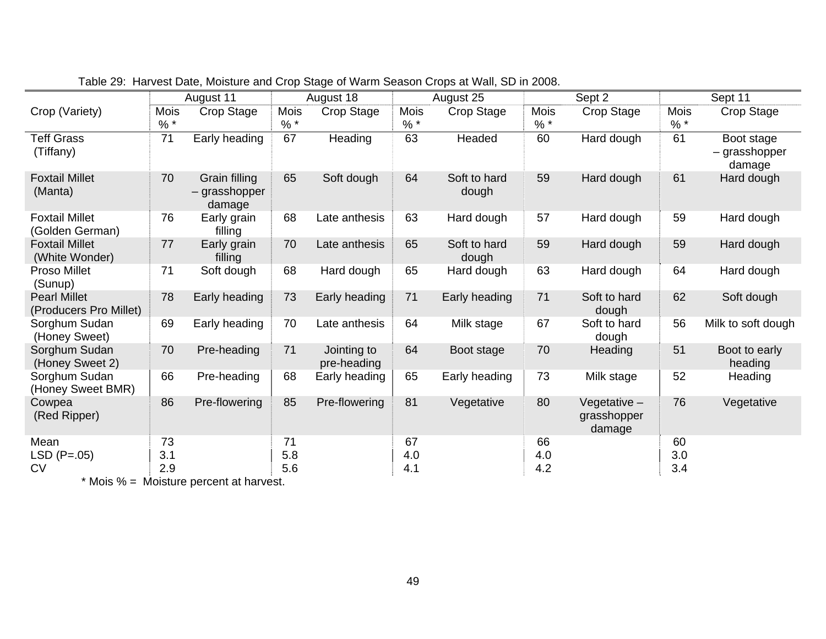|                                               |               | August 11                                |               | August 18                  |               | August 25             |               | Sept 2                                  |               | Sept 11                               |
|-----------------------------------------------|---------------|------------------------------------------|---------------|----------------------------|---------------|-----------------------|---------------|-----------------------------------------|---------------|---------------------------------------|
| Crop (Variety)                                | Mois<br>$%$ * | Crop Stage                               | Mois<br>$%$ * | Crop Stage                 | Mois<br>$%$ * | Crop Stage            | Mois<br>$%$ * | Crop Stage                              | Mois<br>$%$ * | Crop Stage                            |
| <b>Teff Grass</b><br>(Tiffany)                | 71            | Early heading                            | 67            | Heading                    | 63            | Headed                | 60            | Hard dough                              | 61            | Boot stage<br>- grasshopper<br>damage |
| <b>Foxtail Millet</b><br>(Manta)              | 70            | Grain filling<br>– grasshopper<br>damage | 65            | Soft dough                 | 64            | Soft to hard<br>dough | 59            | Hard dough                              | 61            | Hard dough                            |
| <b>Foxtail Millet</b><br>(Golden German)      | 76            | Early grain<br>filling                   | 68            | Late anthesis              | 63            | Hard dough            | 57            | Hard dough                              | 59            | Hard dough                            |
| <b>Foxtail Millet</b><br>(White Wonder)       | 77            | Early grain<br>filling                   | 70            | Late anthesis              | 65            | Soft to hard<br>dough | 59            | Hard dough                              | 59            | Hard dough                            |
| <b>Proso Millet</b><br>(Sunup)                | 71            | Soft dough                               | 68            | Hard dough                 | 65            | Hard dough            | 63            | Hard dough                              | 64            | Hard dough                            |
| <b>Pearl Millet</b><br>(Producers Pro Millet) | 78            | Early heading                            | 73            | Early heading              | 71            | Early heading         | 71            | Soft to hard<br>dough                   | 62            | Soft dough                            |
| Sorghum Sudan<br>(Honey Sweet)                | 69            | Early heading                            | 70            | Late anthesis              | 64            | Milk stage            | 67            | Soft to hard<br>dough                   | 56            | Milk to soft dough                    |
| Sorghum Sudan<br>(Honey Sweet 2)              | 70            | Pre-heading                              | 71            | Jointing to<br>pre-heading | 64            | Boot stage            | 70            | Heading                                 | 51            | Boot to early<br>heading              |
| Sorghum Sudan<br>(Honey Sweet BMR)            | 66            | Pre-heading                              | 68            | Early heading              | 65            | Early heading         | 73            | Milk stage                              | 52            | Heading                               |
| Cowpea<br>(Red Ripper)                        | 86            | Pre-flowering                            | 85            | Pre-flowering              | 81            | Vegetative            | 80            | Vegetative $-$<br>grasshopper<br>damage | 76            | Vegetative                            |
| Mean                                          | 73            |                                          | 71            |                            | 67            |                       | 66            |                                         | 60            |                                       |
| $LSD(P=.05)$                                  | 3.1           |                                          | 5.8           |                            | 4.0           |                       | 4.0           |                                         | 3.0           |                                       |
| <b>CV</b>                                     | 2.9           |                                          | 5.6           |                            | 4.1           |                       | 4.2           |                                         | 3.4           |                                       |

\* Mois % = Moisture percent at harvest.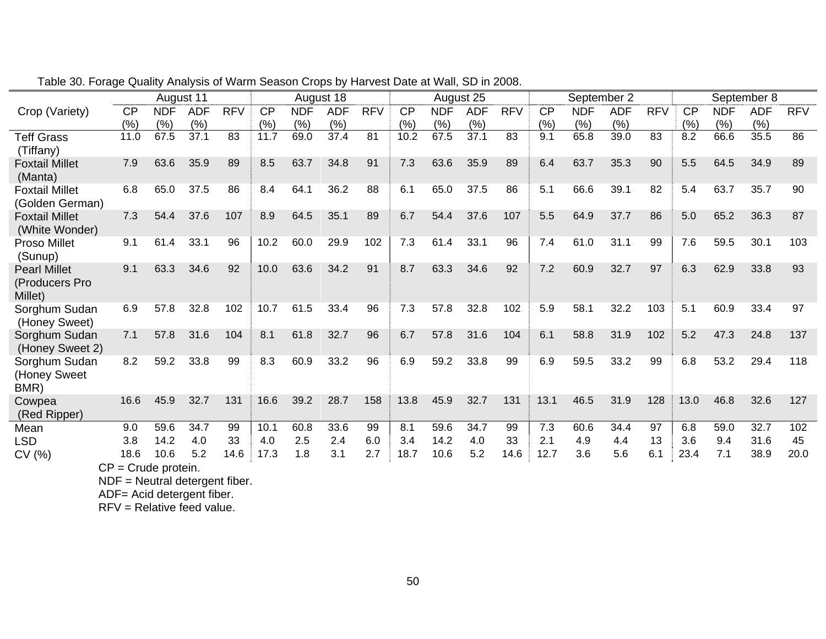|                                  |           |            | August 11  |            |           |            | August 18  |            |      |            | August 25  |            |           | September 2 |            |            |           |            | September 8 |            |
|----------------------------------|-----------|------------|------------|------------|-----------|------------|------------|------------|------|------------|------------|------------|-----------|-------------|------------|------------|-----------|------------|-------------|------------|
| Crop (Variety)                   | <b>CP</b> | <b>NDF</b> | <b>ADF</b> | <b>RFV</b> | <b>CP</b> | <b>NDF</b> | <b>ADF</b> | <b>RFV</b> | CP   | <b>NDF</b> | <b>ADF</b> | <b>RFV</b> | <b>CP</b> | <b>NDF</b>  | <b>ADF</b> | <b>RFV</b> | <b>CP</b> | <b>NDF</b> | <b>ADF</b>  | <b>RFV</b> |
|                                  | (%)       | (% )       | (%)        |            | (%)       | (%)        | (%)        |            | (% ) | (% )       | (%)        |            | (% )      | (%)         | (%)        |            | (% )      | (%)        | (%)         |            |
| <b>Teff Grass</b>                | 11.0      | 67.5       | 37.1       | 83         | 11.7      | 69.0       | 37.4       | 81         | 10.2 | 67.5       | 37.1       | 83         | 9.1       | 65.8        | 39.0       | 83         | 8.2       | 66.6       | 35.5        | 86         |
| (Tiffany)                        |           |            |            |            |           |            |            |            |      |            |            |            |           |             |            |            |           |            |             |            |
| <b>Foxtail Millet</b>            | 7.9       | 63.6       | 35.9       | 89         | 8.5       | 63.7       | 34.8       | 91         | 7.3  | 63.6       | 35.9       | 89         | 6.4       | 63.7        | 35.3       | 90         | 5.5       | 64.5       | 34.9        | 89         |
| (Manta)                          |           |            |            |            |           |            |            |            |      |            |            |            |           |             |            |            |           |            |             |            |
| <b>Foxtail Millet</b>            | 6.8       | 65.0       | 37.5       | 86         | 8.4       | 64.1       | 36.2       | 88         | 6.1  | 65.0       | 37.5       | 86         | 5.1       | 66.6        | 39.1       | 82         | 5.4       | 63.7       | 35.7        | 90         |
| (Golden German)                  |           |            |            |            |           |            |            |            |      |            |            |            |           |             |            |            |           |            |             |            |
| <b>Foxtail Millet</b>            | 7.3       | 54.4       | 37.6       | 107        | 8.9       | 64.5       | 35.1       | 89         | 6.7  | 54.4       | 37.6       | 107        | 5.5       | 64.9        | 37.7       | 86         | 5.0       | 65.2       | 36.3        | 87         |
| (White Wonder)                   |           |            |            |            |           |            |            |            |      |            |            |            |           |             |            |            |           |            |             |            |
| Proso Millet                     | 9.1       | 61.4       | 33.1       | 96         | 10.2      | 60.0       | 29.9       | 102        | 7.3  | 61.4       | 33.1       | 96         | 7.4       | 61.0        | 31.1       | 99         | 7.6       | 59.5       | 30.1        | 103        |
| (Sunup)                          |           |            |            |            |           |            |            |            |      |            |            |            |           |             |            |            |           |            |             |            |
| <b>Pearl Millet</b>              | 9.1       | 63.3       | 34.6       | 92         | 10.0      | 63.6       | 34.2       | 91         | 8.7  | 63.3       | 34.6       | 92         | 7.2       | 60.9        | 32.7       | 97         | 6.3       | 62.9       | 33.8        | 93         |
| (Producers Pro                   |           |            |            |            |           |            |            |            |      |            |            |            |           |             |            |            |           |            |             |            |
| Millet)                          | 6.9       | 57.8       | 32.8       | 102        |           | 61.5       |            | 96         |      | 57.8       | 32.8       |            |           | 58.1        | 32.2       | 103        | 5.1       | 60.9       |             | 97         |
| Sorghum Sudan                    |           |            |            |            | 10.7      |            | 33.4       |            | 7.3  |            |            | 102        | 5.9       |             |            |            |           |            | 33.4        |            |
| (Honey Sweet)                    | 7.1       | 57.8       | 31.6       | 104        | 8.1       | 61.8       | 32.7       | 96         | 6.7  | 57.8       | 31.6       | 104        | 6.1       | 58.8        | 31.9       | 102        | 5.2       | 47.3       | 24.8        | 137        |
| Sorghum Sudan                    |           |            |            |            |           |            |            |            |      |            |            |            |           |             |            |            |           |            |             |            |
| (Honey Sweet 2)<br>Sorghum Sudan | 8.2       | 59.2       | 33.8       | 99         | 8.3       | 60.9       | 33.2       | 96         | 6.9  | 59.2       | 33.8       | 99         | 6.9       | 59.5        | 33.2       | 99         | 6.8       | 53.2       | 29.4        | 118        |
| (Honey Sweet                     |           |            |            |            |           |            |            |            |      |            |            |            |           |             |            |            |           |            |             |            |
| BMR)                             |           |            |            |            |           |            |            |            |      |            |            |            |           |             |            |            |           |            |             |            |
| Cowpea                           | 16.6      | 45.9       | 32.7       | 131        | 16.6      | 39.2       | 28.7       | 158        | 13.8 | 45.9       | 32.7       | 131        | 13.1      | 46.5        | 31.9       | 128        | 13.0      | 46.8       | 32.6        | 127        |
| (Red Ripper)                     |           |            |            |            |           |            |            |            |      |            |            |            |           |             |            |            |           |            |             |            |
| Mean                             | 9.0       | 59.6       | 34.7       | 99         | 10.1      | 60.8       | 33.6       | 99         | 8.1  | 59.6       | 34.7       | 99         | 7.3       | 60.6        | 34.4       | 97         | 6.8       | 59.0       | 32.7        | 102        |
| LSD                              | 3.8       | 14.2       | 4.0        | 33         | 4.0       | 2.5        | 2.4        | 6.0        | 3.4  | 14.2       | 4.0        | 33         | 2.1       | 4.9         | 4.4        | 13         | 3.6       | 9.4        | 31.6        | 45         |
| CV(%)                            | 18.6      | 10.6       | 5.2        | 14.6       | 17.3      | 1.8        | 3.1        | 2.7        | 18.7 | 10.6       | 5.2        | 14.6       | 12.7      | 3.6         | 5.6        | 6.1        | 23.4      | 7.1        | 38.9        | 20.0       |
| $\sim$                           | $\sim$    |            |            |            |           |            |            |            |      |            |            |            |           |             |            |            |           |            |             |            |

Table 30. Forage Quality Analysis of Warm Season Crops by Harvest Date at Wall, SD in 2008.

CP = Crude protein.

NDF = Neutral detergent fiber.

ADF= Acid detergent fiber.

RFV = Relative feed value.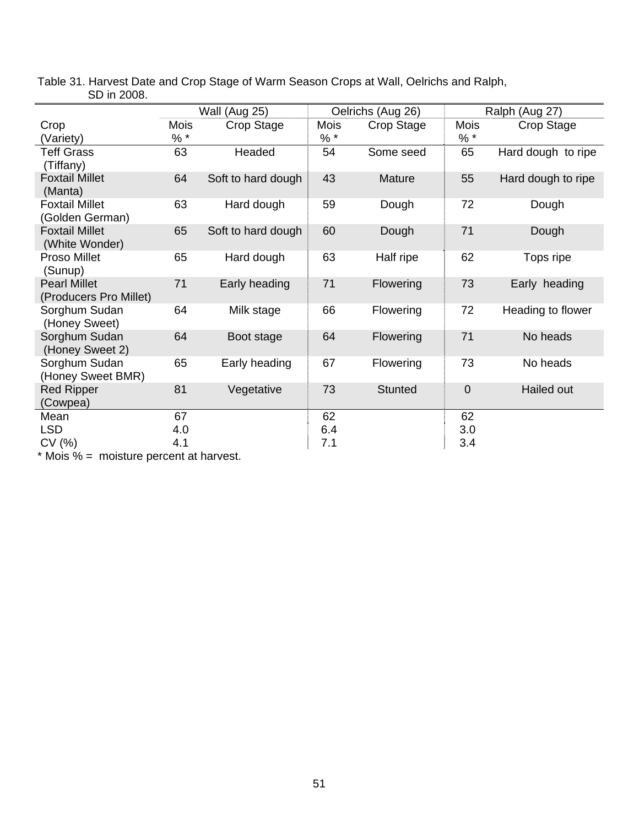|                                               |             | Wall (Aug 25)      |             | Oelrichs (Aug 26) |              | Ralph (Aug 27)     |
|-----------------------------------------------|-------------|--------------------|-------------|-------------------|--------------|--------------------|
| Crop                                          | <b>Mois</b> | Crop Stage         | <b>Mois</b> | Crop Stage        | Mois         | Crop Stage         |
| (Variety)                                     | $%$ *       |                    | $% *$       |                   | $% *$        |                    |
| <b>Teff Grass</b><br>(Tiffany)                | 63          | Headed             | 54          | Some seed         | 65           | Hard dough to ripe |
| <b>Foxtail Millet</b><br>(Manta)              | 64          | Soft to hard dough | 43          | Mature            | 55           | Hard dough to ripe |
| <b>Foxtail Millet</b><br>(Golden German)      | 63          | Hard dough         | 59          | Dough             | 72           | Dough              |
| <b>Foxtail Millet</b><br>(White Wonder)       | 65          | Soft to hard dough | 60          | Dough             | 71           | Dough              |
| Proso Millet<br>(Sunup)                       | 65          | Hard dough         | 63          | Half ripe         | 62           | Tops ripe          |
| <b>Pearl Millet</b><br>(Producers Pro Millet) | 71          | Early heading      | 71          | Flowering         | 73           | Early heading      |
| Sorghum Sudan<br>(Honey Sweet)                | 64          | Milk stage         | 66          | Flowering         | 72           | Heading to flower  |
| Sorghum Sudan<br>(Honey Sweet 2)              | 64          | Boot stage         | 64          | Flowering         | 71           | No heads           |
| Sorghum Sudan<br>(Honey Sweet BMR)            | 65          | Early heading      | 67          | Flowering         | 73           | No heads           |
| <b>Red Ripper</b><br>(Cowpea)                 | 81          | Vegetative         | 73          | <b>Stunted</b>    | $\mathbf{0}$ | Hailed out         |
| Mean                                          | 67          |                    | 62          |                   | 62           |                    |
| <b>LSD</b>                                    | 4.0         |                    | 6.4         |                   | 3.0          |                    |
| CV (%)                                        | 4.1         |                    | 7.1         |                   | 3.4          |                    |

Table 31. Harvest Date and Crop Stage of Warm Season Crops at Wall, Oelrichs and Ralph, SD in 2008.

\* Mois % = moisture percent at harvest.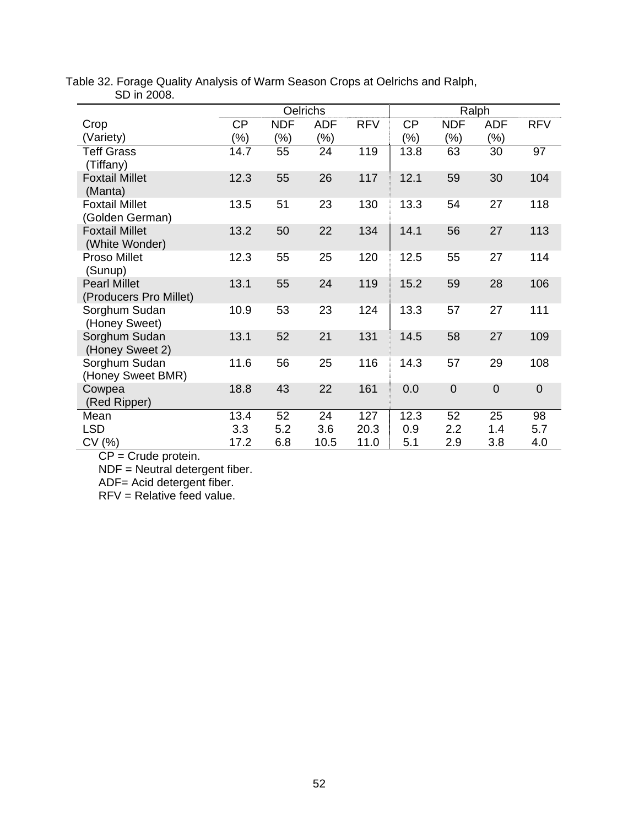| טטא ווו <b>בעט.</b>                           |           |            |            |            |           |             |             |             |
|-----------------------------------------------|-----------|------------|------------|------------|-----------|-------------|-------------|-------------|
|                                               |           |            | Oelrichs   |            |           |             | Ralph       |             |
| Crop                                          | <b>CP</b> | <b>NDF</b> | <b>ADF</b> | <b>RFV</b> | <b>CP</b> | <b>NDF</b>  | <b>ADF</b>  | <b>RFV</b>  |
| (Variety)                                     | (%)       | (%)        | (%)        |            | $(\%)$    | (%)         | $(\%)$      |             |
| <b>Teff Grass</b><br>(Tiffany)                | 14.7      | 55         | 24         | 119        | 13.8      | 63          | 30          | 97          |
| <b>Foxtail Millet</b><br>(Manta)              | 12.3      | 55         | 26         | 117        | 12.1      | 59          | 30          | 104         |
| <b>Foxtail Millet</b><br>(Golden German)      | 13.5      | 51         | 23         | 130        | 13.3      | 54          | 27          | 118         |
| <b>Foxtail Millet</b><br>(White Wonder)       | 13.2      | 50         | 22         | 134        | 14.1      | 56          | 27          | 113         |
| Proso Millet<br>(Sunup)                       | 12.3      | 55         | 25         | 120        | 12.5      | 55          | 27          | 114         |
| <b>Pearl Millet</b><br>(Producers Pro Millet) | 13.1      | 55         | 24         | 119        | 15.2      | 59          | 28          | 106         |
| Sorghum Sudan<br>(Honey Sweet)                | 10.9      | 53         | 23         | 124        | 13.3      | 57          | 27          | 111         |
| Sorghum Sudan<br>(Honey Sweet 2)              | 13.1      | 52         | 21         | 131        | 14.5      | 58          | 27          | 109         |
| Sorghum Sudan<br>(Honey Sweet BMR)            | 11.6      | 56         | 25         | 116        | 14.3      | 57          | 29          | 108         |
| Cowpea<br>(Red Ripper)                        | 18.8      | 43         | 22         | 161        | 0.0       | $\mathbf 0$ | $\mathbf 0$ | $\mathbf 0$ |
| Mean                                          | 13.4      | 52         | 24         | 127        | 12.3      | 52          | 25          | 98          |
| <b>LSD</b>                                    | 3.3       | 5.2        | 3.6        | 20.3       | 0.9       | 2.2         | 1.4         | 5.7         |
| CV(%)                                         | 17.2      | 6.8        | 10.5       | 11.0       | 5.1       | 2.9         | 3.8         | 4.0         |

Table 32. Forage Quality Analysis of Warm Season Crops at Oelrichs and Ralph, SD in 2008.

CP = Crude protein.

NDF = Neutral detergent fiber.

ADF= Acid detergent fiber.

RFV = Relative feed value.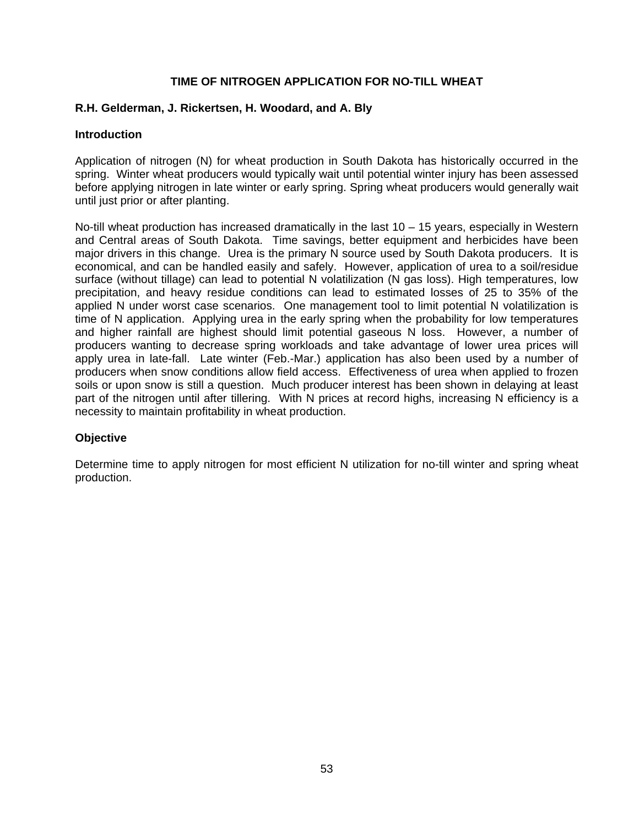# **TIME OF NITROGEN APPLICATION FOR NO-TILL WHEAT**

# **R.H. Gelderman, J. Rickertsen, H. Woodard, and A. Bly**

# **Introduction**

Application of nitrogen (N) for wheat production in South Dakota has historically occurred in the spring. Winter wheat producers would typically wait until potential winter injury has been assessed before applying nitrogen in late winter or early spring. Spring wheat producers would generally wait until just prior or after planting.

No-till wheat production has increased dramatically in the last  $10 - 15$  years, especially in Western and Central areas of South Dakota. Time savings, better equipment and herbicides have been major drivers in this change. Urea is the primary N source used by South Dakota producers. It is economical, and can be handled easily and safely. However, application of urea to a soil/residue surface (without tillage) can lead to potential N volatilization (N gas loss). High temperatures, low precipitation, and heavy residue conditions can lead to estimated losses of 25 to 35% of the applied N under worst case scenarios. One management tool to limit potential N volatilization is time of N application. Applying urea in the early spring when the probability for low temperatures and higher rainfall are highest should limit potential gaseous N loss. However, a number of producers wanting to decrease spring workloads and take advantage of lower urea prices will apply urea in late-fall. Late winter (Feb.-Mar.) application has also been used by a number of producers when snow conditions allow field access. Effectiveness of urea when applied to frozen soils or upon snow is still a question. Much producer interest has been shown in delaying at least part of the nitrogen until after tillering. With N prices at record highs, increasing N efficiency is a necessity to maintain profitability in wheat production.

# **Objective**

Determine time to apply nitrogen for most efficient N utilization for no-till winter and spring wheat production.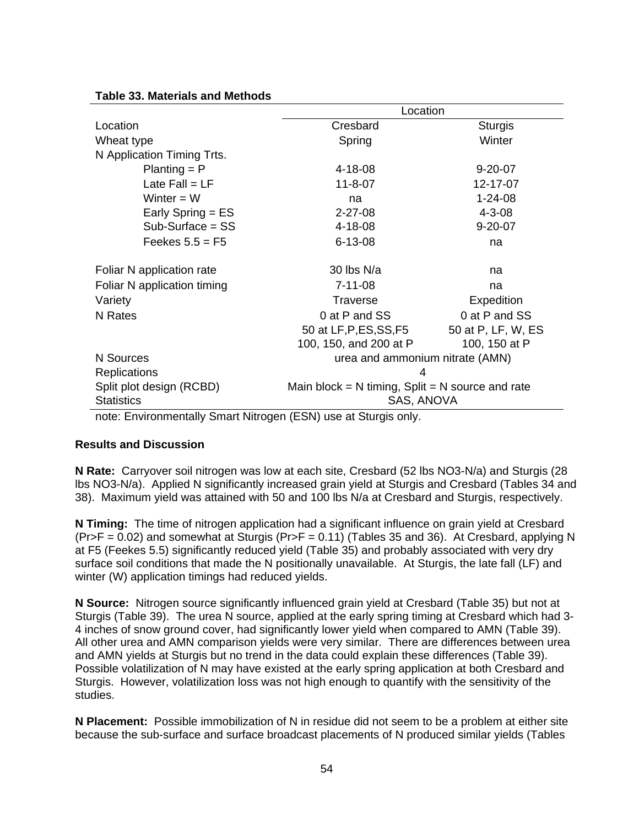### **Table 33. Materials and Methods**

|                             | Location                                             |                    |
|-----------------------------|------------------------------------------------------|--------------------|
| Location                    | Cresbard                                             | <b>Sturgis</b>     |
| Wheat type                  | Spring                                               | Winter             |
| N Application Timing Trts.  |                                                      |                    |
| $Planting = P$              | 4-18-08                                              | $9 - 20 - 07$      |
| Late $Fall = LF$            | $11 - 8 - 07$                                        | 12-17-07           |
| Winter $= W$                | na                                                   | $1 - 24 - 08$      |
| Early Spring = ES           | $2 - 27 - 08$                                        | $4 - 3 - 08$       |
| $Sub-Surface = SS$          | 4-18-08                                              | $9 - 20 - 07$      |
| Feekes $5.5 = F5$           | $6 - 13 - 08$                                        | na                 |
| Foliar N application rate   | 30 lbs $N/a$                                         | na                 |
| Foliar N application timing | $7 - 11 - 08$                                        | na                 |
| Variety                     | <b>Traverse</b>                                      | Expedition         |
| N Rates                     | 0 at P and SS                                        | 0 at P and SS      |
|                             | 50 at LF,P,ES,SS,F5                                  | 50 at P, LF, W, ES |
|                             | 100, 150, and 200 at P                               | 100, 150 at P      |
| N Sources                   | urea and ammonium nitrate (AMN)                      |                    |
| <b>Replications</b>         | 4                                                    |                    |
| Split plot design (RCBD)    | Main block = $N$ timing, Split = $N$ source and rate |                    |
| <b>Statistics</b>           | SAS, ANOVA                                           |                    |

note: Environmentally Smart Nitrogen (ESN) use at Sturgis only.

### **Results and Discussion**

**N Rate:** Carryover soil nitrogen was low at each site, Cresbard (52 lbs NO3-N/a) and Sturgis (28 lbs NO3-N/a). Applied N significantly increased grain yield at Sturgis and Cresbard (Tables 34 and 38). Maximum yield was attained with 50 and 100 lbs N/a at Cresbard and Sturgis, respectively.

**N Timing:** The time of nitrogen application had a significant influence on grain yield at Cresbard  $(Pr>F = 0.02)$  and somewhat at Sturgis  $(PrF = 0.11)$  (Tables 35 and 36). At Cresbard, applying N at F5 (Feekes 5.5) significantly reduced yield (Table 35) and probably associated with very dry surface soil conditions that made the N positionally unavailable. At Sturgis, the late fall (LF) and winter (W) application timings had reduced yields.

**N Source:** Nitrogen source significantly influenced grain yield at Cresbard (Table 35) but not at Sturgis (Table 39). The urea N source, applied at the early spring timing at Cresbard which had 3- 4 inches of snow ground cover, had significantly lower yield when compared to AMN (Table 39). All other urea and AMN comparison yields were very similar. There are differences between urea and AMN yields at Sturgis but no trend in the data could explain these differences (Table 39). Possible volatilization of N may have existed at the early spring application at both Cresbard and Sturgis. However, volatilization loss was not high enough to quantify with the sensitivity of the studies.

**N Placement:** Possible immobilization of N in residue did not seem to be a problem at either site because the sub-surface and surface broadcast placements of N produced similar yields (Tables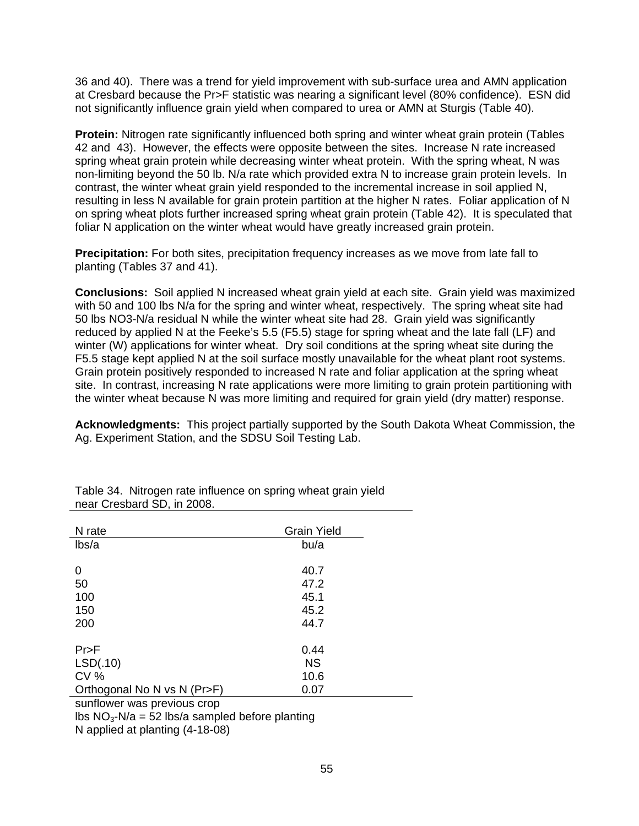36 and 40). There was a trend for yield improvement with sub-surface urea and AMN application at Cresbard because the Pr>F statistic was nearing a significant level (80% confidence). ESN did not significantly influence grain yield when compared to urea or AMN at Sturgis (Table 40).

**Protein:** Nitrogen rate significantly influenced both spring and winter wheat grain protein (Tables 42 and 43). However, the effects were opposite between the sites. Increase N rate increased spring wheat grain protein while decreasing winter wheat protein. With the spring wheat, N was non-limiting beyond the 50 lb. N/a rate which provided extra N to increase grain protein levels. In contrast, the winter wheat grain yield responded to the incremental increase in soil applied N, resulting in less N available for grain protein partition at the higher N rates. Foliar application of N on spring wheat plots further increased spring wheat grain protein (Table 42). It is speculated that foliar N application on the winter wheat would have greatly increased grain protein.

**Precipitation:** For both sites, precipitation frequency increases as we move from late fall to planting (Tables 37 and 41).

**Conclusions:** Soil applied N increased wheat grain yield at each site. Grain yield was maximized with 50 and 100 lbs N/a for the spring and winter wheat, respectively. The spring wheat site had 50 lbs NO3-N/a residual N while the winter wheat site had 28. Grain yield was significantly reduced by applied N at the Feeke's 5.5 (F5.5) stage for spring wheat and the late fall (LF) and winter (W) applications for winter wheat. Dry soil conditions at the spring wheat site during the F5.5 stage kept applied N at the soil surface mostly unavailable for the wheat plant root systems. Grain protein positively responded to increased N rate and foliar application at the spring wheat site. In contrast, increasing N rate applications were more limiting to grain protein partitioning with the winter wheat because N was more limiting and required for grain yield (dry matter) response.

**Acknowledgments:** This project partially supported by the South Dakota Wheat Commission, the Ag. Experiment Station, and the SDSU Soil Testing Lab.

| N rate                      | <b>Grain Yield</b> |
|-----------------------------|--------------------|
| lbs/a                       | bu/a               |
|                             |                    |
| 0                           | 40.7               |
| 50                          | 47.2               |
| 100                         | 45.1               |
| 150                         | 45.2               |
| 200                         | 44.7               |
| Pr>F                        | 0.44               |
| LSD(.10)                    | <b>NS</b>          |
| <b>CV %</b>                 | 10.6               |
| Orthogonal No N vs N (Pr>F) | 0.07               |

Table 34. Nitrogen rate influence on spring wheat grain yield near Cresbard SD, in 2008.

sunflower was previous crop

lbs  $NO<sub>3</sub>-N/a = 52$  lbs/a sampled before planting

N applied at planting (4-18-08)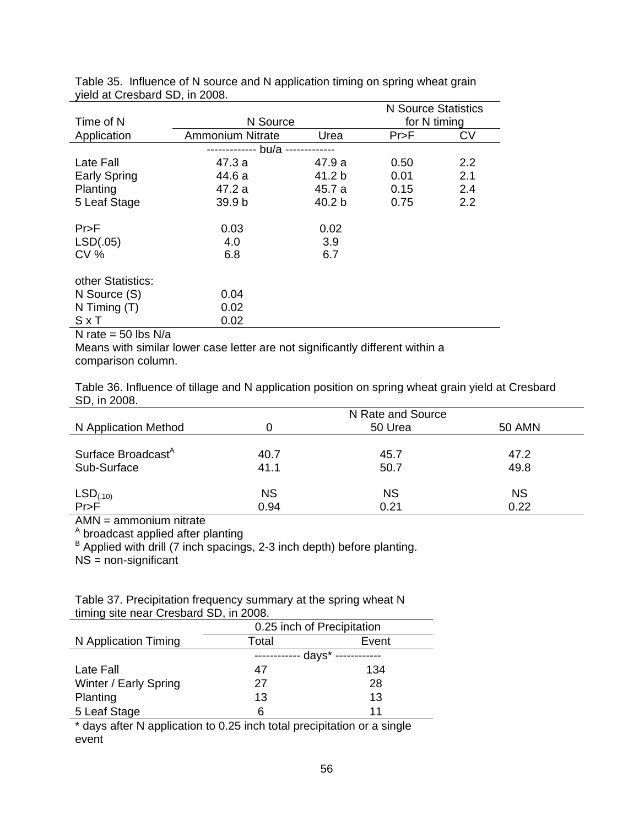| Time of N           |                         | N Source |                      |           |  |  |  |  |
|---------------------|-------------------------|----------|----------------------|-----------|--|--|--|--|
| Application         | <b>Ammonium Nitrate</b> | Urea     | for N timing<br>Pr>F | <b>CV</b> |  |  |  |  |
|                     | bu/a -                  |          |                      |           |  |  |  |  |
| Late Fall           | 47.3 a                  | 47.9 a   | 0.50                 | 2.2       |  |  |  |  |
| <b>Early Spring</b> | 44.6 a                  | 41.2 b   | 0.01                 | 2.1       |  |  |  |  |
| Planting            | 47.2 a                  | 45.7 a   | 0.15                 | 2.4       |  |  |  |  |
| 5 Leaf Stage        | 39.9 b                  | 40.2 b   | 0.75                 | 2.2       |  |  |  |  |
| Pr>F                | 0.03                    | 0.02     |                      |           |  |  |  |  |
| LSD(.05)            | 4.0                     | 3.9      |                      |           |  |  |  |  |
| CV <sub>6</sub>     | 6.8                     | 6.7      |                      |           |  |  |  |  |
| other Statistics:   |                         |          |                      |           |  |  |  |  |
| N Source (S)        | 0.04                    |          |                      |           |  |  |  |  |
| N Timing $(T)$      | 0.02                    |          |                      |           |  |  |  |  |
| SxT                 | 0.02                    |          |                      |           |  |  |  |  |

Table 35. Influence of N source and N application timing on spring wheat grain yield at Cresbard SD, in 2008.

N rate  $=$  50 lbs N/a

Means with similar lower case letter are not significantly different within a comparison column.

| Table 36. Influence of tillage and N application position on spring wheat grain yield at Cresbard |  |
|---------------------------------------------------------------------------------------------------|--|
| SD, in 2008.                                                                                      |  |

|                                |           | N Rate and Source |               |
|--------------------------------|-----------|-------------------|---------------|
| N Application Method           |           | 50 Urea           | <b>50 AMN</b> |
|                                |           |                   |               |
| Surface Broadcast <sup>A</sup> | 40.7      | 45.7              | 47.2          |
| Sub-Surface                    | 41.1      | 50.7              | 49.8          |
|                                |           |                   |               |
|                                | <b>NS</b> | <b>NS</b>         | <b>NS</b>     |
| $LSD(.10)$<br>Pr>F             | 0.94      | 0.21              | 0.22          |

AMN = ammonium nitrate

<sup>A</sup> broadcast applied after planting<br><sup>B</sup> Applied with drill (7 inch spacings, 2-3 inch depth) before planting.

NS = non-significant

Table 37. Precipitation frequency summary at the spring wheat N timing site near Cresbard SD, in 2008.

|                       | 0.25 inch of Precipitation |       |  |
|-----------------------|----------------------------|-------|--|
| N Application Timing  | Total                      | Event |  |
|                       | - days* ----               |       |  |
| Late Fall             | 47                         | 134   |  |
| Winter / Early Spring | 27                         | 28    |  |
| Planting              | 13                         | 13    |  |
| 5 Leaf Stage          | 6                          | 11    |  |

\* days after N application to 0.25 inch total precipitation or a single event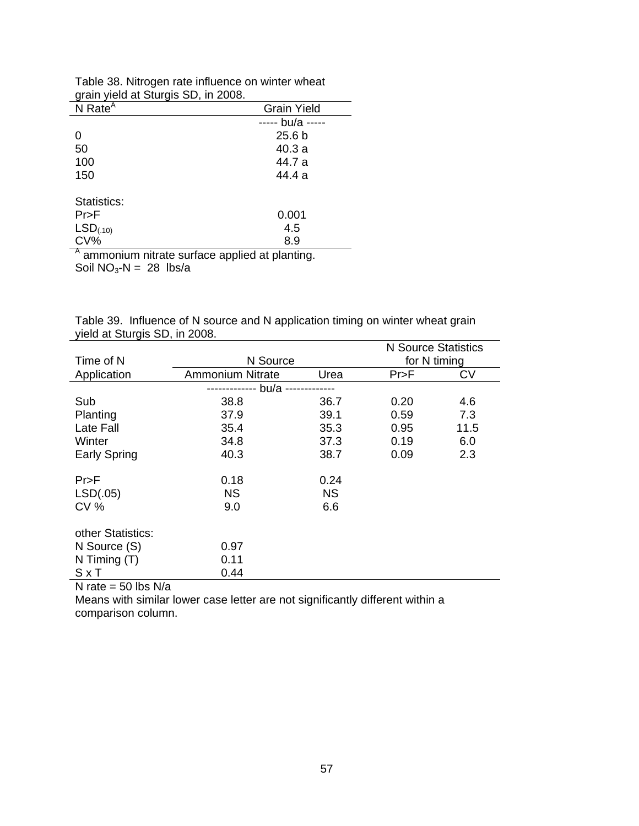| grain yield at Sturgis SD, in 2000.           |                    |
|-----------------------------------------------|--------------------|
| $N$ Rate <sup>A</sup>                         | <b>Grain Yield</b> |
|                                               | bu/a               |
| 0                                             | 25.6 <sub>b</sub>  |
| 50                                            | 40.3 a             |
| 100                                           | 44.7 a             |
| 150                                           | 44.4 a             |
| Statistics:                                   |                    |
| $Pr$ >F                                       | 0.001              |
| $LSD_{(.10)}$                                 | 4.5                |
| CV%                                           | 8.9                |
| A ammonium nitrate surface annied at planting |                    |

Table 38. Nitrogen rate influence on winter wheat grain yield at Sturgis SD, in 2008.

<sup>A</sup> ammonium nitrate surface applied at planting. Soil  $NO_3-N = 28$  lbs/a

| Table 39. Influence of N source and N application timing on winter wheat grain |  |
|--------------------------------------------------------------------------------|--|
| yield at Sturgis SD, in 2008.                                                  |  |
|                                                                                |  |

|                                         |                         |           | <b>N</b> Source Statistics |           |
|-----------------------------------------|-------------------------|-----------|----------------------------|-----------|
| Time of N                               | N Source                |           | for N timing               |           |
| Application                             | <b>Ammonium Nitrate</b> | Urea      | Pr>F                       | <b>CV</b> |
|                                         | $bu/a -$                |           |                            |           |
| Sub                                     | 38.8                    | 36.7      | 0.20                       | 4.6       |
| Planting                                | 37.9                    | 39.1      | 0.59                       | 7.3       |
| Late Fall                               | 35.4                    | 35.3      | 0.95                       | 11.5      |
| Winter                                  | 34.8                    | 37.3      | 0.19                       | 6.0       |
| <b>Early Spring</b>                     | 40.3                    | 38.7      | 0.09                       | 2.3       |
|                                         |                         |           |                            |           |
| Pr>F                                    | 0.18                    | 0.24      |                            |           |
| LSD(.05)                                | <b>NS</b>               | <b>NS</b> |                            |           |
| CV <sub>%</sub>                         | 9.0                     | 6.6       |                            |           |
| other Statistics:                       |                         |           |                            |           |
| N Source (S)                            | 0.97                    |           |                            |           |
| N Timing $(T)$                          | 0.11                    |           |                            |           |
| $S \times T$                            | 0.44                    |           |                            |           |
| $F \cap H = H/L$<br><b>N</b> L <b>1</b> |                         |           |                            |           |

N rate  $=$  50 lbs N/a

Means with similar lower case letter are not significantly different within a comparison column.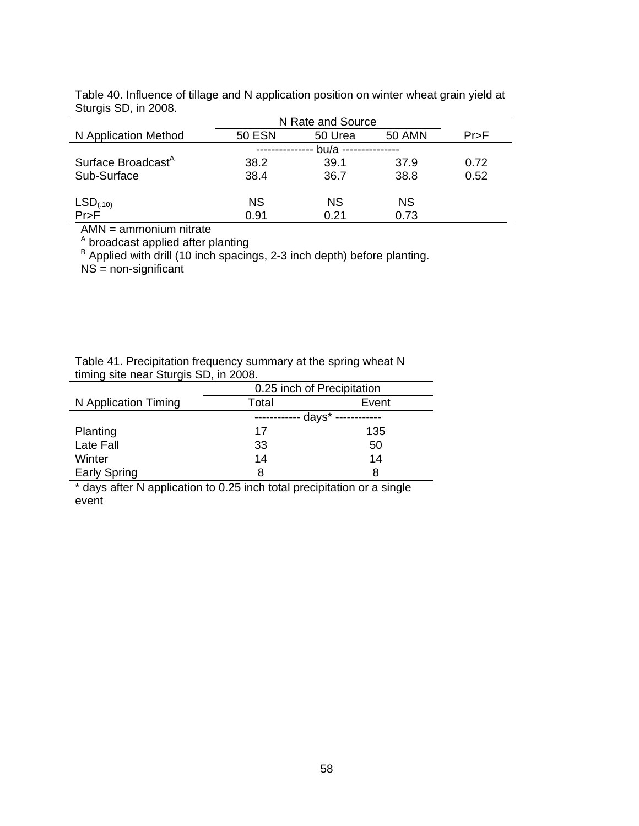|                                | N Rate and Source |           |               |      |
|--------------------------------|-------------------|-----------|---------------|------|
| N Application Method           | <b>50 ESN</b>     | 50 Urea   | <b>50 AMN</b> | Pr>F |
|                                |                   | $bu/a -$  |               |      |
| Surface Broadcast <sup>A</sup> | 38.2              | 39.1      | 37.9          | 0.72 |
| Sub-Surface                    | 38.4              | 36.7      | 38.8          | 0.52 |
|                                |                   |           |               |      |
| $LSD(.10)$<br>Pr>F             | ΝS                | <b>NS</b> | <b>NS</b>     |      |
|                                | 0.91              | 0.21      | 0.73          |      |

Table 40. Influence of tillage and N application position on winter wheat grain yield at Sturgis SD, in 2008.

AMN = ammonium nitrate

<sup>A</sup> broadcast applied after planting

<sup>B</sup> Applied with drill (10 inch spacings, 2-3 inch depth) before planting.

NS = non-significant

Table 41. Precipitation frequency summary at the spring wheat N timing site near Sturgis SD, in 2008.

|                      | 0.25 inch of Precipitation |       |  |
|----------------------|----------------------------|-------|--|
| N Application Timing | Total                      | Event |  |
|                      | days*                      |       |  |
| Planting             | 17                         | 135   |  |
| Late Fall            | 33                         | 50    |  |
| Winter               | 14                         | 14    |  |
| <b>Early Spring</b>  | 8                          |       |  |

\* days after N application to 0.25 inch total precipitation or a single event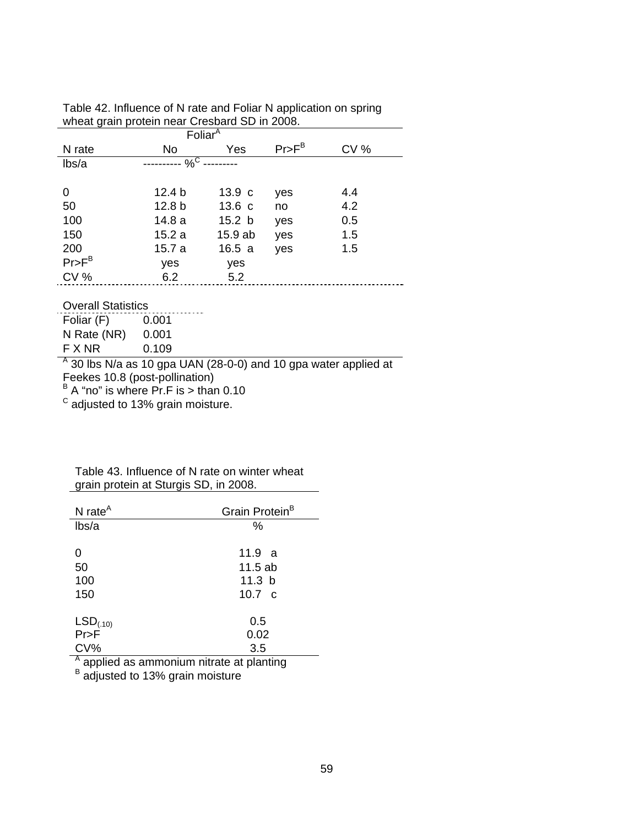| Foliar $\overline{A}$     |                   |                   |          |     |
|---------------------------|-------------------|-------------------|----------|-----|
| N rate                    | No                | Yes               | $Pr>F^B$ | CV% |
| lbs/a                     | $\%^C$            |                   |          |     |
|                           |                   |                   |          |     |
| 0                         | 12.4 <sub>b</sub> | 13.9 <sub>c</sub> | yes      | 4.4 |
| 50                        | 12.8 <sub>b</sub> | 13.6 <sub>c</sub> | no       | 4.2 |
| 100                       | 14.8 a            | 15.2 <sub>b</sub> | yes      | 0.5 |
| 150                       | 15.2a             | 15.9 ab           | yes      | 1.5 |
| 200                       | 15.7a             | 16.5a             | yes      | 1.5 |
| $Pr>F^B$                  | yes               | yes               |          |     |
| CV%                       | 6.2               | 5.2               |          |     |
|                           |                   |                   |          |     |
| <b>Overall Statistics</b> |                   |                   |          |     |
| Foliar (F)                | 0.001             |                   |          |     |
| N Rate (NR)               | 0.001             |                   |          |     |
| F X NR                    | 0.109             |                   |          |     |

Table 42. Influence of N rate and Foliar N application on spring wheat grain protein near Cresbard SD in 2008.

 $^{\text{A}}$  30 lbs N/a as 10 gpa UAN (28-0-0) and 10 gpa water applied at

Feekes 10.8 (post-pollination)<br><sup>B</sup> A "no" is where Pr.F is > than 0.10

 $\textdegree$  adjusted to 13% grain moisture.

### Table 43. Influence of N rate on winter wheat grain protein at Sturgis SD, in 2008.

| N rate $^A$                                 | Grain Protein <sup>B</sup> |  |
|---------------------------------------------|----------------------------|--|
| lbs/a                                       | %                          |  |
|                                             |                            |  |
| Ω                                           | 11.9 a                     |  |
| 50                                          | 11.5 ab                    |  |
| 100                                         | 11.3 $b$                   |  |
| 150                                         | 10.7 $\,$ c                |  |
|                                             |                            |  |
| $LSD_{(.10)}$                               | 0.5                        |  |
| $Pr$ >F                                     | 0.02                       |  |
| $CV\%$                                      | 3.5                        |  |
| A applied as ammonium nitrate at planting   |                            |  |
| <sup>B</sup> adjusted to 13% grain moisture |                            |  |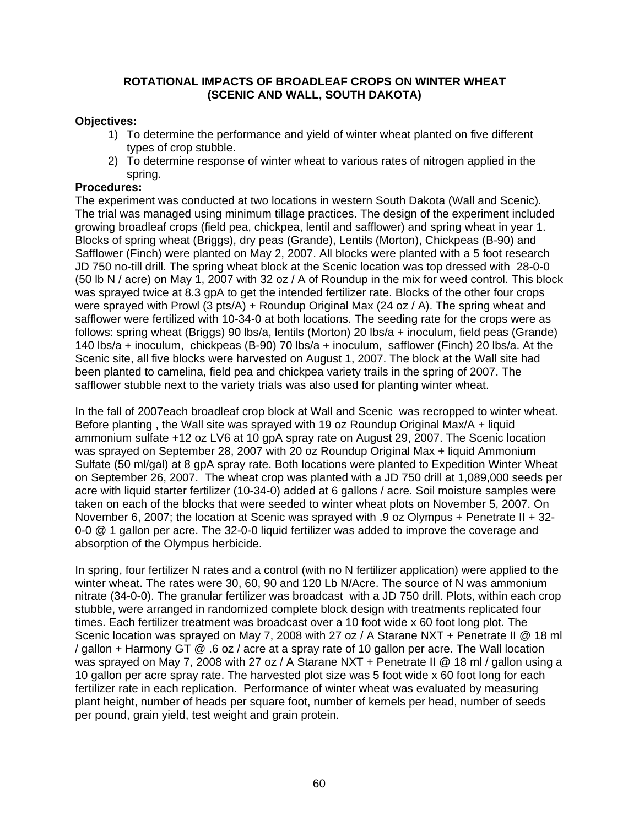### **ROTATIONAL IMPACTS OF BROADLEAF CROPS ON WINTER WHEAT (SCENIC AND WALL, SOUTH DAKOTA)**

# **Objectives:**

- 1) To determine the performance and yield of winter wheat planted on five different types of crop stubble.
- 2) To determine response of winter wheat to various rates of nitrogen applied in the spring.

### **Procedures:**

The experiment was conducted at two locations in western South Dakota (Wall and Scenic). The trial was managed using minimum tillage practices. The design of the experiment included growing broadleaf crops (field pea, chickpea, lentil and safflower) and spring wheat in year 1. Blocks of spring wheat (Briggs), dry peas (Grande), Lentils (Morton), Chickpeas (B-90) and Safflower (Finch) were planted on May 2, 2007. All blocks were planted with a 5 foot research JD 750 no-till drill. The spring wheat block at the Scenic location was top dressed with 28-0-0 (50 lb N / acre) on May 1, 2007 with 32 oz / A of Roundup in the mix for weed control. This block was sprayed twice at 8.3 gpA to get the intended fertilizer rate. Blocks of the other four crops were sprayed with Prowl (3 pts/A) + Roundup Original Max (24 oz / A). The spring wheat and safflower were fertilized with 10-34-0 at both locations. The seeding rate for the crops were as follows: spring wheat (Briggs) 90 lbs/a, lentils (Morton) 20 lbs/a + inoculum, field peas (Grande) 140 lbs/a + inoculum, chickpeas (B-90) 70 lbs/a + inoculum, safflower (Finch) 20 lbs/a. At the Scenic site, all five blocks were harvested on August 1, 2007. The block at the Wall site had been planted to camelina, field pea and chickpea variety trails in the spring of 2007. The safflower stubble next to the variety trials was also used for planting winter wheat.

In the fall of 2007each broadleaf crop block at Wall and Scenic was recropped to winter wheat. Before planting , the Wall site was sprayed with 19 oz Roundup Original Max/A + liquid ammonium sulfate +12 oz LV6 at 10 gpA spray rate on August 29, 2007. The Scenic location was sprayed on September 28, 2007 with 20 oz Roundup Original Max + liquid Ammonium Sulfate (50 ml/gal) at 8 gpA spray rate. Both locations were planted to Expedition Winter Wheat on September 26, 2007. The wheat crop was planted with a JD 750 drill at 1,089,000 seeds per acre with liquid starter fertilizer (10-34-0) added at 6 gallons / acre. Soil moisture samples were taken on each of the blocks that were seeded to winter wheat plots on November 5, 2007. On November 6, 2007; the location at Scenic was sprayed with .9 oz Olympus + Penetrate II + 32- 0-0 @ 1 gallon per acre. The 32-0-0 liquid fertilizer was added to improve the coverage and absorption of the Olympus herbicide.

In spring, four fertilizer N rates and a control (with no N fertilizer application) were applied to the winter wheat. The rates were 30, 60, 90 and 120 Lb N/Acre. The source of N was ammonium nitrate (34-0-0). The granular fertilizer was broadcast with a JD 750 drill. Plots, within each crop stubble, were arranged in randomized complete block design with treatments replicated four times. Each fertilizer treatment was broadcast over a 10 foot wide x 60 foot long plot. The Scenic location was sprayed on May 7, 2008 with 27 oz / A Starane NXT + Penetrate II @ 18 ml / gallon + Harmony GT @ .6 oz / acre at a spray rate of 10 gallon per acre. The Wall location was sprayed on May 7, 2008 with 27 oz / A Starane NXT + Penetrate II @ 18 ml / gallon using a 10 gallon per acre spray rate. The harvested plot size was 5 foot wide x 60 foot long for each fertilizer rate in each replication. Performance of winter wheat was evaluated by measuring plant height, number of heads per square foot, number of kernels per head, number of seeds per pound, grain yield, test weight and grain protein.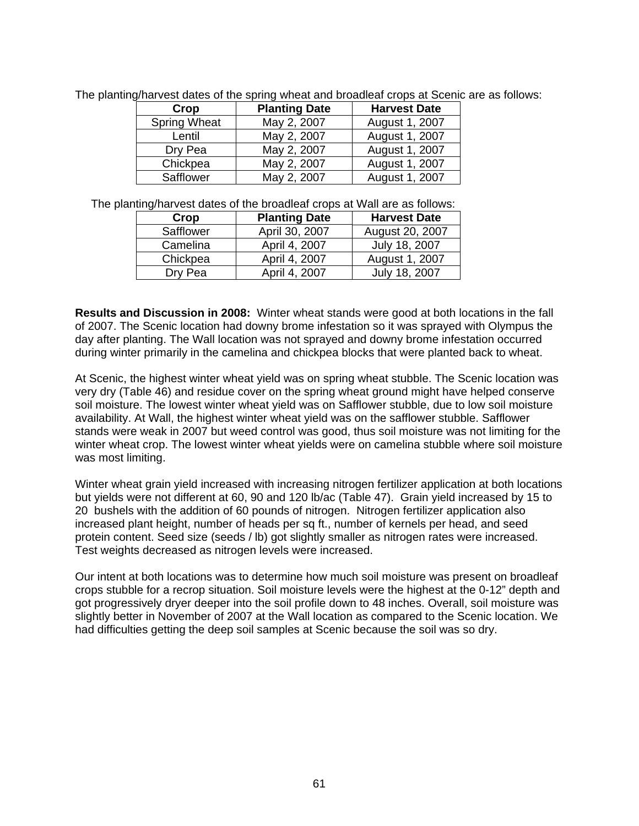| Crop                | <b>Planting Date</b> | <b>Harvest Date</b> |
|---------------------|----------------------|---------------------|
| <b>Spring Wheat</b> | May 2, 2007          | August 1, 2007      |
| Lentil              | May 2, 2007          | August 1, 2007      |
| Dry Pea             | May 2, 2007          | August 1, 2007      |
| Chickpea            | May 2, 2007          | August 1, 2007      |
| Safflower           | May 2, 2007          | August 1, 2007      |

The planting/harvest dates of the spring wheat and broadleaf crops at Scenic are as follows:

The planting/harvest dates of the broadleaf crops at Wall are as follows:

| Crop      | <b>Planting Date</b> | <b>Harvest Date</b> |
|-----------|----------------------|---------------------|
| Safflower | April 30, 2007       | August 20, 2007     |
| Camelina  | April 4, 2007        | July 18, 2007       |
| Chickpea  | April 4, 2007        | August 1, 2007      |
| Dry Pea   | April 4, 2007        | July 18, 2007       |

**Results and Discussion in 2008:** Winter wheat stands were good at both locations in the fall of 2007. The Scenic location had downy brome infestation so it was sprayed with Olympus the day after planting. The Wall location was not sprayed and downy brome infestation occurred during winter primarily in the camelina and chickpea blocks that were planted back to wheat.

At Scenic, the highest winter wheat yield was on spring wheat stubble. The Scenic location was very dry (Table 46) and residue cover on the spring wheat ground might have helped conserve soil moisture. The lowest winter wheat yield was on Safflower stubble, due to low soil moisture availability. At Wall, the highest winter wheat yield was on the safflower stubble. Safflower stands were weak in 2007 but weed control was good, thus soil moisture was not limiting for the winter wheat crop. The lowest winter wheat yields were on camelina stubble where soil moisture was most limiting.

Winter wheat grain yield increased with increasing nitrogen fertilizer application at both locations but yields were not different at 60, 90 and 120 lb/ac (Table 47). Grain yield increased by 15 to 20 bushels with the addition of 60 pounds of nitrogen. Nitrogen fertilizer application also increased plant height, number of heads per sq ft., number of kernels per head, and seed protein content. Seed size (seeds / lb) got slightly smaller as nitrogen rates were increased. Test weights decreased as nitrogen levels were increased.

Our intent at both locations was to determine how much soil moisture was present on broadleaf crops stubble for a recrop situation. Soil moisture levels were the highest at the 0-12" depth and got progressively dryer deeper into the soil profile down to 48 inches. Overall, soil moisture was slightly better in November of 2007 at the Wall location as compared to the Scenic location. We had difficulties getting the deep soil samples at Scenic because the soil was so dry.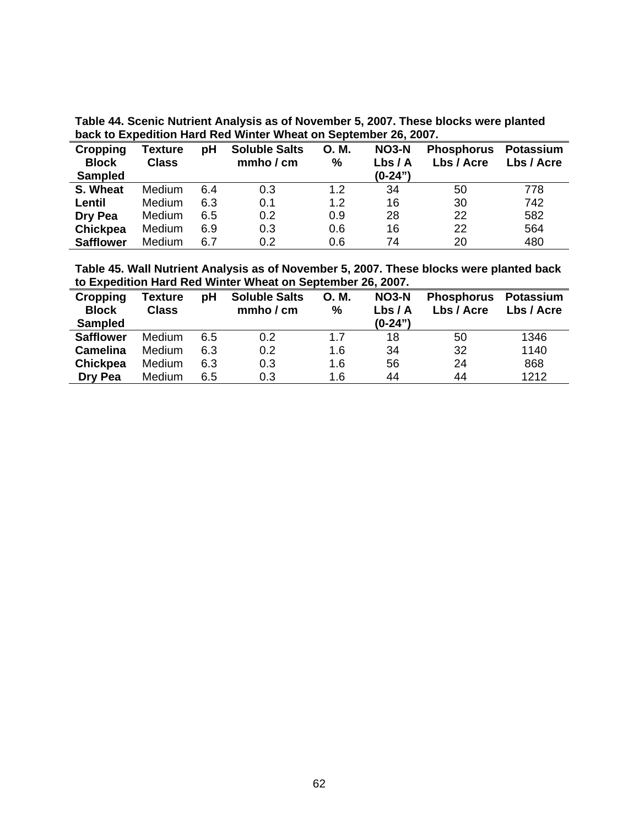| back to Expedition Hard Red Winter wheat on September 26, 2007. |                                |     |                                   |            |                 |                                 |                                |
|-----------------------------------------------------------------|--------------------------------|-----|-----------------------------------|------------|-----------------|---------------------------------|--------------------------------|
| Cropping<br><b>Block</b>                                        | <b>Texture</b><br><b>Class</b> | рH  | <b>Soluble Salts</b><br>mmho / cm | O. M.<br>% | NO3-N<br>Lbs/ A | <b>Phosphorus</b><br>Lbs / Acre | <b>Potassium</b><br>Lbs / Acre |
| <b>Sampled</b>                                                  |                                |     |                                   |            | $(0-24")$       |                                 |                                |
| S. Wheat                                                        | <b>Medium</b>                  | 6.4 | 0.3                               | 1.2        | 34              | 50                              | 778                            |
| Lentil                                                          | <b>Medium</b>                  | 6.3 | 0.1                               | 1.2        | 16              | 30                              | 742                            |
| Dry Pea                                                         | <b>Medium</b>                  | 6.5 | 0.2                               | 0.9        | 28              | 22                              | 582                            |
| <b>Chickpea</b>                                                 | Medium                         | 6.9 | 0.3                               | 0.6        | 16              | 22                              | 564                            |
| <b>Safflower</b>                                                | <b>Medium</b>                  | 6.7 | 0.2                               | 0.6        | 74              | 20                              | 480                            |

**Table 44. Scenic Nutrient Analysis as of November 5, 2007. These blocks were planted back to Expedition Hard Red Winter Wheat on September 26, 2007.** 

**Table 45. Wall Nutrient Analysis as of November 5, 2007. These blocks were planted back to Expedition Hard Red Winter Wheat on September 26, 2007.** 

| <b>Cropping</b><br><b>Block</b><br><b>Sampled</b> | <b>Texture</b><br><b>Class</b> | pH  | <b>Soluble Salts</b><br>mmbo / cm | O. M.<br>% | <b>NO3-N</b><br>Lbs/Al<br>$(0-24")$ | <b>Phosphorus</b><br>Lbs / Acre | Potassium<br>Lbs / Acre |
|---------------------------------------------------|--------------------------------|-----|-----------------------------------|------------|-------------------------------------|---------------------------------|-------------------------|
| <b>Safflower</b>                                  | <b>Medium</b>                  | 6.5 | 0.2                               | 1.7        | 18                                  | 50                              | 1346                    |
| <b>Camelina</b>                                   | <b>Medium</b>                  | 6.3 | 0.2                               | 1.6        | 34                                  | 32                              | 1140                    |
| <b>Chickpea</b>                                   | Medium                         | 6.3 | 0.3                               | 1.6        | 56                                  | 24                              | 868                     |
| Dry Pea                                           | Medium                         | 6.5 | 0.3                               | 1.6        | 44                                  | 44                              | 1212                    |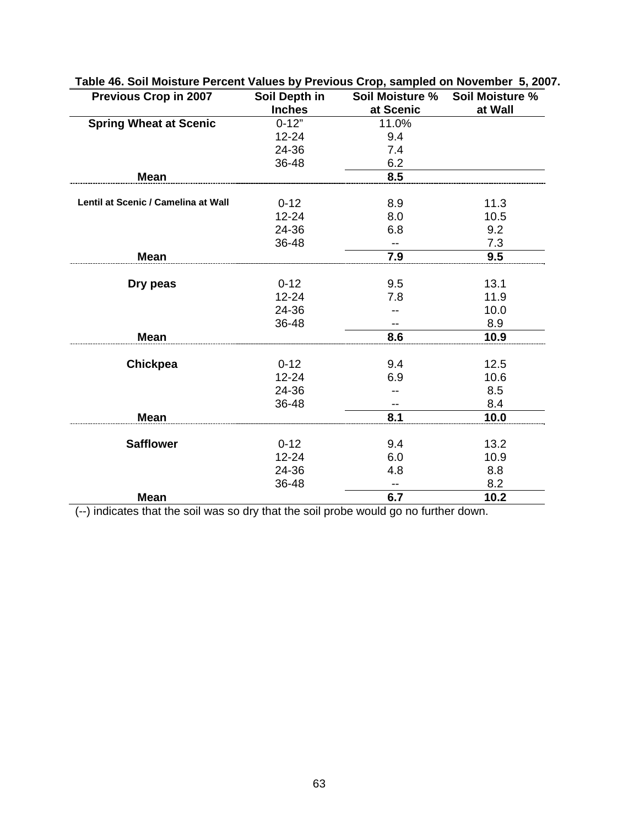| <b>Previous Crop in 2007</b>        | Soil Depth in<br><b>Inches</b> | Soil Moisture %<br>at Scenic | Soil Moisture %<br>at Wall |
|-------------------------------------|--------------------------------|------------------------------|----------------------------|
| <b>Spring Wheat at Scenic</b>       | $0 - 12"$                      | 11.0%                        |                            |
|                                     | $12 - 24$                      | 9.4                          |                            |
|                                     | 24-36                          | 7.4                          |                            |
|                                     | 36-48                          | 6.2                          |                            |
| <b>Mean</b>                         |                                | 8.5                          |                            |
| Lentil at Scenic / Camelina at Wall |                                |                              |                            |
|                                     | $0 - 12$                       | 8.9                          | 11.3                       |
|                                     | 12-24                          | 8.0                          | 10.5                       |
|                                     | 24-36                          | 6.8                          | 9.2                        |
|                                     | 36-48                          | --                           | 7.3                        |
| <b>Mean</b>                         |                                | 7.9                          | 9.5                        |
| Dry peas                            | $0 - 12$                       | 9.5                          | 13.1                       |
|                                     | $12 - 24$                      | 7.8                          | 11.9                       |
|                                     | 24-36                          |                              | 10.0                       |
|                                     | 36-48                          |                              | 8.9                        |
| <b>Mean</b>                         |                                | 8.6                          | 10.9                       |
|                                     |                                |                              |                            |
| <b>Chickpea</b>                     | $0 - 12$                       | 9.4                          | 12.5                       |
|                                     | 12-24                          | 6.9                          | 10.6                       |
|                                     | 24-36                          |                              | 8.5                        |
|                                     | 36-48                          |                              | 8.4                        |
| <b>Mean</b>                         |                                | 8.1                          | 10.0                       |
| <b>Safflower</b>                    | $0 - 12$                       | 9.4                          | 13.2                       |
|                                     | 12-24                          | 6.0                          | 10.9                       |
|                                     | 24-36                          | 4.8                          | 8.8                        |
|                                     | 36-48                          | --                           | 8.2                        |
| <b>Mean</b>                         |                                | 6.7                          | 10.2                       |

# **Table 46. Soil Moisture Percent Values by Previous Crop, sampled on November 5, 2007.**

(--) indicates that the soil was so dry that the soil probe would go no further down.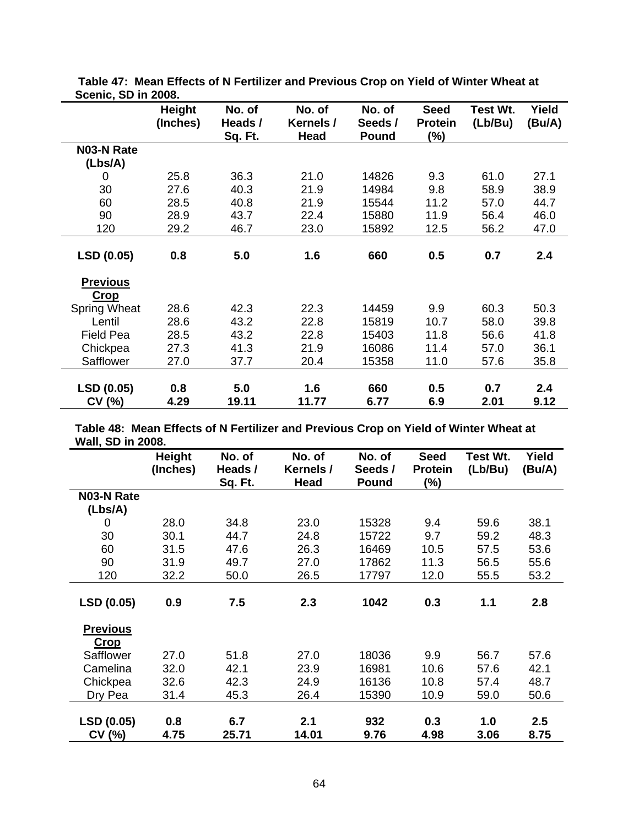|                                | <b>Height</b><br>(Inches) | No. of<br>Heads /<br>Sq. Ft. | No. of<br>Kernels /<br><b>Head</b> | No. of<br>Seeds /<br><b>Pound</b> | <b>Seed</b><br><b>Protein</b><br>$(\%)$ | <b>Test Wt.</b><br>(Lb/Bu) | Yield<br>(Bu/A) |
|--------------------------------|---------------------------|------------------------------|------------------------------------|-----------------------------------|-----------------------------------------|----------------------------|-----------------|
| N03-N Rate                     |                           |                              |                                    |                                   |                                         |                            |                 |
| (Lbs/A)                        |                           |                              |                                    |                                   |                                         |                            |                 |
| 0                              | 25.8                      | 36.3                         | 21.0                               | 14826                             | 9.3                                     | 61.0                       | 27.1            |
| 30                             | 27.6                      | 40.3                         | 21.9                               | 14984                             | 9.8                                     | 58.9                       | 38.9            |
| 60                             | 28.5                      | 40.8                         | 21.9                               | 15544                             | 11.2                                    | 57.0                       | 44.7            |
| 90                             | 28.9                      | 43.7                         | 22.4                               | 15880                             | 11.9                                    | 56.4                       | 46.0            |
| 120                            | 29.2                      | 46.7                         | 23.0                               | 15892                             | 12.5                                    | 56.2                       | 47.0            |
| LSD (0.05)                     | 0.8                       | 5.0                          | 1.6                                | 660                               | 0.5                                     | 0.7                        | 2.4             |
| <b>Previous</b><br><b>Crop</b> |                           |                              |                                    |                                   |                                         |                            |                 |
| <b>Spring Wheat</b>            | 28.6                      | 42.3                         | 22.3                               | 14459                             | 9.9                                     | 60.3                       | 50.3            |
| Lentil                         | 28.6                      | 43.2                         | 22.8                               | 15819                             | 10.7                                    | 58.0                       | 39.8            |
| <b>Field Pea</b>               | 28.5                      | 43.2                         | 22.8                               | 15403                             | 11.8                                    | 56.6                       | 41.8            |
| Chickpea                       | 27.3                      | 41.3                         | 21.9                               | 16086                             | 11.4                                    | 57.0                       | 36.1            |
| Safflower                      | 27.0                      | 37.7                         | 20.4                               | 15358                             | 11.0                                    | 57.6                       | 35.8            |
| <b>LSD (0.05)</b><br>CV(%)     | 0.8<br>4.29               | 5.0<br>19.11                 | 1.6<br>11.77                       | 660<br>6.77                       | 0.5<br>6.9                              | 0.7<br>2.01                | 2.4<br>9.12     |

 **Table 47: Mean Effects of N Fertilizer and Previous Crop on Yield of Winter Wheat at Scenic, SD in 2008.** 

**Table 48: Mean Effects of N Fertilizer and Previous Crop on Yield of Winter Wheat at Wall, SD in 2008.** 

|                   | Height   | No. of  | No. of    | No. of       | <b>Seed</b>    | Test Wt. | Yield   |
|-------------------|----------|---------|-----------|--------------|----------------|----------|---------|
|                   | (Inches) | Heads / | Kernels / | Seeds /      | <b>Protein</b> | (Lb/Bu)  | (Bu/A)  |
|                   |          | Sq. Ft. | Head      | <b>Pound</b> | (%)            |          |         |
| <b>N03-N Rate</b> |          |         |           |              |                |          |         |
| (Lbs/A)           |          |         |           |              |                |          |         |
| $\Omega$          | 28.0     | 34.8    | 23.0      | 15328        | 9.4            | 59.6     | 38.1    |
| 30                | 30.1     | 44.7    | 24.8      | 15722        | 9.7            | 59.2     | 48.3    |
| 60                | 31.5     | 47.6    | 26.3      | 16469        | 10.5           | 57.5     | 53.6    |
| 90                | 31.9     | 49.7    | 27.0      | 17862        | 11.3           | 56.5     | 55.6    |
| 120               | 32.2     | 50.0    | 26.5      | 17797        | 12.0           | 55.5     | 53.2    |
|                   |          |         |           |              |                |          |         |
| LSD (0.05)        | 0.9      | 7.5     | 2.3       | 1042         | 0.3            | 1.1      | 2.8     |
| <b>Previous</b>   |          |         |           |              |                |          |         |
| <b>Crop</b>       |          |         |           |              |                |          |         |
| Safflower         | 27.0     | 51.8    | 27.0      | 18036        | 9.9            | 56.7     | 57.6    |
| Camelina          | 32.0     | 42.1    | 23.9      | 16981        | 10.6           | 57.6     | 42.1    |
| Chickpea          | 32.6     | 42.3    | 24.9      | 16136        | 10.8           | 57.4     | 48.7    |
| Dry Pea           | 31.4     | 45.3    | 26.4      | 15390        | 10.9           | 59.0     | 50.6    |
|                   |          |         |           |              |                |          |         |
| LSD (0.05)        | 0.8      | 6.7     | 2.1       | 932          | 0.3            | 1.0      | $2.5\,$ |
| CV (%)            | 4.75     | 25.71   | 14.01     | 9.76         | 4.98           | 3.06     | 8.75    |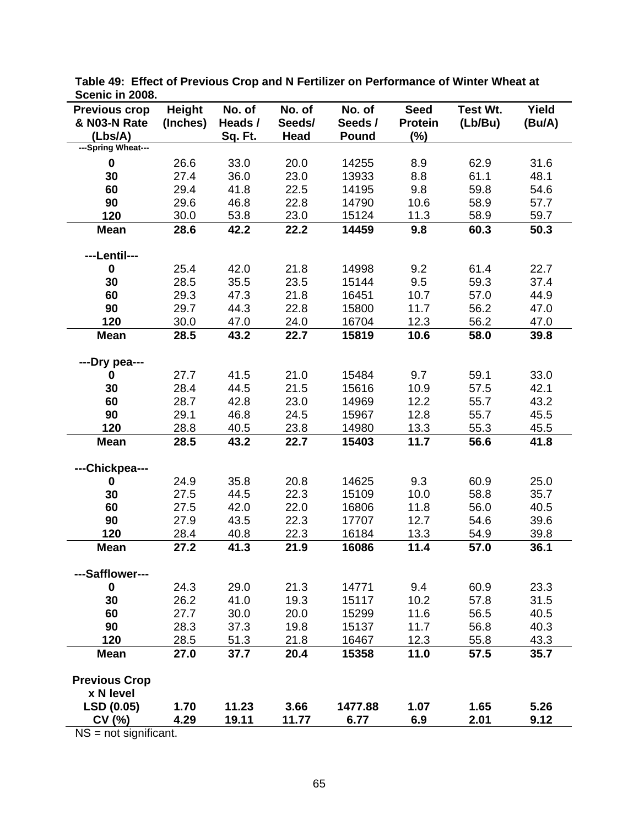| OUGHIU III LUUU.             |               |         |        |         |                |          |        |
|------------------------------|---------------|---------|--------|---------|----------------|----------|--------|
| <b>Previous crop</b>         | <b>Height</b> | No. of  | No. of | No. of  | <b>Seed</b>    | Test Wt. | Yield  |
| & N03-N Rate                 | (Inches)      | Heads / | Seeds/ | Seeds / | <b>Protein</b> | (Lb/Bu)  | (Bu/A) |
| (Lbs/A)                      |               | Sq. Ft. | Head   | Pound   | $(\%)$         |          |        |
| ---Spring Wheat---           |               |         |        |         |                |          |        |
| $\mathbf 0$                  | 26.6          | 33.0    | 20.0   | 14255   | 8.9            | 62.9     | 31.6   |
| 30                           | 27.4          | 36.0    | 23.0   | 13933   | 8.8            | 61.1     | 48.1   |
| 60                           | 29.4          | 41.8    | 22.5   | 14195   | 9.8            | 59.8     | 54.6   |
| 90                           | 29.6          | 46.8    | 22.8   | 14790   | 10.6           | 58.9     | 57.7   |
|                              |               |         |        |         | 11.3           |          |        |
| 120                          | 30.0          | 53.8    | 23.0   | 15124   |                | 58.9     | 59.7   |
| <b>Mean</b>                  | 28.6          | 42.2    | 22.2   | 14459   | 9.8            | 60.3     | 50.3   |
| ---Lentil---                 |               |         |        |         |                |          |        |
| $\mathbf 0$                  | 25.4          | 42.0    | 21.8   | 14998   | 9.2            | 61.4     | 22.7   |
| 30                           | 28.5          | 35.5    | 23.5   | 15144   | 9.5            | 59.3     | 37.4   |
| 60                           | 29.3          | 47.3    | 21.8   | 16451   | 10.7           | 57.0     | 44.9   |
| 90                           | 29.7          | 44.3    | 22.8   | 15800   | 11.7           | 56.2     | 47.0   |
| 120                          | 30.0          | 47.0    | 24.0   | 16704   | 12.3           | 56.2     | 47.0   |
|                              |               |         |        | 15819   |                |          |        |
| <b>Mean</b>                  | 28.5          | 43.2    | 22.7   |         | 10.6           | 58.0     | 39.8   |
|                              |               |         |        |         |                |          |        |
| ---Dry pea---                |               |         | 21.0   | 15484   |                |          |        |
| 0                            | 27.7          | 41.5    |        |         | 9.7            | 59.1     | 33.0   |
| 30                           | 28.4          | 44.5    | 21.5   | 15616   | 10.9           | 57.5     | 42.1   |
| 60                           | 28.7          | 42.8    | 23.0   | 14969   | 12.2           | 55.7     | 43.2   |
| 90                           | 29.1          | 46.8    | 24.5   | 15967   | 12.8           | 55.7     | 45.5   |
| 120                          | 28.8          | 40.5    | 23.8   | 14980   | 13.3           | 55.3     | 45.5   |
| <b>Mean</b>                  | 28.5          | 43.2    | 22.7   | 15403   | 11.7           | 56.6     | 41.8   |
|                              |               |         |        |         |                |          |        |
| ---Chickpea---               |               |         |        |         |                |          |        |
| 0                            | 24.9          | 35.8    | 20.8   | 14625   | 9.3            | 60.9     | 25.0   |
| 30                           | 27.5          | 44.5    | 22.3   | 15109   | 10.0           | 58.8     | 35.7   |
| 60                           | 27.5          | 42.0    | 22.0   | 16806   | 11.8           | 56.0     | 40.5   |
| 90                           | 27.9          | 43.5    | 22.3   | 17707   | 12.7           | 54.6     | 39.6   |
|                              |               |         |        |         |                |          | 39.8   |
| 120                          | 28.4          | 40.8    | 22.3   | 16184   | 13.3           | 54.9     |        |
| <b>Mean</b>                  | 27.2          | 41.3    | 21.9   | 16086   | 11.4           | 57.0     | 36.1   |
| ---Safflower---              |               |         |        |         |                |          |        |
|                              |               |         |        |         |                |          |        |
| $\mathbf 0$                  | 24.3          | 29.0    | 21.3   | 14771   | 9.4            | 60.9     | 23.3   |
| 30                           | 26.2          | 41.0    | 19.3   | 15117   | 10.2           | 57.8     | 31.5   |
| 60                           | 27.7          | 30.0    | 20.0   | 15299   | 11.6           | 56.5     | 40.5   |
| 90                           | 28.3          | 37.3    | 19.8   | 15137   | 11.7           | 56.8     | 40.3   |
| 120                          | 28.5          | 51.3    | 21.8   | 16467   | 12.3           | 55.8     | 43.3   |
| <b>Mean</b>                  | 27.0          | 37.7    | 20.4   | 15358   | 11.0           | 57.5     | 35.7   |
|                              |               |         |        |         |                |          |        |
| <b>Previous Crop</b>         |               |         |        |         |                |          |        |
| x N level                    |               |         |        |         |                |          |        |
| LSD (0.05)                   | 1.70          | 11.23   | 3.66   | 1477.88 | 1.07           | 1.65     | 5.26   |
| CV(%)                        | 4.29          | 19.11   | 11.77  | 6.77    | 6.9            | 2.01     | 9.12   |
| <b>NIC</b><br>$n$ ianifiannt |               |         |        |         |                |          |        |

**Table 49: Effect of Previous Crop and N Fertilizer on Performance of Winter Wheat at Scenic in 2008.** 

NS = not significant.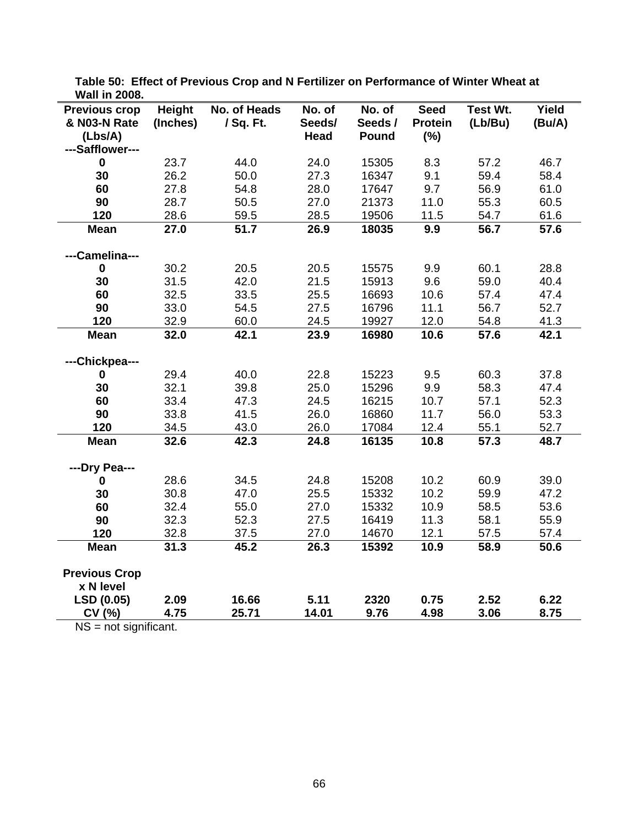| TTAII III LUUU.<br><b>Previous crop</b> | Height   | No. of Heads | No. of | No. of  | <b>Seed</b>    | Test Wt. | Yield  |
|-----------------------------------------|----------|--------------|--------|---------|----------------|----------|--------|
| & N03-N Rate                            | (Inches) | / Sq. Ft.    | Seeds/ | Seeds / | <b>Protein</b> | (Lb/Bu)  | (Bu/A) |
| (Lbs/A)                                 |          |              | Head   | Pound   | (%)            |          |        |
| ---Safflower---                         |          |              |        |         |                |          |        |
| $\bf{0}$                                | 23.7     | 44.0         | 24.0   | 15305   | 8.3            | 57.2     | 46.7   |
| 30                                      | 26.2     | 50.0         | 27.3   | 16347   | 9.1            | 59.4     | 58.4   |
| 60                                      | 27.8     | 54.8         | 28.0   | 17647   | 9.7            | 56.9     | 61.0   |
| 90                                      | 28.7     | 50.5         | 27.0   | 21373   | 11.0           | 55.3     | 60.5   |
| 120                                     | 28.6     | 59.5         | 28.5   | 19506   | 11.5           | 54.7     | 61.6   |
| <b>Mean</b>                             | 27.0     | 51.7         | 26.9   | 18035   | 9.9            | 56.7     | 57.6   |
|                                         |          |              |        |         |                |          |        |
| ---Camelina---                          |          |              |        |         |                |          |        |
| $\mathbf 0$                             | 30.2     | 20.5         | 20.5   | 15575   | 9.9            | 60.1     | 28.8   |
| 30                                      | 31.5     | 42.0         | 21.5   | 15913   | 9.6            | 59.0     | 40.4   |
| 60                                      | 32.5     | 33.5         | 25.5   | 16693   | 10.6           | 57.4     | 47.4   |
| 90                                      | 33.0     | 54.5         | 27.5   | 16796   | 11.1           | 56.7     | 52.7   |
| 120                                     | 32.9     | 60.0         | 24.5   | 19927   | 12.0           | 54.8     | 41.3   |
| <b>Mean</b>                             | 32.0     | 42.1         | 23.9   | 16980   | 10.6           | 57.6     | 42.1   |
|                                         |          |              |        |         |                |          |        |
| ---Chickpea---                          |          |              |        |         |                |          |        |
| $\mathbf 0$                             | 29.4     | 40.0         | 22.8   | 15223   | 9.5            | 60.3     | 37.8   |
| 30                                      | 32.1     | 39.8         | 25.0   | 15296   | 9.9            | 58.3     | 47.4   |
| 60                                      | 33.4     | 47.3         | 24.5   | 16215   | 10.7           | 57.1     | 52.3   |
| 90                                      | 33.8     | 41.5         | 26.0   | 16860   | 11.7           | 56.0     | 53.3   |
| 120                                     | 34.5     | 43.0         | 26.0   | 17084   | 12.4           | 55.1     | 52.7   |
| <b>Mean</b>                             | 32.6     | 42.3         | 24.8   | 16135   | 10.8           | 57.3     | 48.7   |
| ---Dry Pea---                           |          |              |        |         |                |          |        |
| $\bf{0}$                                | 28.6     | 34.5         | 24.8   | 15208   | 10.2           | 60.9     | 39.0   |
| 30                                      | 30.8     | 47.0         | 25.5   | 15332   | 10.2           | 59.9     | 47.2   |
| 60                                      | 32.4     | 55.0         | 27.0   | 15332   | 10.9           | 58.5     | 53.6   |
| 90                                      | 32.3     | 52.3         | 27.5   | 16419   | 11.3           | 58.1     | 55.9   |
| 120                                     | 32.8     | 37.5         | 27.0   | 14670   | 12.1           | 57.5     | 57.4   |
| <b>Mean</b>                             | 31.3     | 45.2         | 26.3   | 15392   | 10.9           | 58.9     | 50.6   |
|                                         |          |              |        |         |                |          |        |
| <b>Previous Crop</b>                    |          |              |        |         |                |          |        |
| x N level                               |          |              |        |         |                |          |        |
| LSD (0.05)                              | 2.09     | 16.66        | 5.11   | 2320    | 0.75           | 2.52     | 6.22   |
| CV (%)                                  | 4.75     | 25.71        | 14.01  | 9.76    | 4.98           | 3.06     | 8.75   |

**Table 50: Effect of Previous Crop and N Fertilizer on Performance of Winter Wheat at Wall in 2008.** 

NS = not significant.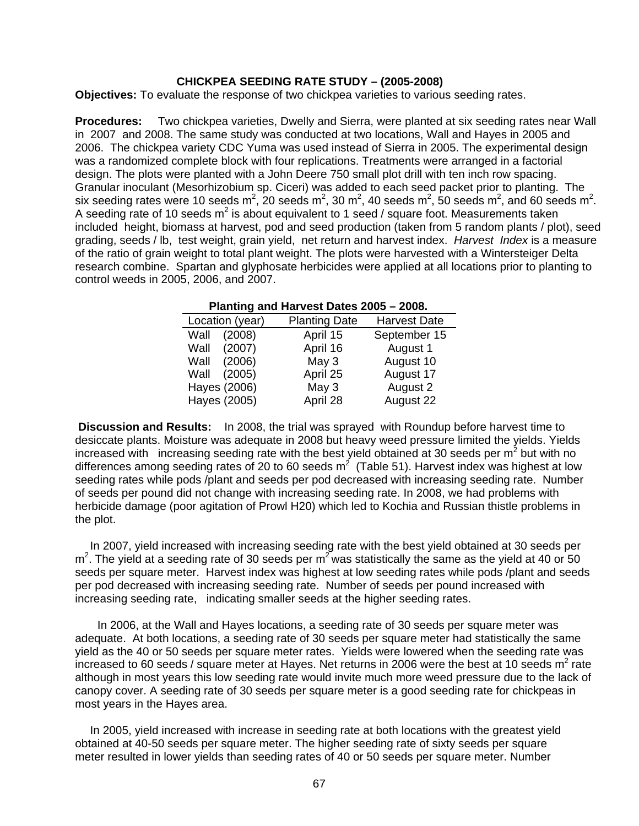### **CHICKPEA SEEDING RATE STUDY – (2005-2008)**

**Objectives:** To evaluate the response of two chickpea varieties to various seeding rates.

**Procedures:** Two chickpea varieties, Dwelly and Sierra, were planted at six seeding rates near Wall in 2007 and 2008. The same study was conducted at two locations, Wall and Hayes in 2005 and 2006. The chickpea variety CDC Yuma was used instead of Sierra in 2005. The experimental design was a randomized complete block with four replications. Treatments were arranged in a factorial design. The plots were planted with a John Deere 750 small plot drill with ten inch row spacing. Granular inoculant (Mesorhizobium sp. Ciceri) was added to each seed packet prior to planting. The six seeding rates were 10 seeds m<sup>2</sup>, 20 seeds m<sup>2</sup>, 30 m<sup>2</sup>, 40 seeds m<sup>2</sup>, 50 seeds m<sup>2</sup>, and 60 seeds m<sup>2</sup>. A seeding rate of 10 seeds m<sup>2</sup> is about equivalent to 1 seed / square foot. Measurements taken included height, biomass at harvest, pod and seed production (taken from 5 random plants / plot), seed grading, seeds / lb, test weight, grain yield, net return and harvest index. *Harvest Index* is a measure of the ratio of grain weight to total plant weight. The plots were harvested with a Wintersteiger Delta research combine. Spartan and glyphosate herbicides were applied at all locations prior to planting to control weeds in 2005, 2006, and 2007.

| Planting and Harvest Dates 2005 - 2008. |                      |                     |  |  |  |  |  |
|-----------------------------------------|----------------------|---------------------|--|--|--|--|--|
| Location (year)                         | <b>Planting Date</b> | <b>Harvest Date</b> |  |  |  |  |  |
| (2008)<br>Wall                          | April 15             | September 15        |  |  |  |  |  |
| (2007)<br>Wall                          | April 16             | August 1            |  |  |  |  |  |
| (2006)<br>Wall                          | May 3                | August 10           |  |  |  |  |  |
| (2005)<br>Wall                          | April 25             | August 17           |  |  |  |  |  |
| Hayes (2006)                            | May 3                | August 2            |  |  |  |  |  |
| Hayes (2005)                            | April 28             | August 22           |  |  |  |  |  |

 **Discussion and Results:** In 2008, the trial was sprayed with Roundup before harvest time to desiccate plants. Moisture was adequate in 2008 but heavy weed pressure limited the yields. Yields increased with increasing seeding rate with the best yield obtained at 30 seeds per m<sup>2</sup> but with no differences among seeding rates of 20 to 60 seeds  $m^2$  (Table 51). Harvest index was highest at low seeding rates while pods /plant and seeds per pod decreased with increasing seeding rate. Number of seeds per pound did not change with increasing seeding rate. In 2008, we had problems with herbicide damage (poor agitation of Prowl H20) which led to Kochia and Russian thistle problems in the plot.

 In 2007, yield increased with increasing seeding rate with the best yield obtained at 30 seeds per  $m^2$ . The yield at a seeding rate of 30 seeds per m<sup>2</sup> was statistically the same as the yield at 40 or 50 seeds per square meter. Harvest index was highest at low seeding rates while pods /plant and seeds per pod decreased with increasing seeding rate. Number of seeds per pound increased with increasing seeding rate, indicating smaller seeds at the higher seeding rates.

 In 2006, at the Wall and Hayes locations, a seeding rate of 30 seeds per square meter was adequate. At both locations, a seeding rate of 30 seeds per square meter had statistically the same yield as the 40 or 50 seeds per square meter rates. Yields were lowered when the seeding rate was increased to 60 seeds / square meter at Hayes. Net returns in 2006 were the best at 10 seeds m<sup>2</sup> rate although in most years this low seeding rate would invite much more weed pressure due to the lack of canopy cover. A seeding rate of 30 seeds per square meter is a good seeding rate for chickpeas in most years in the Hayes area.

In 2005, yield increased with increase in seeding rate at both locations with the greatest yield obtained at 40-50 seeds per square meter. The higher seeding rate of sixty seeds per square meter resulted in lower yields than seeding rates of 40 or 50 seeds per square meter. Number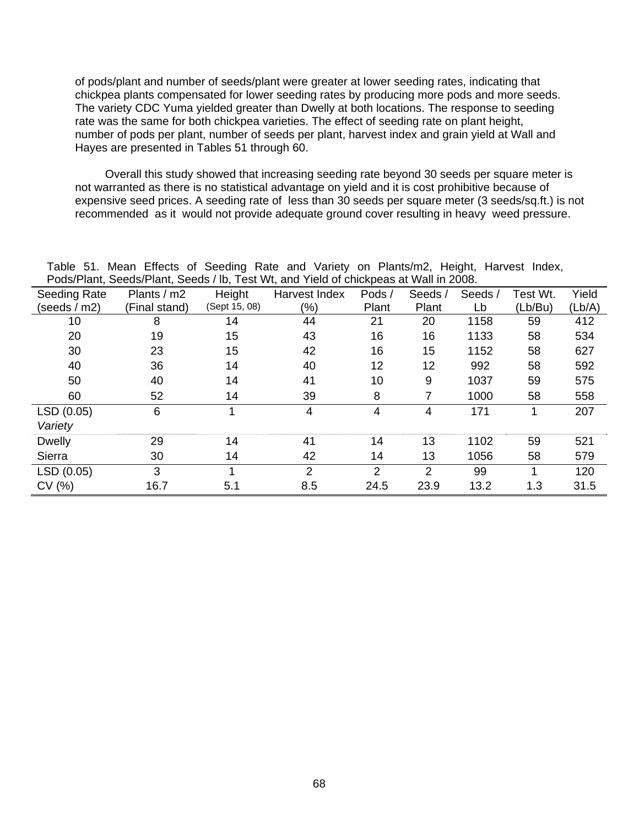of pods/plant and number of seeds/plant were greater at lower seeding rates, indicating that chickpea plants compensated for lower seeding rates by producing more pods and more seeds. The variety CDC Yuma yielded greater than Dwelly at both locations. The response to seeding rate was the same for both chickpea varieties. The effect of seeding rate on plant height, number of pods per plant, number of seeds per plant, harvest index and grain yield at Wall and Hayes are presented in Tables 51 through 60.

 Overall this study showed that increasing seeding rate beyond 30 seeds per square meter is not warranted as there is no statistical advantage on yield and it is cost prohibitive because of expensive seed prices. A seeding rate of less than 30 seeds per square meter (3 seeds/sq.ft.) is not recommended as it would not provide adequate ground cover resulting in heavy weed pressure.

|                     | $1$ avic JT. Micali Lifects Of Occurry Rate and vallety Off Flams/m2, Height, Harvest MucA,<br>Pods/Plant, Seeds/Plant, Seeds / Ib, Test Wt, and Yield of chickpeas at Wall in 2008. |               |                |                |                |        |          |        |  |  |  |
|---------------------|--------------------------------------------------------------------------------------------------------------------------------------------------------------------------------------|---------------|----------------|----------------|----------------|--------|----------|--------|--|--|--|
|                     |                                                                                                                                                                                      |               |                |                |                |        |          |        |  |  |  |
| <b>Seeding Rate</b> | Plants / m2                                                                                                                                                                          | Height        | Harvest Index  | Pods /         | Seeds/         | Seeds/ | Test Wt. | Yield  |  |  |  |
| (seeds / m2)        | (Final stand)                                                                                                                                                                        | (Sept 15, 08) | (%)            | Plant          | Plant          | Lb     | (Lb/Bu)  | (Lb/A) |  |  |  |
| 10                  | 8                                                                                                                                                                                    | 14            | 44             | 21             | 20             | 1158   | 59       | 412    |  |  |  |
| 20                  | 19                                                                                                                                                                                   | 15            | 43             | 16             | 16             | 1133   | 58       | 534    |  |  |  |
| 30                  | 23                                                                                                                                                                                   | 15            | 42             | 16             | 15             | 1152   | 58       | 627    |  |  |  |
| 40                  | 36                                                                                                                                                                                   | 14            | 40             | 12             | 12             | 992    | 58       | 592    |  |  |  |
| 50                  | 40                                                                                                                                                                                   | 14            | 41             | 10             | 9              | 1037   | 59       | 575    |  |  |  |
| 60                  | 52                                                                                                                                                                                   | 14            | 39             | 8              | 7              | 1000   | 58       | 558    |  |  |  |
| LSD (0.05)          | 6                                                                                                                                                                                    |               | 4              | 4              | 4              | 171    |          | 207    |  |  |  |
| Variety             |                                                                                                                                                                                      |               |                |                |                |        |          |        |  |  |  |
| <b>Dwelly</b>       | 29                                                                                                                                                                                   | 14            | 41             | 14             | 13             | 1102   | 59       | 521    |  |  |  |
| Sierra              | 30                                                                                                                                                                                   | 14            | 42             | 14             | 13             | 1056   | 58       | 579    |  |  |  |
| LSD (0.05)          | 3                                                                                                                                                                                    |               | $\overline{2}$ | $\overline{2}$ | $\overline{2}$ | 99     |          | 120    |  |  |  |
| CV(%)               | 16.7                                                                                                                                                                                 | 5.1           | 8.5            | 24.5           | 23.9           | 13.2   | 1.3      | 31.5   |  |  |  |

Table 51. Mean Effects of Seeding Rate and Variety on Plants/m2, Height, Harvest Index,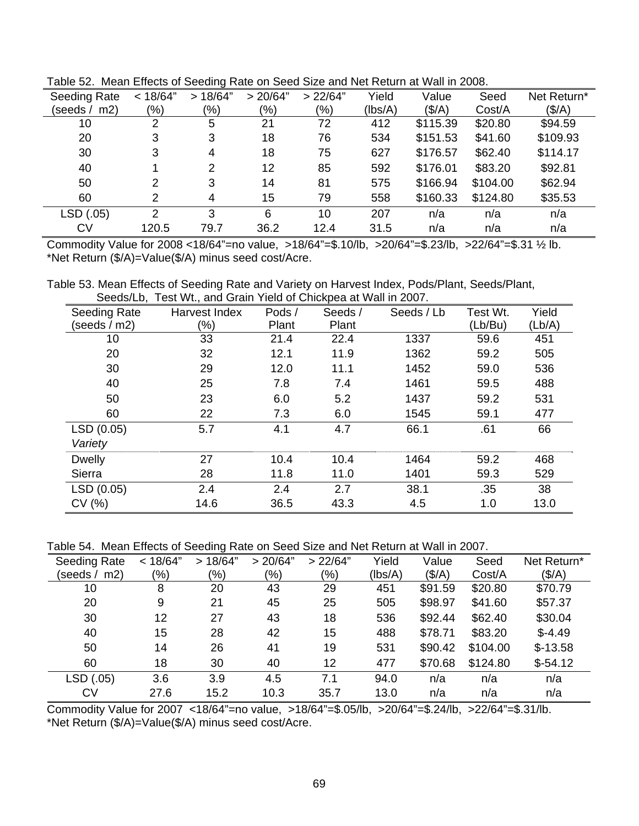| <b>Seeding Rate</b> | < 18/64"      | >18/64"       | > 20/64" | > 22/64" | Yield   | Value    | Seed     | Net Return*     |
|---------------------|---------------|---------------|----------|----------|---------|----------|----------|-----------------|
| (seeds / m2)        | (% )          | $(\%)$        | (%)      | $(\% )$  | (Ibs/A) | (S/A)    | Cost/A   | $(\frac{4}{A})$ |
| 10                  | 2             | 5             | 21       | 72       | 412     | \$115.39 | \$20.80  | \$94.59         |
| 20                  | 3             | 3             | 18       | 76       | 534     | \$151.53 | \$41.60  | \$109.93        |
| 30                  | 3             | 4             | 18       | 75       | 627     | \$176.57 | \$62.40  | \$114.17        |
| 40                  |               | $\mathcal{P}$ | 12       | 85       | 592     | \$176.01 | \$83.20  | \$92.81         |
| 50                  | 2             | 3             | 14       | 81       | 575     | \$166.94 | \$104.00 | \$62.94         |
| 60                  | 2             | 4             | 15       | 79       | 558     | \$160.33 | \$124.80 | \$35.53         |
| LSD (.05)           | $\mathcal{P}$ | 3             | 6        | 10       | 207     | n/a      | n/a      | n/a             |
| <b>CV</b>           | 120.5         | 79.7          | 36.2     | 12.4     | 31.5    | n/a      | n/a      | n/a             |

Table 52. Mean Effects of Seeding Rate on Seed Size and Net Return at Wall in 2008.

Commodity Value for 2008 <18/64"=no value, >18/64"=\$.10/lb, >20/64"=\$.23/lb, >22/64"=\$.31 ½ lb. \*Net Return (\$/A)=Value(\$/A) minus seed cost/Acre.

Table 53. Mean Effects of Seeding Rate and Variety on Harvest Index, Pods/Plant, Seeds/Plant, Seeds/Lb, Test Wt., and Grain Yield of Chickpea at Wall in 2007.

| Seeding Rate   | TOOL WELL, QUID OTAITE FROM OF OTHORPOOL OF WAIT IT LOOP.<br>Harvest Index | Pods/ | Seeds / | Seeds / Lb | Test Wt. | Yield  |
|----------------|----------------------------------------------------------------------------|-------|---------|------------|----------|--------|
| (seeds $/m2$ ) | (%)                                                                        | Plant | Plant   |            | (Lb/Bu)  | (Lb/A) |
| 10             | 33                                                                         | 21.4  | 22.4    | 1337       | 59.6     | 451    |
| 20             | 32                                                                         | 12.1  | 11.9    | 1362       | 59.2     | 505    |
| 30             | 29                                                                         | 12.0  | 11.1    | 1452       | 59.0     | 536    |
| 40             | 25                                                                         | 7.8   | 7.4     | 1461       | 59.5     | 488    |
| 50             | 23                                                                         | 6.0   | 5.2     | 1437       | 59.2     | 531    |
| 60             | 22                                                                         | 7.3   | 6.0     | 1545       | 59.1     | 477    |
| LSD(0.05)      | 5.7                                                                        | 4.1   | 4.7     | 66.1       | .61      | 66     |
| Variety        |                                                                            |       |         |            |          |        |
| <b>Dwelly</b>  | 27                                                                         | 10.4  | 10.4    | 1464       | 59.2     | 468    |
| Sierra         | 28                                                                         | 11.8  | 11.0    | 1401       | 59.3     | 529    |
| LSD (0.05)     | 2.4                                                                        | 2.4   | 2.7     | 38.1       | .35      | 38     |
| CV(% )         | 14.6                                                                       | 36.5  | 43.3    | 4.5        | 1.0      | 13.0   |

Table 54. Mean Effects of Seeding Rate on Seed Size and Net Return at Wall in 2007.

| <b>Seeding Rate</b> | < 18/64" | >18/64" | > 20/64" | > 22/64" | Yield   | Value           | Seed     | Net Return*     |
|---------------------|----------|---------|----------|----------|---------|-----------------|----------|-----------------|
| (seeds / m2)        | $(\%)$   | (%)     | (9/0)    | (%)      | (Ibs/A) | $(\frac{4}{A})$ | Cost/A   | $(\frac{4}{A})$ |
| 10                  | 8        | 20      | 43       | 29       | 451     | \$91.59         | \$20.80  | \$70.79         |
| 20                  | 9        | 21      | 45       | 25       | 505     | \$98.97         | \$41.60  | \$57.37         |
| 30                  | 12       | 27      | 43       | 18       | 536     | \$92.44         | \$62.40  | \$30.04         |
| 40                  | 15       | 28      | 42       | 15       | 488     | \$78.71         | \$83.20  | $$-4.49$        |
| 50                  | 14       | 26      | 41       | 19       | 531     | \$90.42         | \$104.00 | $$-13.58$       |
| 60                  | 18       | 30      | 40       | 12       | 477     | \$70.68         | \$124.80 | $$-54.12$       |
| LSD (.05)           | 3.6      | 3.9     | 4.5      | 7.1      | 94.0    | n/a             | n/a      | n/a             |
| <b>CV</b>           | 27.6     | 15.2    | 10.3     | 35.7     | 13.0    | n/a             | n/a      | n/a             |

Commodity Value for 2007 <18/64"=no value, >18/64"=\$.05/lb, >20/64"=\$.24/lb, >22/64"=\$.31/lb. \*Net Return (\$/A)=Value(\$/A) minus seed cost/Acre.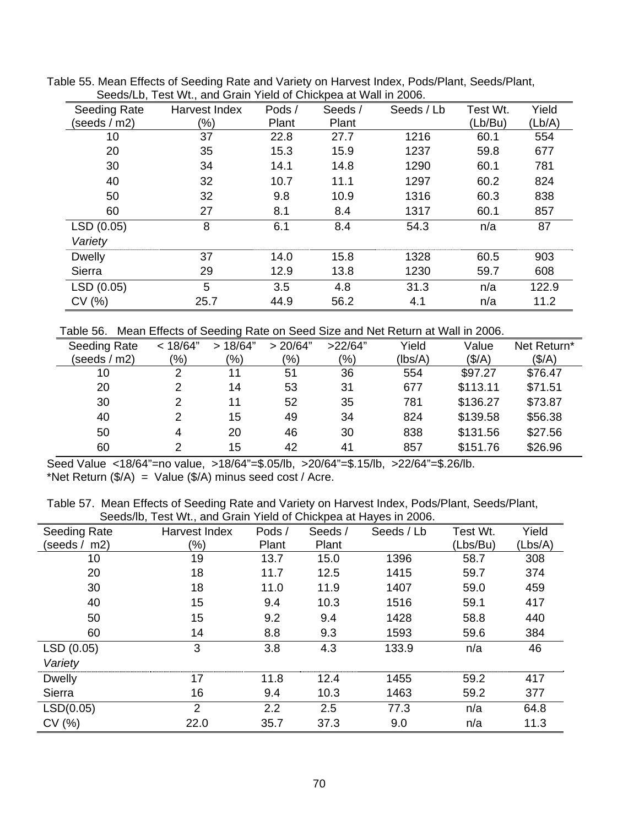|               | <u>ooddig LD, Tool With and Ordin Tiold of Orlighpod at Wall in 2000.</u> |        |        |            |          |        |
|---------------|---------------------------------------------------------------------------|--------|--------|------------|----------|--------|
| Seeding Rate  | Harvest Index                                                             | Pods / | Seeds/ | Seeds / Lb | Test Wt. | Yield  |
| (seeds / m2)  | (%)                                                                       | Plant  | Plant  |            | (Lb/Bu)  | (Lb/A) |
| 10            | 37                                                                        | 22.8   | 27.7   | 1216       | 60.1     | 554    |
| 20            | 35                                                                        | 15.3   | 15.9   | 1237       | 59.8     | 677    |
| 30            | 34                                                                        | 14.1   | 14.8   | 1290       | 60.1     | 781    |
| 40            | 32                                                                        | 10.7   | 11.1   | 1297       | 60.2     | 824    |
| 50            | 32                                                                        | 9.8    | 10.9   | 1316       | 60.3     | 838    |
| 60            | 27                                                                        | 8.1    | 8.4    | 1317       | 60.1     | 857    |
| LSD (0.05)    | 8                                                                         | 6.1    | 8.4    | 54.3       | n/a      | 87     |
| Variety       |                                                                           |        |        |            |          |        |
| <b>Dwelly</b> | 37                                                                        | 14.0   | 15.8   | 1328       | 60.5     | 903    |
| Sierra        | 29                                                                        | 12.9   | 13.8   | 1230       | 59.7     | 608    |
| LSD (0.05)    | 5                                                                         | 3.5    | 4.8    | 31.3       | n/a      | 122.9  |
| CV(%)         | 25.7                                                                      | 44.9   | 56.2   | 4.1        | n/a      | 11.2   |

Table 55. Mean Effects of Seeding Rate and Variety on Harvest Index, Pods/Plant, Seeds/Plant, Seeds/Lb, Test Wt., and Grain Yield of Chickpea at Wall in 2006.

Table 56. Mean Effects of Seeding Rate on Seed Size and Net Return at Wall in 2006.

| Seeding Rate | < 18/64"      | >18/64"       | > 20/64"      | >22/64"       | Yield   | Value           | Net Return*     |
|--------------|---------------|---------------|---------------|---------------|---------|-----------------|-----------------|
| (seeds / m2) | $\frac{1}{2}$ | $\frac{1}{2}$ | $\frac{1}{2}$ | $\frac{9}{6}$ | (lbs/A) | $(\frac{4}{A})$ | $(\frac{4}{A})$ |
| 10           | 2             | 11            | 51            | 36            | 554     | \$97.27         | \$76.47         |
| 20           | 2             | 14            | 53            | 31            | 677     | \$113.11        | \$71.51         |
| 30           | 2             | 11            | 52            | 35            | 781     | \$136.27        | \$73.87         |
| 40           | 2             | 15            | 49            | 34            | 824     | \$139.58        | \$56.38         |
| 50           | 4             | 20            | 46            | 30            | 838     | \$131.56        | \$27.56         |
| 60           | っ             | 15            | 42            | 41            | 857     | \$151.76        | \$26.96         |

Seed Value <18/64"=no value, >18/64"=\$.05/lb, >20/64"=\$.15/lb, >22/64"=\$.26/lb. \*Net Return  $(\frac{5}{A})$  = Value  $(\frac{5}{A})$  minus seed cost / Acre.

Table 57. Mean Effects of Seeding Rate and Variety on Harvest Index, Pods/Plant, Seeds/Plant, Seeds/lb, Test Wt., and Grain Yield of Chickpea at Hayes in 2006.

|                | Occupiib, Test Wt., and Orain Ticiu of Oniciped at Hayes in Zooo. |        |        |            |          |         |
|----------------|-------------------------------------------------------------------|--------|--------|------------|----------|---------|
| Seeding Rate   | Harvest Index                                                     | Pods / | Seeds/ | Seeds / Lb | Test Wt. | Yield   |
| (seeds/<br>m2) | (%)                                                               | Plant  | Plant  |            | (Lbs/Bu) | (Lbs/A) |
| 10             | 19                                                                | 13.7   | 15.0   | 1396       | 58.7     | 308     |
| 20             | 18                                                                | 11.7   | 12.5   | 1415       | 59.7     | 374     |
| 30             | 18                                                                | 11.0   | 11.9   | 1407       | 59.0     | 459     |
| 40             | 15                                                                | 9.4    | 10.3   | 1516       | 59.1     | 417     |
| 50             | 15                                                                | 9.2    | 9.4    | 1428       | 58.8     | 440     |
| 60             | 14                                                                | 8.8    | 9.3    | 1593       | 59.6     | 384     |
| LSD (0.05)     | 3                                                                 | 3.8    | 4.3    | 133.9      | n/a      | 46      |
| Variety        |                                                                   |        |        |            |          |         |
| <b>Dwelly</b>  | 17                                                                | 11.8   | 12.4   | 1455       | 59.2     | 417     |
| Sierra         | 16                                                                | 9.4    | 10.3   | 1463       | 59.2     | 377     |
| LSD(0.05)      | 2                                                                 | 2.2    | 2.5    | 77.3       | n/a      | 64.8    |
| CV(% )         | 22.0                                                              | 35.7   | 37.3   | 9.0        | n/a      | 11.3    |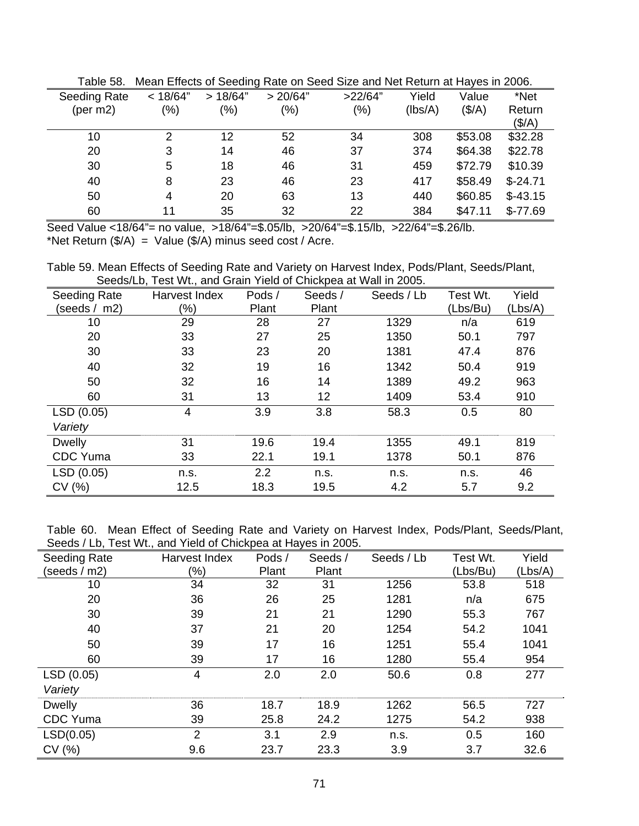| i uviv vv.   |          |         |          | <b>THOUGH EMODIO OF OUGHING MIGHT OUGH OILD GINE HOL MOTH OF HIGHOU IN LOUD.</b> |         |                           |                 |
|--------------|----------|---------|----------|----------------------------------------------------------------------------------|---------|---------------------------|-----------------|
| Seeding Rate | < 18/64" | >18/64" | > 20/64" | >22/64"                                                                          | Yield   | Value                     | *Net            |
| (per $m2$ )  | (%)      | (%)     | $(\%)$   | $(\% )$                                                                          | (lbs/A) | $(\frac{\mathcal{S}}{A})$ | Return          |
|              |          |         |          |                                                                                  |         |                           | $(\frac{4}{A})$ |
| 10           | 2        | 12      | 52       | 34                                                                               | 308     | \$53.08                   | \$32.28         |
| 20           | 3        | 14      | 46       | 37                                                                               | 374     | \$64.38                   | \$22.78         |
| 30           | 5        | 18      | 46       | 31                                                                               | 459     | \$72.79                   | \$10.39         |
| 40           | 8        | 23      | 46       | 23                                                                               | 417     | \$58.49                   | $$-24.71$       |
| 50           | 4        | 20      | 63       | 13                                                                               | 440     | \$60.85                   | $$-43.15$       |
| 60           | 11       | 35      | 32       | 22                                                                               | 384     | \$47.11                   | $$-77.69$       |

Table 58. Mean Effects of Seeding Rate on Seed Size and Net Return at Hayes in 2006.

Seed Value <18/64"= no value, >18/64"=\$.05/lb, >20/64"=\$.15/lb, >22/64"=\$.26/lb. \*Net Return  $(\frac{5}{A})$  = Value  $(\frac{5}{A})$  minus seed cost / Acre.

Table 59. Mean Effects of Seeding Rate and Variety on Harvest Index, Pods/Plant, Seeds/Plant, Seeds/Lb, Test Wt., and Grain Yield of Chickpea at Wall in 2005.

| Seeding Rate    | Harvest Index | Pods / | Seeds/ | Seeds / Lb | Test Wt. | Yield   |
|-----------------|---------------|--------|--------|------------|----------|---------|
| (seeds /<br>m2) | $(\%)$        | Plant  | Plant  |            | (Lbs/Bu) | (Lbs/A) |
| 10              | 29            | 28     | 27     | 1329       | n/a      | 619     |
| 20              | 33            | 27     | 25     | 1350       | 50.1     | 797     |
| 30              | 33            | 23     | 20     | 1381       | 47.4     | 876     |
| 40              | 32            | 19     | 16     | 1342       | 50.4     | 919     |
| 50              | 32            | 16     | 14     | 1389       | 49.2     | 963     |
| 60              | 31            | 13     | 12     | 1409       | 53.4     | 910     |
| LSD (0.05)      | 4             | 3.9    | 3.8    | 58.3       | 0.5      | 80      |
| Variety         |               |        |        |            |          |         |
| <b>Dwelly</b>   | 31            | 19.6   | 19.4   | 1355       | 49.1     | 819     |
| <b>CDC</b> Yuma | 33            | 22.1   | 19.1   | 1378       | 50.1     | 876     |
| LSD (0.05)      | n.s.          | 2.2    | n.s.   | n.s.       | n.s.     | 46      |
| CV(%)           | 12.5          | 18.3   | 19.5   | 4.2        | 5.7      | 9.2     |

Table 60. Mean Effect of Seeding Rate and Variety on Harvest Index, Pods/Plant, Seeds/Plant, Seeds / Lb. Test Wt., and Yield of Chickpea at Hayes in 2005.

| Seeding Rate    | Harvest Index | Pods / | Seeds/ | Seeds / Lb | Test Wt. | Yield   |
|-----------------|---------------|--------|--------|------------|----------|---------|
| (seeds $/m2$ )  | (%)           | Plant  | Plant  |            | (Lbs/Bu) | (Lbs/A) |
| 10              | 34            | 32     | 31     | 1256       | 53.8     | 518     |
| 20              | 36            | 26     | 25     | 1281       | n/a      | 675     |
| 30              | 39            | 21     | 21     | 1290       | 55.3     | 767     |
| 40              | 37            | 21     | 20     | 1254       | 54.2     | 1041    |
| 50              | 39            | 17     | 16     | 1251       | 55.4     | 1041    |
| 60              | 39            | 17     | 16     | 1280       | 55.4     | 954     |
| LSD (0.05)      | 4             | 2.0    | 2.0    | 50.6       | 0.8      | 277     |
| Variety         |               |        |        |            |          |         |
| <b>Dwelly</b>   | 36            | 18.7   | 18.9   | 1262       | 56.5     | 727     |
| <b>CDC</b> Yuma | 39            | 25.8   | 24.2   | 1275       | 54.2     | 938     |
| LSD(0.05)       | 2             | 3.1    | 2.9    | n.S.       | 0.5      | 160     |
| CV(%)           | 9.6           | 23.7   | 23.3   | 3.9        | 3.7      | 32.6    |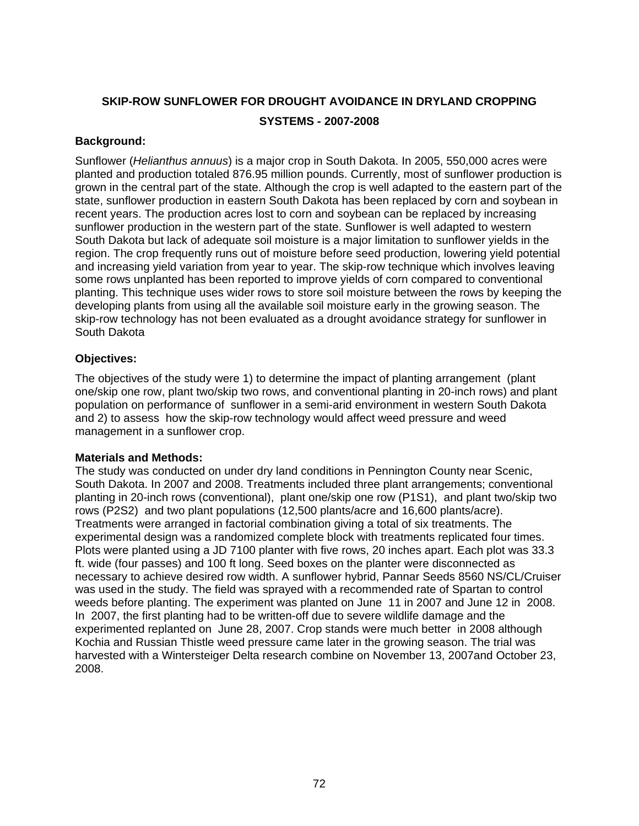# **SKIP-ROW SUNFLOWER FOR DROUGHT AVOIDANCE IN DRYLAND CROPPING SYSTEMS - 2007-2008**

# **Background:**

Sunflower (*Helianthus annuus*) is a major crop in South Dakota. In 2005, 550,000 acres were planted and production totaled 876.95 million pounds. Currently, most of sunflower production is grown in the central part of the state. Although the crop is well adapted to the eastern part of the state, sunflower production in eastern South Dakota has been replaced by corn and soybean in recent years. The production acres lost to corn and soybean can be replaced by increasing sunflower production in the western part of the state. Sunflower is well adapted to western South Dakota but lack of adequate soil moisture is a major limitation to sunflower yields in the region. The crop frequently runs out of moisture before seed production, lowering yield potential and increasing yield variation from year to year. The skip-row technique which involves leaving some rows unplanted has been reported to improve yields of corn compared to conventional planting. This technique uses wider rows to store soil moisture between the rows by keeping the developing plants from using all the available soil moisture early in the growing season. The skip-row technology has not been evaluated as a drought avoidance strategy for sunflower in South Dakota

# **Objectives:**

The objectives of the study were 1) to determine the impact of planting arrangement (plant one/skip one row, plant two/skip two rows, and conventional planting in 20-inch rows) and plant population on performance of sunflower in a semi-arid environment in western South Dakota and 2) to assess how the skip-row technology would affect weed pressure and weed management in a sunflower crop.

# **Materials and Methods:**

The study was conducted on under dry land conditions in Pennington County near Scenic, South Dakota. In 2007 and 2008. Treatments included three plant arrangements; conventional planting in 20-inch rows (conventional), plant one/skip one row (P1S1), and plant two/skip two rows (P2S2) and two plant populations (12,500 plants/acre and 16,600 plants/acre). Treatments were arranged in factorial combination giving a total of six treatments. The experimental design was a randomized complete block with treatments replicated four times. Plots were planted using a JD 7100 planter with five rows, 20 inches apart. Each plot was 33.3 ft. wide (four passes) and 100 ft long. Seed boxes on the planter were disconnected as necessary to achieve desired row width. A sunflower hybrid, Pannar Seeds 8560 NS/CL/Cruiser was used in the study. The field was sprayed with a recommended rate of Spartan to control weeds before planting. The experiment was planted on June 11 in 2007 and June 12 in 2008. In 2007, the first planting had to be written-off due to severe wildlife damage and the experimented replanted on June 28, 2007. Crop stands were much better in 2008 although Kochia and Russian Thistle weed pressure came later in the growing season. The trial was harvested with a Wintersteiger Delta research combine on November 13, 2007and October 23, 2008.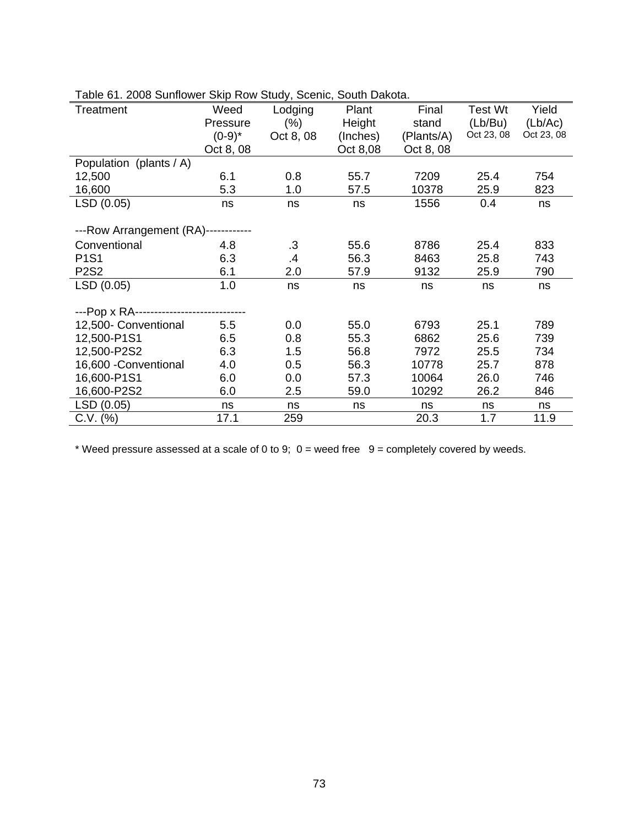| Treatment                                | Weed      | Lodging   | Plant    | Final      | Test Wt    | Yield      |
|------------------------------------------|-----------|-----------|----------|------------|------------|------------|
|                                          | Pressure  | (% )      | Height   | stand      | (Lb/Bu)    | (Lb/Ac)    |
|                                          | $(0-9)^*$ | Oct 8, 08 | (Inches) | (Plants/A) | Oct 23, 08 | Oct 23, 08 |
|                                          | Oct 8, 08 |           | Oct 8,08 | Oct 8, 08  |            |            |
| Population (plants / A)                  |           |           |          |            |            |            |
| 12,500                                   | 6.1       | 0.8       | 55.7     | 7209       | 25.4       | 754        |
| 16,600                                   | 5.3       | 1.0       | 57.5     | 10378      | 25.9       | 823        |
| LSD (0.05)                               | ns        | ns        | ns       | 1556       | 0.4        | ns         |
|                                          |           |           |          |            |            |            |
| ---Row Arrangement (RA)------------      |           |           |          |            |            |            |
| Conventional                             | 4.8       | $\cdot$ 3 | 55.6     | 8786       | 25.4       | 833        |
| <b>P1S1</b>                              | 6.3       | $\cdot$   | 56.3     | 8463       | 25.8       | 743        |
| <b>P2S2</b>                              | 6.1       | 2.0       | 57.9     | 9132       | 25.9       | 790        |
| LSD (0.05)                               | 1.0       | ns        | ns       | ns         | ns         | ns         |
|                                          |           |           |          |            |            |            |
| ---Pop x RA----------------------------- |           |           |          |            |            |            |
| 12,500- Conventional                     | 5.5       | 0.0       | 55.0     | 6793       | 25.1       | 789        |
| 12,500-P1S1                              | 6.5       | 0.8       | 55.3     | 6862       | 25.6       | 739        |
| 12,500-P2S2                              | 6.3       | 1.5       | 56.8     | 7972       | 25.5       | 734        |
| 16,600 - Conventional                    | 4.0       | 0.5       | 56.3     | 10778      | 25.7       | 878        |
| 16,600-P1S1                              | 6.0       | 0.0       | 57.3     | 10064      | 26.0       | 746        |
| 16,600-P2S2                              | 6.0       | 2.5       | 59.0     | 10292      | 26.2       | 846        |
| LSD (0.05)                               | ns        | ns        | ns       | ns         | ns         | ns         |
| C.V. (%)                                 | 17.1      | 259       |          | 20.3       | 1.7        | 11.9       |

Table 61. 2008 Sunflower Skip Row Study, Scenic, South Dakota.

\* Weed pressure assessed at a scale of 0 to 9;  $0 =$  weed free  $9 =$  completely covered by weeds.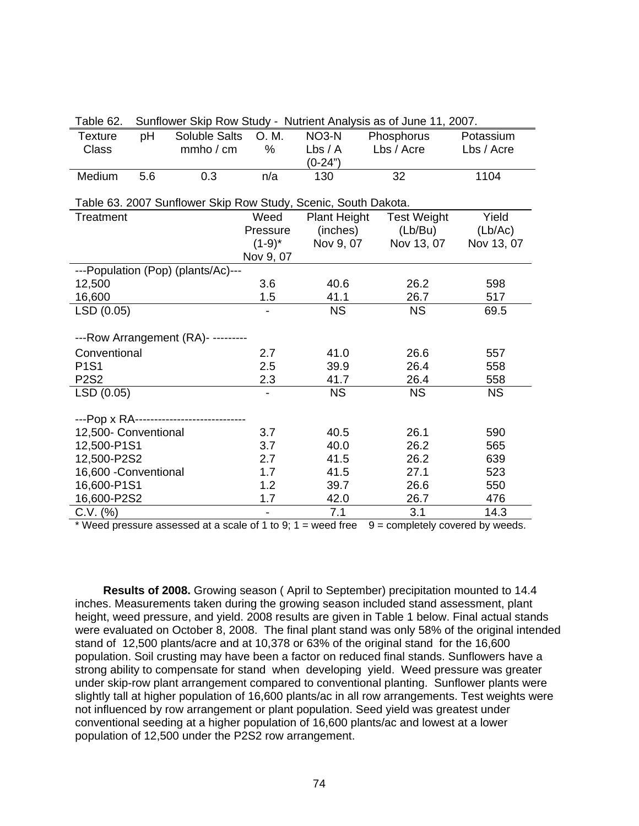| Table 62.                                                      |     |                                          |                |                     | Sunriower Skip Row Study - Nutrient Analysis as of June 11, 2007. |            |  |  |  |  |
|----------------------------------------------------------------|-----|------------------------------------------|----------------|---------------------|-------------------------------------------------------------------|------------|--|--|--|--|
| Texture                                                        | pH  | Soluble Salts                            | O. M.          | NO <sub>3</sub> -N  | Phosphorus                                                        | Potassium  |  |  |  |  |
| <b>Class</b>                                                   |     | mmbo / cm                                | $\%$           | Lbs/A               | Lbs / Acre                                                        | Lbs / Acre |  |  |  |  |
|                                                                |     |                                          |                | (0-24")             |                                                                   |            |  |  |  |  |
| Medium                                                         | 5.6 | 0.3                                      | n/a            | 130                 | 32                                                                | 1104       |  |  |  |  |
|                                                                |     |                                          |                |                     |                                                                   |            |  |  |  |  |
| Table 63. 2007 Sunflower Skip Row Study, Scenic, South Dakota. |     |                                          |                |                     |                                                                   |            |  |  |  |  |
| <b>Treatment</b>                                               |     |                                          | Weed           | <b>Plant Height</b> | <b>Test Weight</b>                                                | Yield      |  |  |  |  |
|                                                                |     |                                          | Pressure       | (inches)            | (Lb/Bu)                                                           | (Lb/Ac)    |  |  |  |  |
|                                                                |     |                                          | $(1-9)^*$      | Nov 9, 07           | Nov 13, 07                                                        | Nov 13, 07 |  |  |  |  |
|                                                                |     |                                          | Nov 9, 07      |                     |                                                                   |            |  |  |  |  |
|                                                                |     | ---Population (Pop) (plants/Ac)---       |                |                     |                                                                   |            |  |  |  |  |
| 12,500                                                         |     |                                          | 3.6            | 40.6                | 26.2                                                              | 598        |  |  |  |  |
| 16,600                                                         |     |                                          | 1.5            | 41.1                | 26.7                                                              | 517        |  |  |  |  |
| LSD (0.05)                                                     |     |                                          |                | <b>NS</b>           | <b>NS</b>                                                         | 69.5       |  |  |  |  |
|                                                                |     |                                          |                |                     |                                                                   |            |  |  |  |  |
|                                                                |     | ---Row Arrangement (RA)- ---------       |                |                     |                                                                   |            |  |  |  |  |
| Conventional                                                   |     |                                          | 2.7            | 41.0                | 26.6                                                              | 557        |  |  |  |  |
| <b>P1S1</b>                                                    |     |                                          | 2.5            | 39.9                | 26.4                                                              | 558        |  |  |  |  |
| <b>P2S2</b>                                                    |     |                                          | 2.3            | 41.7                | 26.4                                                              | 558        |  |  |  |  |
| LSD (0.05)                                                     |     |                                          | $\blacksquare$ | <b>NS</b>           | <b>NS</b>                                                         | <b>NS</b>  |  |  |  |  |
|                                                                |     |                                          |                |                     |                                                                   |            |  |  |  |  |
|                                                                |     | ---Pop x RA----------------------------- |                |                     |                                                                   |            |  |  |  |  |
| 12,500- Conventional                                           |     |                                          | 3.7            | 40.5                | 26.1                                                              | 590        |  |  |  |  |
| 12,500-P1S1                                                    |     |                                          | 3.7            | 40.0                | 26.2                                                              | 565        |  |  |  |  |
| 12,500-P2S2                                                    |     |                                          | 2.7            | 41.5                | 26.2                                                              | 639        |  |  |  |  |
| 16,600 - Conventional                                          |     |                                          | 1.7            | 41.5                | 27.1                                                              | 523        |  |  |  |  |
| 16,600-P1S1                                                    |     |                                          | 1.2            | 39.7                | 26.6                                                              | 550        |  |  |  |  |
| 16,600-P2S2                                                    |     |                                          | 1.7            | 42.0                | 26.7                                                              | 476        |  |  |  |  |
| C.V. (%)                                                       |     |                                          |                | 7.1                 | 3.1                                                               | 14.3       |  |  |  |  |

Table 62. Sunflower Skip Row Study - Nutrient Analysis as of June 11, 2007.

Weed pressure assessed at a scale of 1 to 9;  $1 =$  weed free  $9 =$  completely covered by weeds.

**Results of 2008.** Growing season ( April to September) precipitation mounted to 14.4 inches. Measurements taken during the growing season included stand assessment, plant height, weed pressure, and yield. 2008 results are given in Table 1 below. Final actual stands were evaluated on October 8, 2008. The final plant stand was only 58% of the original intended stand of 12,500 plants/acre and at 10,378 or 63% of the original stand for the 16,600 population. Soil crusting may have been a factor on reduced final stands. Sunflowers have a strong ability to compensate for stand when developing yield. Weed pressure was greater under skip-row plant arrangement compared to conventional planting. Sunflower plants were slightly tall at higher population of 16,600 plants/ac in all row arrangements. Test weights were not influenced by row arrangement or plant population. Seed yield was greatest under conventional seeding at a higher population of 16,600 plants/ac and lowest at a lower population of 12,500 under the P2S2 row arrangement.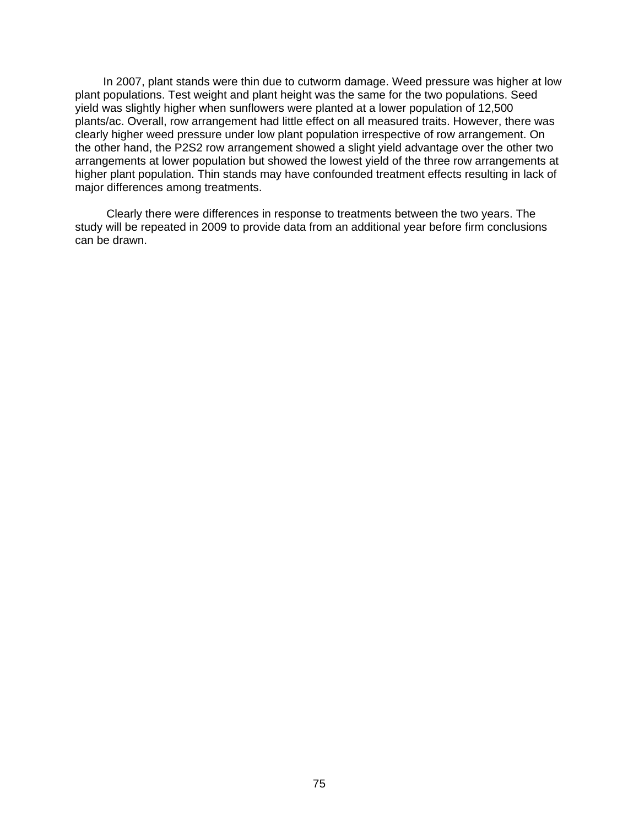In 2007, plant stands were thin due to cutworm damage. Weed pressure was higher at low plant populations. Test weight and plant height was the same for the two populations. Seed yield was slightly higher when sunflowers were planted at a lower population of 12,500 plants/ac. Overall, row arrangement had little effect on all measured traits. However, there was clearly higher weed pressure under low plant population irrespective of row arrangement. On the other hand, the P2S2 row arrangement showed a slight yield advantage over the other two arrangements at lower population but showed the lowest yield of the three row arrangements at higher plant population. Thin stands may have confounded treatment effects resulting in lack of major differences among treatments.

 Clearly there were differences in response to treatments between the two years. The study will be repeated in 2009 to provide data from an additional year before firm conclusions can be drawn.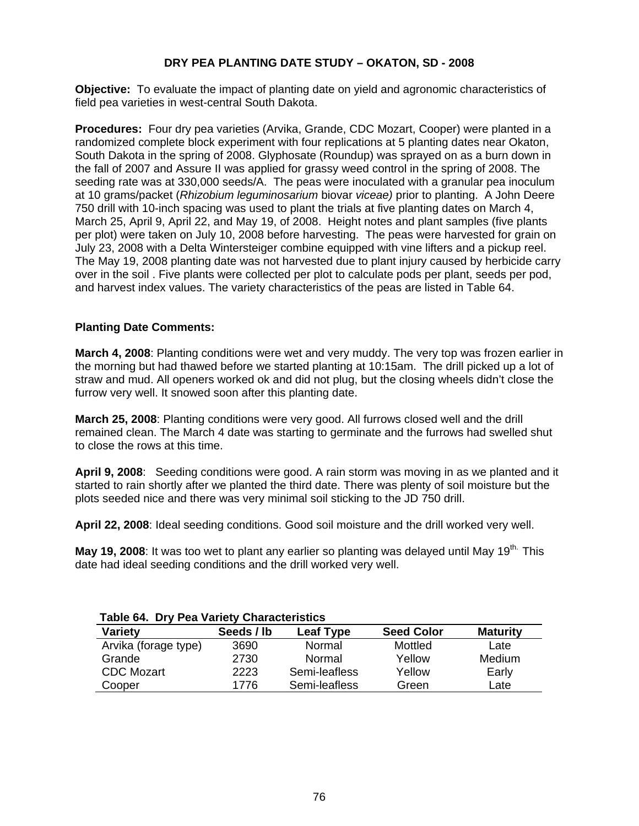# **DRY PEA PLANTING DATE STUDY – OKATON, SD - 2008**

**Objective:** To evaluate the impact of planting date on yield and agronomic characteristics of field pea varieties in west-central South Dakota.

**Procedures:** Four dry pea varieties (Arvika, Grande, CDC Mozart, Cooper) were planted in a randomized complete block experiment with four replications at 5 planting dates near Okaton, South Dakota in the spring of 2008. Glyphosate (Roundup) was sprayed on as a burn down in the fall of 2007 and Assure II was applied for grassy weed control in the spring of 2008. The seeding rate was at 330,000 seeds/A. The peas were inoculated with a granular pea inoculum at 10 grams/packet (*Rhizobium leguminosarium* biovar *viceae)* prior to planting. A John Deere 750 drill with 10-inch spacing was used to plant the trials at five planting dates on March 4, March 25, April 9, April 22, and May 19, of 2008. Height notes and plant samples (five plants per plot) were taken on July 10, 2008 before harvesting. The peas were harvested for grain on July 23, 2008 with a Delta Wintersteiger combine equipped with vine lifters and a pickup reel. The May 19, 2008 planting date was not harvested due to plant injury caused by herbicide carry over in the soil . Five plants were collected per plot to calculate pods per plant, seeds per pod, and harvest index values. The variety characteristics of the peas are listed in Table 64.

# **Planting Date Comments:**

**March 4, 2008**: Planting conditions were wet and very muddy. The very top was frozen earlier in the morning but had thawed before we started planting at 10:15am. The drill picked up a lot of straw and mud. All openers worked ok and did not plug, but the closing wheels didn't close the furrow very well. It snowed soon after this planting date.

**March 25, 2008**: Planting conditions were very good. All furrows closed well and the drill remained clean. The March 4 date was starting to germinate and the furrows had swelled shut to close the rows at this time.

**April 9, 2008**: Seeding conditions were good. A rain storm was moving in as we planted and it started to rain shortly after we planted the third date. There was plenty of soil moisture but the plots seeded nice and there was very minimal soil sticking to the JD 750 drill.

**April 22, 2008**: Ideal seeding conditions. Good soil moisture and the drill worked very well.

May 19, 2008: It was too wet to plant any earlier so planting was delayed until May 19<sup>th.</sup> This date had ideal seeding conditions and the drill worked very well.

| Table 64. Dry Pea Variety Characteristics |            |                  |                   |                 |  |  |  |  |
|-------------------------------------------|------------|------------------|-------------------|-----------------|--|--|--|--|
| <b>Variety</b>                            | Seeds / lb | <b>Leaf Type</b> | <b>Seed Color</b> | <b>Maturity</b> |  |  |  |  |
| Arvika (forage type)                      | 3690       | Normal           | Mottled           | Late            |  |  |  |  |
| Grande                                    | 2730       | Normal           | Yellow            | Medium          |  |  |  |  |
| <b>CDC Mozart</b>                         | 2223       | Semi-leafless    | Yellow            | Early           |  |  |  |  |
| Cooper                                    | 1776       | Semi-leafless    | Green             | Late            |  |  |  |  |

# **Table 64. Dry Pea Variety Characteristics**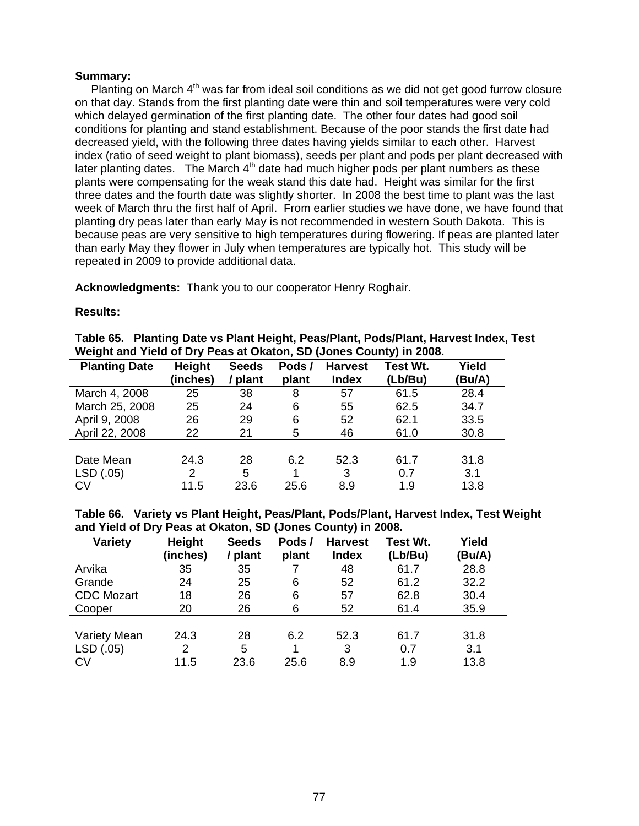## **Summary:**

Planting on March  $4<sup>th</sup>$  was far from ideal soil conditions as we did not get good furrow closure on that day. Stands from the first planting date were thin and soil temperatures were very cold which delayed germination of the first planting date. The other four dates had good soil conditions for planting and stand establishment. Because of the poor stands the first date had decreased yield, with the following three dates having yields similar to each other. Harvest index (ratio of seed weight to plant biomass), seeds per plant and pods per plant decreased with later planting dates. The March  $4<sup>th</sup>$  date had much higher pods per plant numbers as these plants were compensating for the weak stand this date had. Height was similar for the first three dates and the fourth date was slightly shorter. In 2008 the best time to plant was the last week of March thru the first half of April. From earlier studies we have done, we have found that planting dry peas later than early May is not recommended in western South Dakota. This is because peas are very sensitive to high temperatures during flowering. If peas are planted later than early May they flower in July when temperatures are typically hot. This study will be repeated in 2009 to provide additional data.

**Acknowledgments:** Thank you to our cooperator Henry Roghair.

#### **Results:**

|  | Table 65. Planting Date vs Plant Height, Peas/Plant, Pods/Plant, Harvest Index, Test |  |  |
|--|--------------------------------------------------------------------------------------|--|--|
|  | Weight and Yield of Dry Peas at Okaton, SD (Jones County) in 2008.                   |  |  |

| <b>Planting Date</b> | <b>Height</b> | <b>Seeds</b> | Pods/ | <b>Harvest</b> | Test Wt. | Yield  |
|----------------------|---------------|--------------|-------|----------------|----------|--------|
|                      | (inches)      | plant        | plant | <b>Index</b>   | (Lb/Bu)  | (Bu/A) |
| March 4, 2008        | 25            | 38           | 8     | 57             | 61.5     | 28.4   |
| March 25, 2008       | 25            | 24           | 6     | 55             | 62.5     | 34.7   |
| April 9, 2008        | 26            | 29           | 6     | 52             | 62.1     | 33.5   |
| April 22, 2008       | 22            | 21           | 5     | 46             | 61.0     | 30.8   |
|                      |               |              |       |                |          |        |
| Date Mean            | 24.3          | 28           | 6.2   | 52.3           | 61.7     | 31.8   |
| LSD (.05)            | 2             | 5            | 1     | 3              | 0.7      | 3.1    |
| CV                   | 11.5          | 23.6         | 25.6  | 8.9            | 1.9      | 13.8   |

**Table 66. Variety vs Plant Height, Peas/Plant, Pods/Plant, Harvest Index, Test Weight and Yield of Dry Peas at Okaton, SD (Jones County) in 2008.** 

| <b>Variety</b>    | <b>Height</b><br>(inches) | <b>Seeds</b><br>plant | Pods/<br>plant | <b>Harvest</b><br><b>Index</b> | <b>Test Wt.</b><br>(Lb/Bu) | Yield<br>(Bu/A) |
|-------------------|---------------------------|-----------------------|----------------|--------------------------------|----------------------------|-----------------|
| Arvika            | 35                        | 35                    | 7              | 48                             | 61.7                       | 28.8            |
| Grande            | 24                        | 25                    | 6              | 52                             | 61.2                       | 32.2            |
| <b>CDC Mozart</b> | 18                        | 26                    | 6              | 57                             | 62.8                       | 30.4            |
| Cooper            | 20                        | 26                    | 6              | 52                             | 61.4                       | 35.9            |
|                   |                           |                       |                |                                |                            |                 |
| Variety Mean      | 24.3                      | 28                    | 6.2            | 52.3                           | 61.7                       | 31.8            |
| LSD (.05)         | 2                         | 5                     | 1              | 3                              | 0.7                        | 3.1             |
| CV                | 11.5                      | 23.6                  | 25.6           | 8.9                            | 1.9                        | 13.8            |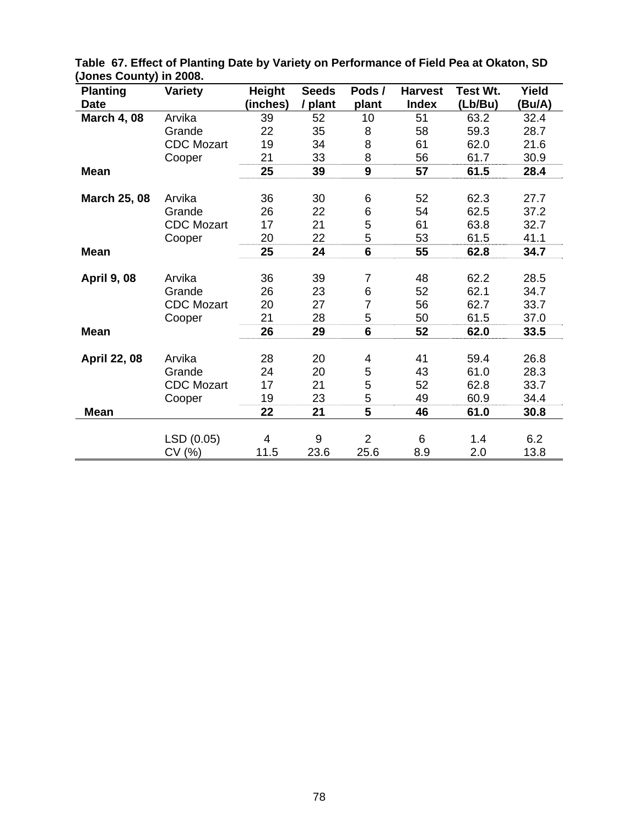| <b>Planting</b>     | <b>Variety</b>    | <b>Height</b> | <b>Seeds</b> | Pods/          | <b>Harvest</b> | Test Wt. | Yield  |
|---------------------|-------------------|---------------|--------------|----------------|----------------|----------|--------|
| <b>Date</b>         |                   | (inches)      | / plant      | plant          | <b>Index</b>   | (Lb/Bu)  | (Bu/A) |
| <b>March 4, 08</b>  | Arvika            | 39            | 52           | 10             | 51             | 63.2     | 32.4   |
|                     | Grande            | 22            | 35           | 8              | 58             | 59.3     | 28.7   |
|                     | <b>CDC Mozart</b> | 19            | 34           | 8              | 61             | 62.0     | 21.6   |
|                     | Cooper            | 21            | 33           | 8              | 56             | 61.7     | 30.9   |
| <b>Mean</b>         |                   | 25            | 39           | 9              | 57             | 61.5     | 28.4   |
|                     |                   |               |              |                |                |          |        |
| <b>March 25, 08</b> | Arvika            | 36            | 30           | 6              | 52             | 62.3     | 27.7   |
|                     | Grande            | 26            | 22           | 6              | 54             | 62.5     | 37.2   |
|                     | <b>CDC</b> Mozart | 17            | 21           | 5              | 61             | 63.8     | 32.7   |
|                     | Cooper            | 20            | 22           | 5              | 53             | 61.5     | 41.1   |
| <b>Mean</b>         |                   | 25            | 24           | $6\phantom{1}$ | 55             | 62.8     | 34.7   |
|                     |                   |               |              |                |                |          |        |
| <b>April 9, 08</b>  | Arvika            | 36            | 39           | 7              | 48             | 62.2     | 28.5   |
|                     | Grande            | 26            | 23           | 6              | 52             | 62.1     | 34.7   |
|                     | <b>CDC</b> Mozart | 20            | 27           | $\overline{7}$ | 56             | 62.7     | 33.7   |
|                     | Cooper            | 21            | 28           | 5              | 50             | 61.5     | 37.0   |
| <b>Mean</b>         |                   | 26            | 29           | $6\phantom{1}$ | 52             | 62.0     | 33.5   |
|                     |                   |               |              |                |                |          |        |
| <b>April 22, 08</b> | Arvika            | 28            | 20           | 4              | 41             | 59.4     | 26.8   |
|                     | Grande            | 24            | 20           | 5              | 43             | 61.0     | 28.3   |
|                     | <b>CDC</b> Mozart | 17            | 21           | 5              | 52             | 62.8     | 33.7   |
|                     | Cooper            | 19            | 23           | 5              | 49             | 60.9     | 34.4   |
| <b>Mean</b>         |                   | 22            | 21           | 5              | 46             | 61.0     | 30.8   |
|                     |                   |               |              |                |                |          |        |
|                     | LSD (0.05)        | 4             | 9            | $\overline{2}$ | 6              | 1.4      | 6.2    |
|                     | CV(%)             | 11.5          | 23.6         | 25.6           | 8.9            | 2.0      | 13.8   |

**Table 67. Effect of Planting Date by Variety on Performance of Field Pea at Okaton, SD (Jones County) in 2008.**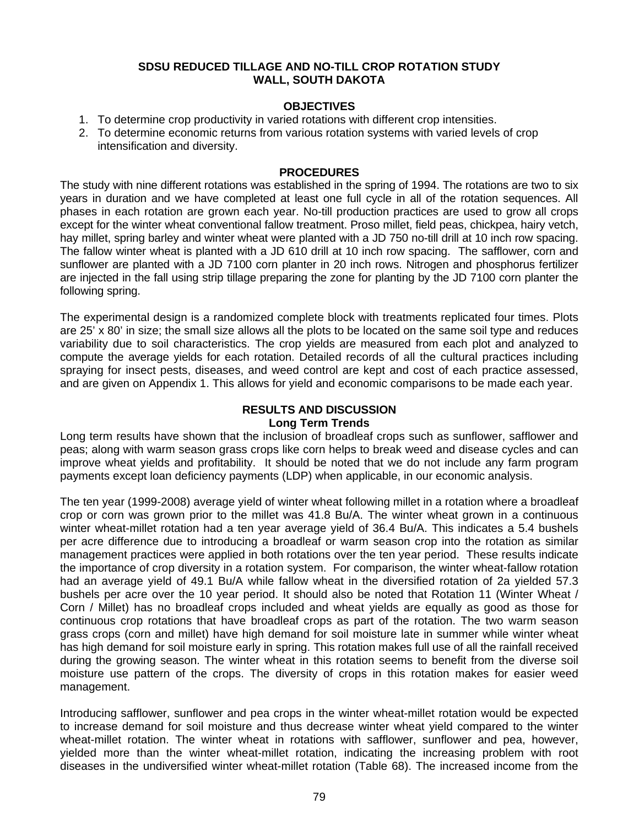# **SDSU REDUCED TILLAGE AND NO-TILL CROP ROTATION STUDY WALL, SOUTH DAKOTA**

# **OBJECTIVES**

- 1. To determine crop productivity in varied rotations with different crop intensities.
- 2. To determine economic returns from various rotation systems with varied levels of crop intensification and diversity.

# **PROCEDURES**

The study with nine different rotations was established in the spring of 1994. The rotations are two to six years in duration and we have completed at least one full cycle in all of the rotation sequences. All phases in each rotation are grown each year. No-till production practices are used to grow all crops except for the winter wheat conventional fallow treatment. Proso millet, field peas, chickpea, hairy vetch, hay millet, spring barley and winter wheat were planted with a JD 750 no-till drill at 10 inch row spacing. The fallow winter wheat is planted with a JD 610 drill at 10 inch row spacing. The safflower, corn and sunflower are planted with a JD 7100 corn planter in 20 inch rows. Nitrogen and phosphorus fertilizer are injected in the fall using strip tillage preparing the zone for planting by the JD 7100 corn planter the following spring.

The experimental design is a randomized complete block with treatments replicated four times. Plots are 25' x 80' in size; the small size allows all the plots to be located on the same soil type and reduces variability due to soil characteristics. The crop yields are measured from each plot and analyzed to compute the average yields for each rotation. Detailed records of all the cultural practices including spraying for insect pests, diseases, and weed control are kept and cost of each practice assessed, and are given on Appendix 1. This allows for yield and economic comparisons to be made each year.

# **RESULTS AND DISCUSSION Long Term Trends**

Long term results have shown that the inclusion of broadleaf crops such as sunflower, safflower and peas; along with warm season grass crops like corn helps to break weed and disease cycles and can improve wheat yields and profitability. It should be noted that we do not include any farm program payments except loan deficiency payments (LDP) when applicable, in our economic analysis.

The ten year (1999-2008) average yield of winter wheat following millet in a rotation where a broadleaf crop or corn was grown prior to the millet was 41.8 Bu/A. The winter wheat grown in a continuous winter wheat-millet rotation had a ten year average yield of 36.4 Bu/A. This indicates a 5.4 bushels per acre difference due to introducing a broadleaf or warm season crop into the rotation as similar management practices were applied in both rotations over the ten year period. These results indicate the importance of crop diversity in a rotation system. For comparison, the winter wheat-fallow rotation had an average yield of 49.1 Bu/A while fallow wheat in the diversified rotation of 2a yielded 57.3 bushels per acre over the 10 year period. It should also be noted that Rotation 11 (Winter Wheat / Corn / Millet) has no broadleaf crops included and wheat yields are equally as good as those for continuous crop rotations that have broadleaf crops as part of the rotation. The two warm season grass crops (corn and millet) have high demand for soil moisture late in summer while winter wheat has high demand for soil moisture early in spring. This rotation makes full use of all the rainfall received during the growing season. The winter wheat in this rotation seems to benefit from the diverse soil moisture use pattern of the crops. The diversity of crops in this rotation makes for easier weed management.

Introducing safflower, sunflower and pea crops in the winter wheat-millet rotation would be expected to increase demand for soil moisture and thus decrease winter wheat yield compared to the winter wheat-millet rotation. The winter wheat in rotations with safflower, sunflower and pea, however, yielded more than the winter wheat-millet rotation, indicating the increasing problem with root diseases in the undiversified winter wheat-millet rotation (Table 68). The increased income from the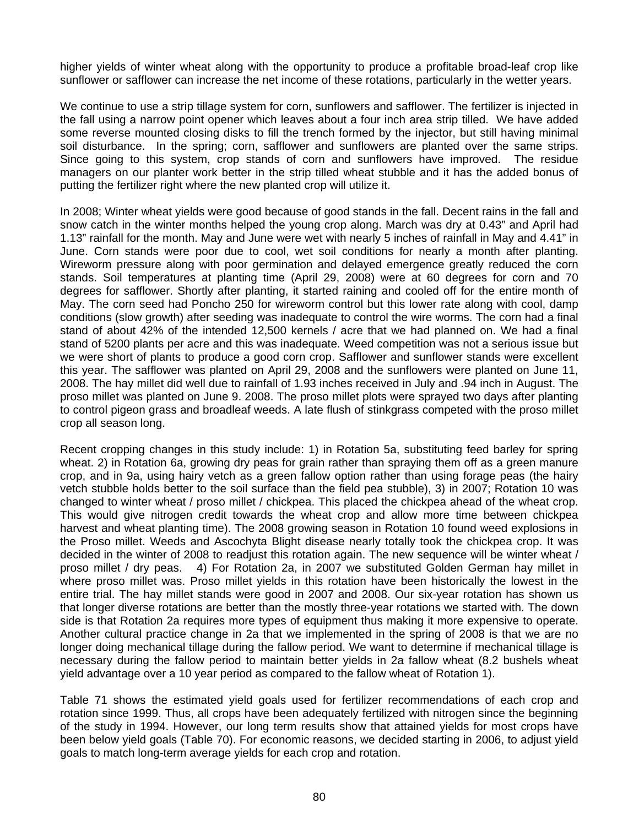higher yields of winter wheat along with the opportunity to produce a profitable broad-leaf crop like sunflower or safflower can increase the net income of these rotations, particularly in the wetter years.

We continue to use a strip tillage system for corn, sunflowers and safflower. The fertilizer is injected in the fall using a narrow point opener which leaves about a four inch area strip tilled. We have added some reverse mounted closing disks to fill the trench formed by the injector, but still having minimal soil disturbance. In the spring; corn, safflower and sunflowers are planted over the same strips. Since going to this system, crop stands of corn and sunflowers have improved. The residue managers on our planter work better in the strip tilled wheat stubble and it has the added bonus of putting the fertilizer right where the new planted crop will utilize it.

In 2008; Winter wheat yields were good because of good stands in the fall. Decent rains in the fall and snow catch in the winter months helped the young crop along. March was dry at 0.43" and April had 1.13" rainfall for the month. May and June were wet with nearly 5 inches of rainfall in May and 4.41" in June. Corn stands were poor due to cool, wet soil conditions for nearly a month after planting. Wireworm pressure along with poor germination and delayed emergence greatly reduced the corn stands. Soil temperatures at planting time (April 29, 2008) were at 60 degrees for corn and 70 degrees for safflower. Shortly after planting, it started raining and cooled off for the entire month of May. The corn seed had Poncho 250 for wireworm control but this lower rate along with cool, damp conditions (slow growth) after seeding was inadequate to control the wire worms. The corn had a final stand of about 42% of the intended 12,500 kernels / acre that we had planned on. We had a final stand of 5200 plants per acre and this was inadequate. Weed competition was not a serious issue but we were short of plants to produce a good corn crop. Safflower and sunflower stands were excellent this year. The safflower was planted on April 29, 2008 and the sunflowers were planted on June 11, 2008. The hay millet did well due to rainfall of 1.93 inches received in July and .94 inch in August. The proso millet was planted on June 9. 2008. The proso millet plots were sprayed two days after planting to control pigeon grass and broadleaf weeds. A late flush of stinkgrass competed with the proso millet crop all season long.

Recent cropping changes in this study include: 1) in Rotation 5a, substituting feed barley for spring wheat. 2) in Rotation 6a, growing dry peas for grain rather than spraying them off as a green manure crop, and in 9a, using hairy vetch as a green fallow option rather than using forage peas (the hairy vetch stubble holds better to the soil surface than the field pea stubble), 3) in 2007; Rotation 10 was changed to winter wheat / proso millet / chickpea. This placed the chickpea ahead of the wheat crop. This would give nitrogen credit towards the wheat crop and allow more time between chickpea harvest and wheat planting time). The 2008 growing season in Rotation 10 found weed explosions in the Proso millet. Weeds and Ascochyta Blight disease nearly totally took the chickpea crop. It was decided in the winter of 2008 to readjust this rotation again. The new sequence will be winter wheat / proso millet / dry peas. 4) For Rotation 2a, in 2007 we substituted Golden German hay millet in where proso millet was. Proso millet yields in this rotation have been historically the lowest in the entire trial. The hay millet stands were good in 2007 and 2008. Our six-year rotation has shown us that longer diverse rotations are better than the mostly three-year rotations we started with. The down side is that Rotation 2a requires more types of equipment thus making it more expensive to operate. Another cultural practice change in 2a that we implemented in the spring of 2008 is that we are no longer doing mechanical tillage during the fallow period. We want to determine if mechanical tillage is necessary during the fallow period to maintain better yields in 2a fallow wheat (8.2 bushels wheat yield advantage over a 10 year period as compared to the fallow wheat of Rotation 1).

Table 71 shows the estimated yield goals used for fertilizer recommendations of each crop and rotation since 1999. Thus, all crops have been adequately fertilized with nitrogen since the beginning of the study in 1994. However, our long term results show that attained yields for most crops have been below yield goals (Table 70). For economic reasons, we decided starting in 2006, to adjust yield goals to match long-term average yields for each crop and rotation.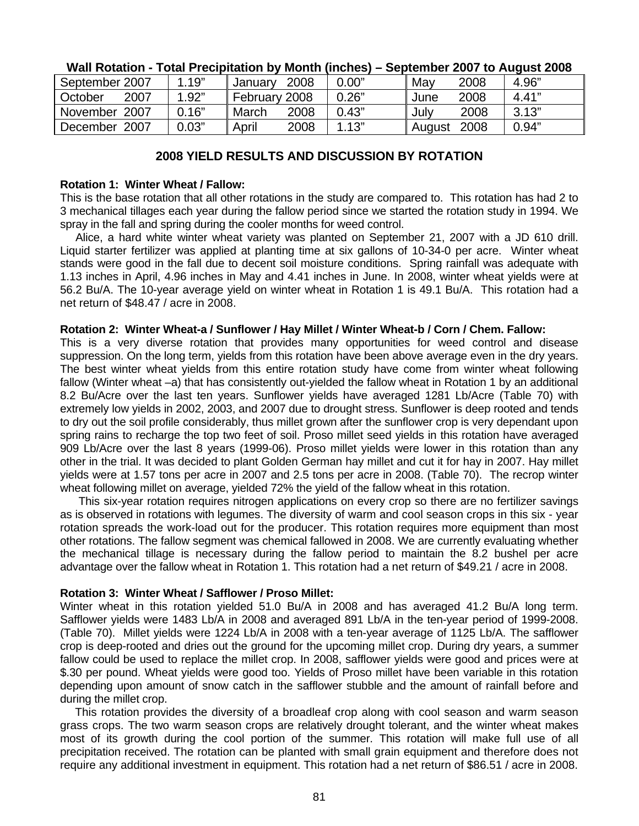| .               |       |               |      |       |             |      |       |
|-----------------|-------|---------------|------|-------|-------------|------|-------|
| September 2007  | 1.19" | January       | 2008 | 0.00" | May         | 2008 | 4.96" |
| 2007<br>October | 1.92" | February 2008 |      | 0.26" | June        | 2008 | 4.41" |
| November 2007   | 0.16" | March         | 2008 | 0.43" | July        | 2008 | 3.13" |
| December 2007   | 0.03" | April         | 2008 | 1.13" | August 2008 |      | 0.94" |

## **Wall Rotation - Total Precipitation by Month (inches) – September 2007 to August 2008**

# **2008 YIELD RESULTS AND DISCUSSION BY ROTATION**

## **Rotation 1: Winter Wheat / Fallow:**

This is the base rotation that all other rotations in the study are compared to. This rotation has had 2 to 3 mechanical tillages each year during the fallow period since we started the rotation study in 1994. We spray in the fall and spring during the cooler months for weed control.

 Alice, a hard white winter wheat variety was planted on September 21, 2007 with a JD 610 drill. Liquid starter fertilizer was applied at planting time at six gallons of 10-34-0 per acre. Winter wheat stands were good in the fall due to decent soil moisture conditions. Spring rainfall was adequate with 1.13 inches in April, 4.96 inches in May and 4.41 inches in June. In 2008, winter wheat yields were at 56.2 Bu/A. The 10-year average yield on winter wheat in Rotation 1 is 49.1 Bu/A. This rotation had a net return of \$48.47 / acre in 2008.

## **Rotation 2: Winter Wheat-a / Sunflower / Hay Millet / Winter Wheat-b / Corn / Chem. Fallow:**

This is a very diverse rotation that provides many opportunities for weed control and disease suppression. On the long term, yields from this rotation have been above average even in the dry years. The best winter wheat yields from this entire rotation study have come from winter wheat following fallow (Winter wheat –a) that has consistently out-yielded the fallow wheat in Rotation 1 by an additional 8.2 Bu/Acre over the last ten years. Sunflower yields have averaged 1281 Lb/Acre (Table 70) with extremely low yields in 2002, 2003, and 2007 due to drought stress. Sunflower is deep rooted and tends to dry out the soil profile considerably, thus millet grown after the sunflower crop is very dependant upon spring rains to recharge the top two feet of soil. Proso millet seed yields in this rotation have averaged 909 Lb/Acre over the last 8 years (1999-06). Proso millet yields were lower in this rotation than any other in the trial. It was decided to plant Golden German hay millet and cut it for hay in 2007. Hay millet yields were at 1.57 tons per acre in 2007 and 2.5 tons per acre in 2008. (Table 70). The recrop winter wheat following millet on average, yielded 72% the yield of the fallow wheat in this rotation.

 This six-year rotation requires nitrogen applications on every crop so there are no fertilizer savings as is observed in rotations with legumes. The diversity of warm and cool season crops in this six - year rotation spreads the work-load out for the producer. This rotation requires more equipment than most other rotations. The fallow segment was chemical fallowed in 2008. We are currently evaluating whether the mechanical tillage is necessary during the fallow period to maintain the 8.2 bushel per acre advantage over the fallow wheat in Rotation 1. This rotation had a net return of \$49.21 / acre in 2008.

## **Rotation 3: Winter Wheat / Safflower / Proso Millet:**

Winter wheat in this rotation yielded 51.0 Bu/A in 2008 and has averaged 41.2 Bu/A long term. Safflower yields were 1483 Lb/A in 2008 and averaged 891 Lb/A in the ten-year period of 1999-2008. (Table 70). Millet yields were 1224 Lb/A in 2008 with a ten-year average of 1125 Lb/A. The safflower crop is deep-rooted and dries out the ground for the upcoming millet crop. During dry years, a summer fallow could be used to replace the millet crop. In 2008, safflower yields were good and prices were at \$.30 per pound. Wheat yields were good too. Yields of Proso millet have been variable in this rotation depending upon amount of snow catch in the safflower stubble and the amount of rainfall before and during the millet crop.

This rotation provides the diversity of a broadleaf crop along with cool season and warm season grass crops. The two warm season crops are relatively drought tolerant, and the winter wheat makes most of its growth during the cool portion of the summer. This rotation will make full use of all precipitation received. The rotation can be planted with small grain equipment and therefore does not require any additional investment in equipment. This rotation had a net return of \$86.51 / acre in 2008.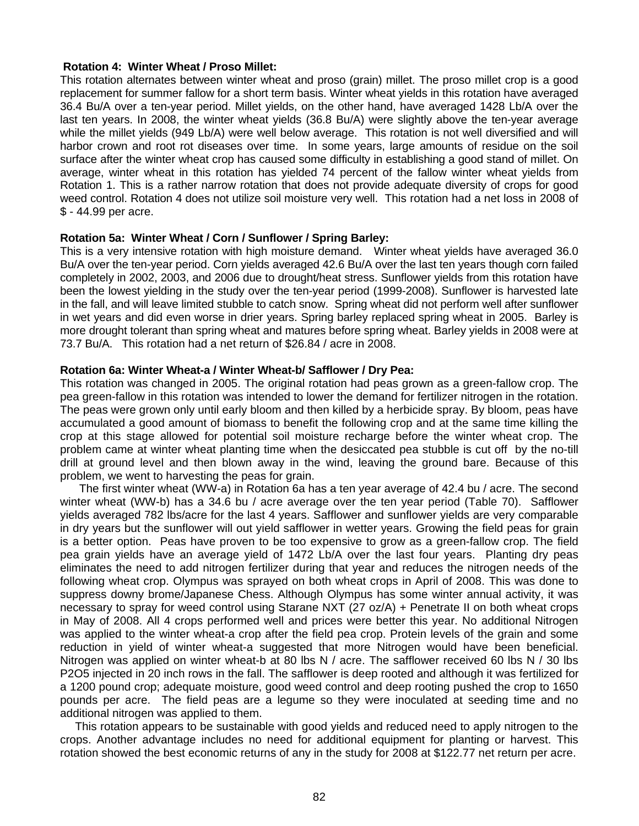#### **Rotation 4: Winter Wheat / Proso Millet:**

This rotation alternates between winter wheat and proso (grain) millet. The proso millet crop is a good replacement for summer fallow for a short term basis. Winter wheat yields in this rotation have averaged 36.4 Bu/A over a ten-year period. Millet yields, on the other hand, have averaged 1428 Lb/A over the last ten years. In 2008, the winter wheat yields (36.8 Bu/A) were slightly above the ten-year average while the millet yields (949 Lb/A) were well below average. This rotation is not well diversified and will harbor crown and root rot diseases over time. In some years, large amounts of residue on the soil surface after the winter wheat crop has caused some difficulty in establishing a good stand of millet. On average, winter wheat in this rotation has yielded 74 percent of the fallow winter wheat yields from Rotation 1. This is a rather narrow rotation that does not provide adequate diversity of crops for good weed control. Rotation 4 does not utilize soil moisture very well. This rotation had a net loss in 2008 of \$ - 44.99 per acre.

#### **Rotation 5a: Winter Wheat / Corn / Sunflower / Spring Barley:**

This is a very intensive rotation with high moisture demand. Winter wheat yields have averaged 36.0 Bu/A over the ten-year period. Corn yields averaged 42.6 Bu/A over the last ten years though corn failed completely in 2002, 2003, and 2006 due to drought/heat stress. Sunflower yields from this rotation have been the lowest yielding in the study over the ten-year period (1999-2008). Sunflower is harvested late in the fall, and will leave limited stubble to catch snow. Spring wheat did not perform well after sunflower in wet years and did even worse in drier years. Spring barley replaced spring wheat in 2005. Barley is more drought tolerant than spring wheat and matures before spring wheat. Barley yields in 2008 were at 73.7 Bu/A. This rotation had a net return of \$26.84 / acre in 2008.

#### **Rotation 6a: Winter Wheat-a / Winter Wheat-b/ Safflower / Dry Pea:**

This rotation was changed in 2005. The original rotation had peas grown as a green-fallow crop. The pea green-fallow in this rotation was intended to lower the demand for fertilizer nitrogen in the rotation. The peas were grown only until early bloom and then killed by a herbicide spray. By bloom, peas have accumulated a good amount of biomass to benefit the following crop and at the same time killing the crop at this stage allowed for potential soil moisture recharge before the winter wheat crop. The problem came at winter wheat planting time when the desiccated pea stubble is cut off by the no-till drill at ground level and then blown away in the wind, leaving the ground bare. Because of this problem, we went to harvesting the peas for grain.

 The first winter wheat (WW-a) in Rotation 6a has a ten year average of 42.4 bu / acre. The second winter wheat (WW-b) has a 34.6 bu / acre average over the ten year period (Table 70). Safflower yields averaged 782 lbs/acre for the last 4 years. Safflower and sunflower yields are very comparable in dry years but the sunflower will out yield safflower in wetter years. Growing the field peas for grain is a better option. Peas have proven to be too expensive to grow as a green-fallow crop. The field pea grain yields have an average yield of 1472 Lb/A over the last four years. Planting dry peas eliminates the need to add nitrogen fertilizer during that year and reduces the nitrogen needs of the following wheat crop. Olympus was sprayed on both wheat crops in April of 2008. This was done to suppress downy brome/Japanese Chess. Although Olympus has some winter annual activity, it was necessary to spray for weed control using Starane NXT (27 oz/A) + Penetrate II on both wheat crops in May of 2008. All 4 crops performed well and prices were better this year. No additional Nitrogen was applied to the winter wheat-a crop after the field pea crop. Protein levels of the grain and some reduction in yield of winter wheat-a suggested that more Nitrogen would have been beneficial. Nitrogen was applied on winter wheat-b at 80 lbs N / acre. The safflower received 60 lbs N / 30 lbs P2O5 injected in 20 inch rows in the fall. The safflower is deep rooted and although it was fertilized for a 1200 pound crop; adequate moisture, good weed control and deep rooting pushed the crop to 1650 pounds per acre. The field peas are a legume so they were inoculated at seeding time and no additional nitrogen was applied to them.

This rotation appears to be sustainable with good yields and reduced need to apply nitrogen to the crops. Another advantage includes no need for additional equipment for planting or harvest. This rotation showed the best economic returns of any in the study for 2008 at \$122.77 net return per acre.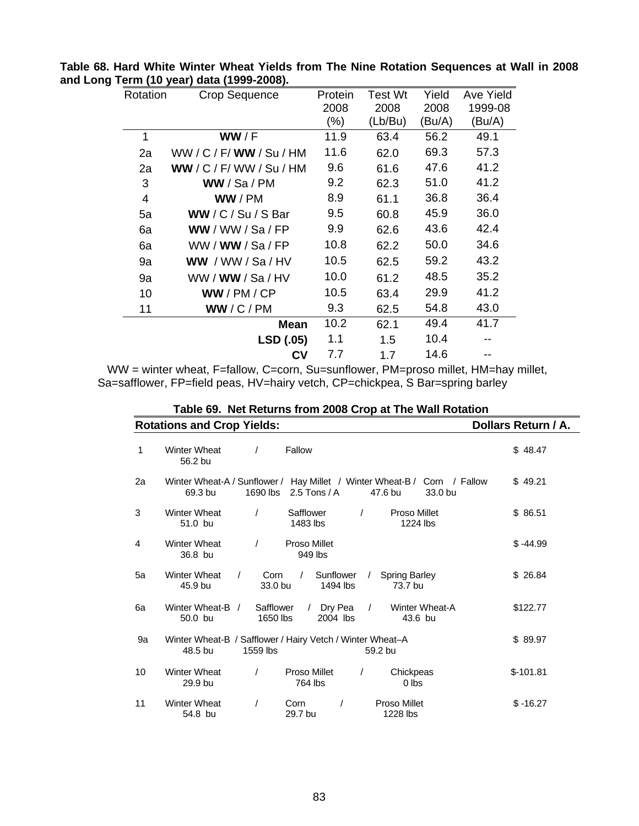| Rotation | Crop Sequence             | Protein | Test Wt | Yield  | Ave Yield |
|----------|---------------------------|---------|---------|--------|-----------|
|          |                           | 2008    | 2008    | 2008   | 1999-08   |
|          |                           | $(\%)$  | (Lb/Bu) | (Bu/A) | (Bu/A)    |
| 1        | WW/F                      | 11.9    | 63.4    | 56.2   | 49.1      |
| 2a       | WW / C / F/ WW / Su / HM  | 11.6    | 62.0    | 69.3   | 57.3      |
| 2a       | WW / C / F / WW / Su / HM | 9.6     | 61.6    | 47.6   | 41.2      |
| 3        | WW / Sa / PM              | 9.2     | 62.3    | 51.0   | 41.2      |
| 4        | WW / PM                   | 8.9     | 61.1    | 36.8   | 36.4      |
| 5a       | WW/C/Su/SBar              | 9.5     | 60.8    | 45.9   | 36.0      |
| 6a       | WW / WW / Sa / FP         | 9.9     | 62.6    | 43.6   | 42.4      |
| 6a       | WW/WW/Sa/FP               | 10.8    | 62.2    | 50.0   | 34.6      |
| 9a       | WW / WW / Sa / HV         | 10.5    | 62.5    | 59.2   | 43.2      |
| 9a       | WW / <b>WW</b> / Sa / HV  | 10.0    | 61.2    | 48.5   | 35.2      |
| 10       | WW/PM/CP                  | 10.5    | 63.4    | 29.9   | 41.2      |
| 11       | WW/C/PM                   | 9.3     | 62.5    | 54.8   | 43.0      |
|          | <b>Mean</b>               | 10.2    | 62.1    | 49.4   | 41.7      |
|          | LSD (.05)                 | 1.1     | 1.5     | 10.4   |           |
|          | Cν                        | 7.7     | 1.7     | 14.6   |           |

**Table 68. Hard White Winter Wheat Yields from The Nine Rotation Sequences at Wall in 2008 and Long Term (10 year) data (1999-2008).** 

WW = winter wheat, F=fallow, C=corn, Su=sunflower, PM=proso millet, HM=hay millet, Sa=safflower, FP=field peas, HV=hairy vetch, CP=chickpea, S Bar=spring barley

|    |                                   | Table 69. Net Returns from 2008 Crop at The Wall Rotation                                              |                                            |
|----|-----------------------------------|--------------------------------------------------------------------------------------------------------|--------------------------------------------|
|    | <b>Rotations and Crop Yields:</b> |                                                                                                        | Dollars Return / A.                        |
| 1  | <b>Winter Wheat</b><br>56.2 bu    | Fallow<br>$\prime$                                                                                     | \$48.47                                    |
| 2a | 69.3 bu                           | Winter Wheat-A / Sunflower / Hay Millet / Winter Wheat-B / Corn / Fallow<br>2.5 Tons / $A$<br>1690 lbs | \$49.21<br>33.0 bu<br>47.6 bu              |
| 3  | <b>Winter Wheat</b><br>51.0 bu    | Safflower<br>$\prime$<br>$\prime$<br>1483 lbs                                                          | Proso Millet<br>\$86.51<br>1224 lbs        |
| 4  | <b>Winter Wheat</b><br>36.8 bu    | Proso Millet<br>$\prime$<br>949 lbs                                                                    | $$ -44.99$                                 |
| 5a | <b>Winter Wheat</b><br>45.9 bu    | Sunflower<br>Corn<br>$\sqrt{2}$<br>$\prime$<br>33.0 bu<br>1494 lbs                                     | \$26.84<br><b>Spring Barley</b><br>73.7 bu |
| 6a | Winter Wheat-B /<br>50.0 bu       | Safflower<br>Dry Pea<br>$\prime$<br>$\prime$<br>1650 lbs<br>2004 lbs                                   | \$122.77<br>Winter Wheat-A<br>43.6 bu      |
| 9a | 48.5 bu                           | Winter Wheat-B / Safflower / Hairy Vetch / Winter Wheat-A<br>1559 lbs                                  | \$89.97<br>59.2 bu                         |
| 10 | Winter Wheat<br>29.9 bu           | Proso Millet<br>$\prime$<br>$\prime$<br>764 lbs                                                        | $$-101.81$<br>Chickpeas<br>$0$ lbs         |
| 11 | <b>Winter Wheat</b><br>54.8 bu    | Corn<br>$\prime$<br>29.7 bu                                                                            | Proso Millet<br>$$ -16.27$<br>1228 lbs     |

**Table 69. Net Returns from 2008 Crop at The Wall Rotation**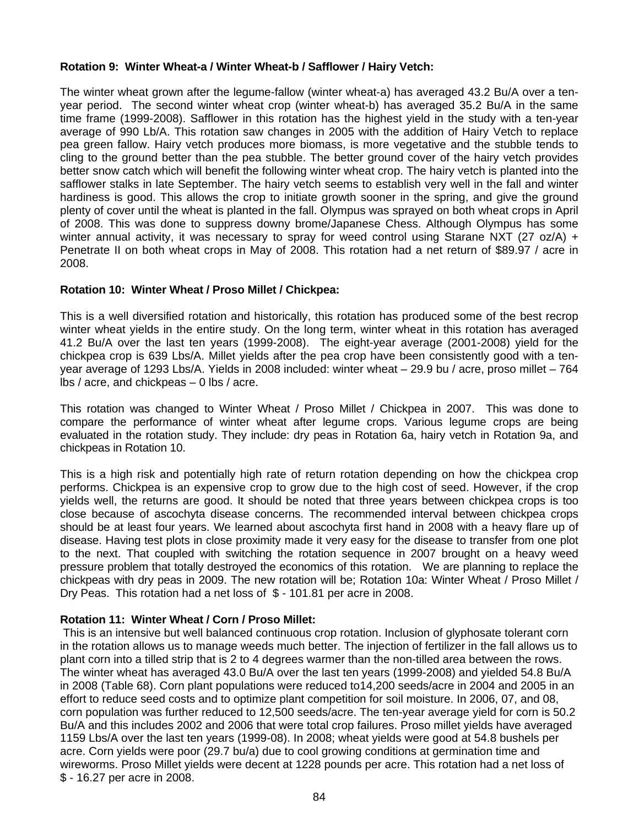# **Rotation 9: Winter Wheat-a / Winter Wheat-b / Safflower / Hairy Vetch:**

The winter wheat grown after the legume-fallow (winter wheat-a) has averaged 43.2 Bu/A over a tenyear period. The second winter wheat crop (winter wheat-b) has averaged 35.2 Bu/A in the same time frame (1999-2008). Safflower in this rotation has the highest yield in the study with a ten-year average of 990 Lb/A. This rotation saw changes in 2005 with the addition of Hairy Vetch to replace pea green fallow. Hairy vetch produces more biomass, is more vegetative and the stubble tends to cling to the ground better than the pea stubble. The better ground cover of the hairy vetch provides better snow catch which will benefit the following winter wheat crop. The hairy vetch is planted into the safflower stalks in late September. The hairy vetch seems to establish very well in the fall and winter hardiness is good. This allows the crop to initiate growth sooner in the spring, and give the ground plenty of cover until the wheat is planted in the fall. Olympus was sprayed on both wheat crops in April of 2008. This was done to suppress downy brome/Japanese Chess. Although Olympus has some winter annual activity, it was necessary to spray for weed control using Starane NXT (27 oz/A) + Penetrate II on both wheat crops in May of 2008. This rotation had a net return of \$89.97 / acre in 2008.

# **Rotation 10: Winter Wheat / Proso Millet / Chickpea:**

This is a well diversified rotation and historically, this rotation has produced some of the best recrop winter wheat yields in the entire study. On the long term, winter wheat in this rotation has averaged 41.2 Bu/A over the last ten years (1999-2008). The eight-year average (2001-2008) yield for the chickpea crop is 639 Lbs/A. Millet yields after the pea crop have been consistently good with a tenyear average of 1293 Lbs/A. Yields in 2008 included: winter wheat – 29.9 bu / acre, proso millet – 764 lbs / acre, and chickpeas – 0 lbs / acre.

This rotation was changed to Winter Wheat / Proso Millet / Chickpea in 2007. This was done to compare the performance of winter wheat after legume crops. Various legume crops are being evaluated in the rotation study. They include: dry peas in Rotation 6a, hairy vetch in Rotation 9a, and chickpeas in Rotation 10.

This is a high risk and potentially high rate of return rotation depending on how the chickpea crop performs. Chickpea is an expensive crop to grow due to the high cost of seed. However, if the crop yields well, the returns are good. It should be noted that three years between chickpea crops is too close because of ascochyta disease concerns. The recommended interval between chickpea crops should be at least four years. We learned about ascochyta first hand in 2008 with a heavy flare up of disease. Having test plots in close proximity made it very easy for the disease to transfer from one plot to the next. That coupled with switching the rotation sequence in 2007 brought on a heavy weed pressure problem that totally destroyed the economics of this rotation. We are planning to replace the chickpeas with dry peas in 2009. The new rotation will be; Rotation 10a: Winter Wheat / Proso Millet / Dry Peas. This rotation had a net loss of \$ - 101.81 per acre in 2008.

# **Rotation 11: Winter Wheat / Corn / Proso Millet:**

 This is an intensive but well balanced continuous crop rotation. Inclusion of glyphosate tolerant corn in the rotation allows us to manage weeds much better. The injection of fertilizer in the fall allows us to plant corn into a tilled strip that is 2 to 4 degrees warmer than the non-tilled area between the rows. The winter wheat has averaged 43.0 Bu/A over the last ten years (1999-2008) and yielded 54.8 Bu/A in 2008 (Table 68). Corn plant populations were reduced to14,200 seeds/acre in 2004 and 2005 in an effort to reduce seed costs and to optimize plant competition for soil moisture. In 2006, 07, and 08, corn population was further reduced to 12,500 seeds/acre. The ten-year average yield for corn is 50.2 Bu/A and this includes 2002 and 2006 that were total crop failures. Proso millet yields have averaged 1159 Lbs/A over the last ten years (1999-08). In 2008; wheat yields were good at 54.8 bushels per acre. Corn yields were poor (29.7 bu/a) due to cool growing conditions at germination time and wireworms. Proso Millet yields were decent at 1228 pounds per acre. This rotation had a net loss of \$ - 16.27 per acre in 2008.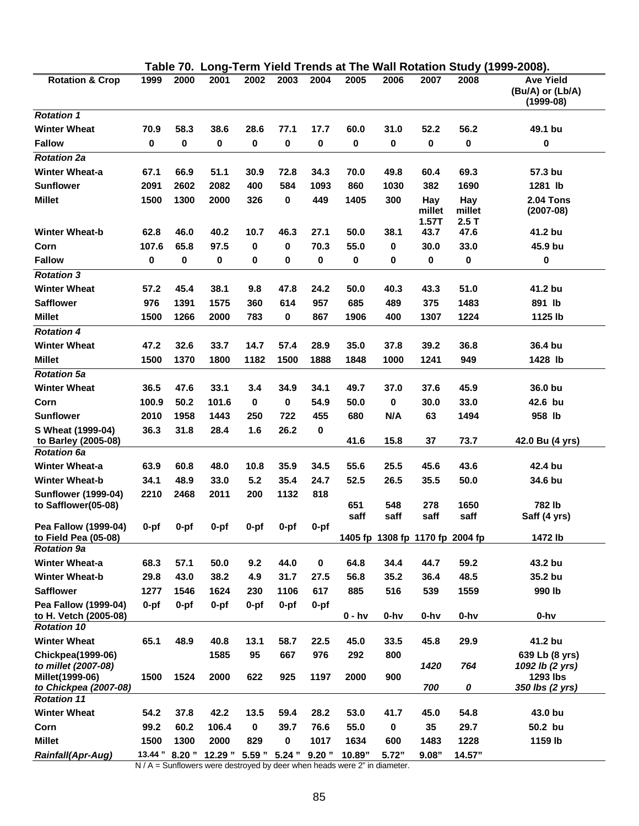| 1999<br>2000<br>2002<br>2003<br>2004<br>2005<br><b>Rotation &amp; Crop</b><br>2001<br>2006<br>2007<br>2008<br><b>Ave Yield</b><br>(Bu/A) or (Lb/A)<br>$(1999-08)$<br><b>Rotation 1</b><br><b>Winter Wheat</b><br>58.3<br>38.6<br>28.6<br>60.0<br>52.2<br>56.2<br>49.1 bu<br>70.9<br>77.1<br>17.7<br>31.0<br>0<br><b>Fallow</b><br>0<br>0<br>0<br>0<br>0<br>0<br>0<br>0<br>0<br>0<br><b>Rotation 2a</b><br><b>Winter Wheat-a</b><br>67.1<br>51.1<br>69.3<br>57.3 bu<br>66.9<br>30.9<br>72.8<br>34.3<br>70.0<br>49.8<br>60.4<br><b>Sunflower</b><br>2082<br>2091<br>2602<br>400<br>584<br>1093<br>860<br>1030<br>382<br>1690<br>1281 lb<br><b>Millet</b><br>1300<br>300<br>1500<br>2000<br>326<br>0<br>449<br>1405<br><b>2.04 Tons</b><br>Hay<br>Hay<br>millet<br>millet<br>$(2007-08)$<br>1.57T<br>2.5T<br><b>Winter Wheat-b</b><br>62.8<br>40.2<br>50.0<br>47.6<br>41.2 bu<br>46.0<br>10.7<br>46.3<br>27.1<br>38.1<br>43.7<br>107.6<br>65.8<br>97.5<br>70.3<br>55.0<br>30.0<br>33.0<br>45.9 bu<br>Corn<br>0<br>0<br>0<br><b>Fallow</b><br>0<br>0<br>0<br>0<br>0<br>0<br>0<br>0<br>0<br>0<br>0<br><b>Rotation 3</b><br><b>Winter Wheat</b><br>45.4<br>38.1<br>24.2<br>43.3<br>51.0<br>41.2 bu<br>57.2<br>9.8<br>47.8<br>50.0<br>40.3<br><b>Safflower</b><br>976<br>1391<br>1575<br>614<br>957<br>685<br>489<br>375<br>1483<br>891 lb<br>360<br><b>Millet</b><br>1500<br>1266<br>2000<br>0<br>867<br>1906<br>400<br>1307<br>1224<br>1125 lb<br>783<br><b>Rotation 4</b><br><b>Winter Wheat</b><br>47.2<br>32.6<br>33.7<br>14.7<br>35.0<br>37.8<br>39.2<br>36.8<br>36.4 bu<br>57.4<br>28.9<br>1370<br>1800<br>1500<br><b>Millet</b><br>1500<br>1182<br>1888<br>1848<br>1000<br>1241<br>949<br>1428 lb<br><b>Rotation 5a</b><br><b>Winter Wheat</b><br>47.6<br>33.1<br>34.1<br>49.7<br>45.9<br>36.0 bu<br>36.5<br>3.4<br>34.9<br>37.0<br>37.6<br>50.2<br>101.6<br>0<br>54.9<br>0<br>33.0<br>42.6 bu<br>Corn<br>100.9<br>0<br>50.0<br>30.0<br><b>Sunflower</b><br>2010<br>1958<br>1443<br>722<br>455<br>N/A<br>63<br>1494<br>958 lb<br>250<br>680<br>36.3<br>26.2<br>S Wheat (1999-04)<br>31.8<br>28.4<br>1.6<br>0<br>15.8<br>37<br>73.7<br>to Barley (2005-08)<br>41.6<br>42.0 Bu (4 yrs)<br><b>Rotation 6a</b><br><b>Winter Wheat-a</b><br>63.9<br>60.8<br>48.0<br>10.8<br>35.9<br>34.5<br>55.6<br>25.5<br>45.6<br>43.6<br>42.4 bu<br><b>Winter Wheat-b</b><br>34.1<br>48.9<br>33.0<br>35.4<br>24.7<br>50.0<br>34.6 bu<br>5.2<br>52.5<br>26.5<br>35.5<br>2210<br>2468<br>1132<br>818<br><b>Sunflower (1999-04)</b><br>2011<br>200<br>to Safflower(05-08)<br>548<br>278<br>1650<br>782 lb<br>651<br>saff<br>saff<br>saff<br>saff<br>Saff (4 yrs)<br>Pea Fallow (1999-04)<br>$0-pf$<br>$0-pf$<br>$0-pf$<br>0-pf<br>$0-pf$<br>$0-pf$<br>to Field Pea (05-08)<br>1405 fp 1308 fp 1170 fp 2004 fp<br>1472 lb<br><b>Rotation 9a</b><br>44.0<br>43.2 bu<br><b>Winter Wheat-a</b><br>68.3<br>57.1<br>50.0<br>9.2<br>0<br>64.8<br>34.4<br>44.7<br>59.2<br>35.2 bu<br><b>Winter Wheat-b</b><br>29.8<br>43.0<br>38.2<br>31.7<br>27.5<br>56.8<br>35.2<br>48.5<br>4.9<br>36.4<br><b>Safflower</b><br>617<br>516<br>539<br>1559<br>990 lb<br>1277<br>1546<br>1624<br>1106<br>885<br>230<br>Pea Fallow (1999-04)<br>$0-pf$<br>$0-pf$<br>$0-pf$<br>$0-pf$<br>$0-pf$<br>$0-pf$<br>$0 - h$ v<br>$0-hv$<br>$0-hv$<br>$0-hv$<br>to H. Vetch (2005-08)<br>$0-hv$<br><b>Rotation 10</b><br>65.1<br><b>Winter Wheat</b><br>48.9<br>40.8<br>58.7<br>29.9<br>41.2 bu<br>13.1<br>22.5<br>45.0<br>33.5<br>45.8<br><b>Chickpea(1999-06)</b><br>1585<br>95<br>667<br>976<br>292<br>800<br>639 Lb (8 yrs)<br>to millet (2007-08)<br>1420<br>764<br>1092 lb (2 yrs)<br>Millet(1999-06)<br>1500<br>1524<br>2000<br>925<br>1197<br>2000<br>1293 lbs<br>622<br>900<br>to Chickpea (2007-08)<br>700<br>0<br>350 lbs (2 yrs)<br><b>Rotation 11</b><br><b>Winter Wheat</b><br>54.2<br>37.8<br>42.2<br>13.5<br>59.4<br>28.2<br>53.0<br>41.7<br>54.8<br>43.0 bu<br>45.0<br>35<br>Corn<br>99.2<br>60.2<br>106.4<br>$\bf{0}$<br>39.7<br>76.6<br>55.0<br>0<br>29.7<br>50.2 bu<br><b>Millet</b><br>1500<br>1300<br>2000<br>829<br>0<br>1017<br>1634<br>600<br>1483<br>1228<br>1159 lb<br>Rainfall(Apr-Aug)<br>13.44 "<br>$8.20$ "<br>12.29"<br>5.59"<br>$5.24$ "<br>9.20"<br>10.89"<br>5.72"<br>9.08"<br>14.57" |  |  |  |  |  | Table 70. Long-Term Yield Trends at The Wall Rotation Study (1999-2008). |
|-------------------------------------------------------------------------------------------------------------------------------------------------------------------------------------------------------------------------------------------------------------------------------------------------------------------------------------------------------------------------------------------------------------------------------------------------------------------------------------------------------------------------------------------------------------------------------------------------------------------------------------------------------------------------------------------------------------------------------------------------------------------------------------------------------------------------------------------------------------------------------------------------------------------------------------------------------------------------------------------------------------------------------------------------------------------------------------------------------------------------------------------------------------------------------------------------------------------------------------------------------------------------------------------------------------------------------------------------------------------------------------------------------------------------------------------------------------------------------------------------------------------------------------------------------------------------------------------------------------------------------------------------------------------------------------------------------------------------------------------------------------------------------------------------------------------------------------------------------------------------------------------------------------------------------------------------------------------------------------------------------------------------------------------------------------------------------------------------------------------------------------------------------------------------------------------------------------------------------------------------------------------------------------------------------------------------------------------------------------------------------------------------------------------------------------------------------------------------------------------------------------------------------------------------------------------------------------------------------------------------------------------------------------------------------------------------------------------------------------------------------------------------------------------------------------------------------------------------------------------------------------------------------------------------------------------------------------------------------------------------------------------------------------------------------------------------------------------------------------------------------------------------------------------------------------------------------------------------------------------------------------------------------------------------------------------------------------------------------------------------------------------------------------------------------------------------------------------------------------------------------------------------------------------------------------------------------------------------------------------------------------------------------------------------------------------------------------------------------------------------------------------------------------------------------------------------------------------------------------------------------------------------------------------------------------------------------------------------------------------------------------------------------------------------------------------------------------------------------------------------------------------------------------------------------------------------------------------------------------------------------------------|--|--|--|--|--|--------------------------------------------------------------------------|
|                                                                                                                                                                                                                                                                                                                                                                                                                                                                                                                                                                                                                                                                                                                                                                                                                                                                                                                                                                                                                                                                                                                                                                                                                                                                                                                                                                                                                                                                                                                                                                                                                                                                                                                                                                                                                                                                                                                                                                                                                                                                                                                                                                                                                                                                                                                                                                                                                                                                                                                                                                                                                                                                                                                                                                                                                                                                                                                                                                                                                                                                                                                                                                                                                                                                                                                                                                                                                                                                                                                                                                                                                                                                                                                                                                                                                                                                                                                                                                                                                                                                                                                                                                                                                                                                   |  |  |  |  |  |                                                                          |
|                                                                                                                                                                                                                                                                                                                                                                                                                                                                                                                                                                                                                                                                                                                                                                                                                                                                                                                                                                                                                                                                                                                                                                                                                                                                                                                                                                                                                                                                                                                                                                                                                                                                                                                                                                                                                                                                                                                                                                                                                                                                                                                                                                                                                                                                                                                                                                                                                                                                                                                                                                                                                                                                                                                                                                                                                                                                                                                                                                                                                                                                                                                                                                                                                                                                                                                                                                                                                                                                                                                                                                                                                                                                                                                                                                                                                                                                                                                                                                                                                                                                                                                                                                                                                                                                   |  |  |  |  |  |                                                                          |
|                                                                                                                                                                                                                                                                                                                                                                                                                                                                                                                                                                                                                                                                                                                                                                                                                                                                                                                                                                                                                                                                                                                                                                                                                                                                                                                                                                                                                                                                                                                                                                                                                                                                                                                                                                                                                                                                                                                                                                                                                                                                                                                                                                                                                                                                                                                                                                                                                                                                                                                                                                                                                                                                                                                                                                                                                                                                                                                                                                                                                                                                                                                                                                                                                                                                                                                                                                                                                                                                                                                                                                                                                                                                                                                                                                                                                                                                                                                                                                                                                                                                                                                                                                                                                                                                   |  |  |  |  |  |                                                                          |
|                                                                                                                                                                                                                                                                                                                                                                                                                                                                                                                                                                                                                                                                                                                                                                                                                                                                                                                                                                                                                                                                                                                                                                                                                                                                                                                                                                                                                                                                                                                                                                                                                                                                                                                                                                                                                                                                                                                                                                                                                                                                                                                                                                                                                                                                                                                                                                                                                                                                                                                                                                                                                                                                                                                                                                                                                                                                                                                                                                                                                                                                                                                                                                                                                                                                                                                                                                                                                                                                                                                                                                                                                                                                                                                                                                                                                                                                                                                                                                                                                                                                                                                                                                                                                                                                   |  |  |  |  |  |                                                                          |
|                                                                                                                                                                                                                                                                                                                                                                                                                                                                                                                                                                                                                                                                                                                                                                                                                                                                                                                                                                                                                                                                                                                                                                                                                                                                                                                                                                                                                                                                                                                                                                                                                                                                                                                                                                                                                                                                                                                                                                                                                                                                                                                                                                                                                                                                                                                                                                                                                                                                                                                                                                                                                                                                                                                                                                                                                                                                                                                                                                                                                                                                                                                                                                                                                                                                                                                                                                                                                                                                                                                                                                                                                                                                                                                                                                                                                                                                                                                                                                                                                                                                                                                                                                                                                                                                   |  |  |  |  |  |                                                                          |
|                                                                                                                                                                                                                                                                                                                                                                                                                                                                                                                                                                                                                                                                                                                                                                                                                                                                                                                                                                                                                                                                                                                                                                                                                                                                                                                                                                                                                                                                                                                                                                                                                                                                                                                                                                                                                                                                                                                                                                                                                                                                                                                                                                                                                                                                                                                                                                                                                                                                                                                                                                                                                                                                                                                                                                                                                                                                                                                                                                                                                                                                                                                                                                                                                                                                                                                                                                                                                                                                                                                                                                                                                                                                                                                                                                                                                                                                                                                                                                                                                                                                                                                                                                                                                                                                   |  |  |  |  |  |                                                                          |
|                                                                                                                                                                                                                                                                                                                                                                                                                                                                                                                                                                                                                                                                                                                                                                                                                                                                                                                                                                                                                                                                                                                                                                                                                                                                                                                                                                                                                                                                                                                                                                                                                                                                                                                                                                                                                                                                                                                                                                                                                                                                                                                                                                                                                                                                                                                                                                                                                                                                                                                                                                                                                                                                                                                                                                                                                                                                                                                                                                                                                                                                                                                                                                                                                                                                                                                                                                                                                                                                                                                                                                                                                                                                                                                                                                                                                                                                                                                                                                                                                                                                                                                                                                                                                                                                   |  |  |  |  |  |                                                                          |
|                                                                                                                                                                                                                                                                                                                                                                                                                                                                                                                                                                                                                                                                                                                                                                                                                                                                                                                                                                                                                                                                                                                                                                                                                                                                                                                                                                                                                                                                                                                                                                                                                                                                                                                                                                                                                                                                                                                                                                                                                                                                                                                                                                                                                                                                                                                                                                                                                                                                                                                                                                                                                                                                                                                                                                                                                                                                                                                                                                                                                                                                                                                                                                                                                                                                                                                                                                                                                                                                                                                                                                                                                                                                                                                                                                                                                                                                                                                                                                                                                                                                                                                                                                                                                                                                   |  |  |  |  |  |                                                                          |
|                                                                                                                                                                                                                                                                                                                                                                                                                                                                                                                                                                                                                                                                                                                                                                                                                                                                                                                                                                                                                                                                                                                                                                                                                                                                                                                                                                                                                                                                                                                                                                                                                                                                                                                                                                                                                                                                                                                                                                                                                                                                                                                                                                                                                                                                                                                                                                                                                                                                                                                                                                                                                                                                                                                                                                                                                                                                                                                                                                                                                                                                                                                                                                                                                                                                                                                                                                                                                                                                                                                                                                                                                                                                                                                                                                                                                                                                                                                                                                                                                                                                                                                                                                                                                                                                   |  |  |  |  |  |                                                                          |
|                                                                                                                                                                                                                                                                                                                                                                                                                                                                                                                                                                                                                                                                                                                                                                                                                                                                                                                                                                                                                                                                                                                                                                                                                                                                                                                                                                                                                                                                                                                                                                                                                                                                                                                                                                                                                                                                                                                                                                                                                                                                                                                                                                                                                                                                                                                                                                                                                                                                                                                                                                                                                                                                                                                                                                                                                                                                                                                                                                                                                                                                                                                                                                                                                                                                                                                                                                                                                                                                                                                                                                                                                                                                                                                                                                                                                                                                                                                                                                                                                                                                                                                                                                                                                                                                   |  |  |  |  |  |                                                                          |
|                                                                                                                                                                                                                                                                                                                                                                                                                                                                                                                                                                                                                                                                                                                                                                                                                                                                                                                                                                                                                                                                                                                                                                                                                                                                                                                                                                                                                                                                                                                                                                                                                                                                                                                                                                                                                                                                                                                                                                                                                                                                                                                                                                                                                                                                                                                                                                                                                                                                                                                                                                                                                                                                                                                                                                                                                                                                                                                                                                                                                                                                                                                                                                                                                                                                                                                                                                                                                                                                                                                                                                                                                                                                                                                                                                                                                                                                                                                                                                                                                                                                                                                                                                                                                                                                   |  |  |  |  |  |                                                                          |
|                                                                                                                                                                                                                                                                                                                                                                                                                                                                                                                                                                                                                                                                                                                                                                                                                                                                                                                                                                                                                                                                                                                                                                                                                                                                                                                                                                                                                                                                                                                                                                                                                                                                                                                                                                                                                                                                                                                                                                                                                                                                                                                                                                                                                                                                                                                                                                                                                                                                                                                                                                                                                                                                                                                                                                                                                                                                                                                                                                                                                                                                                                                                                                                                                                                                                                                                                                                                                                                                                                                                                                                                                                                                                                                                                                                                                                                                                                                                                                                                                                                                                                                                                                                                                                                                   |  |  |  |  |  |                                                                          |
|                                                                                                                                                                                                                                                                                                                                                                                                                                                                                                                                                                                                                                                                                                                                                                                                                                                                                                                                                                                                                                                                                                                                                                                                                                                                                                                                                                                                                                                                                                                                                                                                                                                                                                                                                                                                                                                                                                                                                                                                                                                                                                                                                                                                                                                                                                                                                                                                                                                                                                                                                                                                                                                                                                                                                                                                                                                                                                                                                                                                                                                                                                                                                                                                                                                                                                                                                                                                                                                                                                                                                                                                                                                                                                                                                                                                                                                                                                                                                                                                                                                                                                                                                                                                                                                                   |  |  |  |  |  |                                                                          |
|                                                                                                                                                                                                                                                                                                                                                                                                                                                                                                                                                                                                                                                                                                                                                                                                                                                                                                                                                                                                                                                                                                                                                                                                                                                                                                                                                                                                                                                                                                                                                                                                                                                                                                                                                                                                                                                                                                                                                                                                                                                                                                                                                                                                                                                                                                                                                                                                                                                                                                                                                                                                                                                                                                                                                                                                                                                                                                                                                                                                                                                                                                                                                                                                                                                                                                                                                                                                                                                                                                                                                                                                                                                                                                                                                                                                                                                                                                                                                                                                                                                                                                                                                                                                                                                                   |  |  |  |  |  |                                                                          |
|                                                                                                                                                                                                                                                                                                                                                                                                                                                                                                                                                                                                                                                                                                                                                                                                                                                                                                                                                                                                                                                                                                                                                                                                                                                                                                                                                                                                                                                                                                                                                                                                                                                                                                                                                                                                                                                                                                                                                                                                                                                                                                                                                                                                                                                                                                                                                                                                                                                                                                                                                                                                                                                                                                                                                                                                                                                                                                                                                                                                                                                                                                                                                                                                                                                                                                                                                                                                                                                                                                                                                                                                                                                                                                                                                                                                                                                                                                                                                                                                                                                                                                                                                                                                                                                                   |  |  |  |  |  |                                                                          |
|                                                                                                                                                                                                                                                                                                                                                                                                                                                                                                                                                                                                                                                                                                                                                                                                                                                                                                                                                                                                                                                                                                                                                                                                                                                                                                                                                                                                                                                                                                                                                                                                                                                                                                                                                                                                                                                                                                                                                                                                                                                                                                                                                                                                                                                                                                                                                                                                                                                                                                                                                                                                                                                                                                                                                                                                                                                                                                                                                                                                                                                                                                                                                                                                                                                                                                                                                                                                                                                                                                                                                                                                                                                                                                                                                                                                                                                                                                                                                                                                                                                                                                                                                                                                                                                                   |  |  |  |  |  |                                                                          |
|                                                                                                                                                                                                                                                                                                                                                                                                                                                                                                                                                                                                                                                                                                                                                                                                                                                                                                                                                                                                                                                                                                                                                                                                                                                                                                                                                                                                                                                                                                                                                                                                                                                                                                                                                                                                                                                                                                                                                                                                                                                                                                                                                                                                                                                                                                                                                                                                                                                                                                                                                                                                                                                                                                                                                                                                                                                                                                                                                                                                                                                                                                                                                                                                                                                                                                                                                                                                                                                                                                                                                                                                                                                                                                                                                                                                                                                                                                                                                                                                                                                                                                                                                                                                                                                                   |  |  |  |  |  |                                                                          |
|                                                                                                                                                                                                                                                                                                                                                                                                                                                                                                                                                                                                                                                                                                                                                                                                                                                                                                                                                                                                                                                                                                                                                                                                                                                                                                                                                                                                                                                                                                                                                                                                                                                                                                                                                                                                                                                                                                                                                                                                                                                                                                                                                                                                                                                                                                                                                                                                                                                                                                                                                                                                                                                                                                                                                                                                                                                                                                                                                                                                                                                                                                                                                                                                                                                                                                                                                                                                                                                                                                                                                                                                                                                                                                                                                                                                                                                                                                                                                                                                                                                                                                                                                                                                                                                                   |  |  |  |  |  |                                                                          |
|                                                                                                                                                                                                                                                                                                                                                                                                                                                                                                                                                                                                                                                                                                                                                                                                                                                                                                                                                                                                                                                                                                                                                                                                                                                                                                                                                                                                                                                                                                                                                                                                                                                                                                                                                                                                                                                                                                                                                                                                                                                                                                                                                                                                                                                                                                                                                                                                                                                                                                                                                                                                                                                                                                                                                                                                                                                                                                                                                                                                                                                                                                                                                                                                                                                                                                                                                                                                                                                                                                                                                                                                                                                                                                                                                                                                                                                                                                                                                                                                                                                                                                                                                                                                                                                                   |  |  |  |  |  |                                                                          |
|                                                                                                                                                                                                                                                                                                                                                                                                                                                                                                                                                                                                                                                                                                                                                                                                                                                                                                                                                                                                                                                                                                                                                                                                                                                                                                                                                                                                                                                                                                                                                                                                                                                                                                                                                                                                                                                                                                                                                                                                                                                                                                                                                                                                                                                                                                                                                                                                                                                                                                                                                                                                                                                                                                                                                                                                                                                                                                                                                                                                                                                                                                                                                                                                                                                                                                                                                                                                                                                                                                                                                                                                                                                                                                                                                                                                                                                                                                                                                                                                                                                                                                                                                                                                                                                                   |  |  |  |  |  |                                                                          |
|                                                                                                                                                                                                                                                                                                                                                                                                                                                                                                                                                                                                                                                                                                                                                                                                                                                                                                                                                                                                                                                                                                                                                                                                                                                                                                                                                                                                                                                                                                                                                                                                                                                                                                                                                                                                                                                                                                                                                                                                                                                                                                                                                                                                                                                                                                                                                                                                                                                                                                                                                                                                                                                                                                                                                                                                                                                                                                                                                                                                                                                                                                                                                                                                                                                                                                                                                                                                                                                                                                                                                                                                                                                                                                                                                                                                                                                                                                                                                                                                                                                                                                                                                                                                                                                                   |  |  |  |  |  |                                                                          |
|                                                                                                                                                                                                                                                                                                                                                                                                                                                                                                                                                                                                                                                                                                                                                                                                                                                                                                                                                                                                                                                                                                                                                                                                                                                                                                                                                                                                                                                                                                                                                                                                                                                                                                                                                                                                                                                                                                                                                                                                                                                                                                                                                                                                                                                                                                                                                                                                                                                                                                                                                                                                                                                                                                                                                                                                                                                                                                                                                                                                                                                                                                                                                                                                                                                                                                                                                                                                                                                                                                                                                                                                                                                                                                                                                                                                                                                                                                                                                                                                                                                                                                                                                                                                                                                                   |  |  |  |  |  |                                                                          |
|                                                                                                                                                                                                                                                                                                                                                                                                                                                                                                                                                                                                                                                                                                                                                                                                                                                                                                                                                                                                                                                                                                                                                                                                                                                                                                                                                                                                                                                                                                                                                                                                                                                                                                                                                                                                                                                                                                                                                                                                                                                                                                                                                                                                                                                                                                                                                                                                                                                                                                                                                                                                                                                                                                                                                                                                                                                                                                                                                                                                                                                                                                                                                                                                                                                                                                                                                                                                                                                                                                                                                                                                                                                                                                                                                                                                                                                                                                                                                                                                                                                                                                                                                                                                                                                                   |  |  |  |  |  |                                                                          |
|                                                                                                                                                                                                                                                                                                                                                                                                                                                                                                                                                                                                                                                                                                                                                                                                                                                                                                                                                                                                                                                                                                                                                                                                                                                                                                                                                                                                                                                                                                                                                                                                                                                                                                                                                                                                                                                                                                                                                                                                                                                                                                                                                                                                                                                                                                                                                                                                                                                                                                                                                                                                                                                                                                                                                                                                                                                                                                                                                                                                                                                                                                                                                                                                                                                                                                                                                                                                                                                                                                                                                                                                                                                                                                                                                                                                                                                                                                                                                                                                                                                                                                                                                                                                                                                                   |  |  |  |  |  |                                                                          |
|                                                                                                                                                                                                                                                                                                                                                                                                                                                                                                                                                                                                                                                                                                                                                                                                                                                                                                                                                                                                                                                                                                                                                                                                                                                                                                                                                                                                                                                                                                                                                                                                                                                                                                                                                                                                                                                                                                                                                                                                                                                                                                                                                                                                                                                                                                                                                                                                                                                                                                                                                                                                                                                                                                                                                                                                                                                                                                                                                                                                                                                                                                                                                                                                                                                                                                                                                                                                                                                                                                                                                                                                                                                                                                                                                                                                                                                                                                                                                                                                                                                                                                                                                                                                                                                                   |  |  |  |  |  |                                                                          |
|                                                                                                                                                                                                                                                                                                                                                                                                                                                                                                                                                                                                                                                                                                                                                                                                                                                                                                                                                                                                                                                                                                                                                                                                                                                                                                                                                                                                                                                                                                                                                                                                                                                                                                                                                                                                                                                                                                                                                                                                                                                                                                                                                                                                                                                                                                                                                                                                                                                                                                                                                                                                                                                                                                                                                                                                                                                                                                                                                                                                                                                                                                                                                                                                                                                                                                                                                                                                                                                                                                                                                                                                                                                                                                                                                                                                                                                                                                                                                                                                                                                                                                                                                                                                                                                                   |  |  |  |  |  |                                                                          |
|                                                                                                                                                                                                                                                                                                                                                                                                                                                                                                                                                                                                                                                                                                                                                                                                                                                                                                                                                                                                                                                                                                                                                                                                                                                                                                                                                                                                                                                                                                                                                                                                                                                                                                                                                                                                                                                                                                                                                                                                                                                                                                                                                                                                                                                                                                                                                                                                                                                                                                                                                                                                                                                                                                                                                                                                                                                                                                                                                                                                                                                                                                                                                                                                                                                                                                                                                                                                                                                                                                                                                                                                                                                                                                                                                                                                                                                                                                                                                                                                                                                                                                                                                                                                                                                                   |  |  |  |  |  |                                                                          |
|                                                                                                                                                                                                                                                                                                                                                                                                                                                                                                                                                                                                                                                                                                                                                                                                                                                                                                                                                                                                                                                                                                                                                                                                                                                                                                                                                                                                                                                                                                                                                                                                                                                                                                                                                                                                                                                                                                                                                                                                                                                                                                                                                                                                                                                                                                                                                                                                                                                                                                                                                                                                                                                                                                                                                                                                                                                                                                                                                                                                                                                                                                                                                                                                                                                                                                                                                                                                                                                                                                                                                                                                                                                                                                                                                                                                                                                                                                                                                                                                                                                                                                                                                                                                                                                                   |  |  |  |  |  |                                                                          |
|                                                                                                                                                                                                                                                                                                                                                                                                                                                                                                                                                                                                                                                                                                                                                                                                                                                                                                                                                                                                                                                                                                                                                                                                                                                                                                                                                                                                                                                                                                                                                                                                                                                                                                                                                                                                                                                                                                                                                                                                                                                                                                                                                                                                                                                                                                                                                                                                                                                                                                                                                                                                                                                                                                                                                                                                                                                                                                                                                                                                                                                                                                                                                                                                                                                                                                                                                                                                                                                                                                                                                                                                                                                                                                                                                                                                                                                                                                                                                                                                                                                                                                                                                                                                                                                                   |  |  |  |  |  |                                                                          |
|                                                                                                                                                                                                                                                                                                                                                                                                                                                                                                                                                                                                                                                                                                                                                                                                                                                                                                                                                                                                                                                                                                                                                                                                                                                                                                                                                                                                                                                                                                                                                                                                                                                                                                                                                                                                                                                                                                                                                                                                                                                                                                                                                                                                                                                                                                                                                                                                                                                                                                                                                                                                                                                                                                                                                                                                                                                                                                                                                                                                                                                                                                                                                                                                                                                                                                                                                                                                                                                                                                                                                                                                                                                                                                                                                                                                                                                                                                                                                                                                                                                                                                                                                                                                                                                                   |  |  |  |  |  |                                                                          |
|                                                                                                                                                                                                                                                                                                                                                                                                                                                                                                                                                                                                                                                                                                                                                                                                                                                                                                                                                                                                                                                                                                                                                                                                                                                                                                                                                                                                                                                                                                                                                                                                                                                                                                                                                                                                                                                                                                                                                                                                                                                                                                                                                                                                                                                                                                                                                                                                                                                                                                                                                                                                                                                                                                                                                                                                                                                                                                                                                                                                                                                                                                                                                                                                                                                                                                                                                                                                                                                                                                                                                                                                                                                                                                                                                                                                                                                                                                                                                                                                                                                                                                                                                                                                                                                                   |  |  |  |  |  |                                                                          |
|                                                                                                                                                                                                                                                                                                                                                                                                                                                                                                                                                                                                                                                                                                                                                                                                                                                                                                                                                                                                                                                                                                                                                                                                                                                                                                                                                                                                                                                                                                                                                                                                                                                                                                                                                                                                                                                                                                                                                                                                                                                                                                                                                                                                                                                                                                                                                                                                                                                                                                                                                                                                                                                                                                                                                                                                                                                                                                                                                                                                                                                                                                                                                                                                                                                                                                                                                                                                                                                                                                                                                                                                                                                                                                                                                                                                                                                                                                                                                                                                                                                                                                                                                                                                                                                                   |  |  |  |  |  |                                                                          |
|                                                                                                                                                                                                                                                                                                                                                                                                                                                                                                                                                                                                                                                                                                                                                                                                                                                                                                                                                                                                                                                                                                                                                                                                                                                                                                                                                                                                                                                                                                                                                                                                                                                                                                                                                                                                                                                                                                                                                                                                                                                                                                                                                                                                                                                                                                                                                                                                                                                                                                                                                                                                                                                                                                                                                                                                                                                                                                                                                                                                                                                                                                                                                                                                                                                                                                                                                                                                                                                                                                                                                                                                                                                                                                                                                                                                                                                                                                                                                                                                                                                                                                                                                                                                                                                                   |  |  |  |  |  |                                                                          |
|                                                                                                                                                                                                                                                                                                                                                                                                                                                                                                                                                                                                                                                                                                                                                                                                                                                                                                                                                                                                                                                                                                                                                                                                                                                                                                                                                                                                                                                                                                                                                                                                                                                                                                                                                                                                                                                                                                                                                                                                                                                                                                                                                                                                                                                                                                                                                                                                                                                                                                                                                                                                                                                                                                                                                                                                                                                                                                                                                                                                                                                                                                                                                                                                                                                                                                                                                                                                                                                                                                                                                                                                                                                                                                                                                                                                                                                                                                                                                                                                                                                                                                                                                                                                                                                                   |  |  |  |  |  |                                                                          |
|                                                                                                                                                                                                                                                                                                                                                                                                                                                                                                                                                                                                                                                                                                                                                                                                                                                                                                                                                                                                                                                                                                                                                                                                                                                                                                                                                                                                                                                                                                                                                                                                                                                                                                                                                                                                                                                                                                                                                                                                                                                                                                                                                                                                                                                                                                                                                                                                                                                                                                                                                                                                                                                                                                                                                                                                                                                                                                                                                                                                                                                                                                                                                                                                                                                                                                                                                                                                                                                                                                                                                                                                                                                                                                                                                                                                                                                                                                                                                                                                                                                                                                                                                                                                                                                                   |  |  |  |  |  |                                                                          |
|                                                                                                                                                                                                                                                                                                                                                                                                                                                                                                                                                                                                                                                                                                                                                                                                                                                                                                                                                                                                                                                                                                                                                                                                                                                                                                                                                                                                                                                                                                                                                                                                                                                                                                                                                                                                                                                                                                                                                                                                                                                                                                                                                                                                                                                                                                                                                                                                                                                                                                                                                                                                                                                                                                                                                                                                                                                                                                                                                                                                                                                                                                                                                                                                                                                                                                                                                                                                                                                                                                                                                                                                                                                                                                                                                                                                                                                                                                                                                                                                                                                                                                                                                                                                                                                                   |  |  |  |  |  |                                                                          |
|                                                                                                                                                                                                                                                                                                                                                                                                                                                                                                                                                                                                                                                                                                                                                                                                                                                                                                                                                                                                                                                                                                                                                                                                                                                                                                                                                                                                                                                                                                                                                                                                                                                                                                                                                                                                                                                                                                                                                                                                                                                                                                                                                                                                                                                                                                                                                                                                                                                                                                                                                                                                                                                                                                                                                                                                                                                                                                                                                                                                                                                                                                                                                                                                                                                                                                                                                                                                                                                                                                                                                                                                                                                                                                                                                                                                                                                                                                                                                                                                                                                                                                                                                                                                                                                                   |  |  |  |  |  |                                                                          |
|                                                                                                                                                                                                                                                                                                                                                                                                                                                                                                                                                                                                                                                                                                                                                                                                                                                                                                                                                                                                                                                                                                                                                                                                                                                                                                                                                                                                                                                                                                                                                                                                                                                                                                                                                                                                                                                                                                                                                                                                                                                                                                                                                                                                                                                                                                                                                                                                                                                                                                                                                                                                                                                                                                                                                                                                                                                                                                                                                                                                                                                                                                                                                                                                                                                                                                                                                                                                                                                                                                                                                                                                                                                                                                                                                                                                                                                                                                                                                                                                                                                                                                                                                                                                                                                                   |  |  |  |  |  |                                                                          |
|                                                                                                                                                                                                                                                                                                                                                                                                                                                                                                                                                                                                                                                                                                                                                                                                                                                                                                                                                                                                                                                                                                                                                                                                                                                                                                                                                                                                                                                                                                                                                                                                                                                                                                                                                                                                                                                                                                                                                                                                                                                                                                                                                                                                                                                                                                                                                                                                                                                                                                                                                                                                                                                                                                                                                                                                                                                                                                                                                                                                                                                                                                                                                                                                                                                                                                                                                                                                                                                                                                                                                                                                                                                                                                                                                                                                                                                                                                                                                                                                                                                                                                                                                                                                                                                                   |  |  |  |  |  |                                                                          |
|                                                                                                                                                                                                                                                                                                                                                                                                                                                                                                                                                                                                                                                                                                                                                                                                                                                                                                                                                                                                                                                                                                                                                                                                                                                                                                                                                                                                                                                                                                                                                                                                                                                                                                                                                                                                                                                                                                                                                                                                                                                                                                                                                                                                                                                                                                                                                                                                                                                                                                                                                                                                                                                                                                                                                                                                                                                                                                                                                                                                                                                                                                                                                                                                                                                                                                                                                                                                                                                                                                                                                                                                                                                                                                                                                                                                                                                                                                                                                                                                                                                                                                                                                                                                                                                                   |  |  |  |  |  |                                                                          |

 $N / A =$  Sunflowers were destroyed by deer when heads were  $2<sup>n</sup>$  in diameter.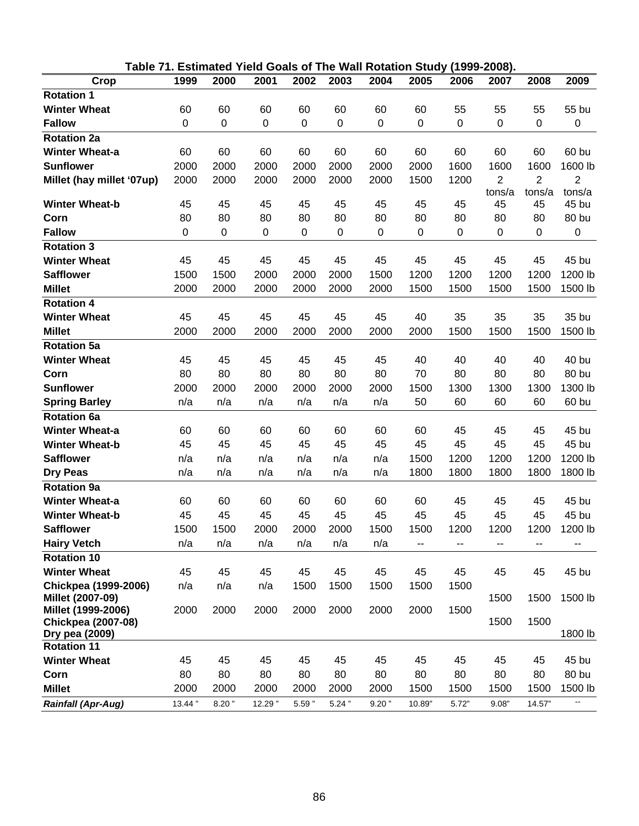|                           |             |           |         |                  |           | Table 71. Estimated Yield Goals of The Wall Rotation Study (1999-2008). |        |                  |                |                |                |
|---------------------------|-------------|-----------|---------|------------------|-----------|-------------------------------------------------------------------------|--------|------------------|----------------|----------------|----------------|
| Crop                      | 1999        | 2000      | 2001    | 2002             | 2003      | 2004                                                                    | 2005   | 2006             | 2007           | 2008           | 2009           |
| <b>Rotation 1</b>         |             |           |         |                  |           |                                                                         |        |                  |                |                |                |
| <b>Winter Wheat</b>       | 60          | 60        | 60      | 60               | 60        | 60                                                                      | 60     | 55               | 55             | 55             | 55 bu          |
| <b>Fallow</b>             | $\mathbf 0$ | $\pmb{0}$ | $\,0\,$ | $\boldsymbol{0}$ | $\pmb{0}$ | $\pmb{0}$                                                               | 0      | $\,0\,$          | $\pmb{0}$      | 0              | 0              |
| <b>Rotation 2a</b>        |             |           |         |                  |           |                                                                         |        |                  |                |                |                |
| <b>Winter Wheat-a</b>     | 60          | 60        | 60      | 60               | 60        | 60                                                                      | 60     | 60               | 60             | 60             | 60 bu          |
| <b>Sunflower</b>          | 2000        | 2000      | 2000    | 2000             | 2000      | 2000                                                                    | 2000   | 1600             | 1600           | 1600           | 1600 lb        |
| Millet (hay millet '07up) | 2000        | 2000      | 2000    | 2000             | 2000      | 2000                                                                    | 1500   | 1200             | $\overline{2}$ | $\overline{2}$ | $\overline{2}$ |
|                           |             |           |         |                  |           |                                                                         |        |                  | tons/a         | tons/a         | tons/a         |
| <b>Winter Wheat-b</b>     | 45          | 45        | 45      | 45               | 45        | 45                                                                      | 45     | 45               | 45             | 45             | 45 bu          |
| Corn                      | 80          | 80        | 80      | 80               | 80        | 80                                                                      | 80     | 80               | 80             | 80             | 80 bu          |
| <b>Fallow</b>             | $\mathbf 0$ | $\pmb{0}$ | $\,0\,$ | $\mathbf 0$      | $\pmb{0}$ | $\pmb{0}$                                                               | 0      | $\boldsymbol{0}$ | $\pmb{0}$      | 0              | 0              |
| <b>Rotation 3</b>         |             |           |         |                  |           |                                                                         |        |                  |                |                |                |
| <b>Winter Wheat</b>       | 45          | 45        | 45      | 45               | 45        | 45                                                                      | 45     | 45               | 45             | 45             | 45 bu          |
| <b>Safflower</b>          | 1500        | 1500      | 2000    | 2000             | 2000      | 1500                                                                    | 1200   | 1200             | 1200           | 1200           | 1200 lb        |
| <b>Millet</b>             | 2000        | 2000      | 2000    | 2000             | 2000      | 2000                                                                    | 1500   | 1500             | 1500           | 1500           | 1500 lb        |
| <b>Rotation 4</b>         |             |           |         |                  |           |                                                                         |        |                  |                |                |                |
| <b>Winter Wheat</b>       | 45          | 45        | 45      | 45               | 45        | 45                                                                      | 40     | 35               | 35             | 35             | 35 bu          |
| <b>Millet</b>             | 2000        | 2000      | 2000    | 2000             | 2000      | 2000                                                                    | 2000   | 1500             | 1500           | 1500           | 1500 lb        |
| Rotation 5a               |             |           |         |                  |           |                                                                         |        |                  |                |                |                |
| <b>Winter Wheat</b>       | 45          | 45        | 45      | 45               | 45        | 45                                                                      | 40     | 40               | 40             | 40             | 40 bu          |
| Corn                      | 80          | 80        | 80      | 80               | 80        | 80                                                                      | 70     | 80               | 80             | 80             | 80 bu          |
| <b>Sunflower</b>          | 2000        | 2000      | 2000    | 2000             | 2000      | 2000                                                                    | 1500   | 1300             | 1300           | 1300           | 1300 lb        |
| <b>Spring Barley</b>      | n/a         | n/a       | n/a     | n/a              | n/a       | n/a                                                                     | 50     | 60               | 60             | 60             | 60 bu          |
| <b>Rotation 6a</b>        |             |           |         |                  |           |                                                                         |        |                  |                |                |                |
| <b>Winter Wheat-a</b>     | 60          | 60        | 60      | 60               | 60        | 60                                                                      | 60     | 45               | 45             | 45             | 45 bu          |
| <b>Winter Wheat-b</b>     | 45          | 45        | 45      | 45               | 45        | 45                                                                      | 45     | 45               | 45             | 45             | 45 bu          |
| <b>Safflower</b>          | n/a         | n/a       | n/a     | n/a              | n/a       | n/a                                                                     | 1500   | 1200             | 1200           | 1200           | 1200 lb        |
| <b>Dry Peas</b>           | n/a         | n/a       | n/a     | n/a              | n/a       | n/a                                                                     | 1800   | 1800             | 1800           | 1800           | 1800 lb        |
| <b>Rotation 9a</b>        |             |           |         |                  |           |                                                                         |        |                  |                |                |                |
| <b>Winter Wheat-a</b>     | 60          | 60        | 60      | 60               | 60        | 60                                                                      | 60     | 45               | 45             | 45             | 45 bu          |
| <b>Winter Wheat-b</b>     | 45          | 45        | 45      | 45               | 45        | 45                                                                      | 45     | 45               | 45             | 45             | 45 bu          |
| <b>Safflower</b>          | 1500        | 1500      | 2000    | 2000             | 2000      | 1500                                                                    | 1500   | 1200             | 1200           | 1200           | 1200 lb        |
| <b>Hairy Vetch</b>        | n/a         | n/a       | n/a     | n/a              | n/a       | n/a                                                                     | --     | --               | --             | --             |                |
| <b>Rotation 10</b>        |             |           |         |                  |           |                                                                         |        |                  |                |                |                |
| <b>Winter Wheat</b>       | 45          | 45        | 45      | 45               | 45        | 45                                                                      | 45     | 45               | 45             | 45             | 45 bu          |
| Chickpea (1999-2006)      | n/a         | n/a       | n/a     | 1500             | 1500      | 1500                                                                    | 1500   | 1500             |                |                |                |
| Millet (2007-09)          |             |           |         |                  |           |                                                                         |        |                  | 1500           | 1500           | 1500 lb        |
| Millet (1999-2006)        | 2000        | 2000      | 2000    | 2000             | 2000      | 2000                                                                    | 2000   | 1500             |                |                |                |
| <b>Chickpea (2007-08)</b> |             |           |         |                  |           |                                                                         |        |                  | 1500           | 1500           |                |
| Dry pea (2009)            |             |           |         |                  |           |                                                                         |        |                  |                |                | 1800 lb        |
| <b>Rotation 11</b>        |             |           |         |                  |           |                                                                         |        |                  |                |                |                |
| <b>Winter Wheat</b>       | 45          | 45        | 45      | 45               | 45        | 45                                                                      | 45     | 45               | 45             | 45             | 45 bu          |
| Corn                      | 80          | 80        | 80      | 80               | 80        | 80                                                                      | 80     | 80               | 80             | 80             | 80 bu          |
| <b>Millet</b>             | 2000        | 2000      | 2000    | 2000             | 2000      | 2000                                                                    | 1500   | 1500             | 1500           | 1500           | 1500 lb        |
| <b>Rainfall (Apr-Aug)</b> | 13.44"      | $8.20$ "  | 12.29"  | $5.59$ "         | $5.24$ "  | $9.20$ "                                                                | 10.89" | 5.72"            | 9.08"          | 14.57"         | ۰.             |

<u>86 - John Stein, Amerikaansk kanton (</u>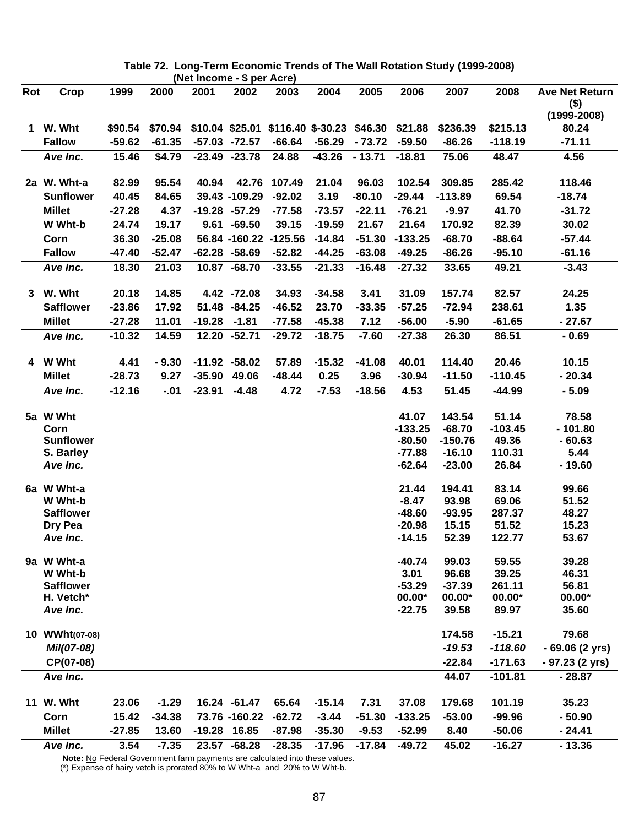|             | (Net Income - \$ per Acre)  |          |          |          |                  |                       |          |          |                      |                   |                   |                                  |
|-------------|-----------------------------|----------|----------|----------|------------------|-----------------------|----------|----------|----------------------|-------------------|-------------------|----------------------------------|
| Rot         | Crop                        | 1999     | 2000     | 2001     | 2002             | 2003                  | 2004     | 2005     | 2006                 | 2007              | 2008              | <b>Ave Net Return</b><br>$($ \$) |
|             |                             |          |          |          |                  |                       |          |          |                      |                   |                   | $(1999 - 2008)$                  |
| $\mathbf 1$ | W. Wht                      | \$90.54  | \$70.94  |          | \$10.04 \$25.01  | $$116.40$ \$-30.23    |          | \$46.30  | \$21.88              | \$236.39          | \$215.13          | 80.24                            |
|             | <b>Fallow</b>               | $-59.62$ | $-61.35$ |          | $-57.03 - 72.57$ | $-66.64$              | $-56.29$ | $-73.72$ | $-59.50$             | $-86.26$          | $-118.19$         | $-71.11$                         |
|             | Ave Inc.                    | 15.46    | \$4.79   |          | $-23.49 -23.78$  | 24.88                 | $-43.26$ | $-13.71$ | $-18.81$             | 75.06             | 48.47             | 4.56                             |
|             | 2a W. Wht-a                 | 82.99    | 95.54    | 40.94    |                  | 42.76 107.49          | 21.04    | 96.03    | 102.54               | 309.85            | 285.42            | 118.46                           |
|             | <b>Sunflower</b>            | 40.45    | 84.65    |          | 39.43 -109.29    | $-92.02$              | 3.19     | $-80.10$ | $-29.44$             | $-113.89$         | 69.54             | $-18.74$                         |
|             | <b>Millet</b>               | $-27.28$ | 4.37     |          | $-19.28 -57.29$  | $-77.58$              | $-73.57$ | $-22.11$ | $-76.21$             | $-9.97$           | 41.70             | $-31.72$                         |
|             | W Wht-b                     | 24.74    | 19.17    |          | $9.61 - 69.50$   | 39.15                 | $-19.59$ | 21.67    | 21.64                | 170.92            | 82.39             | 30.02                            |
|             | Corn                        | 36.30    | $-25.08$ |          |                  | 56.84 -160.22 -125.56 | $-14.84$ | $-51.30$ | $-133.25$            | $-68.70$          | $-88.64$          | $-57.44$                         |
|             | <b>Fallow</b>               | $-47.40$ | $-52.47$ |          | $-62.28 - 58.69$ | $-52.82$              | $-44.25$ | $-63.08$ | $-49.25$             | $-86.26$          | $-95.10$          | $-61.16$                         |
|             | Ave Inc.                    | 18.30    | 21.03    |          | 10.87 -68.70     | $-33.55$              | $-21.33$ | $-16.48$ | $-27.32$             | 33.65             | 49.21             | $-3.43$                          |
|             | 3 W. Wht                    | 20.18    | 14.85    |          | 4.42 -72.08      | 34.93                 | $-34.58$ | 3.41     | 31.09                | 157.74            | 82.57             | 24.25                            |
|             | <b>Safflower</b>            | $-23.86$ | 17.92    |          | 51.48 -84.25     | $-46.52$              | 23.70    | $-33.35$ | $-57.25$             | $-72.94$          | 238.61            | 1.35                             |
|             | <b>Millet</b>               | $-27.28$ | 11.01    | $-19.28$ | $-1.81$          | $-77.58$              | $-45.38$ | 7.12     | $-56.00$             | $-5.90$           | $-61.65$          | $-27.67$                         |
|             | Ave Inc.                    | $-10.32$ | 14.59    |          | 12.20 -52.71     | $-29.72$              | $-18.75$ | $-7.60$  | $-27.38$             | 26.30             | 86.51             | $-0.69$                          |
|             | 4 W Wht                     | 4.41     | $-9.30$  |          | $-11.92 -58.02$  | 57.89                 | $-15.32$ | $-41.08$ | 40.01                | 114.40            | 20.46             | 10.15                            |
|             | <b>Millet</b>               | $-28.73$ | 9.27     | $-35.90$ | 49.06            | $-48.44$              | 0.25     | 3.96     | $-30.94$             | $-11.50$          | $-110.45$         | $-20.34$                         |
|             | Ave Inc.                    | $-12.16$ | $-0.01$  | $-23.91$ | $-4.48$          | 4.72                  | $-7.53$  | $-18.56$ | 4.53                 | 51.45             | $-44.99$          | $-5.09$                          |
|             | 5a W Wht                    |          |          |          |                  |                       |          |          | 41.07                | 143.54            | 51.14             | 78.58                            |
|             | Corn                        |          |          |          |                  |                       |          |          | $-133.25$            | $-68.70$          | $-103.45$         | $-101.80$                        |
|             | <b>Sunflower</b>            |          |          |          |                  |                       |          |          | $-80.50$             | $-150.76$         | 49.36             | $-60.63$                         |
|             | S. Barley                   |          |          |          |                  |                       |          |          | $-77.88$             | $-16.10$          | 110.31            | 5.44                             |
|             | Ave Inc.                    |          |          |          |                  |                       |          |          | $-62.64$             | $-23.00$          | 26.84             | $-19.60$                         |
|             | 6a W Wht-a                  |          |          |          |                  |                       |          |          | 21.44                | 194.41            | 83.14             | 99.66                            |
|             | W Wht-b                     |          |          |          |                  |                       |          |          | $-8.47$              | 93.98             | 69.06             | 51.52                            |
|             | <b>Safflower</b><br>Dry Pea |          |          |          |                  |                       |          |          | $-48.60$<br>$-20.98$ | $-93.95$<br>15.15 | 287.37<br>51.52   | 48.27<br>15.23                   |
|             | Ave Inc.                    |          |          |          |                  |                       |          |          | $-14.15$             | 52.39             | 122.77            | 53.67                            |
|             | 9a W Wht-a                  |          |          |          |                  |                       |          |          | $-40.74$             | 99.03             | 59.55             | 39.28                            |
|             | W Wht-b                     |          |          |          |                  |                       |          |          | 3.01                 | 96.68             | 39.25             | 46.31                            |
|             | <b>Safflower</b>            |          |          |          |                  |                       |          |          | $-53.29$             | $-37.39$          | 261.11            | 56.81                            |
|             | H. Vetch*                   |          |          |          |                  |                       |          |          | $00.00*$<br>$-22.75$ | $00.00*$<br>39.58 | $00.00*$<br>89.97 | $00.00*$<br>35.60                |
|             | Ave Inc.                    |          |          |          |                  |                       |          |          |                      |                   |                   |                                  |
|             | 10 WWht(07-08)              |          |          |          |                  |                       |          |          |                      | 174.58            | $-15.21$          | 79.68                            |
|             | Mil(07-08)                  |          |          |          |                  |                       |          |          |                      | $-19.53$          | $-118.60$         | - 69.06 (2 yrs)                  |
|             | CP(07-08)                   |          |          |          |                  |                       |          |          |                      | $-22.84$          | $-171.63$         | - 97.23 (2 yrs)                  |
|             | Ave Inc.                    |          |          |          |                  |                       |          |          |                      | 44.07             | $-101.81$         | $-28.87$                         |
|             | 11 W. Wht                   | 23.06    | $-1.29$  |          | 16.24 -61.47     | 65.64                 | $-15.14$ | 7.31     | 37.08                | 179.68            | 101.19            | 35.23                            |
|             | Corn                        | 15.42    | $-34.38$ |          | 73.76 -160.22    | $-62.72$              | $-3.44$  | $-51.30$ | $-133.25$            | $-53.00$          | $-99.96$          | $-50.90$                         |
|             | <b>Millet</b>               | $-27.85$ | 13.60    |          | -19.28 16.85     | $-87.98$              | $-35.30$ | $-9.53$  | $-52.99$             | 8.40              | $-50.06$          | $-24.41$                         |
|             | Ave Inc.                    | 3.54     | $-7.35$  |          | $23.57 - 68.28$  | $-28.35$              | $-17.96$ | $-17.84$ | $-49.72$             | 45.02             | $-16.27$          | $-13.36$                         |

**Table 72. Long-Term Economic Trends of The Wall Rotation Study (1999-2008)** 

Note: No Federal Government farm payments are calculated into these values. (\*) Expense of hairy vetch is prorated 80% to W Wht-a and 20% to W Wht-b.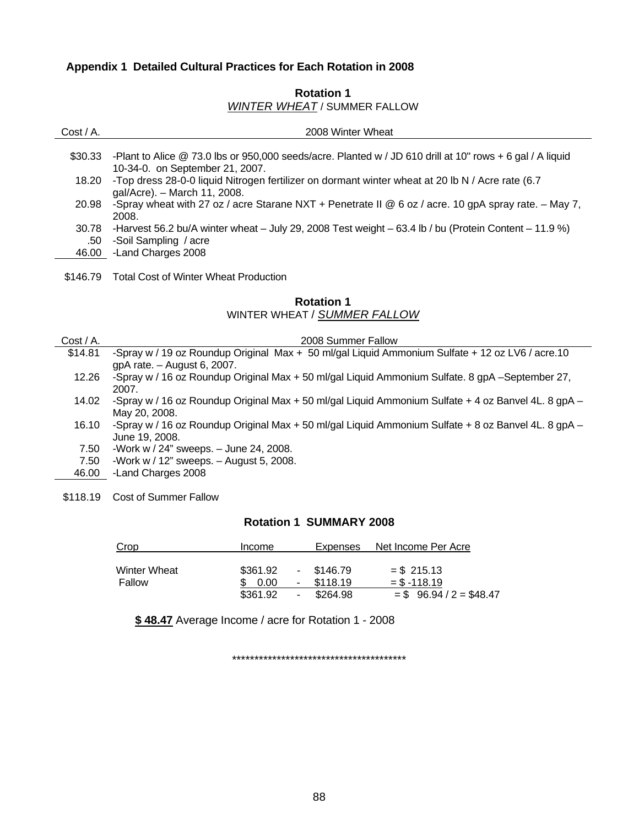# **Appendix 1 Detailed Cultural Practices for Each Rotation in 2008**

# **Rotation 1**  *WINTER WHEAT* / SUMMER FALLOW

| $Cost / A$ . | 2008 Winter Wheat                                                                                                                            |
|--------------|----------------------------------------------------------------------------------------------------------------------------------------------|
| \$30.33      | -Plant to Alice @ 73.0 lbs or 950,000 seeds/acre. Planted w / JD 610 drill at 10" rows + 6 gal / A liquid<br>10-34-0. on September 21, 2007. |
| 18.20        | -Top dress 28-0-0 liquid Nitrogen fertilizer on dormant winter wheat at 20 lb N / Acre rate (6.7<br>gal/Acre). - March 11, 2008.             |
| 20.98        | -Spray wheat with 27 oz / acre Starane NXT + Penetrate II @ 6 oz / acre. 10 gpA spray rate. $-$ May 7,<br>2008.                              |
| 30.78<br>.50 | -Harvest 56.2 bu/A winter wheat - July 29, 2008 Test weight - 63.4 lb / bu (Protein Content - 11.9 %)<br>-Soil Sampling / acre               |
|              | 46.00 -Land Charges 2008                                                                                                                     |
| \$146.79     | <b>Total Cost of Winter Wheat Production</b>                                                                                                 |
|              | <b>Rotation 1</b>                                                                                                                            |
|              | WINTER WHEAT / SUMMER FALLOW                                                                                                                 |
| Cost / A.    | 2008 Summer Fallow                                                                                                                           |
| \$14.81      | -Spray w / 19 oz Roundup Original Max + 50 ml/gal Liquid Ammonium Sulfate + 12 oz LV6 / acre.10<br>gpA rate. - August 6, 2007.               |
| 12.26        | -Spray w / 16 oz Roundup Original Max + 50 ml/gal Liquid Ammonium Sulfate. 8 gpA -September 27,<br>2007.                                     |
| 14.02        | -Spray w / 16 oz Roundup Original Max + 50 ml/gal Liquid Ammonium Sulfate + 4 oz Banvel 4L. 8 gpA -<br>May 20, 2008.                         |
| 16.10        | -Spray w / 16 oz Roundup Original Max + 50 ml/gal Liquid Ammonium Sulfate + 8 oz Banvel 4L. 8 gpA -<br>June 19, 2008.                        |
| 7.50         | -Work w / 24" sweeps. $-$ June 24, 2008.                                                                                                     |
| 7.50         | -Work w / $12$ " sweeps. $-$ August 5, 2008.                                                                                                 |
| 46.00        | -Land Charges 2008                                                                                                                           |

\$118.19 Cost of Summer Fallow

# **Rotation 1 SUMMARY 2008**

| Crop                          | <b>Income</b>    | Expenses                            | Net Income Per Acre             |
|-------------------------------|------------------|-------------------------------------|---------------------------------|
| <b>Winter Wheat</b><br>Fallow | \$361.92<br>0.00 | \$146.79<br>$\sim$<br>\$118.19<br>۰ | $=$ \$ 215.13<br>$=$ \$ -118.19 |
|                               | \$361.92         | \$264.98<br>٠.                      | $=$ \$ 96.94 / 2 = \$48.47      |

**\$ 48.47** Average Income / acre for Rotation 1 - 2008

\*\*\*\*\*\*\*\*\*\*\*\*\*\*\*\*\*\*\*\*\*\*\*\*\*\*\*\*\*\*\*\*\*\*\*\*\*\*\*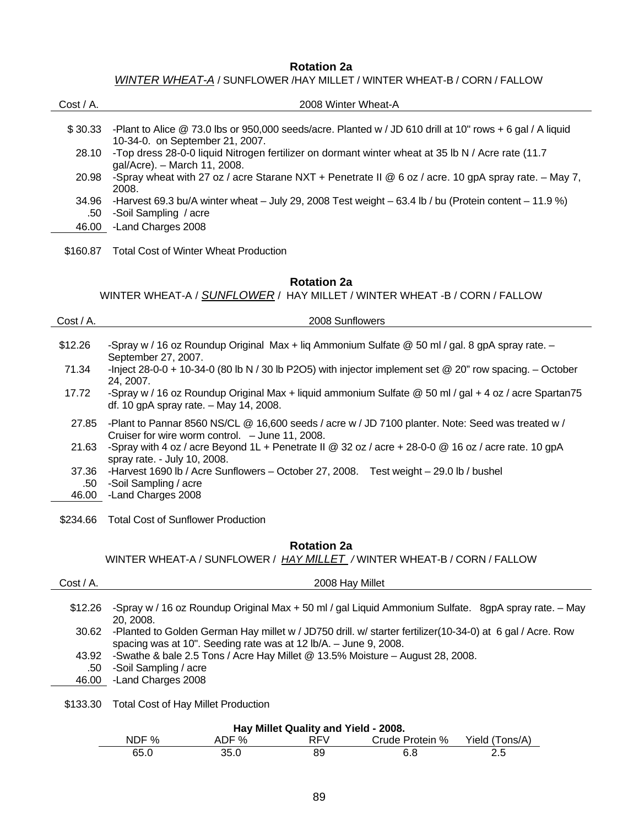#### **Rotation 2a**

*WINTER WHEAT-A* / SUNFLOWER /HAY MILLET / WINTER WHEAT-B / CORN / FALLOW

| $Cost / A$ . | 2008 Winter Wheat-A                                                                                                                                                   |
|--------------|-----------------------------------------------------------------------------------------------------------------------------------------------------------------------|
| \$30.33      | -Plant to Alice @ 73.0 lbs or 950,000 seeds/acre. Planted w / JD 610 drill at 10" rows + 6 gal / A liquid                                                             |
| 28.10        | 10-34-0. on September 21, 2007.<br>-Top dress 28-0-0 liquid Nitrogen fertilizer on dormant winter wheat at 35 lb N / Acre rate (11.7)<br>gal/Acre). - March 11, 2008. |
| 20.98        | -Spray wheat with 27 oz / acre Starane NXT + Penetrate II @ 6 oz / acre. 10 gpA spray rate. - May 7,<br>2008.                                                         |
| 34.96<br>.50 | -Harvest 69.3 bu/A winter wheat $-$ July 29, 2008 Test weight $-$ 63.4 lb / bu (Protein content $-$ 11.9 %)<br>-Soil Sampling / acre                                  |
| 46.00        | -Land Charges 2008                                                                                                                                                    |
| \$160.87     | <b>Total Cost of Winter Wheat Production</b>                                                                                                                          |
|              | <b>Rotation 2a</b><br>WINTER WHEAT-A / SUNFLOWER / HAY MILLET / WINTER WHEAT -B / CORN / FALLOW                                                                       |

| $Cost / A$ . | 2008 Sunflowers                                                                                                                                      |
|--------------|------------------------------------------------------------------------------------------------------------------------------------------------------|
| \$12.26      | -Spray w / 16 oz Roundup Original Max + liq Ammonium Sulfate @ 50 ml / gal. 8 gpA spray rate. -<br>September 27, 2007.                               |
| 71.34        | -Inject 28-0-0 + 10-34-0 (80 lb N / 30 lb P2O5) with injector implement set $@$ 20" row spacing. $-$ October<br>24.2007.                             |
| 17.72        | -Spray w / 16 oz Roundup Original Max + liquid ammonium Sulfate @ 50 ml / gal + 4 oz / acre Spartan75<br>df. 10 gpA spray rate. - May 14, 2008.      |
| 27.85        | -Plant to Pannar 8560 NS/CL @ 16,600 seeds / acre w / JD 7100 planter. Note: Seed was treated w /<br>Cruiser for wire worm control. - June 11, 2008. |
| 21.63        | -Spray with 4 oz / acre Beyond 1L + Penetrate II @ 32 oz / acre + 28-0-0 @ 16 oz / acre rate. 10 gpA<br>spray rate. - July 10, 2008.                 |
| 37.36        | -Harvest 1690 lb / Acre Sunflowers – October 27, 2008. Test weight – 29.0 lb / bushel                                                                |
| .50          | -Soil Sampling / acre                                                                                                                                |
| 46.00        | -Land Charges 2008                                                                                                                                   |

\$234.66 Total Cost of Sunflower Production

#### **Rotation 2a**

WINTER WHEAT-A / SUNFLOWER / *HAY MILLET /* WINTER WHEAT-B / CORN / FALLOW

| Cost / A. | 2008 Hay Millet                                                                                                                                                               |
|-----------|-------------------------------------------------------------------------------------------------------------------------------------------------------------------------------|
| \$12.26   | -Spray w / 16 oz Roundup Original Max + 50 ml / gal Liquid Ammonium Sulfate. 8gpA spray rate. - May<br>20, 2008.                                                              |
| 30.62     | -Planted to Golden German Hay millet w / JD750 drill. w/ starter fertilizer(10-34-0) at 6 gal / Acre. Row<br>spacing was at 10". Seeding rate was at 12 lb/A. - June 9, 2008. |
| 43.92     | -Swathe & bale 2.5 Tons / Acre Hay Millet @ 13.5% Moisture - August 28, 2008.                                                                                                 |
| .50       | -Soil Sampling / acre                                                                                                                                                         |
| 46.00     | -Land Charges 2008                                                                                                                                                            |
|           |                                                                                                                                                                               |

\$133.30 Total Cost of Hay Millet Production

| Hay Millet Quality and Yield - 2008. |  |
|--------------------------------------|--|
|--------------------------------------|--|

| NDF <sub>%</sub> | ‰<br>∼ | ' ⊢ \/ | Crude Protein % | $\mathsf{Cons}/\mathsf{A}$<br>Yield ( |
|------------------|--------|--------|-----------------|---------------------------------------|
| 65.C             | 35.C   |        | а<br>b.d        | د.ء                                   |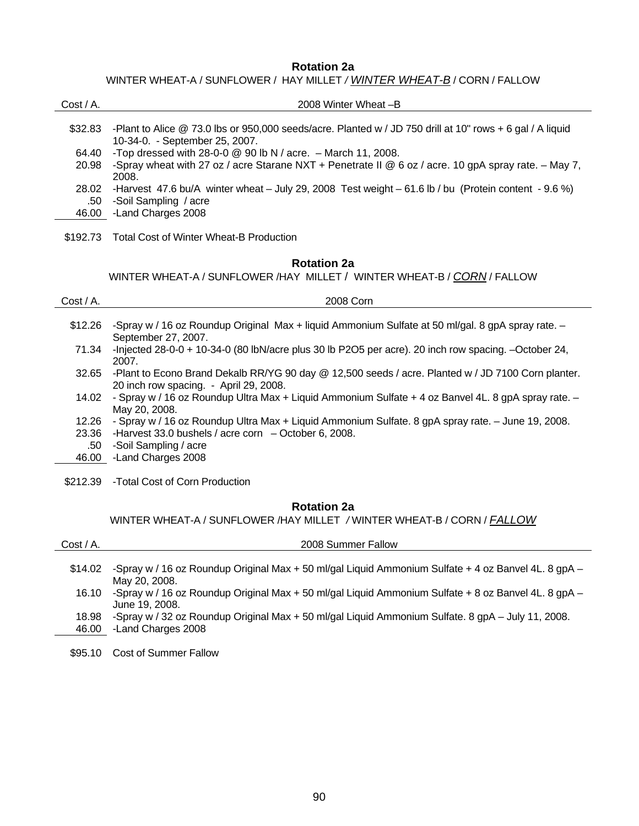**Rotation 2a** 

WINTER WHEAT-A / SUNFLOWER / HAY MILLET */ WINTER WHEAT-B* / CORN / FALLOW

| Cost / A.    | 2008 Winter Wheat -B                                                                                                                          |
|--------------|-----------------------------------------------------------------------------------------------------------------------------------------------|
| \$32.83      | -Plant to Alice @ 73.0 lbs or 950,000 seeds/acre. Planted w / JD 750 drill at 10" rows + 6 gal / A liquid<br>10-34-0. - September 25, 2007.   |
| 64.40        | -Top dressed with 28-0-0 $@$ 90 lb N / acre. $-$ March 11, 2008.                                                                              |
| 20.98        | -Spray wheat with 27 oz / acre Starane NXT + Penetrate II @ 6 oz / acre. 10 gpA spray rate. - May 7,<br>2008.                                 |
| 28.02        | -Harvest 47.6 bu/A winter wheat - July 29, 2008 Test weight - 61.6 lb / bu (Protein content - 9.6 %)                                          |
| .50          | -Soil Sampling / acre                                                                                                                         |
| 46.00        | -Land Charges 2008                                                                                                                            |
| \$192.73     | <b>Total Cost of Winter Wheat-B Production</b>                                                                                                |
|              | <b>Rotation 2a</b>                                                                                                                            |
|              | WINTER WHEAT-A / SUNFLOWER / HAY MILLET / WINTER WHEAT-B / CORN / FALLOW                                                                      |
|              |                                                                                                                                               |
|              |                                                                                                                                               |
| Cost / A.    | 2008 Corn                                                                                                                                     |
|              |                                                                                                                                               |
| \$12.26      | -Spray w / 16 oz Roundup Original Max + liquid Ammonium Sulfate at 50 ml/gal. 8 gpA spray rate. -<br>September 27, 2007.                      |
| 71.34        | -Injected 28-0-0 + 10-34-0 (80 lbN/acre plus 30 lb P2O5 per acre). 20 inch row spacing. -October 24,<br>2007.                                 |
| 32.65        | -Plant to Econo Brand Dekalb RR/YG 90 day @ 12,500 seeds / acre. Planted w / JD 7100 Corn planter.                                            |
| 14.02        | 20 inch row spacing. - April 29, 2008.<br>- Spray w / 16 oz Roundup Ultra Max + Liquid Ammonium Sulfate + 4 oz Banvel 4L. 8 gpA spray rate. - |
|              | May 20, 2008.                                                                                                                                 |
| 12.26        | - Spray w / 16 oz Roundup Ultra Max + Liquid Ammonium Sulfate. 8 gpA spray rate. - June 19, 2008.                                             |
| 23.36        | -Harvest 33.0 bushels / acre corn $-$ October 6, 2008.                                                                                        |
| .50<br>46.00 | -Soil Sampling / acre<br>-Land Charges 2008                                                                                                   |
|              |                                                                                                                                               |

\$212.39 -Total Cost of Corn Production

# **Rotation 2a**

WINTER WHEAT-A / SUNFLOWER /HAY MILLET */* WINTER WHEAT-B / CORN / *FALLOW*

| $Cost / A$ . | 2008 Summer Fallow                                                                                                   |
|--------------|----------------------------------------------------------------------------------------------------------------------|
|              |                                                                                                                      |
| \$14.02      | -Spray w / 16 oz Roundup Original Max + 50 ml/gal Liquid Ammonium Sulfate + 4 oz Banvel 4L. 8 gpA -<br>May 20, 2008. |
| 16.10        | -Spray w / 16 oz Roundup Original Max + 50 ml/gal Liquid Ammonium Sulfate + 8 oz Banvel 4L. 8 gpA -                  |
|              | June 19, 2008.                                                                                                       |
| 18.98        | -Spray w / 32 oz Roundup Original Max + 50 ml/gal Liquid Ammonium Sulfate. 8 gpA - July 11, 2008.                    |
| 46.00        | -Land Charges 2008                                                                                                   |
|              |                                                                                                                      |
| \$95.10      | <b>Cost of Summer Fallow</b>                                                                                         |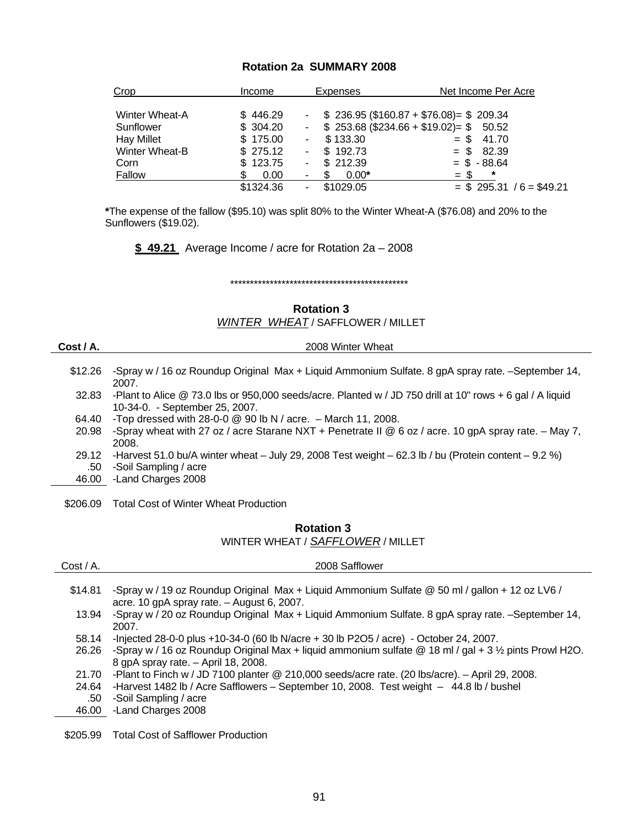#### **Rotation 2a SUMMARY 2008**

| <u>Crop</u>           | Income    | <b>Expenses</b>                       | Net Income Per Acre                                      |
|-----------------------|-----------|---------------------------------------|----------------------------------------------------------|
| <b>Winter Wheat-A</b> | \$446.29  |                                       | $\frac{1}{2}$ \$ 236.95 (\$160.87 + \$76.08) = \$ 209.34 |
| Sunflower             | \$304.20  | $\sim 100$                            | $$253.68 ($234.66 + $19.02) = $50.52$                    |
| <b>Hay Millet</b>     | \$175.00  | \$133.30<br>$\sim$                    | $=$ \$ 41.70                                             |
| Winter Wheat-B        | \$275.12  | \$192.73<br>$\sim$                    | $= $ 82.39$                                              |
| Corn                  | \$123.75  | \$212.39<br>$\blacksquare$            | $=$ \$ -88.64                                            |
| Fallow                | 0.00      | $0.00*$                               | *<br>$=$ \$                                              |
|                       | \$1324.36 | \$1029.05<br>$\overline{\phantom{a}}$ | $=$ \$ 295.31 / 6 = \$49.21                              |

**\***The expense of the fallow (\$95.10) was split 80% to the Winter Wheat-A (\$76.08) and 20% to the Sunflowers (\$19.02).

**\$ 49.21** Average Income / acre for Rotation 2a – 2008

\*\*\*\*\*\*\*\*\*\*\*\*\*\*\*\*\*\*\*\*\*\*\*\*\*\*\*\*\*\*\*\*\*\*\*\*\*\*\*\*\*\*\*\*\*

**Rotation 3** 

*WINTER WHEAT* / SAFFLOWER / MILLET

| æ.<br>., | , ו | ۰.<br>۹ |
|----------|-----|---------|
|          |     |         |
|          |     |         |

**Cost / A.** 2008 Winter Wheat

- \$12.26 -Spray w / 16 oz Roundup Original Max + Liquid Ammonium Sulfate. 8 gpA spray rate. –September 14, 2007.
- 32.83 -Plant to Alice @ 73.0 lbs or 950,000 seeds/acre. Planted w / JD 750 drill at 10" rows + 6 gal / A liquid 10-34-0. - September 25, 2007.
- 64.40 -Top dressed with 28-0-0 @ 90 lb N / acre. March 11, 2008.
- 20.98 -Spray wheat with 27 oz / acre Starane NXT + Penetrate II @ 6 oz / acre. 10 gpA spray rate. May 7, 2008.
- 29.12 -Harvest 51.0 bu/A winter wheat July 29, 2008 Test weight 62.3 lb / bu (Protein content 9.2 %) .50 -Soil Sampling / acre
- 46.00 -Land Charges 2008
- 
- \$206.09 Total Cost of Winter Wheat Production

## **Rotation 3** WINTER WHEAT / *SAFFLOWER* / MILLET

| $Cost / A$ . | 2008 Safflower                                                                                                                                 |
|--------------|------------------------------------------------------------------------------------------------------------------------------------------------|
| \$14.81      | -Spray w / 19 oz Roundup Original Max + Liquid Ammonium Sulfate @ 50 ml / gallon + 12 oz LV6 /<br>acre. 10 gpA spray rate. $-$ August 6, 2007. |
| 13.94        | -Spray w / 20 oz Roundup Original Max + Liquid Ammonium Sulfate. 8 gpA spray rate. - September 14,<br>2007.                                    |
| 58.14        | -Injected 28-0-0 plus +10-34-0 (60 lb N/acre + 30 lb P2O5 / acre) - October 24, 2007.                                                          |
| 26.26        | -Spray w / 16 oz Roundup Original Max + liquid ammonium sulfate @ 18 ml / gal + 3 1/2 pints Prowl H2O.<br>8 gpA spray rate. - April 18, 2008.  |
| 21.70        | -Plant to Finch w / JD 7100 planter @ 210,000 seeds/acre rate. (20 lbs/acre). - April 29, 2008.                                                |
| 24.64        | -Harvest 1482 lb / Acre Safflowers - September 10, 2008. Test weight - 44.8 lb / bushel                                                        |
| .50          | -Soil Sampling / acre                                                                                                                          |
| 46.00        | -Land Charges 2008                                                                                                                             |
|              |                                                                                                                                                |

\$205.99 Total Cost of Safflower Production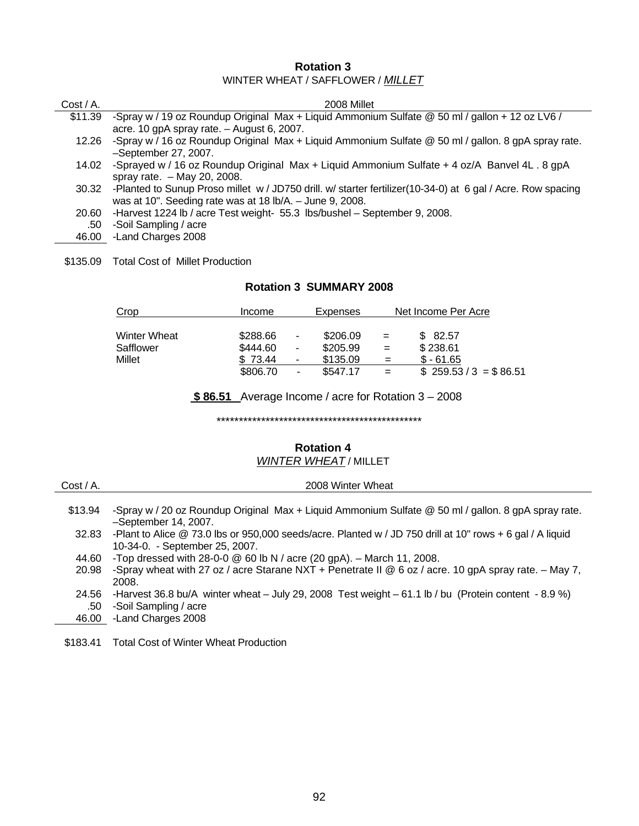#### **Rotation 3** WINTER WHEAT / SAFFLOWER / *MILLET*

| $Cost / A$ . | 2008 Millet                                                                                                       |
|--------------|-------------------------------------------------------------------------------------------------------------------|
| \$11.39      | -Spray w / 19 oz Roundup Original Max + Liquid Ammonium Sulfate @ 50 ml / gallon + 12 oz LV6 /                    |
|              | acre. 10 gpA spray rate. $-$ August 6, 2007.                                                                      |
| 12.26        | -Spray w / 16 oz Roundup Original Max + Liquid Ammonium Sulfate @ 50 ml / gallon. 8 gpA spray rate.               |
|              | -September 27, 2007.                                                                                              |
| 14.02        | -Sprayed w / 16 oz Roundup Original Max + Liquid Ammonium Sulfate + 4 oz/A Banvel 4L . 8 gpA                      |
|              | spray rate. $-$ May 20, 2008.                                                                                     |
|              | 30.32 -Planted to Sunup Proso millet w / JD750 drill. w/ starter fertilizer(10-34-0) at 6 gal / Acre. Row spacing |
|              | was at 10". Seeding rate was at 18 lb/A. - June 9, 2008.                                                          |
| 20.60        | -Harvest 1224 lb / acre Test weight- 55.3 lbs/bushel - September 9, 2008.                                         |
| .50          | -Soil Sampling / acre                                                                                             |
| 46.00        | -Land Charges 2008                                                                                                |
|              |                                                                                                                   |

\$135.09 Total Cost of Millet Production

#### **Rotation 3 SUMMARY 2008**

| Crop                | Income   | <b>Expenses</b> |     | Net Income Per Acre    |
|---------------------|----------|-----------------|-----|------------------------|
|                     |          |                 |     |                        |
| <b>Winter Wheat</b> | \$288.66 | \$206.09<br>۰.  | $=$ | \$ 82.57               |
| Safflower           | \$444.60 | \$205.99<br>۰.  | $=$ | \$238.61               |
| Millet              | 73.44    | \$135.09<br>ж.  | $=$ | $$ -61.65$             |
|                     | \$806.70 | \$547.17<br>۰.  |     | $$259.53 / 3 = $86.51$ |

**\$ 86.51** Average Income / acre for Rotation 3 – 2008

\*\*\*\*\*\*\*\*\*\*\*\*\*\*\*\*\*\*\*\*\*\*\*\*\*\*\*\*\*\*\*\*\*\*\*\*\*\*\*\*\*\*\*\*\*\*

#### **Rotation 4** *WINTER WHEAT* / MILLET

| $Cost / A$ . |  |
|--------------|--|
|--------------|--|

2008 Winter Wheat

 \$13.94 -Spray w / 20 oz Roundup Original Max + Liquid Ammonium Sulfate @ 50 ml / gallon. 8 gpA spray rate. –September 14, 2007.

32.83 -Plant to Alice @ 73.0 lbs or 950,000 seeds/acre. Planted w / JD 750 drill at 10" rows + 6 gal / A liquid 10-34-0. - September 25, 2007.

- 44.60 -Top dressed with 28-0-0 @ 60 lb N / acre (20 gpA). March 11, 2008.
- 20.98 -Spray wheat with 27 oz / acre Starane NXT + Penetrate II @ 6 oz / acre. 10 gpA spray rate. May 7, 2008.
- 24.56 -Harvest 36.8 bu/A winter wheat July 29, 2008 Test weight 61.1 lb / bu (Protein content 8.9 %) .50 -Soil Sampling / acre
- 46.00 -Land Charges 2008
- \$183.41 Total Cost of Winter Wheat Production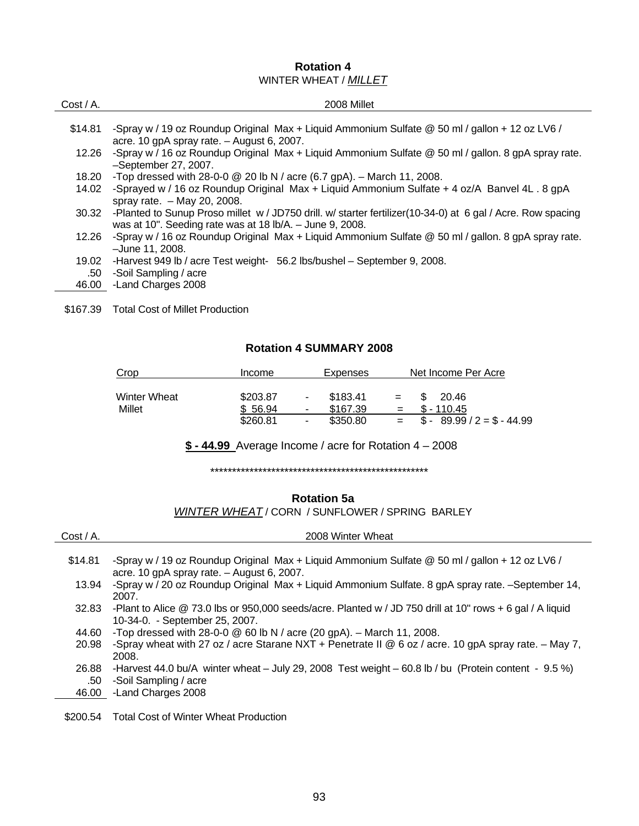# **Rotation 4**  WINTER WHEAT / *MILLET*

| $Cost / A$ . | 2008 Millet                                                                                                 |
|--------------|-------------------------------------------------------------------------------------------------------------|
|              |                                                                                                             |
| \$14.81      | -Spray w / 19 oz Roundup Original Max + Liquid Ammonium Sulfate @ 50 ml / gallon + 12 oz LV6 /              |
|              | acre. 10 gpA spray rate. $-$ August 6, 2007.                                                                |
| 12.26        | -Spray w / 16 oz Roundup Original Max + Liquid Ammonium Sulfate @ 50 ml / gallon. 8 gpA spray rate.         |
|              | -September 27, 2007.                                                                                        |
| 18.20        | -Top dressed with 28-0-0 $\textcircled{2}$ 20 lb N / acre (6.7 gpA). - March 11, 2008.                      |
| 14.02        | -Sprayed w / 16 oz Roundup Original Max + Liquid Ammonium Sulfate + 4 oz/A Banvel 4L . 8 gpA                |
|              | spray rate. $-$ May 20, 2008.                                                                               |
| 30.32        | -Planted to Sunup Proso millet w / JD750 drill. w/ starter fertilizer(10-34-0) at 6 gal / Acre. Row spacing |
|              | was at 10". Seeding rate was at 18 $\frac{1}{6}$ A. - June 9, 2008.                                         |
| 12.26        | -Spray w / 16 oz Roundup Original Max + Liquid Ammonium Sulfate @ 50 ml / gallon. 8 gpA spray rate.         |
|              | -June 11, 2008.                                                                                             |
| 19.02        | -Harvest 949 lb / acre Test weight- 56.2 lbs/bushel - September 9, 2008.                                    |
| .50          | -Soil Sampling / acre                                                                                       |
| 46.00        | -Land Charges 2008                                                                                          |

\$167.39 Total Cost of Millet Production

#### **Rotation 4 SUMMARY 2008**

| Crop                   | <b>Income</b>       | Expenses                                                   | Net Income Per Acre                 |
|------------------------|---------------------|------------------------------------------------------------|-------------------------------------|
| Winter Wheat<br>Millet | \$203.87<br>\$56.94 | \$183.41<br>$\sim$<br>\$167.39<br>$\overline{\phantom{a}}$ | 20.46<br>$=$<br>$$ - 110.45$<br>$=$ |
|                        | \$260.81            | \$350.80<br>$\overline{\phantom{0}}$                       | $$ - 89.99 / 2 = $ - 44.99$<br>$=$  |

**\$ - 44.99** Average Income / acre for Rotation 4 – 2008

\*\*\*\*\*\*\*\*\*\*\*\*\*\*\*\*\*\*\*\*\*\*\*\*\*\*\*\*\*\*\*\*\*\*\*\*\*\*\*\*\*\*\*\*\*\*\*\*\*\*

#### **Rotation 5a**

*WINTER WHEAT* / CORN / SUNFLOWER / SPRING BARLEY

| $Cost / A$ .          | 2008 Winter Wheat                                                                                                                                       |
|-----------------------|---------------------------------------------------------------------------------------------------------------------------------------------------------|
| \$14.81               | -Spray w / 19 oz Roundup Original Max + Liquid Ammonium Sulfate @ 50 ml / gallon + 12 oz LV6 /<br>acre. 10 gpA spray rate. $-$ August 6, 2007.          |
| 13.94                 | -Spray w / 20 oz Roundup Original Max + Liquid Ammonium Sulfate. 8 gpA spray rate. -September 14,<br>2007.                                              |
| 32.83                 | -Plant to Alice @ 73.0 lbs or 950,000 seeds/acre. Planted w / JD 750 drill at 10" rows + 6 gal / A liquid<br>10-34-0. - September 25, 2007.             |
| 44.60                 | -Top dressed with 28-0-0 $\circledcirc$ 60 lb N / acre (20 gpA). - March 11, 2008.                                                                      |
| 20.98                 | -Spray wheat with 27 oz / acre Starane NXT + Penetrate II @ 6 oz / acre. 10 gpA spray rate. - May 7,<br>2008.                                           |
| 26.88<br>.50<br>46.00 | -Harvest 44.0 bu/A winter wheat $-$ July 29, 2008 Test weight $-$ 60.8 lb / bu (Protein content - 9.5 %)<br>-Soil Sampling / acre<br>-Land Charges 2008 |
|                       |                                                                                                                                                         |

\$200.54 Total Cost of Winter Wheat Production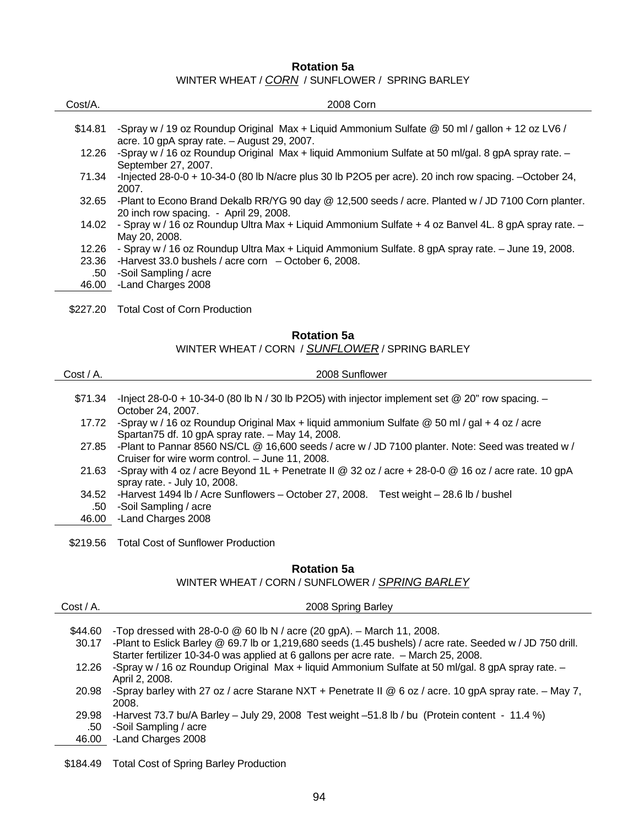#### **Rotation 5a**

WINTER WHEAT / *CORN* / SUNFLOWER / SPRING BARLEY

| Cost/A.            | 2008 Corn                                                                                                                                     |  |
|--------------------|-----------------------------------------------------------------------------------------------------------------------------------------------|--|
| \$14.81            | -Spray w / 19 oz Roundup Original Max + Liquid Ammonium Sulfate @ 50 ml / gallon + 12 oz LV6 /<br>acre. 10 gpA spray rate. - August 29, 2007. |  |
| 12.26              | -Spray w / 16 oz Roundup Original Max + liquid Ammonium Sulfate at 50 ml/gal. 8 gpA spray rate. -<br>September 27, 2007.                      |  |
| 71.34              | -Injected 28-0-0 + 10-34-0 (80 lb N/acre plus 30 lb P2O5 per acre). 20 inch row spacing. $-$ October 24,<br>2007.                             |  |
| 32.65              | -Plant to Econo Brand Dekalb RR/YG 90 day @ 12,500 seeds / acre. Planted w / JD 7100 Corn planter.<br>20 inch row spacing. - April 29, 2008.  |  |
| 14.02              | - Spray w / 16 oz Roundup Ultra Max + Liquid Ammonium Sulfate + 4 oz Banvel 4L. 8 gpA spray rate. -<br>May 20, 2008.                          |  |
| 12.26              | - Spray w / 16 oz Roundup Ultra Max + Liquid Ammonium Sulfate. 8 gpA spray rate. – June 19, 2008.                                             |  |
| 23.36              | -Harvest 33.0 bushels / acre corn $-$ October 6, 2008.                                                                                        |  |
| .50<br>46.00       | -Soil Sampling / acre<br>-Land Charges 2008                                                                                                   |  |
|                    |                                                                                                                                               |  |
| \$227.20           | <b>Total Cost of Corn Production</b>                                                                                                          |  |
| <b>Rotation 5a</b> |                                                                                                                                               |  |
|                    | WINTER WHEAT / CORN / SUNFLOWER / SPRING BARLEY                                                                                               |  |

| $Cost / A$ . | 2008 Sunflower                                                                                                                                       |
|--------------|------------------------------------------------------------------------------------------------------------------------------------------------------|
| \$71.34      | -Inject 28-0-0 + 10-34-0 (80 lb N / 30 lb P2O5) with injector implement set @ 20" row spacing. $-$<br>October 24, 2007.                              |
| 17.72        | -Spray w / 16 oz Roundup Original Max + liquid ammonium Sulfate @ 50 ml / gal + 4 oz / acre<br>Spartan75 df. 10 gpA spray rate. - May 14, 2008.      |
| 27.85        | -Plant to Pannar 8560 NS/CL @ 16,600 seeds / acre w / JD 7100 planter. Note: Seed was treated w /<br>Cruiser for wire worm control. - June 11, 2008. |
| 21.63        | -Spray with 4 oz / acre Beyond 1L + Penetrate II @ 32 oz / acre + 28-0-0 @ 16 oz / acre rate. 10 gpA<br>spray rate. - July 10, 2008.                 |
| 34.52        | -Harvest 1494 lb / Acre Sunflowers - October 27, 2008. Test weight - 28.6 lb / bushel                                                                |
| .50          | -Soil Sampling / acre                                                                                                                                |
| 46.00        | -Land Charges 2008                                                                                                                                   |
|              | \$219.56 Total Cost of Sunflower Production                                                                                                          |

## **Rotation 5a**

WINTER WHEAT / CORN / SUNFLOWER / *SPRING BARLEY*

| $Cost / A$ . | 2008 Spring Barley                                                                                        |
|--------------|-----------------------------------------------------------------------------------------------------------|
|              |                                                                                                           |
| \$44.60      | -Top dressed with 28-0-0 $\textcircled{a}$ 60 lb N / acre (20 gpA). - March 11, 2008.                     |
| 30.17        | -Plant to Eslick Barley @ 69.7 lb or 1,219,680 seeds (1.45 bushels) / acre rate. Seeded w / JD 750 drill. |
|              | Starter fertilizer 10-34-0 was applied at 6 gallons per acre rate. - March 25, 2008.                      |
| 12.26        | -Spray w / 16 oz Roundup Original Max + liquid Ammonium Sulfate at 50 ml/gal. 8 gpA spray rate. -         |
|              | April 2, 2008.                                                                                            |
| 20.98        | -Spray barley with 27 oz / acre Starane NXT + Penetrate II @ 6 oz / acre. 10 gpA spray rate. - May 7,     |
|              | 2008.                                                                                                     |
| 29.98        | -Harvest 73.7 bu/A Barley - July 29, 2008 Test weight -51.8 lb / bu (Protein content - 11.4 %)            |
| .50          | -Soil Sampling / acre                                                                                     |
| 46.00        | -Land Charges 2008                                                                                        |

\$184.49 Total Cost of Spring Barley Production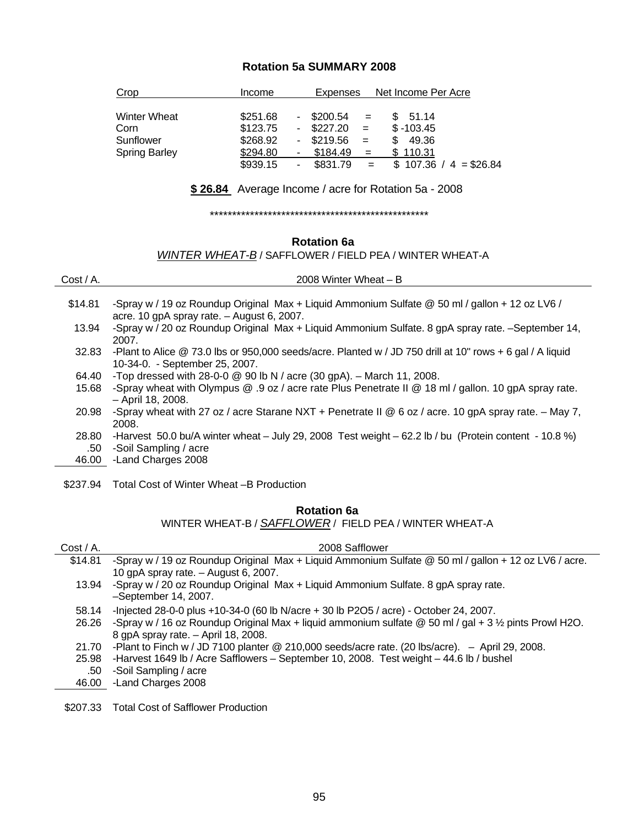## **Rotation 5a SUMMARY 2008**

| Crop                 | Income   | Net Income Per Acre<br><b>Expenses</b>        |
|----------------------|----------|-----------------------------------------------|
| Winter Wheat         | \$251.68 | $-$ \$200.54<br>51.14<br>\$.<br>$=$           |
| Corn                 | \$123.75 | $$ -103.45$<br>$-$ \$227.20<br>$=$            |
| Sunflower            | \$268.92 | $-$ \$219.56<br>49.36<br>S.<br>$=$            |
| <b>Spring Barley</b> | \$294.80 | \$184.49<br>110.31<br>$=$<br>۰                |
|                      | \$939.15 | \$831.79<br>$107.36 / 4 = $26.84$<br>$=$<br>۰ |

**\$ 26.84** Average Income / acre for Rotation 5a - 2008

\*\*\*\*\*\*\*\*\*\*\*\*\*\*\*\*\*\*\*\*\*\*\*\*\*\*\*\*\*\*\*\*\*\*\*\*\*\*\*\*\*\*\*\*\*\*\*\*\*

## **Rotation 6a**

# *WINTER WHEAT-B* / SAFFLOWER / FIELD PEA / WINTER WHEAT-A

| $Cost / A$ . | 2008 Winter Wheat $- B$                                                                                                                        |
|--------------|------------------------------------------------------------------------------------------------------------------------------------------------|
|              |                                                                                                                                                |
| \$14.81      | -Spray w / 19 oz Roundup Original Max + Liquid Ammonium Sulfate @ 50 ml / gallon + 12 oz LV6 /<br>acre. 10 gpA spray rate. $-$ August 6, 2007. |
| 13.94        | -Spray w / 20 oz Roundup Original Max + Liquid Ammonium Sulfate. 8 gpA spray rate. -September 14,                                              |
|              | 2007.                                                                                                                                          |
| 32.83        | -Plant to Alice $@$ 73.0 lbs or 950,000 seeds/acre. Planted w / JD 750 drill at 10" rows + 6 gal / A liquid                                    |
|              | 10-34-0. - September 25, 2007.                                                                                                                 |
| 64.40        | -Top dressed with 28-0-0 $\circledcirc$ 90 lb N / acre (30 gpA). - March 11, 2008.                                                             |
| 15.68        | -Spray wheat with Olympus @ .9 oz / acre rate Plus Penetrate II @ 18 ml / gallon. 10 gpA spray rate.                                           |
|              | - April 18, 2008.                                                                                                                              |
| 20.98        | -Spray wheat with 27 oz / acre Starane NXT + Penetrate II @ 6 oz / acre. 10 gpA spray rate. - May 7,                                           |
|              | 2008.                                                                                                                                          |
| 28.80        | -Harvest 50.0 bu/A winter wheat $-$ July 29, 2008 Test weight $-$ 62.2 lb / bu (Protein content - 10.8 %)                                      |

- .50 -Soil Sampling / acre
- 46.00 -Land Charges 2008
- \$237.94 Total Cost of Winter Wheat –B Production

# **Rotation 6a**

WINTER WHEAT-B / *SAFFLOWER* / FIELD PEA / WINTER WHEAT-A

| $Cost / A$ . | 2008 Safflower                                                                                                     |
|--------------|--------------------------------------------------------------------------------------------------------------------|
| \$14.81      | -Spray w / 19 oz Roundup Original Max + Liquid Ammonium Sulfate @ 50 ml / gallon + 12 oz LV6 / acre.               |
|              | 10 gpA spray rate. - August 6, 2007.                                                                               |
| 13.94        | -Spray w / 20 oz Roundup Original Max + Liquid Ammonium Sulfate. 8 gpA spray rate.                                 |
|              | $-$ September 14, 2007.                                                                                            |
| 58.14        | -Injected 28-0-0 plus +10-34-0 (60 lb N/acre + 30 lb P2O5 / acre) - October 24, 2007.                              |
| 26.26        | -Spray w / 16 oz Roundup Original Max + liquid ammonium sulfate $@$ 50 ml / gal + 3 $\frac{1}{2}$ pints Prowl H2O. |
|              | 8 gpA spray rate. - April 18, 2008.                                                                                |
| 21.70        | -Plant to Finch w / JD 7100 planter @ 210,000 seeds/acre rate. (20 lbs/acre). $-$ April 29, 2008.                  |
| 25.98        | -Harvest 1649 lb / Acre Safflowers - September 10, 2008. Test weight - 44.6 lb / bushel                            |
| .50          | -Soil Sampling / acre                                                                                              |
| 46.00        | -Land Charges 2008                                                                                                 |
|              |                                                                                                                    |

\$207.33 Total Cost of Safflower Production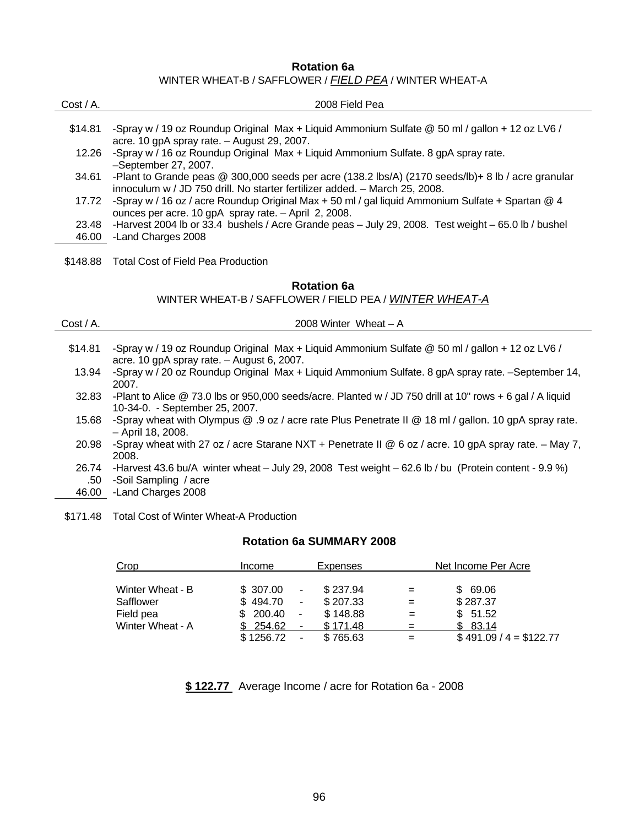## **Rotation 6a**  WINTER WHEAT-B / SAFFLOWER / *FIELD PEA* / WINTER WHEAT-A

| $Cost / A$ . | 2008 Field Pea                                                                                       |
|--------------|------------------------------------------------------------------------------------------------------|
|              |                                                                                                      |
| \$14.81      | -Spray w / 19 oz Roundup Original Max + Liquid Ammonium Sulfate @ 50 ml / gallon + 12 oz LV6 /       |
|              | acre. 10 gpA spray rate. $-$ August 29, 2007.                                                        |
| 12.26        | -Spray w / 16 oz Roundup Original Max + Liquid Ammonium Sulfate. 8 gpA spray rate.                   |
|              | -September 27, 2007.                                                                                 |
| 34.61        | -Plant to Grande peas $@$ 300,000 seeds per acre (138.2 lbs/A) (2170 seeds/lb)+ 8 lb / acre granular |
|              | innoculum w / JD 750 drill. No starter fertilizer added. - March 25, 2008.                           |
| 17.72        | -Spray w / 16 oz / acre Roundup Original Max + 50 ml / gal liquid Ammonium Sulfate + Spartan $@$ 4   |
|              | ounces per acre. 10 gpA spray rate. - April 2, 2008.                                                 |
| 23.48        | -Harvest 2004 lb or 33.4 bushels / Acre Grande peas - July 29, 2008. Test weight - 65.0 lb / bushel  |
| 46.00        | -Land Charges 2008                                                                                   |
|              |                                                                                                      |
| \$148.88     | Total Cost of Field Pea Production                                                                   |

## **Rotation 6a**

WINTER WHEAT-B / SAFFLOWER / FIELD PEA / *WINTER WHEAT-A*

| $Cost / A$ . | 2008 Winter Wheat - A                                                                                     |
|--------------|-----------------------------------------------------------------------------------------------------------|
|              |                                                                                                           |
| \$14.81      | -Spray w / 19 oz Roundup Original Max + Liquid Ammonium Sulfate @ 50 ml / gallon + 12 oz LV6 /            |
|              | acre. 10 gpA spray rate. $-$ August 6, 2007.                                                              |
| 13.94        | -Spray w / 20 oz Roundup Original Max + Liquid Ammonium Sulfate. 8 gpA spray rate. -September 14,         |
|              | 2007.                                                                                                     |
| 32.83        | -Plant to Alice @ 73.0 lbs or 950,000 seeds/acre. Planted w / JD 750 drill at 10" rows + 6 gal / A liquid |
|              | 10-34-0. - September 25, 2007.                                                                            |
| 15.68        | -Spray wheat with Olympus @ .9 oz / acre rate Plus Penetrate II @ 18 ml / gallon. 10 gpA spray rate.      |
|              | - April 18, 2008.                                                                                         |
| 20.98        | -Spray wheat with 27 oz / acre Starane NXT + Penetrate II @ 6 oz / acre. 10 gpA spray rate. - May 7,      |
|              | 2008.                                                                                                     |
| 26.74        | -Harvest 43.6 bu/A winter wheat $-$ July 29, 2008 Test weight $-$ 62.6 lb / bu (Protein content - 9.9 %)  |
| .50          | -Soil Sampling / acre                                                                                     |
| 46.00        | -Land Charges 2008                                                                                        |

\$171.48 Total Cost of Winter Wheat-A Production

#### **Rotation 6a SUMMARY 2008**

| Crop             | Income    | Expenses                   |     | Net Income Per Acre     |  |
|------------------|-----------|----------------------------|-----|-------------------------|--|
| Winter Wheat - B | \$ 307.00 | \$237.94<br>$\sim$         | $=$ | \$69.06                 |  |
| Safflower        | \$494.70  | \$207.33<br>$\sim$         | =   | \$287.37                |  |
| Field pea        | \$200.40  | \$148.88<br>$\blacksquare$ | =   | \$51.52                 |  |
| Winter Wheat - A | \$254.62  | \$171.48<br>$\sim$         |     | \$83.14                 |  |
|                  | \$1256.72 | \$765.63<br>$\blacksquare$ |     | $$491.09 / 4 = $122.77$ |  |

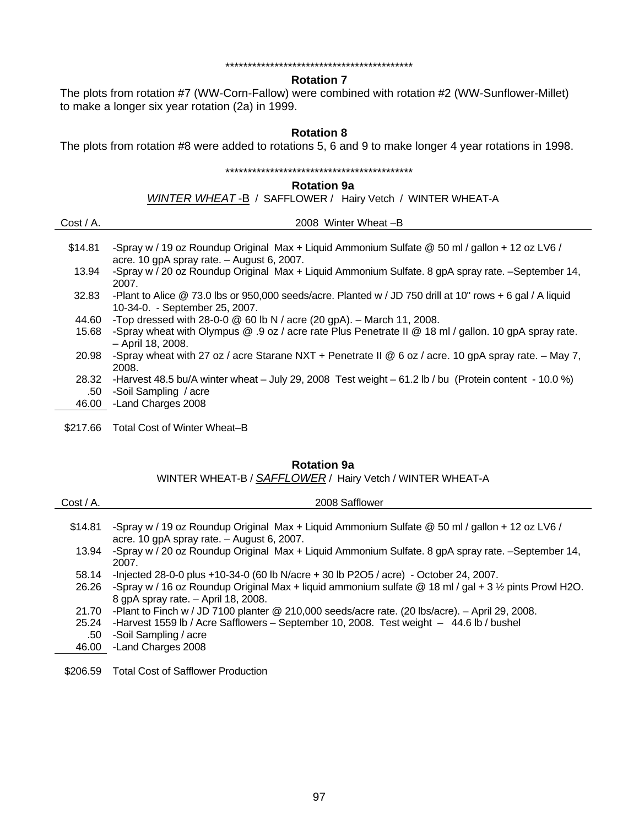#### \*\*\*\*\*\*\*\*\*\*\*\*\*\*\*\*\*\*\*\*\*\*\*\*\*\*\*\*\*\*\*\*\*\*\*\*\*\*\*\*\*\*

### **Rotation 7**

The plots from rotation #7 (WW-Corn-Fallow) were combined with rotation #2 (WW-Sunflower-Millet) to make a longer six year rotation (2a) in 1999.

#### **Rotation 8**

The plots from rotation #8 were added to rotations 5, 6 and 9 to make longer 4 year rotations in 1998.

#### \*\*\*\*\*\*\*\*\*\*\*\*\*\*\*\*\*\*\*\*\*\*\*\*\*\*\*\*\*\*\*\*\*\*\*\*\*\*\*\*\*\*

#### **Rotation 9a**

*WINTER WHEAT* -B / SAFFLOWER / Hairy Vetch / WINTER WHEAT-A

| $Cost / A$ . | 2008 Winter Wheat -B                                                                                                                           |
|--------------|------------------------------------------------------------------------------------------------------------------------------------------------|
| \$14.81      | -Spray w / 19 oz Roundup Original Max + Liquid Ammonium Sulfate @ 50 ml / gallon + 12 oz LV6 /<br>acre. 10 gpA spray rate. $-$ August 6, 2007. |
| 13.94        | -Spray w / 20 oz Roundup Original Max + Liquid Ammonium Sulfate. 8 gpA spray rate. -September 14,<br>2007.                                     |
| 32.83        | -Plant to Alice @ 73.0 lbs or 950,000 seeds/acre. Planted w / JD 750 drill at 10" rows + 6 gal / A liquid<br>10-34-0. - September 25, 2007.    |
| 44.60        | -Top dressed with 28-0-0 $@$ 60 lb N / acre (20 gpA). - March 11, 2008.                                                                        |
| 15.68        | -Spray wheat with Olympus @ .9 oz / acre rate Plus Penetrate II @ 18 ml / gallon. 10 gpA spray rate.<br>- April 18, 2008.                      |
| 20.98        | -Spray wheat with 27 oz / acre Starane NXT + Penetrate II @ 6 oz / acre. 10 gpA spray rate. $-$ May 7,<br>2008.                                |
| 28.32        | -Harvest 48.5 bu/A winter wheat $-$ July 29, 2008 Test weight $-61.2$ lb / bu (Protein content - 10.0 %)                                       |
| .50          | -Soil Sampling / acre                                                                                                                          |
| 46.00        | -Land Charges 2008                                                                                                                             |
|              |                                                                                                                                                |

\$217.66 Total Cost of Winter Wheat–B

## **Rotation 9a**

WINTER WHEAT-B / *SAFFLOWER* / Hairy Vetch / WINTER WHEAT-A

| $Cost / A$ . | 2008 Safflower                                                                                                     |
|--------------|--------------------------------------------------------------------------------------------------------------------|
|              |                                                                                                                    |
| \$14.81      | -Spray w / 19 oz Roundup Original Max + Liquid Ammonium Sulfate @ 50 ml / gallon + 12 oz LV6 /                     |
|              | acre. 10 gpA spray rate. $-$ August 6, 2007.                                                                       |
| 13.94        | -Spray w / 20 oz Roundup Original Max + Liquid Ammonium Sulfate. 8 gpA spray rate. -September 14,                  |
|              | 2007.                                                                                                              |
| 58.14        | -Injected 28-0-0 plus +10-34-0 (60 lb N/acre + 30 lb P2O5 / acre) - October 24, 2007.                              |
| 26.26        | -Spray w / 16 oz Roundup Original Max + liquid ammonium sulfate $@$ 18 ml / gal + 3 $\frac{1}{2}$ pints Prowl H2O. |
|              | 8 gpA spray rate. - April 18, 2008.                                                                                |
| 21.70        | -Plant to Finch w / JD 7100 planter @ 210,000 seeds/acre rate. (20 lbs/acre). - April 29, 2008.                    |
| 25.24        | -Harvest 1559 lb / Acre Safflowers - September 10, 2008. Test weight - 44.6 lb / bushel                            |
| .50          | -Soil Sampling / acre                                                                                              |
| 46.00        | -Land Charges 2008                                                                                                 |
|              |                                                                                                                    |
|              |                                                                                                                    |

\$206.59 Total Cost of Safflower Production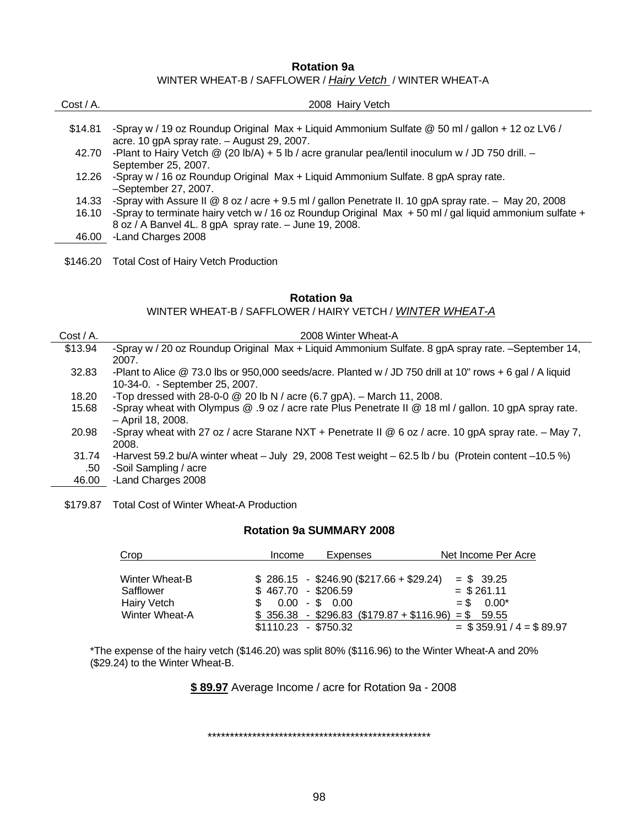#### **Rotation 9a**

WINTER WHEAT-B / SAFFLOWER / *Hairy Vetch* / WINTER WHEAT-A

| $Cost / A$ . | 2008 Hairy Vetch                                                                                             |
|--------------|--------------------------------------------------------------------------------------------------------------|
|              |                                                                                                              |
| \$14.81      | -Spray w / 19 oz Roundup Original Max + Liquid Ammonium Sulfate @ 50 ml / gallon + 12 oz LV6 /               |
|              | acre. 10 gpA spray rate. $-$ August 29, 2007.                                                                |
| 42.70        | -Plant to Hairy Vetch $\mathcal{Q}$ (20 lb/A) + 5 lb / acre granular pea/lentil inoculum w / JD 750 drill. - |
|              | September 25, 2007.                                                                                          |
| 12.26        | -Spray w / 16 oz Roundup Original Max + Liquid Ammonium Sulfate. 8 gpA spray rate.                           |
|              | -September 27, 2007.                                                                                         |
| 14.33        | -Spray with Assure II @ 8 oz / acre + 9.5 ml / gallon Penetrate II. 10 gpA spray rate. $-$ May 20, 2008      |
| 16.10        | -Spray to terminate hairy vetch w / 16 oz Roundup Original Max $+$ 50 ml / gal liquid ammonium sulfate $+$   |
|              | 8 oz / A Banvel 4L. 8 gpA spray rate. - June 19, 2008.                                                       |
| 46.00        | -Land Charges 2008                                                                                           |
|              |                                                                                                              |

\$146.20 Total Cost of Hairy Vetch Production

#### **Rotation 9a**

WINTER WHEAT-B / SAFFLOWER / HAIRY VETCH / *WINTER WHEAT-A* 

| $Cost / A$ .         | 2008 Winter Wheat-A                                                                                                                           |
|----------------------|-----------------------------------------------------------------------------------------------------------------------------------------------|
| \$13.94              | -Spray w / 20 oz Roundup Original Max + Liquid Ammonium Sulfate. 8 gpA spray rate. -September 14,<br>2007.                                    |
| 32.83                | -Plant to Alice $@$ 73.0 lbs or 950,000 seeds/acre. Planted w / JD 750 drill at 10" rows + 6 gal / A liquid<br>10-34-0. - September 25, 2007. |
| 18.20                | -Top dressed with 28-0-0 $\textcircled{2}$ 20 lb N / acre (6.7 gpA). - March 11, 2008.                                                        |
| 15.68                | -Spray wheat with Olympus @ .9 oz / acre rate Plus Penetrate II @ 18 ml / gallon. 10 gpA spray rate.<br>- April 18, 2008.                     |
| 20.98                | -Spray wheat with 27 oz / acre Starane NXT + Penetrate II @ 6 oz / acre. 10 gpA spray rate. $-$ May 7,<br>2008.                               |
| 31.74                | -Harvest 59.2 bu/A winter wheat $-$ July 29, 2008 Test weight $-62.5$ lb / bu (Protein content $-10.5$ %)                                     |
| .50                  | -Soil Sampling / acre                                                                                                                         |
| $\sim$ $\sim$ $\sim$ |                                                                                                                                               |

- 46.00 -Land Charges 2008
- \$179.87 Total Cost of Winter Wheat-A Production

#### **Rotation 9a SUMMARY 2008**

| Crop           | Expenses<br>Income                      | Net Income Per Acre        |
|----------------|-----------------------------------------|----------------------------|
| Winter Wheat-B | $$286.15 - $246.90 ($217.66 + $29.24)$  | $=$ \$ 39.25               |
| Safflower      | $$467.70$ - \$206.59                    | $=$ \$261.11               |
| Hairy Vetch    | $0.00 - $0.00$                          | $=$ \$ 0.00*               |
| Winter Wheat-A | $$356.38 - $296.83 ($179.87 + $116.96)$ | $=$ \$ 59.55               |
|                | $$1110.23$ - \$750.32                   | $=$ \$359.91 / 4 = \$89.97 |

\*The expense of the hairy vetch (\$146.20) was split 80% (\$116.96) to the Winter Wheat-A and 20% (\$29.24) to the Winter Wheat-B.

**\$ 89.97** Average Income / acre for Rotation 9a - 2008

\*\*\*\*\*\*\*\*\*\*\*\*\*\*\*\*\*\*\*\*\*\*\*\*\*\*\*\*\*\*\*\*\*\*\*\*\*\*\*\*\*\*\*\*\*\*\*\*\*\*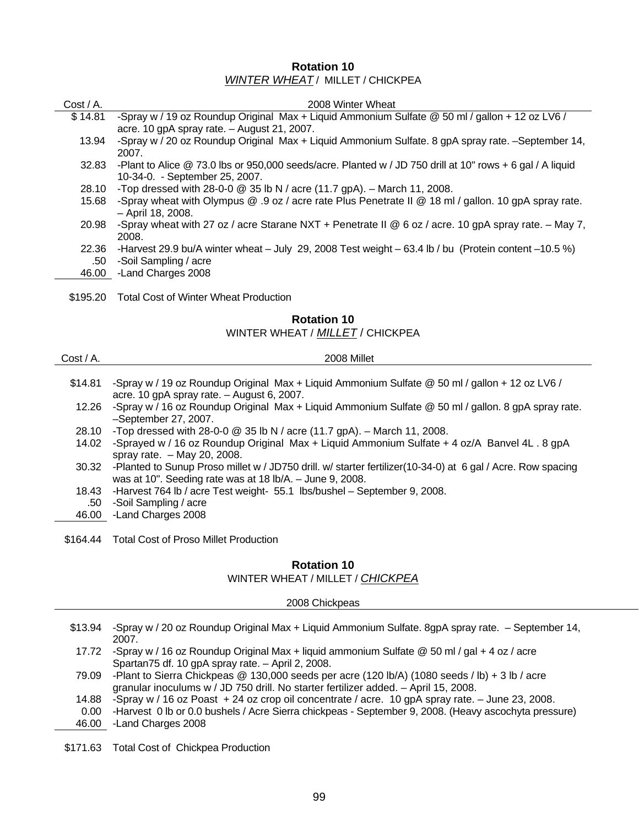## **Rotation 10**  *WINTER WHEAT* / MILLET / CHICKPEA

| $Cost / A$ . | 2008 Winter Wheat                                                                                           |
|--------------|-------------------------------------------------------------------------------------------------------------|
| \$14.81      | -Spray w / 19 oz Roundup Original Max + Liquid Ammonium Sulfate @ 50 ml / gallon + 12 oz LV6 /              |
|              | acre. 10 gpA spray rate. $-$ August 21, 2007.                                                               |
| 13.94        | -Spray w / 20 oz Roundup Original Max + Liquid Ammonium Sulfate. 8 gpA spray rate. -September 14,           |
|              | 2007.                                                                                                       |
| 32.83        | -Plant to Alice $@$ 73.0 lbs or 950,000 seeds/acre. Planted w / JD 750 drill at 10" rows + 6 gal / A liquid |
|              | 10-34-0. - September 25, 2007.                                                                              |
| 28.10        | -Top dressed with 28-0-0 $@$ 35 lb N / acre (11.7 gpA). - March 11, 2008.                                   |
| 15.68        | -Spray wheat with Olympus @ .9 oz / acre rate Plus Penetrate II @ 18 ml / gallon. 10 gpA spray rate.        |
|              | - April 18, 2008.                                                                                           |
| 20.98        | -Spray wheat with 27 oz / acre Starane NXT + Penetrate II @ 6 oz / acre. 10 gpA spray rate. $-$ May 7,      |
|              | 2008.                                                                                                       |
| 22.36        | -Harvest 29.9 bu/A winter wheat – July 29, 2008 Test weight – 63.4 lb / bu (Protein content –10.5 %)        |
| .50          | -Soil Sampling / acre                                                                                       |
| 46.00        | -Land Charges 2008                                                                                          |
|              |                                                                                                             |
| \$195.20     | Total Cost of Winter Wheat Production                                                                       |

## **Rotation 10**

#### WINTER WHEAT / *MILLET* / CHICKPEA

| $Cost / A$ . | 2008 Millet                                                                                                                                                                   |
|--------------|-------------------------------------------------------------------------------------------------------------------------------------------------------------------------------|
|              |                                                                                                                                                                               |
| \$14.81      | -Spray w / 19 oz Roundup Original Max + Liquid Ammonium Sulfate @ 50 ml / gallon + 12 oz LV6 /<br>acre. 10 gpA spray rate. - August 6, 2007.                                  |
| 12.26        | -Spray w / 16 oz Roundup Original Max + Liquid Ammonium Sulfate @ 50 ml / gallon. 8 gpA spray rate.<br>-September 27, 2007.                                                   |
| 28.10        | -Top dressed with 28-0-0 $\circledcirc$ 35 lb N / acre (11.7 gpA). - March 11, 2008.                                                                                          |
| 14.02        | -Sprayed w / 16 oz Roundup Original Max + Liquid Ammonium Sulfate + 4 oz/A Banvel 4L . 8 gpA<br>spray rate. $-$ May 20, 2008.                                                 |
|              | 30.32 -Planted to Sunup Proso millet w / JD750 drill. w/ starter fertilizer(10-34-0) at 6 gal / Acre. Row spacing<br>was at 10". Seeding rate was at 18 lb/A. - June 9, 2008. |
| 18.43        | -Harvest 764 lb / acre Test weight- 55.1 lbs/bushel - September 9, 2008.                                                                                                      |
| .50          | -Soil Sampling / acre                                                                                                                                                         |
| 46.00        | -Land Charges 2008                                                                                                                                                            |
|              |                                                                                                                                                                               |

\$164.44 Total Cost of Proso Millet Production

## **Rotation 10**

#### WINTER WHEAT / MILLET / *CHICKPEA*

2008 Chickpeas

- \$13.94 -Spray w / 20 oz Roundup Original Max + Liquid Ammonium Sulfate. 8gpA spray rate. September 14, 2007.
- 17.72 -Spray w / 16 oz Roundup Original Max + liquid ammonium Sulfate @ 50 ml / gal + 4 oz / acre Spartan75 df. 10 gpA spray rate. – April 2, 2008.
- 79.09 -Plant to Sierra Chickpeas @ 130,000 seeds per acre (120 lb/A) (1080 seeds / lb) + 3 lb / acre granular inoculums w / JD 750 drill. No starter fertilizer added. – April 15, 2008.
- 14.88 -Spray w / 16 oz Poast + 24 oz crop oil concentrate / acre. 10 gpA spray rate. June 23, 2008.
- 0.00 -Harvest 0 lb or 0.0 bushels / Acre Sierra chickpeas September 9, 2008. (Heavy ascochyta pressure)

46.00 -Land Charges 2008

\$171.63 Total Cost of Chickpea Production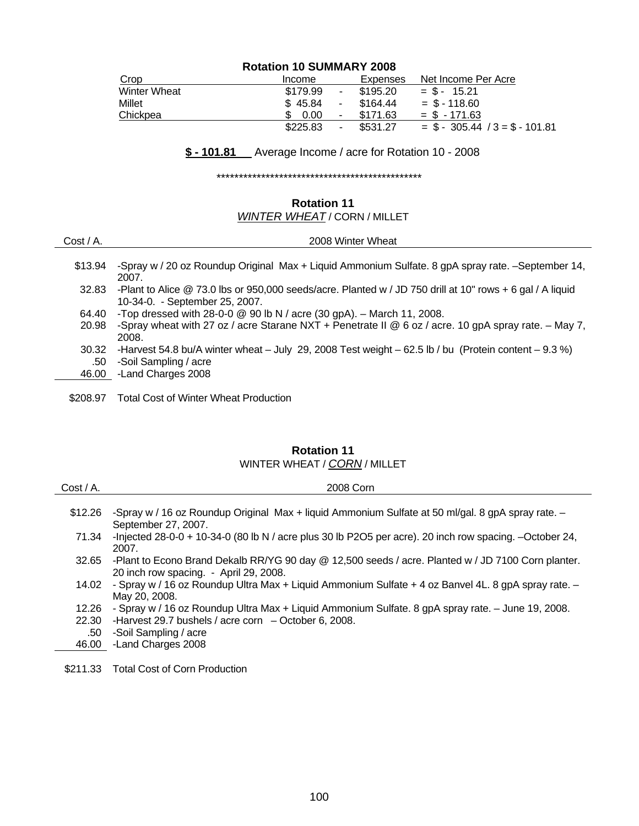# **Rotation 10 SUMMARY 2008**

| Crop                | Income                    | Expenses | Net Income Per Acre               |
|---------------------|---------------------------|----------|-----------------------------------|
| <b>Winter Wheat</b> | \$179.99<br>۰.            | \$195.20 | $=$ \$ - 15.21                    |
| Millet              | \$45.84<br>$\blacksquare$ | \$164.44 | $=$ \$ - 118.60                   |
| Chickpea            | 0.00<br>-                 | \$171.63 | $=$ \$ $-171.63$                  |
|                     | \$225.83                  | \$531.27 | $=$ \$ - 305.44 / 3 = \$ - 101.81 |

# **\$ - 101.81** Average Income / acre for Rotation 10 - 2008

\*\*\*\*\*\*\*\*\*\*\*\*\*\*\*\*\*\*\*\*\*\*\*\*\*\*\*\*\*\*\*\*\*\*\*\*\*\*\*\*\*\*\*\*\*\*

# **Rotation 11**

# *WINTER WHEAT* / CORN / MILLET

| $Cost / A$ . | 2008 Winter Wheat                                                                                                                           |
|--------------|---------------------------------------------------------------------------------------------------------------------------------------------|
| \$13.94      | -Spray w / 20 oz Roundup Original Max + Liquid Ammonium Sulfate. 8 gpA spray rate. -September 14,<br>2007.                                  |
| 32.83        | -Plant to Alice @ 73.0 lbs or 950,000 seeds/acre. Planted w / JD 750 drill at 10" rows + 6 gal / A liquid<br>10-34-0. - September 25, 2007. |
| 64.40        | -Top dressed with 28-0-0 $\circledcirc$ 90 lb N / acre (30 gpA). - March 11, 2008.                                                          |
| 20.98        | -Spray wheat with 27 oz / acre Starane NXT + Penetrate II @ 6 oz / acre. 10 gpA spray rate. - May 7,<br>2008.                               |
| 30.32        | -Harvest 54.8 bu/A winter wheat $-$ July 29, 2008 Test weight $-$ 62.5 lb / bu (Protein content $-$ 9.3 %)                                  |
| .50          | -Soil Sampling / acre                                                                                                                       |
| 46.00        | -Land Charges 2008                                                                                                                          |
| \$208.97     | <b>Total Cost of Winter Wheat Production</b>                                                                                                |

# **Rotation 11**  WINTER WHEAT / *CORN* / MILLET

| $Cost / A$ . | 2008 Corn                                                                                                                                    |
|--------------|----------------------------------------------------------------------------------------------------------------------------------------------|
| \$12.26      | -Spray w / 16 oz Roundup Original Max + liquid Ammonium Sulfate at 50 ml/gal. 8 gpA spray rate. -<br>September 27, 2007.                     |
| 71.34        | -Injected 28-0-0 + 10-34-0 (80 lb N / acre plus 30 lb P2O5 per acre). 20 inch row spacing. -October 24,<br>2007.                             |
| 32.65        | -Plant to Econo Brand Dekalb RR/YG 90 day @ 12,500 seeds / acre. Planted w / JD 7100 Corn planter.<br>20 inch row spacing. - April 29, 2008. |
| 14.02        | - Spray w / 16 oz Roundup Ultra Max + Liquid Ammonium Sulfate + 4 oz Banvel 4L. 8 gpA spray rate. -<br>May 20, 2008.                         |
| 12.26        | - Spray w / 16 oz Roundup Ultra Max + Liquid Ammonium Sulfate. 8 gpA spray rate. - June 19, 2008.                                            |
| 22.30        | -Harvest 29.7 bushels / acre corn $-$ October 6, 2008.                                                                                       |
| .50          | -Soil Sampling / acre                                                                                                                        |
| 46.00        | -Land Charges 2008                                                                                                                           |
|              |                                                                                                                                              |

\$211.33 Total Cost of Corn Production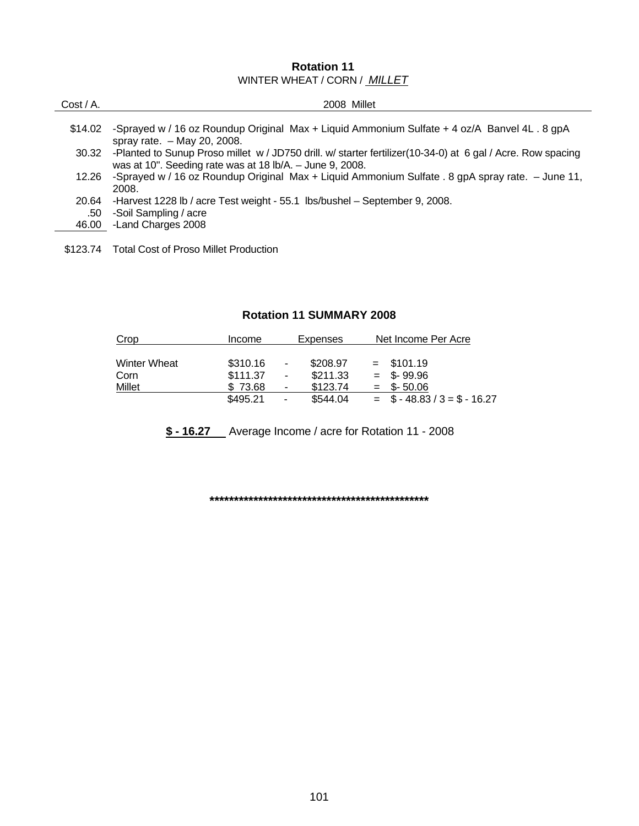# **Rotation 11**  WINTER WHEAT / CORN / *MILLET*

| $Cost / A$ . | 2008 Millet                                                                                                                                                             |
|--------------|-------------------------------------------------------------------------------------------------------------------------------------------------------------------------|
|              |                                                                                                                                                                         |
| \$14.02      | -Sprayed w / 16 oz Roundup Original Max + Liquid Ammonium Sulfate + 4 oz/A Banvel 4L . 8 gpA<br>spray rate. $-$ May 20, 2008.                                           |
| 30.32        | -Planted to Sunup Proso millet w / JD750 drill. w/ starter fertilizer(10-34-0) at 6 gal / Acre. Row spacing<br>was at 10". Seeding rate was at 18 lb/A. - June 9, 2008. |
| 12.26        | -Sprayed w / 16 oz Roundup Original Max + Liquid Ammonium Sulfate . 8 gpA spray rate. - June 11,<br>2008.                                                               |
| 20.64        | -Harvest 1228 lb / acre Test weight - 55.1 lbs/bushel - September 9, 2008.                                                                                              |
| .50          | -Soil Sampling / acre                                                                                                                                                   |
|              | 46.00 - Land Charges 2008                                                                                                                                               |
|              |                                                                                                                                                                         |

\$123.74 Total Cost of Proso Millet Production

# **Rotation 11 SUMMARY 2008**

| Crop                | <b>Income</b> | Expenses                             | Net Income Per Acre             |
|---------------------|---------------|--------------------------------------|---------------------------------|
| <b>Winter Wheat</b> | \$310.16      | \$208.97<br>۰                        | $=$ \$101.19                    |
| Corn                | \$111.37      | \$211.33<br>ä,                       | $=$ \$-99.96                    |
| Millet              | \$73.68       | \$123.74<br>$\overline{\phantom{a}}$ | $=$ \$-50.06                    |
|                     | \$495.21      | \$544.04<br>$\blacksquare$           | $=$ \$ - 48.83 / 3 = \$ - 16.27 |

**\$ - 16.27** Average Income / acre for Rotation 11 - 2008

**\*\*\*\*\*\*\*\*\*\*\*\*\*\*\*\*\*\*\*\*\*\*\*\*\*\*\*\*\*\*\*\*\*\*\*\*\*\*\*\*\*\*\*\*\***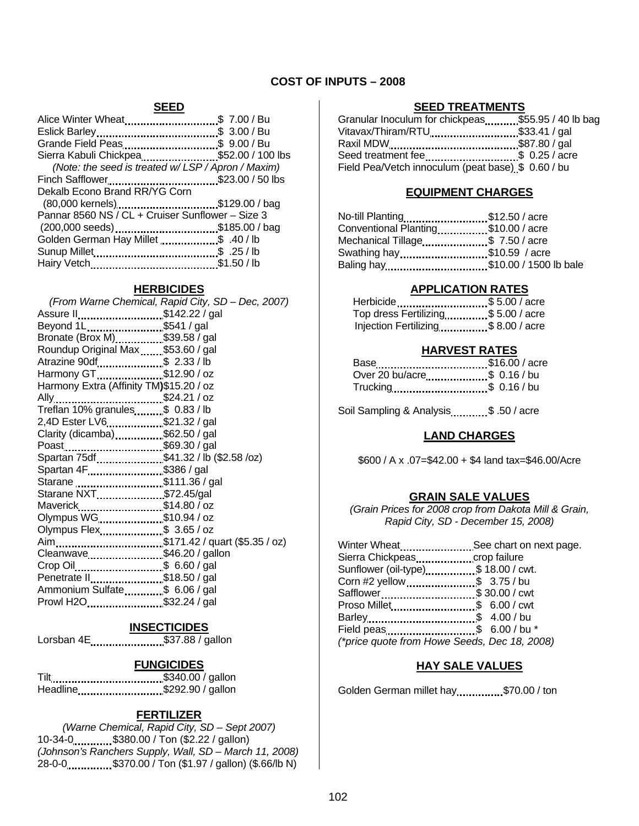## **COST OF INPUTS – 2008**

#### **SEED**

| Alice Winter Wheat\$ 7.00 / Bu                   |  |
|--------------------------------------------------|--|
|                                                  |  |
| Grande Field Peas\$ 9.00 / Bu                    |  |
| Sierra Kabuli Chickpea \$52.00 / 100 lbs         |  |
| (Note: the seed is treated w/LSP/Apron/Maxim)    |  |
| Finch Safflower\$23.00 / 50 lbs                  |  |
| Dekalb Econo Brand RR/YG Corn                    |  |
| (80,000 kernels)\$129.00 / bag                   |  |
| Pannar 8560 NS / CL + Cruiser Sunflower - Size 3 |  |
| (200,000 seeds)\$185.00 / bag                    |  |
| Golden German Hay Millet \$ .40 / lb             |  |
|                                                  |  |
|                                                  |  |
|                                                  |  |

#### **HERBICIDES**

|                                         | (From Warne Chemical, Rapid City, SD - Dec, 2007) |
|-----------------------------------------|---------------------------------------------------|
| Assure II\$142.22 / gal                 |                                                   |
| Beyond 1L\$541 / gal                    |                                                   |
| Bronate (Brox M)\$39.58 / gal           |                                                   |
| Roundup Original Max\$53.60 / gal       |                                                   |
| Atrazine 90df\$ 2.33 / lb               |                                                   |
| Harmony GT\$12.90 / oz                  |                                                   |
| Harmony Extra (Affinity TM)\$15.20 / oz |                                                   |
| \$24.21 / oz<br>Ally.                   |                                                   |
| Treflan 10% granules\$ 0.83 / lb        |                                                   |
| 2,4D Ester LV6\$21.32 / gal             |                                                   |
| Clarity (dicamba)\$62.50 / gal          |                                                   |
| Poast\$69.30 / gal                      |                                                   |
| Spartan 75df\$41.32 / lb (\$2.58 /oz)   |                                                   |
| Spartan 4F\$386 / gal                   |                                                   |
| Starane \$111.36 / gal                  |                                                   |
| Starane NXT\$72.45/gal                  |                                                   |
| Maverick\$14.80 / oz                    |                                                   |
| Olympus WG\$10.94 / oz                  |                                                   |
| Olympus Flex\$ 3.65 / oz                |                                                   |
|                                         |                                                   |
| Cleanwave\$46.20 / gallon               |                                                   |
| Crop Oil\$ 6.60 / gal                   |                                                   |
| Penetrate II  \$18.50 / gal             |                                                   |
| Ammonium Sulfate\$ 6.06 / gal           |                                                   |
| Prowl H2O\$32.24 / gal                  |                                                   |

#### **INSECTICIDES**

| Lorsban 4E | \$37.88 / gallon |  |
|------------|------------------|--|
|------------|------------------|--|

#### **FUNGICIDES**

Tilt \$340.00 / gallon Headline...........................\$292.90 / gallon

#### **FERTILIZER**

*(Warne Chemical, Rapid City, SD – Sept 2007)*  10-34-0 \$380.00 / Ton (\$2.22 / gallon) *(Johnson's Ranchers Supply, Wall, SD – March 11, 2008)* 28-0-0 **\$370.00** / Ton (\$1.97 / gallon) (\$.66/lb N)

#### **SEED TREATMENTS**

| Granular Inoculum for chickpeas  \$55.95 / 40 lb bag |  |
|------------------------------------------------------|--|
| Vitavax/Thiram/RTU \$33.41 / gal                     |  |
|                                                      |  |
| Seed treatment fee \$ 0.25 / acre                    |  |
| Field Pea/Vetch innoculum (peat base) \$ 0.60 / bu   |  |

#### **EQUIPMENT CHARGES**

| No-till Planting\$12.50 / acre      |  |
|-------------------------------------|--|
| Conventional Planting\$10.00 / acre |  |
| Mechanical Tillage\$ 7.50 / acre    |  |
| Swathing hay\$10.59 / acre          |  |
| Baling hay\$10.00 / 1500 lb bale    |  |

## **APPLICATION RATES**

| Herbicide\$5.00 / acre             |
|------------------------------------|
| Top dress Fertilizing\$5.00 / acre |
| Injection Fertilizing\$8.00 / acre |
|                                    |

#### **HARVEST RATES**

| Base \$16.00 / acre         |  |
|-----------------------------|--|
| Over 20 bu/acre\$ 0.16 / bu |  |
| Trucking\$ 0.16 / bu        |  |

Soil Sampling & Analysis .......... \$ .50 / acre

## **LAND CHARGES**

\$600 / A x .07=\$42.00 + \$4 land tax=\$46.00/Acre

## **GRAIN SALE VALUES**

*(Grain Prices for 2008 crop from Dakota Mill & Grain, Rapid City, SD - December 15, 2008)* 

| Winter Wheat  See chart on next page.        |  |
|----------------------------------------------|--|
|                                              |  |
| Sunflower (oil-type)\$ 18.00 / cwt.          |  |
| Corn #2 yellow\$ 3.75 / bu                   |  |
| Safflower\$ 30.00 / cwt                      |  |
| Proso Millet \$ 6.00 / cwt                   |  |
|                                              |  |
|                                              |  |
| (*price quote from Howe Seeds, Dec 18, 2008) |  |

#### **HAY SALE VALUES**

Golden German millet hay...............\$70.00 / ton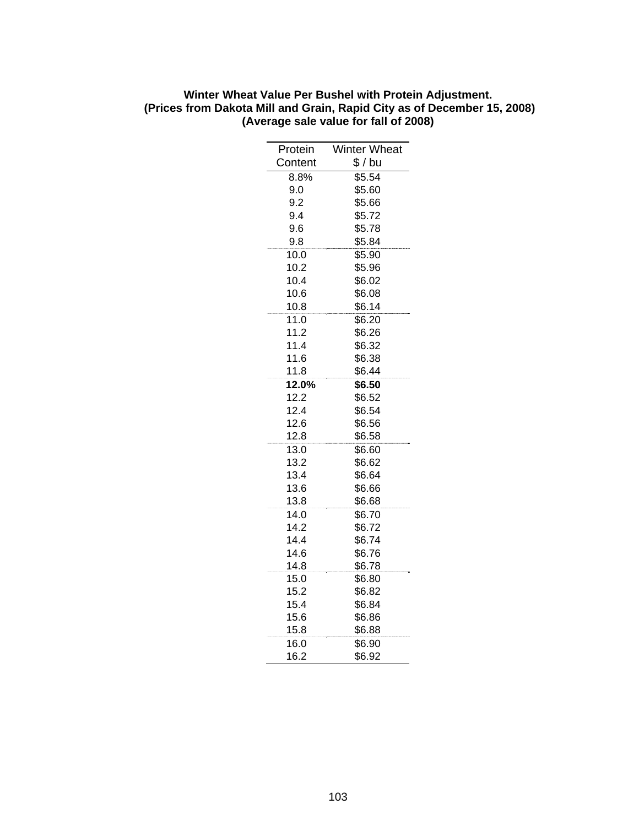| Protein      | Winter Wheat     |
|--------------|------------------|
| Content      | \$/bu            |
| 8.8%         | \$5.54           |
| 9.0          | \$5.60           |
| 9.2          | \$5.66           |
| 9.4          | \$5.72           |
| 9.6          | \$5.78           |
| 9.8          | \$5.84           |
| 10.0         | \$5.90           |
| 10.2         | \$5.96           |
| 10.4         | \$6.02           |
| 10.6         | \$6.08           |
| 10.8         | \$6.14           |
| 11.0         | \$6.20           |
| 11.2         | \$6.26           |
| 11.4         | \$6.32           |
| 11.6         | \$6.38           |
| 11.8         | \$6.44           |
| 12.0%        | \$6.50           |
| 12.2<br>12.4 | \$6.52           |
| 12.6         | \$6.54<br>\$6.56 |
| 12.8         | \$6.58           |
| 13.0         | \$6.60           |
| 13.2         | \$6.62           |
| 13.4         | \$6.64           |
| 13.6         | \$6.66           |
| 13.8         | \$6.68           |
| 14.0         | \$6.70           |
| 14.2         | \$6.72           |
| 14.4         | \$6.74           |
| 14.6         | \$6.76           |
| 14.8         | \$6.78           |
| 15.0         | \$6.80           |
| 15.2         | \$6.82           |
| 15.4         | \$6.84           |
| 15.6         | \$6.86           |
| 15.8         | \$6.88           |
| 16.0         | \$6.90           |
| 16.2         | \$6.92           |

## **Winter Wheat Value Per Bushel with Protein Adjustment. (Prices from Dakota Mill and Grain, Rapid City as of December 15, 2008) (Average sale value for fall of 2008)**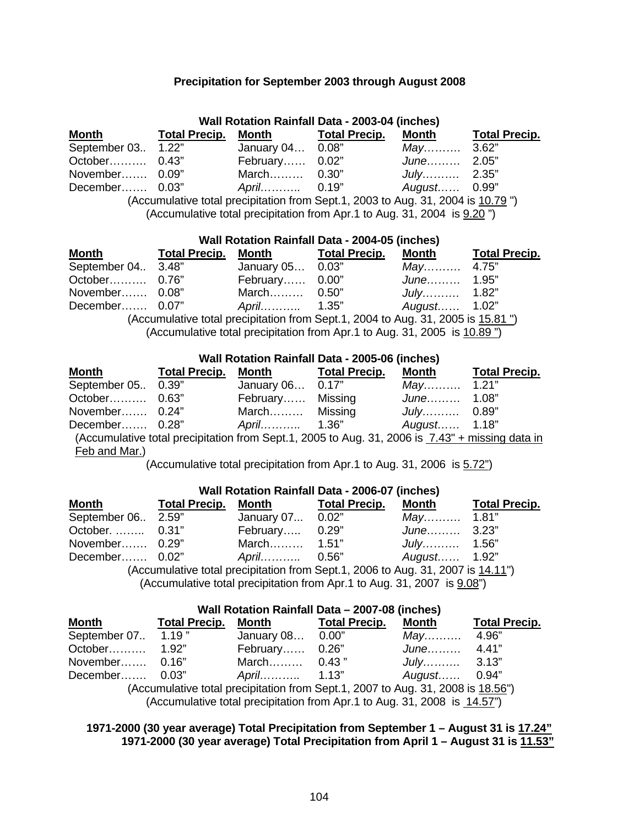### **Precipitation for September 2003 through August 2008**

| <b>Wall Rotation Rainfall Data - 2003-04 (inches)</b> |                      |                  |                                                                                                                                                                                                                                |                               |                      |  |
|-------------------------------------------------------|----------------------|------------------|--------------------------------------------------------------------------------------------------------------------------------------------------------------------------------------------------------------------------------|-------------------------------|----------------------|--|
| <b>Month</b>                                          | <b>Total Precip.</b> | Month            | <b>Total Precip.</b>                                                                                                                                                                                                           | Month                         | <b>Total Precip.</b> |  |
| September 03 1.22"                                    |                      | January 04 0.08" |                                                                                                                                                                                                                                | $May \dots \dots \dots 3.62"$ |                      |  |
| October 0.43"                                         |                      | February 0.02"   |                                                                                                                                                                                                                                | June 2.05"                    |                      |  |
| November 0.09"                                        |                      | March 0.30"      |                                                                                                                                                                                                                                | July $2.35"$                  |                      |  |
| December 0.03"                                        |                      |                  |                                                                                                                                                                                                                                | August 0.99"                  |                      |  |
|                                                       |                      |                  | (Accumulative total precipitation from Sept.1, 2003 to Aug. 31, 2004 is 10.79")<br>$\mathcal{N}$ and $\mathcal{N}$ and $\mathcal{N}$ and $\mathcal{N}$ and $\mathcal{N}$ and $\mathcal{N}$ and $\mathcal{N}$ and $\mathcal{N}$ |                               |                      |  |

(Accumulative total precipitation from Apr.1 to Aug. 31, 2004 is 9.20")

| <b>Wall Rotation Rainfall Data - 2004-05 (inches)</b> |  |                                                                                 |  |              |                      |  |
|-------------------------------------------------------|--|---------------------------------------------------------------------------------|--|--------------|----------------------|--|
| <b>Month</b>                                          |  | Total Precip. Month Total Precip.                                               |  | Month        | <b>Total Precip.</b> |  |
| September 04. 3.48"                                   |  | January 05 0.03"                                                                |  | May 4.75"    |                      |  |
| October 0.76"                                         |  | February 0.00"                                                                  |  | June 1.95"   |                      |  |
| November 0.08"                                        |  | March 0.50"                                                                     |  | July 1.82"   |                      |  |
| December 0.07"                                        |  |                                                                                 |  | August 1.02" |                      |  |
|                                                       |  | (Accumulative total procipitation from Sont 1, 2004 to Aug. 31, 2005 is 15,81") |  |              |                      |  |

(Accumulative total precipitation from Sept.1, 2004 to Aug. 31, 2005 is  $15.81$  ") (Accumulative total precipitation from Apr.1 to Aug. 31, 2005 is 10.89 ")

| <b>Wall Rotation Rainfall Data - 2005-06 (inches)</b> |                      |                  |                                                                                                 |                                     |                      |  |
|-------------------------------------------------------|----------------------|------------------|-------------------------------------------------------------------------------------------------|-------------------------------------|----------------------|--|
| <b>Month</b>                                          | <b>Total Precip.</b> | Month            | <b>Total Precip.</b>                                                                            | <b>Month</b>                        | <b>Total Precip.</b> |  |
| September 05 0.39"                                    |                      | January 06 0.17" |                                                                                                 | $May \dots \dots \dots \quad 1.21"$ |                      |  |
| October 0.63"                                         |                      | February Missing |                                                                                                 | June 1.08"                          |                      |  |
| November 0.24"                                        |                      | March Missing    |                                                                                                 | <i>July</i> 0.89"                   |                      |  |
| December 0.28"                                        |                      |                  |                                                                                                 | August 1.18"                        |                      |  |
|                                                       |                      |                  | (Accumulative total precipitation from Sept.1, 2005 to Aug. 31, 2006 is 7.43" + missing data in |                                     |                      |  |
| Feb and Mar.)                                         |                      |                  |                                                                                                 |                                     |                      |  |

(Accumulative total precipitation from Apr.1 to Aug. 31, 2006 is 5.72")

| Wall Rotation Rainfall Data - 2006-07 (inches)                                                                                                                                                                                                                                                                                                                                                                   |  |                                          |  |              |                      |  |
|------------------------------------------------------------------------------------------------------------------------------------------------------------------------------------------------------------------------------------------------------------------------------------------------------------------------------------------------------------------------------------------------------------------|--|------------------------------------------|--|--------------|----------------------|--|
| <b>Month</b>                                                                                                                                                                                                                                                                                                                                                                                                     |  | <b>Total Precip. Month Total Precip.</b> |  | Month        | <b>Total Precip.</b> |  |
| September 06 2.59"                                                                                                                                                                                                                                                                                                                                                                                               |  | January 07 0.02"                         |  | May 1.81"    |                      |  |
| October.  0.31"                                                                                                                                                                                                                                                                                                                                                                                                  |  | February 0.29"                           |  | June 3.23"   |                      |  |
| November 0.29"                                                                                                                                                                                                                                                                                                                                                                                                   |  | March 1.51"                              |  | July 1.56"   |                      |  |
| December 0.02"                                                                                                                                                                                                                                                                                                                                                                                                   |  |                                          |  | August 1.92" |                      |  |
| (Accumulative total precipitation from Sept.1, 2006 to Aug. 31, 2007 is 14.11")<br>$\overline{10}$ and $\overline{10}$ and $\overline{11}$ and $\overline{11}$ and $\overline{11}$ and $\overline{11}$ and $\overline{11}$ and $\overline{11}$ and $\overline{11}$ and $\overline{11}$ and $\overline{11}$ and $\overline{11}$ and $\overline{11}$ and $\overline{11}$ and $\overline{11}$ and $\overline{11}$ a |  |                                          |  |              |                      |  |

(Accumulative total precipitation from Apr.1 to Aug. 31, 2007 is 9.08")

| Wall Rotation Rainfall Data - 2007-08 (inches)                                  |                      |                  |                      |              |                      |  |  |
|---------------------------------------------------------------------------------|----------------------|------------------|----------------------|--------------|----------------------|--|--|
| <b>Month</b>                                                                    | <b>Total Precip.</b> | Month            | <b>Total Precip.</b> | Month        | <b>Total Precip.</b> |  |  |
| September 07 1.19"                                                              |                      | January 08 0.00" |                      | May 4.96"    |                      |  |  |
|                                                                                 |                      | February 0.26"   |                      | June 4.41"   |                      |  |  |
| November 0.16"                                                                  |                      | March 0.43"      |                      | July $3.13"$ |                      |  |  |
| December 0.03"                                                                  |                      |                  |                      | August 0.94" |                      |  |  |
| (Accumulative total precipitation from Sept.1, 2007 to Aug. 31, 2008 is 18.56") |                      |                  |                      |              |                      |  |  |
| (Accumulative total precipitation from Apr.1 to Aug. 31, 2008 is 14.57")        |                      |                  |                      |              |                      |  |  |

### **1971-2000 (30 year average) Total Precipitation from September 1 – August 31 is 17.24" 1971-2000 (30 year average) Total Precipitation from April 1 – August 31 is 11.53"**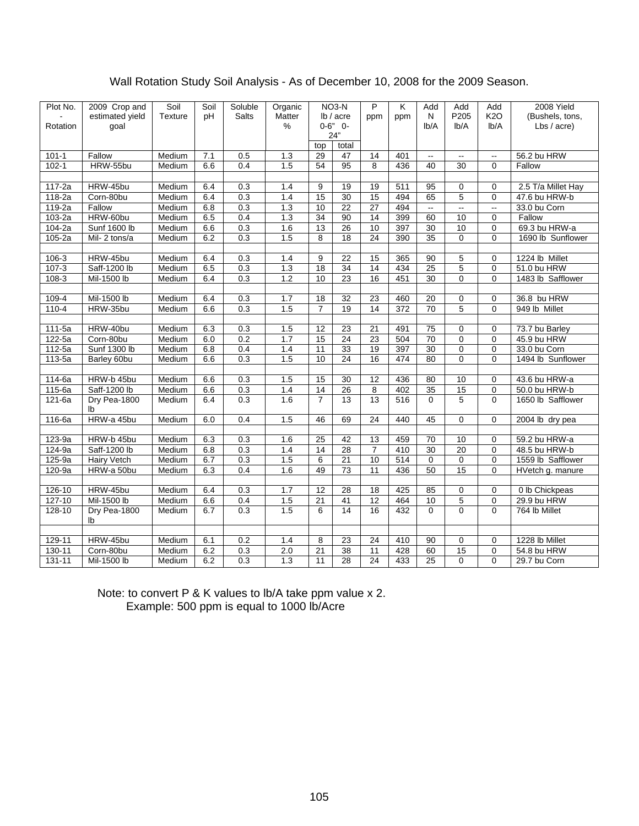# Wall Rotation Study Soil Analysis - As of December 10, 2008 for the 2009 Season.

| Plot No.   | 2009 Crop and       | Soil           | Soil | Soluble          | Organic |                 | NO <sub>3</sub> -N | P               | Κ   | Add                      | Add                      | Add                      | 2008 Yield         |
|------------|---------------------|----------------|------|------------------|---------|-----------------|--------------------|-----------------|-----|--------------------------|--------------------------|--------------------------|--------------------|
|            | estimated yield     | <b>Texture</b> | pH   | <b>Salts</b>     | Matter  |                 | lb / acre          | ppm             | ppm | Ν                        | P205                     | <b>K2O</b>               | (Bushels, tons,    |
| Rotation   | goal                |                |      |                  | %       |                 | $0 - 6"$ 0-<br>24" |                 |     | Ib/A                     | lb/A                     | lb/A                     | Lbs / acre)        |
|            |                     |                |      |                  |         | top             | total              |                 |     |                          |                          |                          |                    |
| $101 - 1$  | Fallow              | Medium         | 7.1  | 0.5              | 1.3     | 29              | 47                 | 14              | 401 | $\overline{\phantom{a}}$ | $\overline{\phantom{a}}$ | $\overline{\phantom{a}}$ | 56.2 bu HRW        |
| $102 - 1$  | HRW-55bu            | Medium         | 6.6  | 0.4              | 1.5     | 54              | 95                 | 8               | 436 | 40                       | 30                       | $\Omega$                 | Fallow             |
|            |                     |                |      |                  |         |                 |                    |                 |     |                          |                          |                          |                    |
| 117-2a     | HRW-45bu            | Medium         | 6.4  | 0.3              | 1.4     | 9               | 19                 | 19              | 511 | 95                       | 0                        | $\mathbf 0$              | 2.5 T/a Millet Hay |
| 118-2a     | Corn-80bu           | Medium         | 6.4  | 0.3              | 1.4     | $\overline{15}$ | $\overline{30}$    | $\overline{15}$ | 494 | 65                       | 5                        | $\mathbf{0}$             | 47.6 bu HRW-b      |
| $119-2a$   | Fallow              | Medium         | 6.8  | 0.3              | 1.3     | $\overline{10}$ | $\overline{22}$    | 27              | 494 | $\overline{\phantom{a}}$ | $\omega_{\rm m}$         | $\overline{\phantom{a}}$ | 33.0 bu Corn       |
| $103-2a$   | HRW-60bu            | Medium         | 6.5  | 0.4              | 1.3     | $\overline{34}$ | 90                 | $\overline{14}$ | 399 | 60                       | 10                       | $\mathbf 0$              | Fallow             |
| $104-2a$   | <b>Sunf 1600 lb</b> | Medium         | 6.6  | 0.3              | 1.6     | 13              | 26                 | 10              | 397 | $\overline{30}$          | 10                       | $\mathbf 0$              | 69.3 bu HRW-a      |
| $105 - 2a$ | Mil-2 tons/a        | Medium         | 6.2  | 0.3              | 1.5     | 8               | $\overline{18}$    | $\overline{24}$ | 390 | $\overline{35}$          | $\mathbf 0$              | $\Omega$                 | 1690 lb Sunflower  |
|            |                     |                |      |                  |         |                 |                    |                 |     |                          |                          |                          |                    |
| $106 - 3$  | HRW-45bu            | Medium         | 6.4  | 0.3              | 1.4     | 9               | 22                 | 15              | 365 | 90                       | 5                        | $\mathbf 0$              | 1224 lb Millet     |
| $107 - 3$  | Saff-1200 lb        | Medium         | 6.5  | 0.3              | 1.3     | 18              | 34                 | $\overline{14}$ | 434 | 25                       | 5                        | 0                        | 51.0 bu HRW        |
| $108 - 3$  | Mil-1500 lb         | Medium         | 6.4  | 0.3              | 1.2     | 10              | 23                 | 16              | 451 | 30                       | $\mathbf 0$              | $\mathbf 0$              | 1483 lb Safflower  |
|            |                     |                |      |                  |         |                 |                    |                 |     |                          |                          |                          |                    |
| $109 - 4$  | Mil-1500 lb         | Medium         | 6.4  | 0.3              | 1.7     | 18              | 32                 | 23              | 460 | 20                       | 0                        | 0                        | 36.8 bu HRW        |
| $110 - 4$  | HRW-35bu            | Medium         | 6.6  | 0.3              | 1.5     | $\overline{7}$  | $\overline{19}$    | 14              | 372 | $\overline{70}$          | 5                        | $\Omega$                 | 949 lb Millet      |
|            |                     |                |      |                  |         |                 |                    |                 |     |                          |                          |                          |                    |
| 111-5a     | HRW-40bu            | Medium         | 6.3  | 0.3              | 1.5     | 12              | 23                 | 21              | 491 | 75                       | $\mathbf 0$              | $\mathbf 0$              | 73.7 bu Barley     |
| 122-5a     | Corn-80bu           | Medium         | 6.0  | 0.2              | 1.7     | 15              | 24                 | 23              | 504 | $\overline{70}$          | $\mathbf 0$              | $\mathbf 0$              | 45.9 bu HRW        |
| $112-5a$   | Sunf 1300 lb        | Medium         | 6.8  | 0.4              | 1.4     | 11              | 33                 | 19              | 397 | 30                       | $\mathbf 0$              | $\mathbf 0$              | 33.0 bu Corn       |
| $113-5a$   | Barley 60bu         | Medium         | 6.6  | 0.3              | 1.5     | $\overline{10}$ | 24                 | $\overline{16}$ | 474 | 80                       | $\overline{0}$           | $\Omega$                 | 1494 lb Sunflower  |
|            |                     |                |      |                  |         |                 |                    |                 |     |                          |                          |                          |                    |
| $114-6a$   | HRW-b 45bu          | Medium         | 6.6  | 0.3              | 1.5     | $\overline{15}$ | $\overline{30}$    | 12              | 436 | $\overline{80}$          | $\overline{10}$          | $\mathbf 0$              | 43.6 bu HRW-a      |
| 115-6a     | Saff-1200 lb        | Medium         | 6.6  | 0.3              | 1.4     | $\overline{14}$ | 26                 | 8               | 402 | 35                       | 15                       | $\mathbf 0$              | 50.0 bu HRW-b      |
| 121-6a     | Dry Pea-1800<br>lb  | Medium         | 6.4  | 0.3              | 1.6     | $\overline{7}$  | 13                 | 13              | 516 | $\Omega$                 | 5                        | $\Omega$                 | 1650 lb Safflower  |
| 116-6a     | HRW-a 45bu          | Medium         | 6.0  | 0.4              | 1.5     | 46              | 69                 | 24              | 440 | 45                       | $\mathbf 0$              | $\Omega$                 | 2004 lb dry pea    |
|            |                     |                |      |                  |         |                 |                    |                 |     |                          |                          |                          |                    |
| $123-9a$   | HRW-b 45bu          | Medium         | 6.3  | 0.3              | 1.6     | 25              | 42                 | 13              | 459 | 70                       | 10                       | 0                        | 59.2 bu HRW-a      |
| 124-9a     | Saff-1200 lb        | Medium         | 6.8  | 0.3              | 1.4     | 14              | 28                 | $\overline{7}$  | 410 | 30                       | 20                       | 0                        | 48.5 bu HRW-b      |
| 125-9a     | <b>Hairy Vetch</b>  | Medium         | 6.7  | 0.3              | 1.5     | 6               | 21                 | 10              | 514 | $\mathbf 0$              | 0                        | $\mathbf 0$              | 1559 lb Safflower  |
| 120-9a     | HRW-a 50bu          | Medium         | 6.3  | 0.4              | 1.6     | 49              | 73                 | 11              | 436 | 50                       | 15                       | $\Omega$                 | HVetch g. manure   |
|            |                     |                |      |                  |         |                 |                    |                 |     |                          |                          |                          |                    |
| $126 - 10$ | HRW-45bu            | Medium         | 6.4  | 0.3              | 1.7     | $\overline{12}$ | $\overline{28}$    | $\overline{18}$ | 425 | 85                       | $\mathbf 0$              | $\mathbf 0$              | 0 lb Chickpeas     |
| $127 - 10$ | Mil-1500 lb         | Medium         | 6.6  | 0.4              | 1.5     | $\overline{21}$ | 41                 | 12              | 464 | 10                       | $\overline{5}$           | 0                        | 29.9 bu HRW        |
| $128 - 10$ | Dry Pea-1800        | Medium         | 6.7  | $\overline{0.3}$ | 1.5     | 6               | 14                 | $\overline{16}$ | 432 | $\mathbf 0$              | $\Omega$                 | $\Omega$                 | 764 lb Millet      |
|            | lb                  |                |      |                  |         |                 |                    |                 |     |                          |                          |                          |                    |
|            |                     |                |      |                  |         |                 |                    |                 |     |                          |                          |                          |                    |
| $129 - 11$ | HRW-45bu            | Medium         | 6.1  | 0.2              | 1.4     | 8               | $\overline{23}$    | $\overline{24}$ | 410 | $\overline{90}$          | $\mathbf 0$              | $\Omega$                 | 1228 lb Millet     |
| $130 - 11$ | Corn-80bu           | Medium         | 6.2  | 0.3              | 2.0     | $\overline{21}$ | 38                 | $\overline{11}$ | 428 | 60                       | 15                       | $\mathbf 0$              | 54.8 bu HRW        |
| $131 - 11$ | Mil-1500 lb         | Medium         | 6.2  | 0.3              | 1.3     | $\overline{11}$ | 28                 | 24              | 433 | 25                       | $\overline{0}$           | $\Omega$                 | 29.7 bu Corn       |

 Note: to convert P & K values to lb/A take ppm value x 2. Example: 500 ppm is equal to 1000 lb/Acre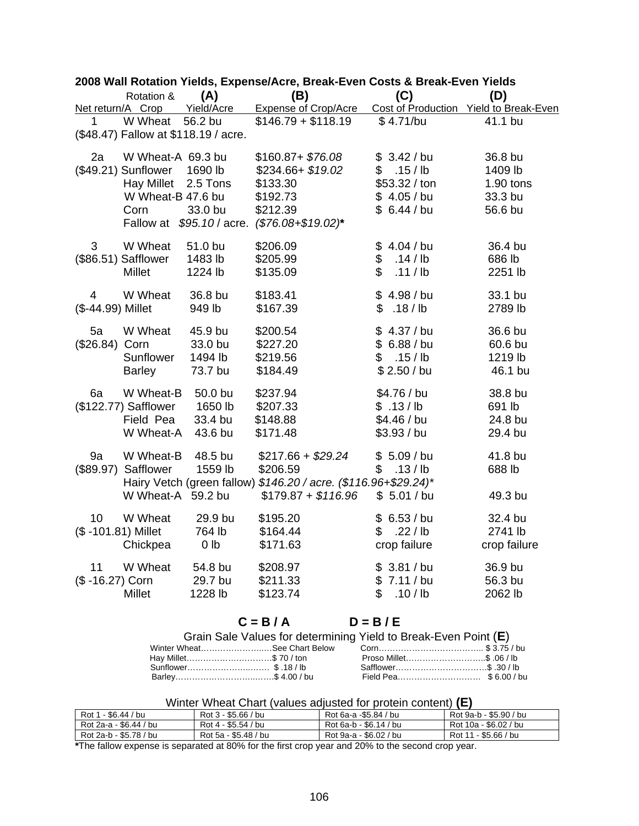|                    | Rotation &                           | (A)             | (B)                                                             | (C)              | (D)                                    |
|--------------------|--------------------------------------|-----------------|-----------------------------------------------------------------|------------------|----------------------------------------|
| Net return/A Crop  |                                      | Yield/Acre      | <b>Expense of Crop/Acre</b>                                     |                  | Cost of Production Yield to Break-Even |
| 1                  | W Wheat                              | 56.2 bu         | $$146.79 + $118.19$                                             | \$4.71/bu        | 41.1 bu                                |
|                    | (\$48.47) Fallow at \$118.19 / acre. |                 |                                                                 |                  |                                        |
| 2a                 | W Wheat-A 69.3 bu                    |                 | $$160.87 + $76.08$                                              | \$3.42/bu        | 36.8 bu                                |
|                    | (\$49.21) Sunflower                  | 1690 lb         | \$234.66+ \$19.02                                               | $.15 /$ lb<br>\$ | 1409 lb                                |
|                    | Hay Millet 2.5 Tons                  |                 | \$133.30                                                        | \$53.32 / ton    | $1.90$ tons                            |
|                    | W Wheat-B 47.6 bu                    |                 | \$192.73                                                        | \$4.05/bu        | 33.3 bu                                |
|                    | Corn                                 | 33.0 bu         | \$212.39                                                        | \$6.44/bu        | 56.6 bu                                |
|                    | Fallow at                            | \$95.10 / acre. | $($76.08 + $19.02)*$                                            |                  |                                        |
| 3                  | W Wheat                              | 51.0 bu         | \$206.09                                                        | \$4.04/bu        | 36.4 bu                                |
|                    | (\$86.51) Safflower                  | 1483 lb         | \$205.99                                                        | \$<br>$.14$ / lb | 686 lb                                 |
|                    | <b>Millet</b>                        | 1224 lb         | \$135.09                                                        | \$<br>.11/lb     | 2251 lb                                |
| 4                  | W Wheat                              | 36.8 bu         | \$183.41                                                        | \$4.98/bu        | 33.1 bu                                |
| (\$-44.99) Millet  |                                      | 949 lb          | \$167.39                                                        | \$<br>$.18$ / lb | 2789 lb                                |
| 5a                 | W Wheat                              | 45.9 bu         | \$200.54                                                        | $$4.37$ / bu     | 36.6 bu                                |
| (\$26.84) Corn     |                                      | 33.0 bu         | \$227.20                                                        | \$6.88/bu        | 60.6 bu                                |
|                    | Sunflower                            | 1494 lb         | \$219.56                                                        | \$.15/lb         | 1219 lb                                |
|                    | <b>Barley</b>                        | 73.7 bu         | \$184.49                                                        | \$2.50 / bu      | 46.1 bu                                |
| 6a                 | W Wheat-B                            | 50.0 bu         | \$237.94                                                        | \$4.76 / bu      | 38.8 bu                                |
|                    | (\$122.77) Safflower 1650 lb         |                 | \$207.33                                                        | \$.13/lb         | 691 lb                                 |
|                    | Field Pea                            | 33.4 bu         | \$148.88                                                        | \$4.46 / bu      | 24.8 bu                                |
|                    | W Wheat-A                            | 43.6 bu         | \$171.48                                                        | \$3.93 / bu      | 29.4 bu                                |
| 9a                 | W Wheat-B                            | 48.5 bu         | $$217.66 + $29.24$                                              | \$5.09/bu        | 41.8 bu                                |
| (\$89.97)          | Safflower                            | 1559 lb         | \$206.59                                                        | \$.13/lb         | 688 lb                                 |
|                    |                                      |                 | Hairy Vetch (green fallow) \$146.20 / acre. (\$116.96+\$29.24)* |                  |                                        |
|                    | W Wheat-A 59.2 bu                    |                 | $$179.87 + $116.96$                                             | \$5.01/bu        | 49.3 bu                                |
| 10                 | W Wheat                              | 29.9 bu         | \$195.20                                                        | \$6.53/bu        | 32.4 bu                                |
| (\$-101.81) Millet |                                      | 764 lb          | \$164.44                                                        | $.22$ / lb<br>\$ | 2741 lb                                |
|                    | Chickpea                             | 0 <sub>lb</sub> | \$171.63                                                        | crop failure     | crop failure                           |
| 11                 | W Wheat                              | 54.8 bu         | \$208.97                                                        | \$3.81/bu        | 36.9 bu                                |
| (\$-16.27) Corn    |                                      | 29.7 bu         | \$211.33                                                        | \$7.11/bu        | 56.3 bu                                |
|                    | Millet                               | 1228 lb         | \$123.74                                                        | \$<br>.10 / lb   | 2062 lb                                |

# **2008 Wall Rotation Yields, Expense/Acre, Break-Even Costs & Break-Even Yields**

# $C = B/A$   $D = B/E$

|                       | Grain Sale Values for determining Yield to Break-Even Point (E) |  |
|-----------------------|-----------------------------------------------------------------|--|
|                       |                                                                 |  |
| Hay Millet\$ 70 / ton |                                                                 |  |
|                       |                                                                 |  |
| Barley\$ 4.00 / bu    |                                                                 |  |

## Winter Wheat Chart (values adjusted for protein content) **(E)**

| Rot 1<br>1 - \$6.44 / bu | Rot 3 - \$5.66 / bu  | Rot 6a-a -\$5.84 / bu  | Rot 9a-b - \$5.90 / bu |
|--------------------------|----------------------|------------------------|------------------------|
| Rot 2a-a - \$6.44 / bu   | Rot 4 - \$5.54 / bu  | Rot 6a-b - \$6.14 / bu | Rot 10a - \$6.02 / bu  |
| Rot 2a-b - \$5.78 / bu   | Rot 5a - \$5.48 / bu | Rot 9a-a - \$6.02 / bu | Rot 11 - \$5.66 / bu   |

**\***The fallow expense is separated at 80% for the first crop year and 20% to the second crop year.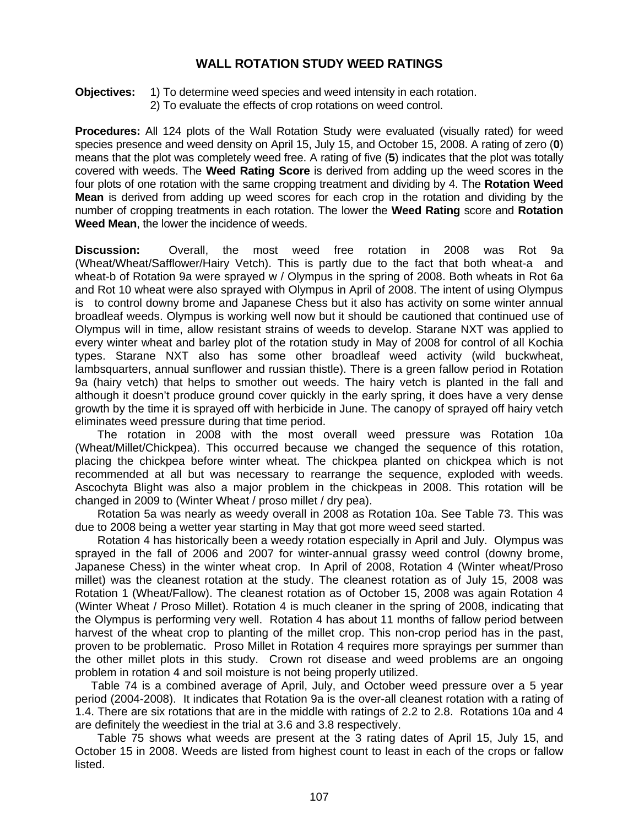## **WALL ROTATION STUDY WEED RATINGS**

**Objectives:** 1) To determine weed species and weed intensity in each rotation.

2) To evaluate the effects of crop rotations on weed control.

**Procedures:** All 124 plots of the Wall Rotation Study were evaluated (visually rated) for weed species presence and weed density on April 15, July 15, and October 15, 2008. A rating of zero (**0**) means that the plot was completely weed free. A rating of five (**5**) indicates that the plot was totally covered with weeds. The **Weed Rating Score** is derived from adding up the weed scores in the four plots of one rotation with the same cropping treatment and dividing by 4. The **Rotation Weed Mean** is derived from adding up weed scores for each crop in the rotation and dividing by the number of cropping treatments in each rotation. The lower the **Weed Rating** score and **Rotation Weed Mean**, the lower the incidence of weeds.

**Discussion:** Overall, the most weed free rotation in 2008 was Rot 9a (Wheat/Wheat/Safflower/Hairy Vetch). This is partly due to the fact that both wheat-a and wheat-b of Rotation 9a were sprayed w / Olympus in the spring of 2008. Both wheats in Rot 6a and Rot 10 wheat were also sprayed with Olympus in April of 2008. The intent of using Olympus is to control downy brome and Japanese Chess but it also has activity on some winter annual broadleaf weeds. Olympus is working well now but it should be cautioned that continued use of Olympus will in time, allow resistant strains of weeds to develop. Starane NXT was applied to every winter wheat and barley plot of the rotation study in May of 2008 for control of all Kochia types. Starane NXT also has some other broadleaf weed activity (wild buckwheat, lambsquarters, annual sunflower and russian thistle). There is a green fallow period in Rotation 9a (hairy vetch) that helps to smother out weeds. The hairy vetch is planted in the fall and although it doesn't produce ground cover quickly in the early spring, it does have a very dense growth by the time it is sprayed off with herbicide in June. The canopy of sprayed off hairy vetch eliminates weed pressure during that time period.

 The rotation in 2008 with the most overall weed pressure was Rotation 10a (Wheat/Millet/Chickpea). This occurred because we changed the sequence of this rotation, placing the chickpea before winter wheat. The chickpea planted on chickpea which is not recommended at all but was necessary to rearrange the sequence, exploded with weeds. Ascochyta Blight was also a major problem in the chickpeas in 2008. This rotation will be changed in 2009 to (Winter Wheat / proso millet / dry pea).

 Rotation 5a was nearly as weedy overall in 2008 as Rotation 10a. See Table 73. This was due to 2008 being a wetter year starting in May that got more weed seed started.

 Rotation 4 has historically been a weedy rotation especially in April and July. Olympus was sprayed in the fall of 2006 and 2007 for winter-annual grassy weed control (downy brome, Japanese Chess) in the winter wheat crop. In April of 2008, Rotation 4 (Winter wheat/Proso millet) was the cleanest rotation at the study. The cleanest rotation as of July 15, 2008 was Rotation 1 (Wheat/Fallow). The cleanest rotation as of October 15, 2008 was again Rotation 4 (Winter Wheat / Proso Millet). Rotation 4 is much cleaner in the spring of 2008, indicating that the Olympus is performing very well. Rotation 4 has about 11 months of fallow period between harvest of the wheat crop to planting of the millet crop. This non-crop period has in the past, proven to be problematic. Proso Millet in Rotation 4 requires more sprayings per summer than the other millet plots in this study. Crown rot disease and weed problems are an ongoing problem in rotation 4 and soil moisture is not being properly utilized.

 Table 74 is a combined average of April, July, and October weed pressure over a 5 year period (2004-2008). It indicates that Rotation 9a is the over-all cleanest rotation with a rating of 1.4. There are six rotations that are in the middle with ratings of 2.2 to 2.8. Rotations 10a and 4 are definitely the weediest in the trial at 3.6 and 3.8 respectively.

 Table 75 shows what weeds are present at the 3 rating dates of April 15, July 15, and October 15 in 2008. Weeds are listed from highest count to least in each of the crops or fallow listed.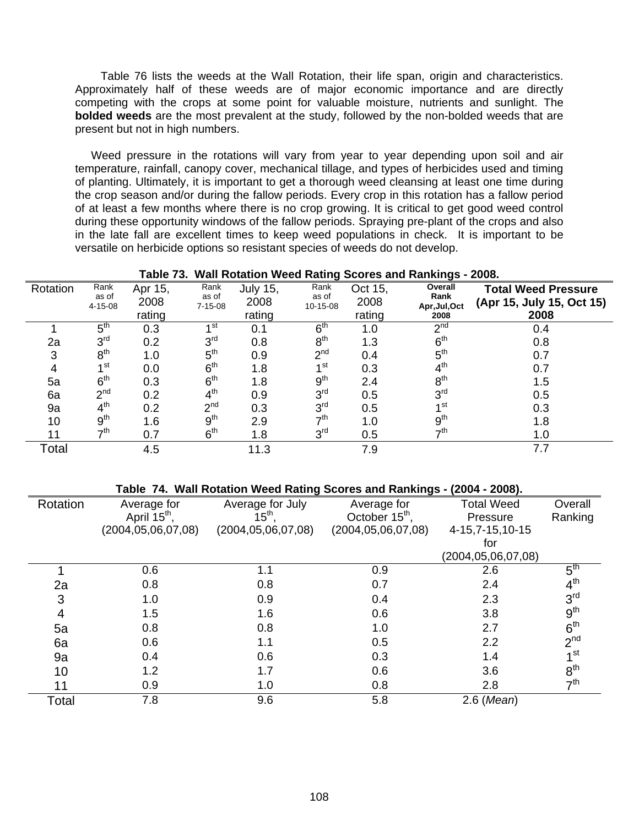Table 76 lists the weeds at the Wall Rotation, their life span, origin and characteristics. Approximately half of these weeds are of major economic importance and are directly competing with the crops at some point for valuable moisture, nutrients and sunlight. The **bolded weeds** are the most prevalent at the study, followed by the non-bolded weeds that are present but not in high numbers.

 Weed pressure in the rotations will vary from year to year depending upon soil and air temperature, rainfall, canopy cover, mechanical tillage, and types of herbicides used and timing of planting. Ultimately, it is important to get a thorough weed cleansing at least one time during the crop season and/or during the fallow periods. Every crop in this rotation has a fallow period of at least a few months where there is no crop growing. It is critical to get good weed control during these opportunity windows of the fallow periods. Spraying pre-plant of the crops and also in the late fall are excellent times to keep weed populations in check. It is important to be versatile on herbicide options so resistant species of weeds do not develop.

| Table 73. Wall Rotation Weed Rating Scores and Rankings - 2008. |                                |                           |                                |                                   |                           |                           |                                          |                                                                 |
|-----------------------------------------------------------------|--------------------------------|---------------------------|--------------------------------|-----------------------------------|---------------------------|---------------------------|------------------------------------------|-----------------------------------------------------------------|
| Rotation                                                        | Rank<br>as of<br>$4 - 15 - 08$ | Apr 15,<br>2008<br>rating | Rank<br>as of<br>$7 - 15 - 08$ | <b>July 15,</b><br>2008<br>rating | Rank<br>as of<br>10-15-08 | Oct 15,<br>2008<br>rating | Overall<br>Rank<br>Apr, Jul, Oct<br>2008 | <b>Total Weed Pressure</b><br>(Apr 15, July 15, Oct 15)<br>2008 |
|                                                                 | $5^{\text{th}}$                | 0.3                       | ⊿ st                           | 0.1                               | 6 <sup>th</sup>           | 1.0                       | 2 <sub>nd</sub>                          | 0.4                                                             |
| 2a                                                              | 3 <sup>rd</sup>                | 0.2                       | 3 <sup>rd</sup>                | 0.8                               | $8^{\text{th}}$           | 1.3                       | 6 <sup>th</sup>                          | 0.8                                                             |
| 3                                                               | 8 <sup>th</sup>                | 1.0                       | 5 <sup>th</sup>                | 0.9                               | 2 <sup>nd</sup>           | 0.4                       | 5 <sup>th</sup>                          | 0.7                                                             |
| 4                                                               | 4 St                           | 0.0                       | 6 <sup>th</sup>                | 1.8                               | 1st                       | 0.3                       | 4 <sup>th</sup>                          | 0.7                                                             |
| 5a                                                              | 6 <sup>th</sup>                | 0.3                       | 6 <sup>th</sup>                | 1.8                               | 9 <sup>th</sup>           | 2.4                       | 8 <sup>th</sup>                          | 1.5                                                             |
| 6a                                                              | 2 <sup>nd</sup>                | 0.2                       | 4 <sup>th</sup>                | 0.9                               | 3 <sup>rd</sup>           | 0.5                       | 3 <sup>rd</sup>                          | 0.5                                                             |
| 9a                                                              | 4 <sup>th</sup>                | 0.2                       | 2 <sub>nd</sub>                | 0.3                               | 3 <sup>rd</sup>           | 0.5                       | 4 st                                     | 0.3                                                             |
| 10                                                              | 9 <sup>th</sup>                | 1.6                       | 9 <sup>th</sup>                | 2.9                               | $\tau$ <sup>th</sup>      | 1.0                       | $9^{\text{th}}$                          | 1.8                                                             |
| 11                                                              | $\mathcal{I}^{\text{th}}$      | 0.7                       | 6 <sup>th</sup>                | 1.8                               | 3 <sup>rd</sup>           | 0.5                       | $\mathbf{z}^{\text{th}}$                 | 1.0                                                             |
| Total                                                           |                                | 4.5                       |                                | 11.3                              |                           | 7.9                       |                                          | 7.7                                                             |

|          | Table 74. Wall Rotation Weed Rating Scores and Rankings - (2004 - 2008). |                                      |                                           |                               |                    |  |  |  |  |
|----------|--------------------------------------------------------------------------|--------------------------------------|-------------------------------------------|-------------------------------|--------------------|--|--|--|--|
| Rotation | Average for<br>April 15 <sup>th</sup> ,                                  | Average for July<br>15 <sup>th</sup> | Average for<br>October 15 <sup>th</sup> , | <b>Total Weed</b><br>Pressure | Overall<br>Ranking |  |  |  |  |
|          | (2004, 05, 06, 07, 08)                                                   | (2004, 05, 06, 07, 08)               | (2004, 05, 06, 07, 08)                    | 4-15,7-15,10-15               |                    |  |  |  |  |
|          |                                                                          |                                      |                                           | for                           |                    |  |  |  |  |
|          |                                                                          |                                      |                                           | (2004,05,06,07,08)            |                    |  |  |  |  |
|          | 0.6                                                                      | 1.1                                  | 0.9                                       | 2.6                           | 5 <sup>th</sup>    |  |  |  |  |
| 2a       | 0.8                                                                      | 0.8                                  | 0.7                                       | 2.4                           | $4^{\text{th}}$    |  |  |  |  |
| 3        | 1.0                                                                      | 0.9                                  | 0.4                                       | 2.3                           | 3 <sup>rd</sup>    |  |  |  |  |
| 4        | 1.5                                                                      | 1.6                                  | 0.6                                       | 3.8                           | 9 <sup>th</sup>    |  |  |  |  |
| 5a       | 0.8                                                                      | 0.8                                  | 1.0                                       | 2.7                           | 6 <sup>th</sup>    |  |  |  |  |
| 6a       | 0.6                                                                      | 1.1                                  | 0.5                                       | 2.2                           | 2 <sup>nd</sup>    |  |  |  |  |
| 9a       | 0.4                                                                      | 0.6                                  | 0.3                                       | 1.4                           | 1 <sup>st</sup>    |  |  |  |  |
| 10       | 1.2                                                                      | 1.7                                  | 0.6                                       | 3.6                           | 8 <sup>th</sup>    |  |  |  |  |
| 11       | 0.9                                                                      | 1.0                                  | 0.8                                       | 2.8                           | 7 <sup>th</sup>    |  |  |  |  |
| Total    | 7.8                                                                      | 9.6                                  | 5.8                                       | $2.6$ (Mean)                  |                    |  |  |  |  |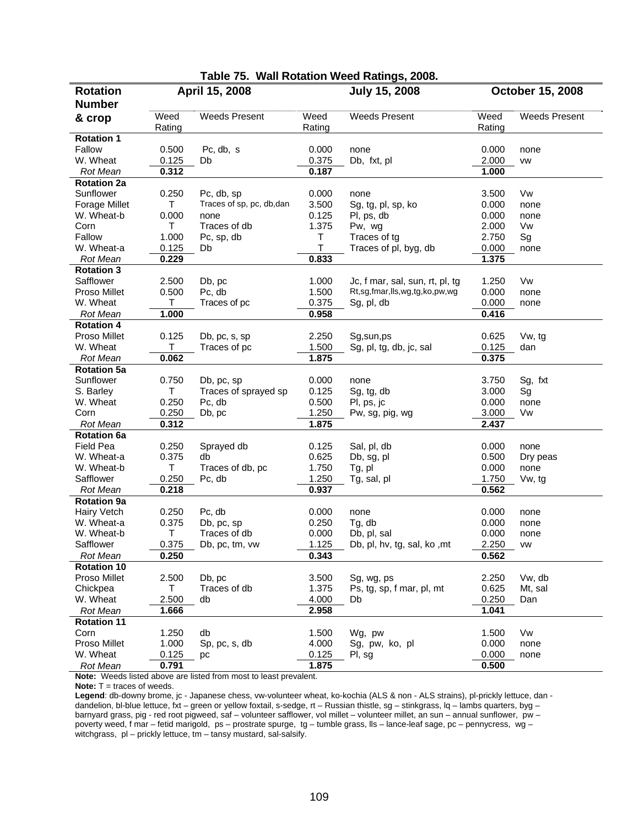| Table 75. Wall Rotation Weed Ratings, 2008. |        |                          |        |                                 |        |                      |
|---------------------------------------------|--------|--------------------------|--------|---------------------------------|--------|----------------------|
| <b>Rotation</b>                             |        | April 15, 2008           |        | <b>July 15, 2008</b>            |        | October 15, 2008     |
| <b>Number</b>                               |        |                          |        |                                 |        |                      |
| & crop                                      | Weed   | <b>Weeds Present</b>     | Weed   | <b>Weeds Present</b>            | Weed   | <b>Weeds Present</b> |
|                                             | Rating |                          | Rating |                                 | Rating |                      |
| <b>Rotation 1</b>                           |        |                          |        |                                 |        |                      |
| Fallow                                      | 0.500  | Pc, db, s                | 0.000  | none                            | 0.000  | none                 |
| W. Wheat                                    | 0.125  | Db                       | 0.375  | Db, fxt, pl                     | 2.000  | <b>VW</b>            |
| <b>Rot Mean</b>                             | 0.312  |                          | 0.187  |                                 | 1.000  |                      |
| <b>Rotation 2a</b>                          |        |                          |        |                                 |        |                      |
| Sunflower                                   | 0.250  | Pc, db, sp               | 0.000  | none                            | 3.500  | Vw                   |
| Forage Millet                               | Τ      | Traces of sp, pc, db,dan | 3.500  | Sg, tg, pl, sp, ko              | 0.000  | none                 |
| W. Wheat-b                                  | 0.000  | none                     | 0.125  | PI, ps, db                      | 0.000  | none                 |
| Corn                                        | Τ      | Traces of db             | 1.375  | Pw, wg                          | 2.000  | Vw                   |
| Fallow                                      | 1.000  | Pc, sp, db               | T      | Traces of tg                    | 2.750  | Sg                   |
| W. Wheat-a                                  | 0.125  | Db                       | $\top$ | Traces of pl, byg, db           | 0.000  | none                 |
| <b>Rot Mean</b>                             | 0.229  |                          | 0.833  |                                 | 1.375  |                      |
| <b>Rotation 3</b>                           |        |                          |        |                                 |        |                      |
| Safflower                                   | 2.500  | Db, pc                   | 1.000  | Jc, f mar, sal, sun, rt, pl, tg | 1.250  | Vw                   |
| Proso Millet                                | 0.500  | Pc, db                   | 1.500  | Rt,sg,fmar,lls,wg,tg,ko,pw,wg   | 0.000  | none                 |
| W. Wheat                                    | Τ      | Traces of pc             | 0.375  | Sg, pl, db                      | 0.000  | none                 |
| <b>Rot Mean</b>                             | 1.000  |                          | 0.958  |                                 | 0.416  |                      |
| <b>Rotation 4</b>                           |        |                          |        |                                 |        |                      |
| Proso Millet                                | 0.125  | Db, pc, s, sp            | 2.250  | Sg,sun,ps                       | 0.625  | Vw, tg               |
| W. Wheat                                    | Τ      | Traces of pc             | 1.500  | Sg, pl, tg, db, jc, sal         | 0.125  | dan                  |
| <b>Rot Mean</b>                             | 0.062  |                          | 1.875  |                                 | 0.375  |                      |
| <b>Rotation 5a</b>                          |        |                          |        |                                 |        |                      |
| Sunflower                                   | 0.750  | Db, pc, sp               | 0.000  | none                            | 3.750  | Sg, fxt              |
| S. Barley                                   | T      | Traces of sprayed sp     | 0.125  | Sg, tg, db                      | 3.000  | Sg                   |
| W. Wheat                                    | 0.250  | Pc, db                   | 0.500  | PI, ps, jc                      | 0.000  | none                 |
| Corn                                        | 0.250  | Db, pc                   | 1.250  | Pw, sg, pig, wg                 | 3.000  | Vw                   |
| <b>Rot Mean</b>                             | 0.312  |                          | 1.875  |                                 | 2.437  |                      |
| <b>Rotation 6a</b>                          |        |                          |        |                                 |        |                      |
| <b>Field Pea</b>                            | 0.250  | Sprayed db               | 0.125  | Sal, pl, db                     | 0.000  | none                 |
| W. Wheat-a                                  | 0.375  | db                       | 0.625  | Db, sg, pl                      | 0.500  | Dry peas             |
| W. Wheat-b                                  | T      | Traces of db, pc         | 1.750  | Tg, pl                          | 0.000  | none                 |
| Safflower                                   | 0.250  | Pc, db                   | 1.250  | Tg, sal, pl                     | 1.750  | Vw, tg               |
| <b>Rot Mean</b>                             | 0.218  |                          | 0.937  |                                 | 0.562  |                      |
| <b>Rotation 9a</b>                          |        |                          |        |                                 |        |                      |
| <b>Hairy Vetch</b>                          | 0.250  | Pc, db                   | 0.000  | none                            | 0.000  | none                 |
| W. Wheat-a                                  | 0.375  | Db, pc, sp               | 0.250  | Tg, db                          | 0.000  | none                 |
| W. Wheat-b                                  | T      | Traces of db             | 0.000  | Db, pl, sal                     | 0.000  | none                 |
| Safflower                                   | 0.375  | Db, pc, tm, vw           | 1.125  | Db, pl, hv, tg, sal, ko, mt     | 2.250  | <b>VW</b>            |
| Rot Mean                                    | 0.250  |                          | 0.343  |                                 | 0.562  |                      |
| <b>Rotation 10</b>                          |        |                          |        |                                 |        |                      |
| Proso Millet                                | 2.500  | Db, pc                   | 3.500  | Sg, wg, ps                      | 2.250  | Vw, db               |
| Chickpea                                    | Τ      | Traces of db             | 1.375  | Ps, tg, sp, f mar, pl, mt       | 0.625  | Mt, sal              |
| W. Wheat                                    | 2.500  | db                       | 4.000  | Db                              | 0.250  | Dan                  |
| Rot Mean                                    | 1.666  |                          | 2.958  |                                 | 1.041  |                      |
| <b>Rotation 11</b>                          |        |                          |        |                                 |        |                      |
| Corn                                        | 1.250  | db                       | 1.500  | Wg, pw                          | 1.500  | Vw                   |
| Proso Millet                                | 1.000  | Sp, pc, s, db            | 4.000  | Sg, pw, ko, pl                  | 0.000  | none                 |
| W. Wheat                                    | 0.125  | рc                       | 0.125  | PI, sg                          | 0.000  | none                 |
| Rot Mean                                    | 0.791  |                          | 1.875  |                                 | 0.500  |                      |

**Note:** Weeds listed above are listed from most to least prevalent.

**Note:** T = traces of weeds.

**Legend**: db-downy brome, jc - Japanese chess, vw-volunteer wheat, ko-kochia (ALS & non - ALS strains), pl-prickly lettuce, dan dandelion, bl-blue lettuce, fxt – green or yellow foxtail, s-sedge, rt – Russian thistle, sg – stinkgrass, lq – lambs quarters, byg – barnyard grass, pig - red root pigweed, saf – volunteer safflower, vol millet – volunteer millet, an sun – annual sunflower, pw – poverty weed, f mar – fetid marigold, ps – prostrate spurge, tg – tumble grass, lls – lance-leaf sage, pc – pennycress, wg – witchgrass, pl – prickly lettuce, tm – tansy mustard, sal-salsify.